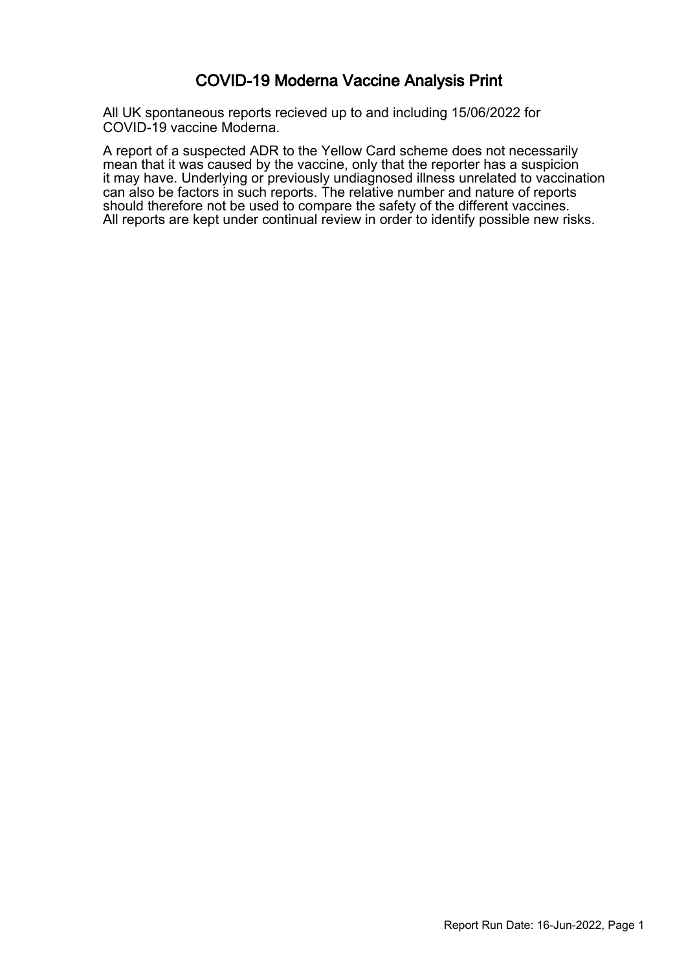#### COVID-19 Moderna Vaccine Analysis Print

All UK spontaneous reports recieved up to and including 15/06/2022 for COVID-19 vaccine Moderna.

A report of a suspected ADR to the Yellow Card scheme does not necessarily mean that it was caused by the vaccine, only that the reporter has a suspicion it may have. Underlying or previously undiagnosed illness unrelated to vaccination can also be factors in such reports. The relative number and nature of reports should therefore not be used to compare the safety of the different vaccines. All reports are kept under continual review in order to identify possible new risks.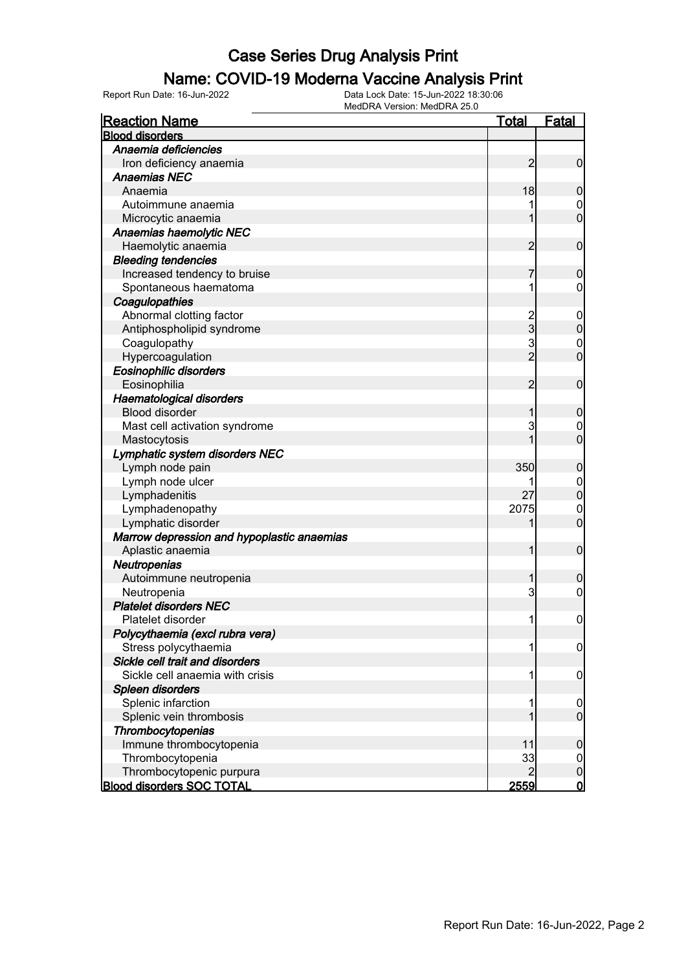#### Name: COVID-19 Moderna Vaccine Analysis Print

| <b>Reaction Name</b>                       | <b>Total</b>   | Fatal            |
|--------------------------------------------|----------------|------------------|
| <b>Blood disorders</b>                     |                |                  |
| Anaemia deficiencies                       |                |                  |
| Iron deficiency anaemia                    | 2              | $\mathbf 0$      |
| <b>Anaemias NEC</b>                        |                |                  |
| Anaemia                                    | 18             | $\boldsymbol{0}$ |
| Autoimmune anaemia                         |                | $\mathbf 0$      |
| Microcytic anaemia                         | 1              | $\overline{0}$   |
| Anaemias haemolytic NEC                    |                |                  |
| Haemolytic anaemia                         | $\overline{2}$ | $\boldsymbol{0}$ |
| <b>Bleeding tendencies</b>                 |                |                  |
| Increased tendency to bruise               | 7              | $\mathbf 0$      |
| Spontaneous haematoma                      | 1              | $\mathbf 0$      |
| Coagulopathies                             |                |                  |
| Abnormal clotting factor                   |                | $\mathbf 0$      |
| Antiphospholipid syndrome                  | 2<br>3         | $\mathbf 0$      |
| Coagulopathy                               | 3              | $\mathbf 0$      |
| Hypercoagulation                           | $\overline{2}$ | $\overline{0}$   |
| <b>Eosinophilic disorders</b>              |                |                  |
| Eosinophilia                               | $\overline{2}$ | $\mathbf 0$      |
| Haematological disorders                   |                |                  |
| <b>Blood disorder</b>                      | 1              | $\boldsymbol{0}$ |
| Mast cell activation syndrome              | 3              | $\mathbf 0$      |
| Mastocytosis                               | 1              | $\overline{0}$   |
| Lymphatic system disorders NEC             |                |                  |
| Lymph node pain                            | 350            | $\boldsymbol{0}$ |
| Lymph node ulcer                           |                | $\mathbf 0$      |
| Lymphadenitis                              | 27             | $\mathbf 0$      |
| Lymphadenopathy                            | 2075           | $\mathbf 0$      |
| Lymphatic disorder                         | 1              | $\overline{0}$   |
| Marrow depression and hypoplastic anaemias |                |                  |
| Aplastic anaemia                           | $\mathbf{1}$   | $\boldsymbol{0}$ |
| Neutropenias                               |                |                  |
| Autoimmune neutropenia                     | 1              | $\boldsymbol{0}$ |
| Neutropenia                                | 3              | $\mathbf 0$      |
| <b>Platelet disorders NEC</b>              |                |                  |
| Platelet disorder                          | 1              | $\boldsymbol{0}$ |
| Polycythaemia (excl rubra vera)            |                |                  |
| Stress polycythaemia                       | 1              | $\overline{0}$   |
| Sickle cell trait and disorders            |                |                  |
| Sickle cell anaemia with crisis            | 1              | $\mathbf 0$      |
| Spleen disorders                           |                |                  |
| Splenic infarction                         | 1              | $\mathbf 0$      |
| Splenic vein thrombosis                    | 1              | $\overline{0}$   |
| Thrombocytopenias                          |                |                  |
| Immune thrombocytopenia                    | 11             | $\boldsymbol{0}$ |
| Thrombocytopenia                           | 33             | $\overline{0}$   |
| Thrombocytopenic purpura                   | $\overline{2}$ | $\pmb{0}$        |
| <b>Blood disorders SOC TOTAL</b>           | <u>2559</u>    | <u>0</u>         |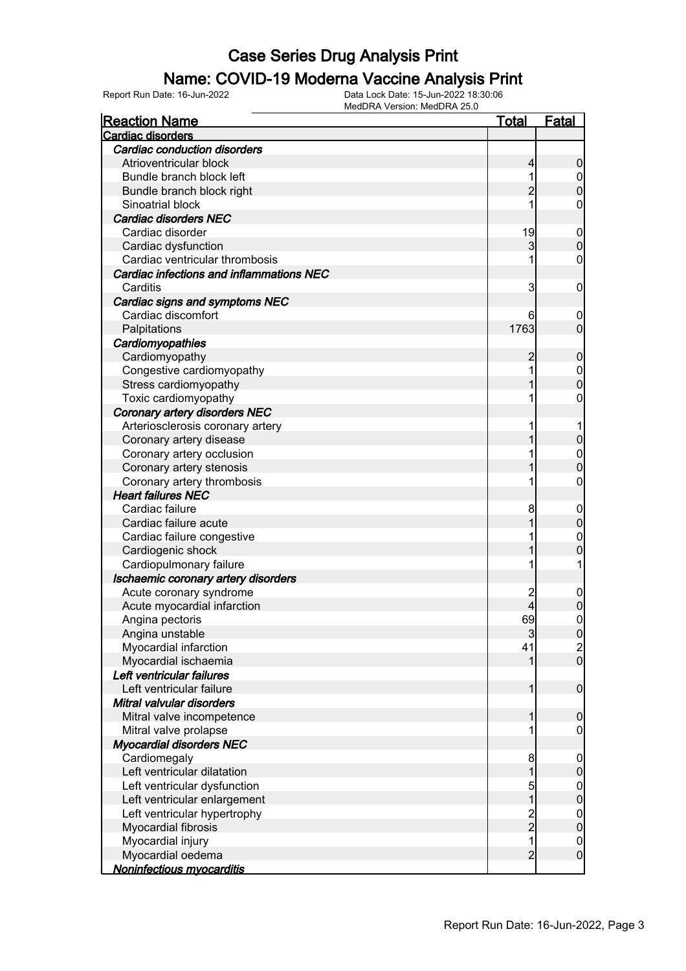#### Name: COVID-19 Moderna Vaccine Analysis Print

| <b>Reaction Name</b>                                    | <u>Total</u>   | <b>Fatal</b>                       |
|---------------------------------------------------------|----------------|------------------------------------|
| <b>Cardiac disorders</b>                                |                |                                    |
| <b>Cardiac conduction disorders</b>                     |                |                                    |
| Atrioventricular block                                  | 4              | $\boldsymbol{0}$                   |
| Bundle branch block left                                | 1              |                                    |
| Bundle branch block right                               | $\overline{2}$ | $0$<br>0                           |
| Sinoatrial block                                        | 1              | 0                                  |
| <b>Cardiac disorders NEC</b>                            |                |                                    |
| Cardiac disorder                                        | 19             | $\mathbf{0}$                       |
| Cardiac dysfunction                                     | 3              | $\overline{0}$                     |
| Cardiac ventricular thrombosis                          | 1              | 0                                  |
| Cardiac infections and inflammations NEC                |                |                                    |
| Carditis                                                | 3              | $\boldsymbol{0}$                   |
| Cardiac signs and symptoms NEC                          |                |                                    |
| Cardiac discomfort                                      | 6              | 0                                  |
| Palpitations                                            | 1763           | $\overline{0}$                     |
| Cardiomyopathies                                        |                |                                    |
| Cardiomyopathy                                          | 2              | $\boldsymbol{0}$                   |
| Congestive cardiomyopathy                               | 1              |                                    |
| Stress cardiomyopathy                                   | 1              | $\begin{matrix}0\\0\end{matrix}$   |
| Toxic cardiomyopathy                                    | 1              | 0                                  |
| <b>Coronary artery disorders NEC</b>                    |                |                                    |
| Arteriosclerosis coronary artery                        | 1              | 1                                  |
| Coronary artery disease                                 |                | $\pmb{0}$                          |
| Coronary artery occlusion                               | 1              |                                    |
| Coronary artery stenosis                                | 1              | $\mathbf{0}$<br>$\overline{0}$     |
|                                                         | 1              | $\mathbf 0$                        |
| Coronary artery thrombosis<br><b>Heart failures NEC</b> |                |                                    |
| Cardiac failure                                         | 8              |                                    |
| Cardiac failure acute                                   |                | $\boldsymbol{0}$<br>$\overline{0}$ |
|                                                         |                |                                    |
| Cardiac failure congestive                              | 1              | $\mathbf{0}$                       |
| Cardiogenic shock                                       | 1              | 0                                  |
| Cardiopulmonary failure                                 | 1              | 1                                  |
| Ischaemic coronary artery disorders                     |                |                                    |
| Acute coronary syndrome                                 | $\overline{c}$ | $\mathbf 0$                        |
| Acute myocardial infarction                             | 4              | $\mathbf 0$                        |
| Angina pectoris                                         | 69             | $\mathbf 0$                        |
| Angina unstable                                         | 3              | 0                                  |
| Myocardial infarction                                   | 41             | $\frac{2}{0}$                      |
| Myocardial ischaemia                                    | 1              |                                    |
| Left ventricular failures                               |                |                                    |
| Left ventricular failure                                | 1              | $\boldsymbol{0}$                   |
| Mitral valvular disorders                               |                |                                    |
| Mitral valve incompetence                               | 1              | $\mathbf 0$                        |
| Mitral valve prolapse                                   | 1              | $\mathbf 0$                        |
| <b>Myocardial disorders NEC</b>                         |                |                                    |
| Cardiomegaly                                            | 8              | $\mathbf 0$                        |
| Left ventricular dilatation                             | $\mathbf 1$    | $\pmb{0}$                          |
| Left ventricular dysfunction                            | $\frac{5}{1}$  | $\boldsymbol{0}$                   |
| Left ventricular enlargement                            |                | $\mathbf 0$                        |
| Left ventricular hypertrophy                            |                | $\boldsymbol{0}$                   |
| Myocardial fibrosis                                     | $\frac{2}{2}$  | $\mathbf 0$                        |
| Myocardial injury                                       | $\overline{1}$ | $\mathbf 0$                        |
| Myocardial oedema                                       | $\overline{2}$ | $\mathbf 0$                        |
| <b>Noninfectious myocarditis</b>                        |                |                                    |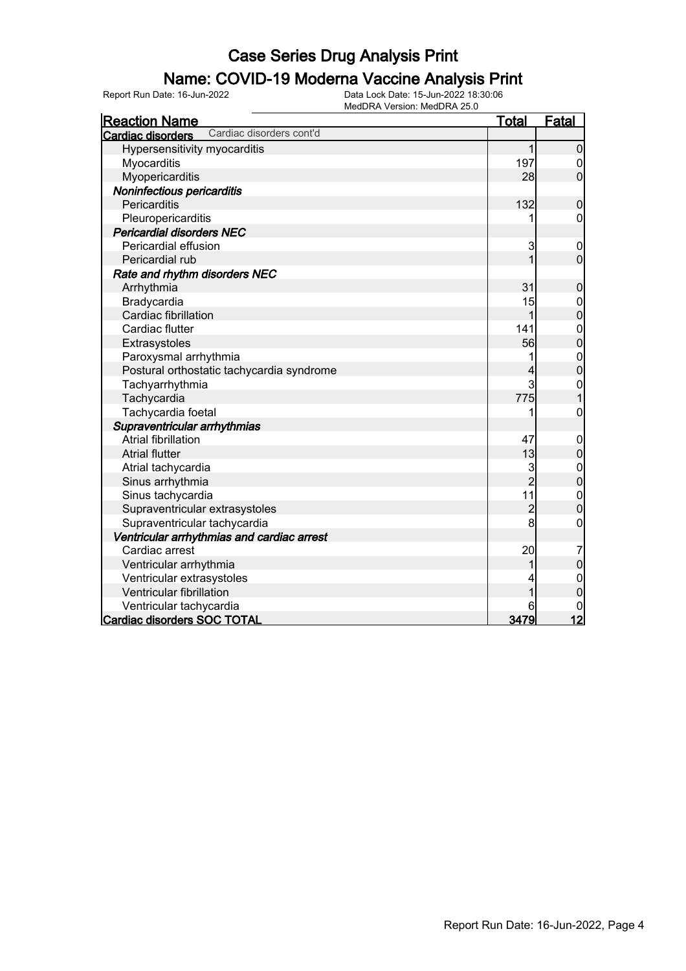### Name: COVID-19 Moderna Vaccine Analysis Print

| <b>Reaction Name</b>                          | <u>Total</u>   | <b>Fatal</b>     |
|-----------------------------------------------|----------------|------------------|
| Cardiac disorders cont'd<br>Cardiac disorders |                |                  |
| Hypersensitivity myocarditis                  | 1              | $\mathbf 0$      |
| Myocarditis                                   | 197            | $\boldsymbol{0}$ |
| Myopericarditis                               | 28             | $\overline{0}$   |
| Noninfectious pericarditis                    |                |                  |
| Pericarditis                                  | 132            | $\boldsymbol{0}$ |
| Pleuropericarditis                            |                | $\mathbf 0$      |
| <b>Pericardial disorders NEC</b>              |                |                  |
| Pericardial effusion                          | 3              | $\mathbf 0$      |
| Pericardial rub                               | $\overline{1}$ | $\mathbf 0$      |
| Rate and rhythm disorders NEC                 |                |                  |
| Arrhythmia                                    | 31             | $\boldsymbol{0}$ |
| Bradycardia                                   | 15             | $\mathbf 0$      |
| Cardiac fibrillation                          | 1              | $\mathbf 0$      |
| Cardiac flutter                               | 141            | $\mathbf{0}$     |
| Extrasystoles                                 | 56             | $\overline{0}$   |
| Paroxysmal arrhythmia                         | 1              | $\mathbf{0}$     |
| Postural orthostatic tachycardia syndrome     | 4              | $\overline{0}$   |
| Tachyarrhythmia                               | 3              | $\mathbf{0}$     |
| Tachycardia                                   | 775            | $\overline{1}$   |
| Tachycardia foetal                            | 1              | $\mathbf 0$      |
| Supraventricular arrhythmias                  |                |                  |
| <b>Atrial fibrillation</b>                    | 47             | $\mathbf 0$      |
| <b>Atrial flutter</b>                         | 13             | $\pmb{0}$        |
| Atrial tachycardia                            | 3              | $\mathbf{0}$     |
| Sinus arrhythmia                              | $\overline{2}$ | $\overline{0}$   |
| Sinus tachycardia                             | 11             | $\mathbf{0}$     |
| Supraventricular extrasystoles                | $\overline{c}$ | $\overline{0}$   |
| Supraventricular tachycardia                  | 8              | $\mathbf 0$      |
| Ventricular arrhythmias and cardiac arrest    |                |                  |
| Cardiac arrest                                | 20             | 7                |
| Ventricular arrhythmia                        | 1              | $\mathbf 0$      |
| Ventricular extrasystoles                     | 4              | $\mathbf 0$      |
| Ventricular fibrillation                      | 1              | $\overline{0}$   |
| Ventricular tachycardia                       |                | 0                |
| <b>Cardiac disorders SOC TOTAL</b>            | 3479           | 12               |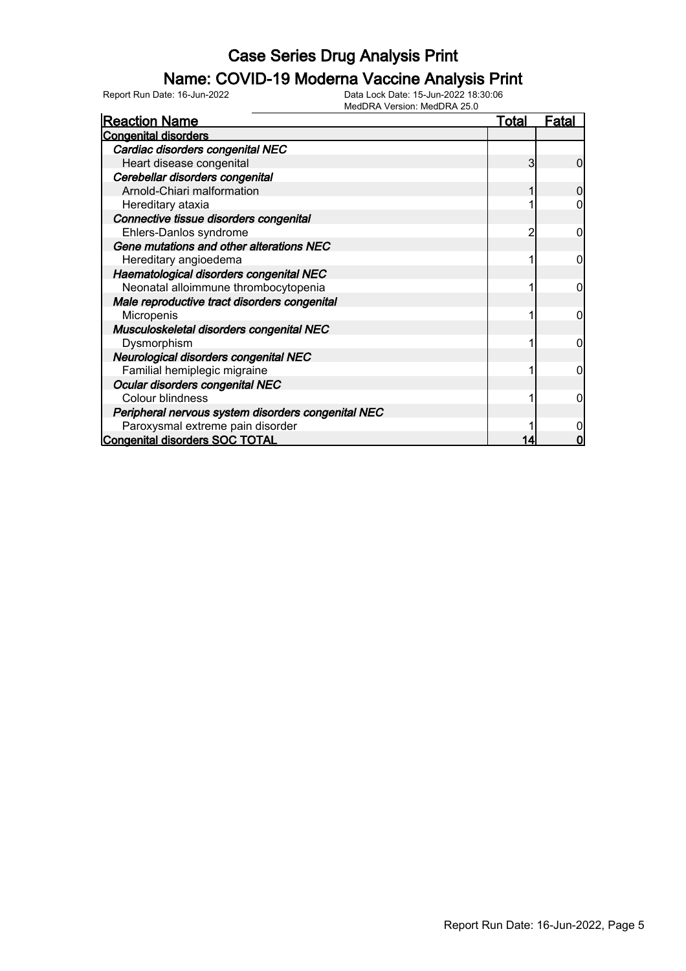#### Name: COVID-19 Moderna Vaccine Analysis Print

| <b>Reaction Name</b>                               | <b>Total</b> | <b>Fatal</b> |
|----------------------------------------------------|--------------|--------------|
| <b>Congenital disorders</b>                        |              |              |
| Cardiac disorders congenital NEC                   |              |              |
| Heart disease congenital                           | 3            | 0            |
| Cerebellar disorders congenital                    |              |              |
| Arnold-Chiari malformation                         |              |              |
| Hereditary ataxia                                  |              |              |
| Connective tissue disorders congenital             |              |              |
| Ehlers-Danlos syndrome                             | 2            | 0            |
| Gene mutations and other alterations NEC           |              |              |
| Hereditary angioedema                              |              | 0            |
| Haematological disorders congenital NEC            |              |              |
| Neonatal alloimmune thrombocytopenia               |              | 0            |
| Male reproductive tract disorders congenital       |              |              |
| Micropenis                                         |              |              |
| Musculoskeletal disorders congenital NEC           |              |              |
| Dysmorphism                                        |              | 0            |
| Neurological disorders congenital NEC              |              |              |
| Familial hemiplegic migraine                       |              | 0            |
| Ocular disorders congenital NEC                    |              |              |
| <b>Colour blindness</b>                            |              | 0            |
| Peripheral nervous system disorders congenital NEC |              |              |
| Paroxysmal extreme pain disorder                   |              |              |
| <b>Congenital disorders SOC TOTAL</b>              |              |              |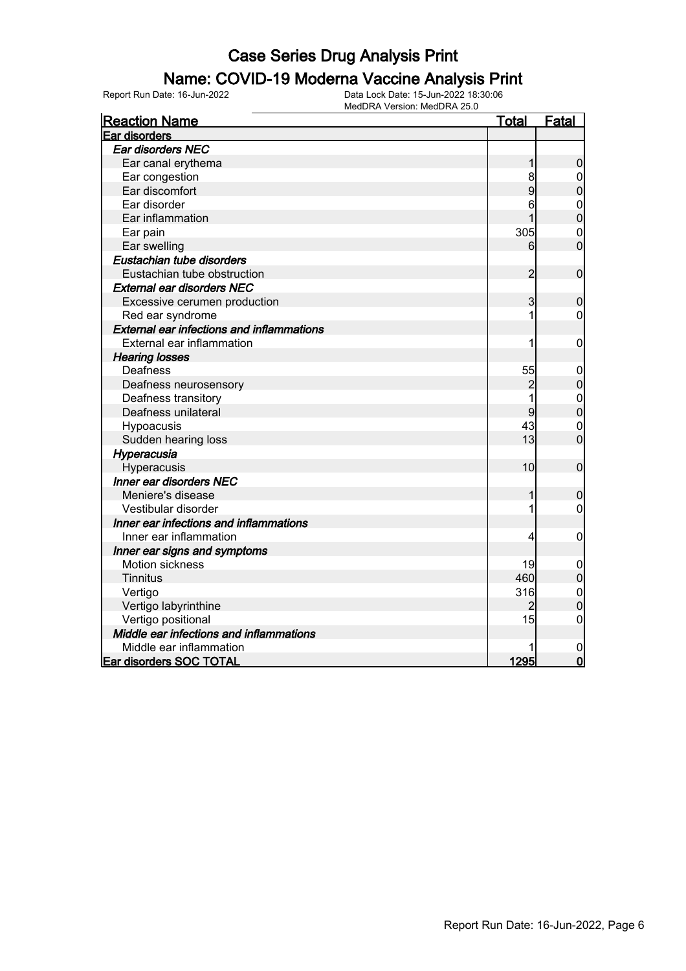#### Name: COVID-19 Moderna Vaccine Analysis Print

| <b>Reaction Name</b>                             | <u>Total</u>   | Fatal            |
|--------------------------------------------------|----------------|------------------|
| Ear disorders                                    |                |                  |
| Ear disorders NEC                                |                |                  |
| Ear canal erythema                               |                | $\mathbf 0$      |
| Ear congestion                                   | 8              | 0                |
| Ear discomfort                                   | 9              | $\overline{0}$   |
| Ear disorder                                     | 6              | $\mathbf{0}$     |
| Ear inflammation                                 |                | $\mathbf{0}$     |
| Ear pain                                         | 305            | $\mathbf 0$      |
| Ear swelling                                     | 6              | $\overline{0}$   |
| Eustachian tube disorders                        |                |                  |
| Eustachian tube obstruction                      | $\overline{c}$ | $\mathbf 0$      |
| <b>External ear disorders NEC</b>                |                |                  |
| Excessive cerumen production                     | 3              | $\boldsymbol{0}$ |
| Red ear syndrome                                 | 1              | 0                |
| <b>External ear infections and inflammations</b> |                |                  |
| External ear inflammation                        |                | $\boldsymbol{0}$ |
| <b>Hearing losses</b>                            |                |                  |
| Deafness                                         | 55             | $\mathbf 0$      |
| Deafness neurosensory                            | $\overline{c}$ | $\boldsymbol{0}$ |
| Deafness transitory                              |                |                  |
| Deafness unilateral                              | 9              | $0\atop 0$       |
| Hypoacusis                                       | 43             | $\mathbf 0$      |
| Sudden hearing loss                              | 13             | $\overline{0}$   |
| Hyperacusia                                      |                |                  |
| Hyperacusis                                      | 10             | $\boldsymbol{0}$ |
| <b>Inner ear disorders NEC</b>                   |                |                  |
| Meniere's disease                                |                | $\mathbf 0$      |
| Vestibular disorder                              |                | 0                |
| Inner ear infections and inflammations           |                |                  |
| Inner ear inflammation                           | 4              | $\boldsymbol{0}$ |
| Inner ear signs and symptoms                     |                |                  |
| Motion sickness                                  | 19             | 0                |
| Tinnitus                                         | 460            | $\boldsymbol{0}$ |
| Vertigo                                          | 316            | $\mathbf 0$      |
| Vertigo labyrinthine                             | 2              | $\mathbf 0$      |
| Vertigo positional                               | 15             | $\mathbf 0$      |
| Middle ear infections and inflammations          |                |                  |
| Middle ear inflammation                          |                | $\mathbf{0}$     |
| Ear disorders SOC TOTAL                          | 1295           | $\overline{0}$   |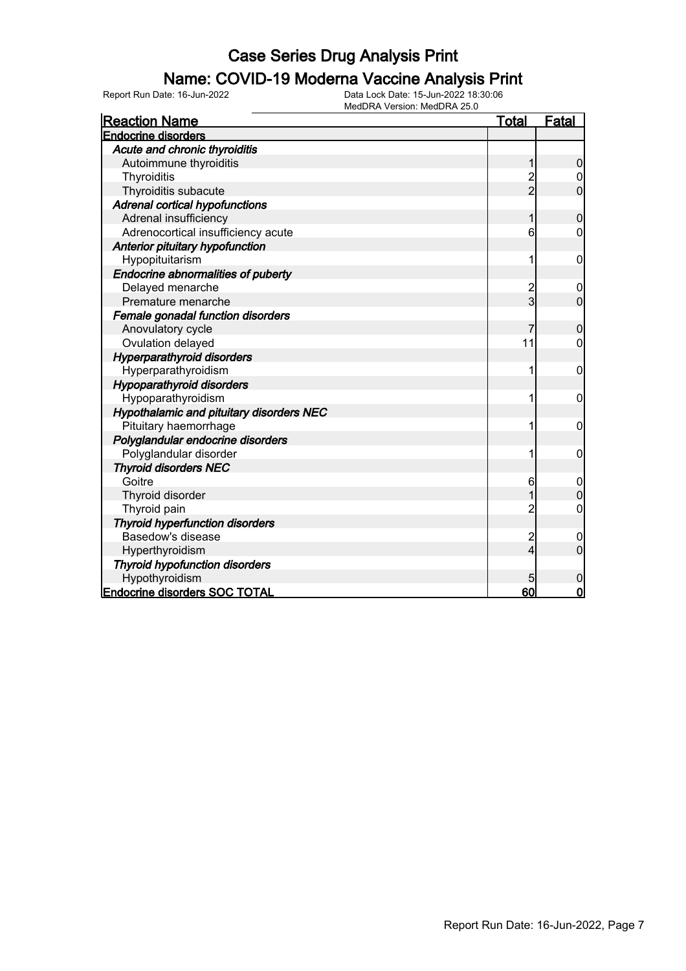#### Name: COVID-19 Moderna Vaccine Analysis Print

| <b>Reaction Name</b>                      | <b>Total</b>   | <b>Fatal</b>     |
|-------------------------------------------|----------------|------------------|
| <b>Endocrine disorders</b>                |                |                  |
| Acute and chronic thyroiditis             |                |                  |
| Autoimmune thyroiditis                    |                | 0                |
| Thyroiditis                               | $\frac{2}{2}$  |                  |
| Thyroiditis subacute                      |                | $\overline{0}$   |
| <b>Adrenal cortical hypofunctions</b>     |                |                  |
| Adrenal insufficiency                     |                | 0                |
| Adrenocortical insufficiency acute        | 6              | 0                |
| Anterior pituitary hypofunction           |                |                  |
| Hypopituitarism                           | 1              | 0                |
| <b>Endocrine abnormalities of puberty</b> |                |                  |
| Delayed menarche                          | $\frac{2}{3}$  | 0                |
| Premature menarche                        |                | $\overline{0}$   |
| Female gonadal function disorders         |                |                  |
| Anovulatory cycle                         |                | 0                |
| Ovulation delayed                         | 11             | 0                |
| <b>Hyperparathyroid disorders</b>         |                |                  |
| Hyperparathyroidism                       | 1              | 0                |
| <b>Hypoparathyroid disorders</b>          |                |                  |
| Hypoparathyroidism                        |                | 0                |
| Hypothalamic and pituitary disorders NEC  |                |                  |
| Pituitary haemorrhage                     |                | 0                |
| Polyglandular endocrine disorders         |                |                  |
| Polyglandular disorder                    |                | 0                |
| <b>Thyroid disorders NEC</b>              |                |                  |
| Goitre                                    | 6              | $\mathbf 0$      |
| Thyroid disorder                          |                | $\overline{0}$   |
| Thyroid pain                              | 2              | 0                |
| <b>Thyroid hyperfunction disorders</b>    |                |                  |
| Basedow's disease                         | $\overline{c}$ | 0                |
| Hyperthyroidism                           | 4              | $\overline{0}$   |
| <b>Thyroid hypofunction disorders</b>     |                |                  |
| Hypothyroidism                            |                | $\boldsymbol{0}$ |
| <b>Endocrine disorders SOC TOTAL</b>      | 60             | $\mathbf 0$      |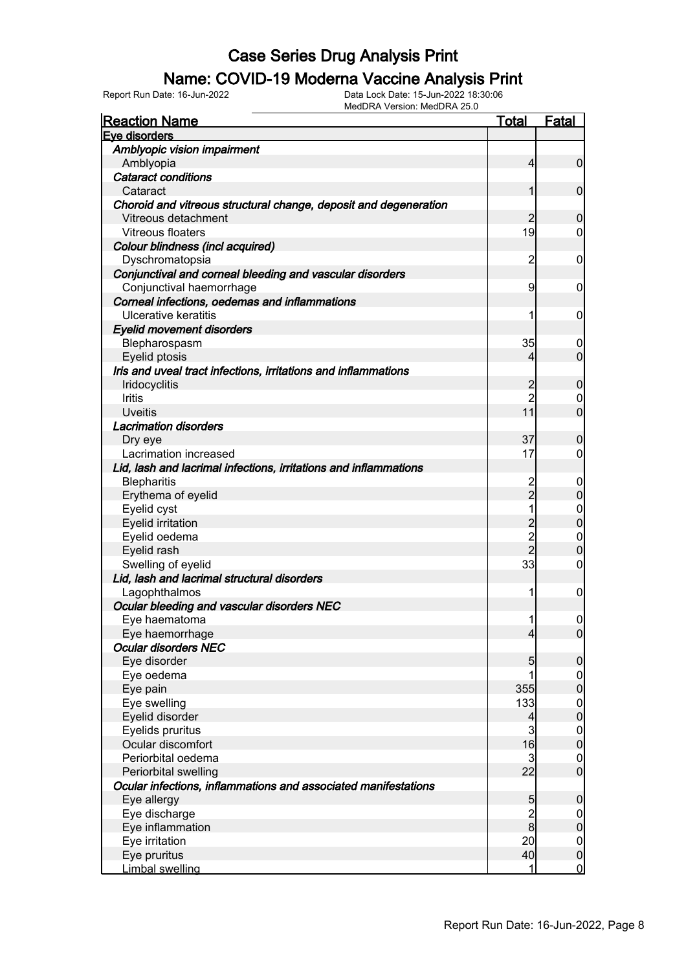#### Name: COVID-19 Moderna Vaccine Analysis Print

| <u>Reaction Name</u>                                             | <u>Total</u>   | <b>Fatal</b>        |
|------------------------------------------------------------------|----------------|---------------------|
| Eye disorders                                                    |                |                     |
| Amblyopic vision impairment                                      |                |                     |
| Amblyopia                                                        | $\overline{4}$ | $\overline{0}$      |
| <b>Cataract conditions</b>                                       |                |                     |
| Cataract                                                         | 1              | $\mathbf 0$         |
| Choroid and vitreous structural change, deposit and degeneration |                |                     |
| Vitreous detachment                                              | 2              | $\mathbf 0$         |
| Vitreous floaters                                                | 19             | $\mathbf 0$         |
| Colour blindness (incl acquired)                                 |                |                     |
| Dyschromatopsia                                                  | 2              | 0                   |
| Conjunctival and corneal bleeding and vascular disorders         |                |                     |
| Conjunctival haemorrhage                                         | 9              | 0                   |
| Corneal infections, oedemas and inflammations                    |                |                     |
| Ulcerative keratitis                                             | 1              | 0                   |
|                                                                  |                |                     |
| <b>Eyelid movement disorders</b>                                 | 35             |                     |
| Blepharospasm                                                    |                | 0<br>$\overline{0}$ |
| Eyelid ptosis                                                    | 4              |                     |
| Iris and uveal tract infections, irritations and inflammations   |                |                     |
| Iridocyclitis                                                    | 2              | $\mathbf 0$         |
| Iritis                                                           | $\overline{2}$ | 0                   |
| <b>Uveitis</b>                                                   | 11             | $\overline{0}$      |
| <b>Lacrimation disorders</b>                                     |                |                     |
| Dry eye                                                          | 37             | $\mathbf 0$         |
| Lacrimation increased                                            | 17             | $\mathbf 0$         |
| Lid, lash and lacrimal infections, irritations and inflammations |                |                     |
| <b>Blepharitis</b>                                               | 2              | 0                   |
| Erythema of eyelid                                               | $\overline{2}$ | $\mathbf 0$         |
| Eyelid cyst                                                      | 1              | $\boldsymbol{0}$    |
| <b>Eyelid irritation</b>                                         | $\overline{c}$ | $\overline{0}$      |
| Eyelid oedema                                                    | $\overline{2}$ | $\boldsymbol{0}$    |
| Eyelid rash                                                      | $\overline{2}$ | $\overline{0}$      |
| Swelling of eyelid                                               | 33             | $\mathbf 0$         |
| Lid, lash and lacrimal structural disorders                      |                |                     |
| Lagophthalmos                                                    | 1              | 0                   |
| Ocular bleeding and vascular disorders NEC                       |                |                     |
| Eye haematoma                                                    | 1              | $\boldsymbol{0}$    |
| Eye haemorrhage                                                  | $\overline{4}$ | 0                   |
| <b>Ocular disorders NEC</b>                                      |                |                     |
| Eye disorder                                                     | 5              | $\mathbf 0$         |
| Eye oedema                                                       | 1              | $\boldsymbol{0}$    |
| Eye pain                                                         | 355            | $\pmb{0}$           |
| Eye swelling                                                     | 133            | $\boldsymbol{0}$    |
| Eyelid disorder                                                  | 4              | $\mathbf 0$         |
| Eyelids pruritus                                                 | 3              | $\boldsymbol{0}$    |
| Ocular discomfort                                                | 16             | $\mathbf 0$         |
| Periorbital oedema                                               | $\mathbf{3}$   | $\boldsymbol{0}$    |
| Periorbital swelling                                             | 22             | $\mathbf{0}$        |
| Ocular infections, inflammations and associated manifestations   |                |                     |
| Eye allergy                                                      |                | $\mathbf 0$         |
|                                                                  | 5              |                     |
| Eye discharge                                                    | $\frac{2}{8}$  | $\overline{0}$      |
| Eye inflammation                                                 |                | $\pmb{0}$           |
| Eye irritation                                                   | 20             | $\mathbf 0$         |
| Eye pruritus                                                     | 40             | $\pmb{0}$           |
| Limbal swelling                                                  | 1              | $\mathbf 0$         |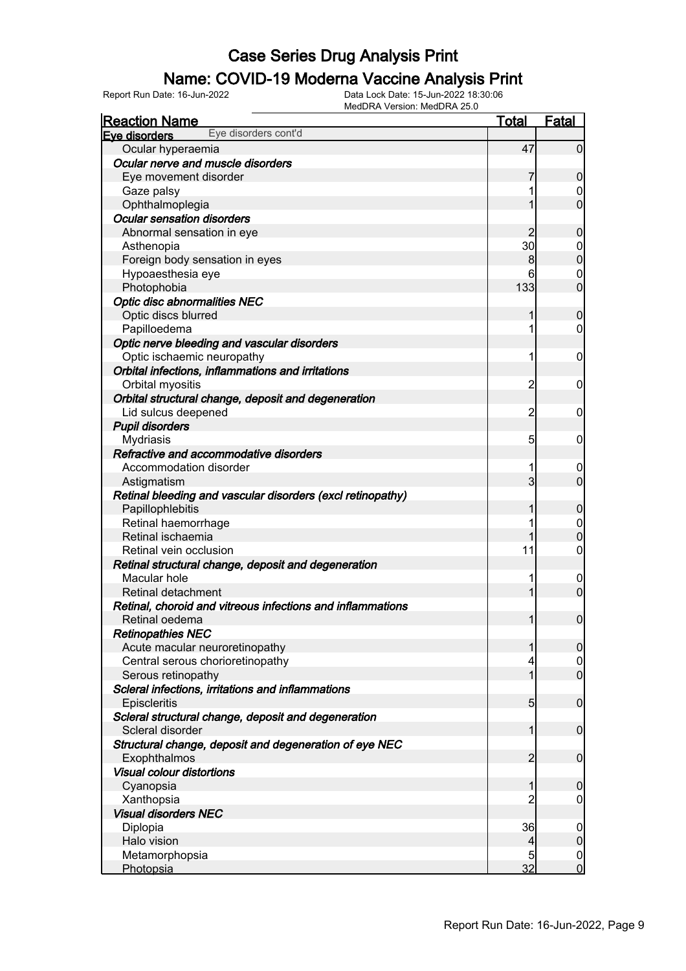#### Name: COVID-19 Moderna Vaccine Analysis Print

Report Run Date: 16-Jun-2022 Data Lock Date: 15-Jun-2022 18:30:06

| MedDRA Version: MedDRA 25.0                                |                 |                  |
|------------------------------------------------------------|-----------------|------------------|
| <b>Reaction Name</b>                                       | <u>Total</u>    | Fatal            |
| Eye disorders cont'd<br>Eye disorders                      |                 |                  |
| Ocular hyperaemia                                          | 47              | $\overline{0}$   |
| Ocular nerve and muscle disorders                          |                 |                  |
| Eye movement disorder                                      |                 | $\mathbf 0$      |
| Gaze palsy                                                 |                 | $\overline{0}$   |
| Ophthalmoplegia                                            |                 | $\mathbf 0$      |
| <b>Ocular sensation disorders</b>                          |                 |                  |
| Abnormal sensation in eye                                  | $\overline{2}$  | $\mathbf 0$      |
| Asthenopia                                                 | 30              | $\overline{0}$   |
| Foreign body sensation in eyes                             | 8               | $\mathbf 0$      |
| Hypoaesthesia eye                                          | 6               | $\overline{0}$   |
| Photophobia                                                | 133             | $\overline{0}$   |
| <b>Optic disc abnormalities NEC</b>                        |                 |                  |
| Optic discs blurred                                        |                 | $\mathbf 0$      |
| Papilloedema                                               |                 | $\mathbf 0$      |
| Optic nerve bleeding and vascular disorders                |                 |                  |
| Optic ischaemic neuropathy                                 | 1               | $\mathbf 0$      |
| Orbital infections, inflammations and irritations          |                 |                  |
| Orbital myositis                                           | $\overline{c}$  | $\mathbf 0$      |
| Orbital structural change, deposit and degeneration        |                 |                  |
| Lid sulcus deepened                                        | $\overline{c}$  | $\mathbf 0$      |
| <b>Pupil disorders</b>                                     |                 |                  |
| Mydriasis                                                  | 5               | $\mathbf 0$      |
| Refractive and accommodative disorders                     |                 |                  |
| Accommodation disorder                                     | 1               | $\overline{0}$   |
| Astigmatism                                                | 3               | $\overline{0}$   |
| Retinal bleeding and vascular disorders (excl retinopathy) |                 |                  |
| Papillophlebitis                                           |                 | $\mathbf 0$      |
| Retinal haemorrhage                                        |                 | $\overline{0}$   |
| Retinal ischaemia                                          |                 | $\boldsymbol{0}$ |
| Retinal vein occlusion                                     | 11              | $\boldsymbol{0}$ |
| Retinal structural change, deposit and degeneration        |                 |                  |
| Macular hole                                               |                 | $\overline{0}$   |
| Retinal detachment                                         |                 | $\boldsymbol{0}$ |
| Retinal, choroid and vitreous infections and inflammations |                 |                  |
| Retinal oedema                                             |                 | $\mathbf 0$      |
| <b>Retinopathies NEC</b>                                   |                 |                  |
| Acute macular neuroretinopathy                             |                 | $\overline{0}$   |
| Central serous chorioretinopathy                           |                 | $\overline{0}$   |
| Serous retinopathy                                         |                 | $\overline{0}$   |
| Scleral infections, irritations and inflammations          |                 |                  |
| Episcleritis                                               | $5\overline{)}$ | $\mathbf 0$      |
| Scleral structural change, deposit and degeneration        |                 |                  |
| Scleral disorder                                           |                 | $\mathbf 0$      |
| Structural change, deposit and degeneration of eye NEC     |                 |                  |
| Exophthalmos                                               | $\overline{2}$  | $\mathbf 0$      |
| <b>Visual colour distortions</b>                           |                 |                  |
| Cyanopsia                                                  |                 | $\boldsymbol{0}$ |
| Xanthopsia                                                 | 2               | $\mathbf 0$      |
| <b>Visual disorders NEC</b>                                |                 |                  |
| Diplopia                                                   | 36              | $\mathbf 0$      |
| Halo vision                                                | 4               | $\mathbf 0$      |
| Metamorphopsia                                             | 5               | 0                |
| Photopsia                                                  | 32              | $\mathbf 0$      |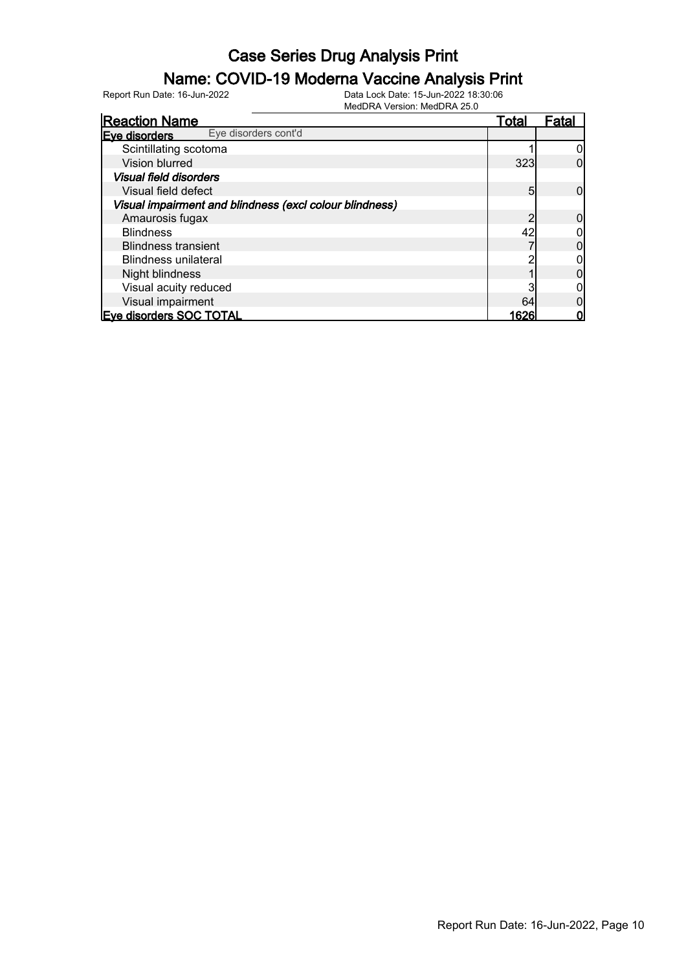#### Name: COVID-19 Moderna Vaccine Analysis Print

| <b>Reaction Name</b>                                    | <u>Total</u> | Fatal |
|---------------------------------------------------------|--------------|-------|
| Eye disorders cont'd<br>Eve disorders                   |              |       |
| Scintillating scotoma                                   |              |       |
| <b>Vision blurred</b>                                   | 323          |       |
| <b>Visual field disorders</b>                           |              |       |
| Visual field defect                                     | 5            |       |
| Visual impairment and blindness (excl colour blindness) |              |       |
| Amaurosis fugax                                         |              |       |
| <b>Blindness</b>                                        | 42           |       |
| <b>Blindness transient</b>                              |              |       |
| <b>Blindness unilateral</b>                             |              |       |
| Night blindness                                         |              |       |
| Visual acuity reduced                                   |              |       |
| Visual impairment                                       | 64           |       |
| <b>Eve disorders SOC TOTAL</b>                          | 1626         |       |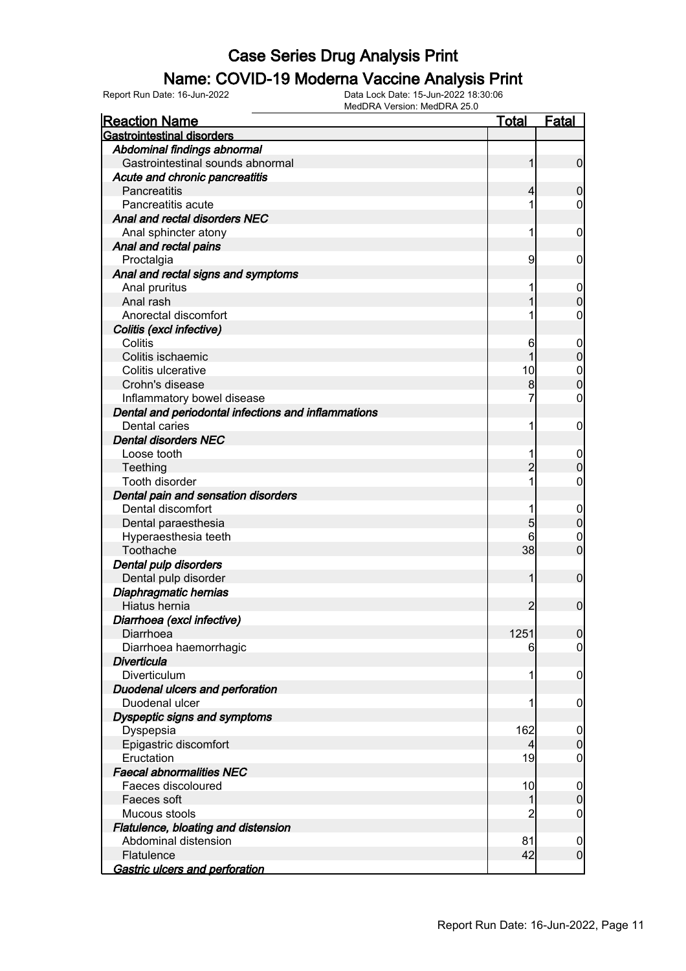#### Name: COVID-19 Moderna Vaccine Analysis Print

Report Run Date: 16-Jun-2022 Data Lock Date: 15-Jun-2022 18:30:06

| <b>Gastrointestinal disorders</b><br>Abdominal findings abnormal<br>Gastrointestinal sounds abnormal<br>$\overline{0}$<br>1<br>Acute and chronic pancreatitis<br>Pancreatitis<br>$\mathbf 0$<br>4<br>Pancreatitis acute<br>0<br>Anal and rectal disorders NEC<br>Anal sphincter atony<br>1<br>$\mathbf 0$<br>Anal and rectal pains<br>9<br>Proctalgia<br>$\mathbf 0$<br>Anal and rectal signs and symptoms<br>Anal pruritus<br>$\overline{0}$<br>$\mathbf 0$<br>Anal rash<br>Anorectal discomfort<br>0<br>Colitis (excl infective)<br>Colitis<br>6<br>$\mathbf 0$<br>$\boldsymbol{0}$<br>Colitis ischaemic<br>Colitis ulcerative<br>10<br>$\boldsymbol{0}$<br>$\mathbf 0$<br>Crohn's disease<br>8<br>$\boldsymbol{0}$<br>Inflammatory bowel disease<br>7<br>Dental and periodontal infections and inflammations<br><b>Dental caries</b><br>$\mathbf 0$<br>1<br><b>Dental disorders NEC</b><br>Loose tooth<br>$\boldsymbol{0}$<br>$\boldsymbol{0}$<br>$\overline{2}$<br>Teething<br>Tooth disorder<br>$\boldsymbol{0}$<br>Dental pain and sensation disorders<br>Dental discomfort<br>$\mathbf 0$<br>$\pmb{0}$<br>$\overline{5}$<br>Dental paraesthesia<br>Hyperaesthesia teeth<br>6<br>$\mathbf 0$<br>$\mathbf 0$<br>Toothache<br>38<br>Dental pulp disorders<br>Dental pulp disorder<br>$\mathbf 0$<br>1<br>Diaphragmatic hernias<br>Hiatus hernia<br>$\overline{2}$<br>$\boldsymbol{0}$<br>Diarrhoea (excl infective)<br>1251<br> 0 <br>Diarrhoea<br>Diarrhoea haemorrhagic<br>$\overline{0}$<br>6<br><b>Diverticula</b><br>$\mathbf 0$<br>Diverticulum<br>Duodenal ulcers and perforation<br>Duodenal ulcer<br>$\boldsymbol{0}$<br>Dyspeptic signs and symptoms<br>162<br>Dyspepsia<br>$\overline{0}$<br>$\overline{0}$<br>Epigastric discomfort<br>Eructation<br>19<br>$\boldsymbol{0}$<br><b>Faecal abnormalities NEC</b><br>Faeces discoloured<br>10<br>$\overline{0}$<br>$\overline{0}$<br>Faeces soft<br>2<br>Mucous stools<br>$\boldsymbol{0}$<br>Flatulence, bloating and distension<br>Abdominal distension<br>81<br>$\boldsymbol{0}$<br>42<br>$\overline{0}$<br>Flatulence | MedDRA Version: MedDRA 25.0 |              |       |
|----------------------------------------------------------------------------------------------------------------------------------------------------------------------------------------------------------------------------------------------------------------------------------------------------------------------------------------------------------------------------------------------------------------------------------------------------------------------------------------------------------------------------------------------------------------------------------------------------------------------------------------------------------------------------------------------------------------------------------------------------------------------------------------------------------------------------------------------------------------------------------------------------------------------------------------------------------------------------------------------------------------------------------------------------------------------------------------------------------------------------------------------------------------------------------------------------------------------------------------------------------------------------------------------------------------------------------------------------------------------------------------------------------------------------------------------------------------------------------------------------------------------------------------------------------------------------------------------------------------------------------------------------------------------------------------------------------------------------------------------------------------------------------------------------------------------------------------------------------------------------------------------------------------------------------------------------------------------------------------------------------------------------------------------------------------------------------------|-----------------------------|--------------|-------|
|                                                                                                                                                                                                                                                                                                                                                                                                                                                                                                                                                                                                                                                                                                                                                                                                                                                                                                                                                                                                                                                                                                                                                                                                                                                                                                                                                                                                                                                                                                                                                                                                                                                                                                                                                                                                                                                                                                                                                                                                                                                                                        | <b>Reaction Name</b>        | <u>Total</u> | Fatal |
|                                                                                                                                                                                                                                                                                                                                                                                                                                                                                                                                                                                                                                                                                                                                                                                                                                                                                                                                                                                                                                                                                                                                                                                                                                                                                                                                                                                                                                                                                                                                                                                                                                                                                                                                                                                                                                                                                                                                                                                                                                                                                        |                             |              |       |
|                                                                                                                                                                                                                                                                                                                                                                                                                                                                                                                                                                                                                                                                                                                                                                                                                                                                                                                                                                                                                                                                                                                                                                                                                                                                                                                                                                                                                                                                                                                                                                                                                                                                                                                                                                                                                                                                                                                                                                                                                                                                                        |                             |              |       |
|                                                                                                                                                                                                                                                                                                                                                                                                                                                                                                                                                                                                                                                                                                                                                                                                                                                                                                                                                                                                                                                                                                                                                                                                                                                                                                                                                                                                                                                                                                                                                                                                                                                                                                                                                                                                                                                                                                                                                                                                                                                                                        |                             |              |       |
|                                                                                                                                                                                                                                                                                                                                                                                                                                                                                                                                                                                                                                                                                                                                                                                                                                                                                                                                                                                                                                                                                                                                                                                                                                                                                                                                                                                                                                                                                                                                                                                                                                                                                                                                                                                                                                                                                                                                                                                                                                                                                        |                             |              |       |
|                                                                                                                                                                                                                                                                                                                                                                                                                                                                                                                                                                                                                                                                                                                                                                                                                                                                                                                                                                                                                                                                                                                                                                                                                                                                                                                                                                                                                                                                                                                                                                                                                                                                                                                                                                                                                                                                                                                                                                                                                                                                                        |                             |              |       |
|                                                                                                                                                                                                                                                                                                                                                                                                                                                                                                                                                                                                                                                                                                                                                                                                                                                                                                                                                                                                                                                                                                                                                                                                                                                                                                                                                                                                                                                                                                                                                                                                                                                                                                                                                                                                                                                                                                                                                                                                                                                                                        |                             |              |       |
|                                                                                                                                                                                                                                                                                                                                                                                                                                                                                                                                                                                                                                                                                                                                                                                                                                                                                                                                                                                                                                                                                                                                                                                                                                                                                                                                                                                                                                                                                                                                                                                                                                                                                                                                                                                                                                                                                                                                                                                                                                                                                        |                             |              |       |
|                                                                                                                                                                                                                                                                                                                                                                                                                                                                                                                                                                                                                                                                                                                                                                                                                                                                                                                                                                                                                                                                                                                                                                                                                                                                                                                                                                                                                                                                                                                                                                                                                                                                                                                                                                                                                                                                                                                                                                                                                                                                                        |                             |              |       |
|                                                                                                                                                                                                                                                                                                                                                                                                                                                                                                                                                                                                                                                                                                                                                                                                                                                                                                                                                                                                                                                                                                                                                                                                                                                                                                                                                                                                                                                                                                                                                                                                                                                                                                                                                                                                                                                                                                                                                                                                                                                                                        |                             |              |       |
|                                                                                                                                                                                                                                                                                                                                                                                                                                                                                                                                                                                                                                                                                                                                                                                                                                                                                                                                                                                                                                                                                                                                                                                                                                                                                                                                                                                                                                                                                                                                                                                                                                                                                                                                                                                                                                                                                                                                                                                                                                                                                        |                             |              |       |
|                                                                                                                                                                                                                                                                                                                                                                                                                                                                                                                                                                                                                                                                                                                                                                                                                                                                                                                                                                                                                                                                                                                                                                                                                                                                                                                                                                                                                                                                                                                                                                                                                                                                                                                                                                                                                                                                                                                                                                                                                                                                                        |                             |              |       |
|                                                                                                                                                                                                                                                                                                                                                                                                                                                                                                                                                                                                                                                                                                                                                                                                                                                                                                                                                                                                                                                                                                                                                                                                                                                                                                                                                                                                                                                                                                                                                                                                                                                                                                                                                                                                                                                                                                                                                                                                                                                                                        |                             |              |       |
|                                                                                                                                                                                                                                                                                                                                                                                                                                                                                                                                                                                                                                                                                                                                                                                                                                                                                                                                                                                                                                                                                                                                                                                                                                                                                                                                                                                                                                                                                                                                                                                                                                                                                                                                                                                                                                                                                                                                                                                                                                                                                        |                             |              |       |
|                                                                                                                                                                                                                                                                                                                                                                                                                                                                                                                                                                                                                                                                                                                                                                                                                                                                                                                                                                                                                                                                                                                                                                                                                                                                                                                                                                                                                                                                                                                                                                                                                                                                                                                                                                                                                                                                                                                                                                                                                                                                                        |                             |              |       |
|                                                                                                                                                                                                                                                                                                                                                                                                                                                                                                                                                                                                                                                                                                                                                                                                                                                                                                                                                                                                                                                                                                                                                                                                                                                                                                                                                                                                                                                                                                                                                                                                                                                                                                                                                                                                                                                                                                                                                                                                                                                                                        |                             |              |       |
|                                                                                                                                                                                                                                                                                                                                                                                                                                                                                                                                                                                                                                                                                                                                                                                                                                                                                                                                                                                                                                                                                                                                                                                                                                                                                                                                                                                                                                                                                                                                                                                                                                                                                                                                                                                                                                                                                                                                                                                                                                                                                        |                             |              |       |
|                                                                                                                                                                                                                                                                                                                                                                                                                                                                                                                                                                                                                                                                                                                                                                                                                                                                                                                                                                                                                                                                                                                                                                                                                                                                                                                                                                                                                                                                                                                                                                                                                                                                                                                                                                                                                                                                                                                                                                                                                                                                                        |                             |              |       |
|                                                                                                                                                                                                                                                                                                                                                                                                                                                                                                                                                                                                                                                                                                                                                                                                                                                                                                                                                                                                                                                                                                                                                                                                                                                                                                                                                                                                                                                                                                                                                                                                                                                                                                                                                                                                                                                                                                                                                                                                                                                                                        |                             |              |       |
|                                                                                                                                                                                                                                                                                                                                                                                                                                                                                                                                                                                                                                                                                                                                                                                                                                                                                                                                                                                                                                                                                                                                                                                                                                                                                                                                                                                                                                                                                                                                                                                                                                                                                                                                                                                                                                                                                                                                                                                                                                                                                        |                             |              |       |
|                                                                                                                                                                                                                                                                                                                                                                                                                                                                                                                                                                                                                                                                                                                                                                                                                                                                                                                                                                                                                                                                                                                                                                                                                                                                                                                                                                                                                                                                                                                                                                                                                                                                                                                                                                                                                                                                                                                                                                                                                                                                                        |                             |              |       |
|                                                                                                                                                                                                                                                                                                                                                                                                                                                                                                                                                                                                                                                                                                                                                                                                                                                                                                                                                                                                                                                                                                                                                                                                                                                                                                                                                                                                                                                                                                                                                                                                                                                                                                                                                                                                                                                                                                                                                                                                                                                                                        |                             |              |       |
|                                                                                                                                                                                                                                                                                                                                                                                                                                                                                                                                                                                                                                                                                                                                                                                                                                                                                                                                                                                                                                                                                                                                                                                                                                                                                                                                                                                                                                                                                                                                                                                                                                                                                                                                                                                                                                                                                                                                                                                                                                                                                        |                             |              |       |
|                                                                                                                                                                                                                                                                                                                                                                                                                                                                                                                                                                                                                                                                                                                                                                                                                                                                                                                                                                                                                                                                                                                                                                                                                                                                                                                                                                                                                                                                                                                                                                                                                                                                                                                                                                                                                                                                                                                                                                                                                                                                                        |                             |              |       |
|                                                                                                                                                                                                                                                                                                                                                                                                                                                                                                                                                                                                                                                                                                                                                                                                                                                                                                                                                                                                                                                                                                                                                                                                                                                                                                                                                                                                                                                                                                                                                                                                                                                                                                                                                                                                                                                                                                                                                                                                                                                                                        |                             |              |       |
|                                                                                                                                                                                                                                                                                                                                                                                                                                                                                                                                                                                                                                                                                                                                                                                                                                                                                                                                                                                                                                                                                                                                                                                                                                                                                                                                                                                                                                                                                                                                                                                                                                                                                                                                                                                                                                                                                                                                                                                                                                                                                        |                             |              |       |
|                                                                                                                                                                                                                                                                                                                                                                                                                                                                                                                                                                                                                                                                                                                                                                                                                                                                                                                                                                                                                                                                                                                                                                                                                                                                                                                                                                                                                                                                                                                                                                                                                                                                                                                                                                                                                                                                                                                                                                                                                                                                                        |                             |              |       |
|                                                                                                                                                                                                                                                                                                                                                                                                                                                                                                                                                                                                                                                                                                                                                                                                                                                                                                                                                                                                                                                                                                                                                                                                                                                                                                                                                                                                                                                                                                                                                                                                                                                                                                                                                                                                                                                                                                                                                                                                                                                                                        |                             |              |       |
|                                                                                                                                                                                                                                                                                                                                                                                                                                                                                                                                                                                                                                                                                                                                                                                                                                                                                                                                                                                                                                                                                                                                                                                                                                                                                                                                                                                                                                                                                                                                                                                                                                                                                                                                                                                                                                                                                                                                                                                                                                                                                        |                             |              |       |
|                                                                                                                                                                                                                                                                                                                                                                                                                                                                                                                                                                                                                                                                                                                                                                                                                                                                                                                                                                                                                                                                                                                                                                                                                                                                                                                                                                                                                                                                                                                                                                                                                                                                                                                                                                                                                                                                                                                                                                                                                                                                                        |                             |              |       |
|                                                                                                                                                                                                                                                                                                                                                                                                                                                                                                                                                                                                                                                                                                                                                                                                                                                                                                                                                                                                                                                                                                                                                                                                                                                                                                                                                                                                                                                                                                                                                                                                                                                                                                                                                                                                                                                                                                                                                                                                                                                                                        |                             |              |       |
|                                                                                                                                                                                                                                                                                                                                                                                                                                                                                                                                                                                                                                                                                                                                                                                                                                                                                                                                                                                                                                                                                                                                                                                                                                                                                                                                                                                                                                                                                                                                                                                                                                                                                                                                                                                                                                                                                                                                                                                                                                                                                        |                             |              |       |
|                                                                                                                                                                                                                                                                                                                                                                                                                                                                                                                                                                                                                                                                                                                                                                                                                                                                                                                                                                                                                                                                                                                                                                                                                                                                                                                                                                                                                                                                                                                                                                                                                                                                                                                                                                                                                                                                                                                                                                                                                                                                                        |                             |              |       |
|                                                                                                                                                                                                                                                                                                                                                                                                                                                                                                                                                                                                                                                                                                                                                                                                                                                                                                                                                                                                                                                                                                                                                                                                                                                                                                                                                                                                                                                                                                                                                                                                                                                                                                                                                                                                                                                                                                                                                                                                                                                                                        |                             |              |       |
|                                                                                                                                                                                                                                                                                                                                                                                                                                                                                                                                                                                                                                                                                                                                                                                                                                                                                                                                                                                                                                                                                                                                                                                                                                                                                                                                                                                                                                                                                                                                                                                                                                                                                                                                                                                                                                                                                                                                                                                                                                                                                        |                             |              |       |
|                                                                                                                                                                                                                                                                                                                                                                                                                                                                                                                                                                                                                                                                                                                                                                                                                                                                                                                                                                                                                                                                                                                                                                                                                                                                                                                                                                                                                                                                                                                                                                                                                                                                                                                                                                                                                                                                                                                                                                                                                                                                                        |                             |              |       |
|                                                                                                                                                                                                                                                                                                                                                                                                                                                                                                                                                                                                                                                                                                                                                                                                                                                                                                                                                                                                                                                                                                                                                                                                                                                                                                                                                                                                                                                                                                                                                                                                                                                                                                                                                                                                                                                                                                                                                                                                                                                                                        |                             |              |       |
|                                                                                                                                                                                                                                                                                                                                                                                                                                                                                                                                                                                                                                                                                                                                                                                                                                                                                                                                                                                                                                                                                                                                                                                                                                                                                                                                                                                                                                                                                                                                                                                                                                                                                                                                                                                                                                                                                                                                                                                                                                                                                        |                             |              |       |
|                                                                                                                                                                                                                                                                                                                                                                                                                                                                                                                                                                                                                                                                                                                                                                                                                                                                                                                                                                                                                                                                                                                                                                                                                                                                                                                                                                                                                                                                                                                                                                                                                                                                                                                                                                                                                                                                                                                                                                                                                                                                                        |                             |              |       |
|                                                                                                                                                                                                                                                                                                                                                                                                                                                                                                                                                                                                                                                                                                                                                                                                                                                                                                                                                                                                                                                                                                                                                                                                                                                                                                                                                                                                                                                                                                                                                                                                                                                                                                                                                                                                                                                                                                                                                                                                                                                                                        |                             |              |       |
|                                                                                                                                                                                                                                                                                                                                                                                                                                                                                                                                                                                                                                                                                                                                                                                                                                                                                                                                                                                                                                                                                                                                                                                                                                                                                                                                                                                                                                                                                                                                                                                                                                                                                                                                                                                                                                                                                                                                                                                                                                                                                        |                             |              |       |
|                                                                                                                                                                                                                                                                                                                                                                                                                                                                                                                                                                                                                                                                                                                                                                                                                                                                                                                                                                                                                                                                                                                                                                                                                                                                                                                                                                                                                                                                                                                                                                                                                                                                                                                                                                                                                                                                                                                                                                                                                                                                                        |                             |              |       |
|                                                                                                                                                                                                                                                                                                                                                                                                                                                                                                                                                                                                                                                                                                                                                                                                                                                                                                                                                                                                                                                                                                                                                                                                                                                                                                                                                                                                                                                                                                                                                                                                                                                                                                                                                                                                                                                                                                                                                                                                                                                                                        |                             |              |       |
|                                                                                                                                                                                                                                                                                                                                                                                                                                                                                                                                                                                                                                                                                                                                                                                                                                                                                                                                                                                                                                                                                                                                                                                                                                                                                                                                                                                                                                                                                                                                                                                                                                                                                                                                                                                                                                                                                                                                                                                                                                                                                        |                             |              |       |
|                                                                                                                                                                                                                                                                                                                                                                                                                                                                                                                                                                                                                                                                                                                                                                                                                                                                                                                                                                                                                                                                                                                                                                                                                                                                                                                                                                                                                                                                                                                                                                                                                                                                                                                                                                                                                                                                                                                                                                                                                                                                                        |                             |              |       |
|                                                                                                                                                                                                                                                                                                                                                                                                                                                                                                                                                                                                                                                                                                                                                                                                                                                                                                                                                                                                                                                                                                                                                                                                                                                                                                                                                                                                                                                                                                                                                                                                                                                                                                                                                                                                                                                                                                                                                                                                                                                                                        |                             |              |       |
|                                                                                                                                                                                                                                                                                                                                                                                                                                                                                                                                                                                                                                                                                                                                                                                                                                                                                                                                                                                                                                                                                                                                                                                                                                                                                                                                                                                                                                                                                                                                                                                                                                                                                                                                                                                                                                                                                                                                                                                                                                                                                        |                             |              |       |
|                                                                                                                                                                                                                                                                                                                                                                                                                                                                                                                                                                                                                                                                                                                                                                                                                                                                                                                                                                                                                                                                                                                                                                                                                                                                                                                                                                                                                                                                                                                                                                                                                                                                                                                                                                                                                                                                                                                                                                                                                                                                                        |                             |              |       |
|                                                                                                                                                                                                                                                                                                                                                                                                                                                                                                                                                                                                                                                                                                                                                                                                                                                                                                                                                                                                                                                                                                                                                                                                                                                                                                                                                                                                                                                                                                                                                                                                                                                                                                                                                                                                                                                                                                                                                                                                                                                                                        |                             |              |       |
|                                                                                                                                                                                                                                                                                                                                                                                                                                                                                                                                                                                                                                                                                                                                                                                                                                                                                                                                                                                                                                                                                                                                                                                                                                                                                                                                                                                                                                                                                                                                                                                                                                                                                                                                                                                                                                                                                                                                                                                                                                                                                        |                             |              |       |
|                                                                                                                                                                                                                                                                                                                                                                                                                                                                                                                                                                                                                                                                                                                                                                                                                                                                                                                                                                                                                                                                                                                                                                                                                                                                                                                                                                                                                                                                                                                                                                                                                                                                                                                                                                                                                                                                                                                                                                                                                                                                                        |                             |              |       |
|                                                                                                                                                                                                                                                                                                                                                                                                                                                                                                                                                                                                                                                                                                                                                                                                                                                                                                                                                                                                                                                                                                                                                                                                                                                                                                                                                                                                                                                                                                                                                                                                                                                                                                                                                                                                                                                                                                                                                                                                                                                                                        |                             |              |       |
|                                                                                                                                                                                                                                                                                                                                                                                                                                                                                                                                                                                                                                                                                                                                                                                                                                                                                                                                                                                                                                                                                                                                                                                                                                                                                                                                                                                                                                                                                                                                                                                                                                                                                                                                                                                                                                                                                                                                                                                                                                                                                        |                             |              |       |
|                                                                                                                                                                                                                                                                                                                                                                                                                                                                                                                                                                                                                                                                                                                                                                                                                                                                                                                                                                                                                                                                                                                                                                                                                                                                                                                                                                                                                                                                                                                                                                                                                                                                                                                                                                                                                                                                                                                                                                                                                                                                                        |                             |              |       |
| Gastric ulcers and perforation                                                                                                                                                                                                                                                                                                                                                                                                                                                                                                                                                                                                                                                                                                                                                                                                                                                                                                                                                                                                                                                                                                                                                                                                                                                                                                                                                                                                                                                                                                                                                                                                                                                                                                                                                                                                                                                                                                                                                                                                                                                         |                             |              |       |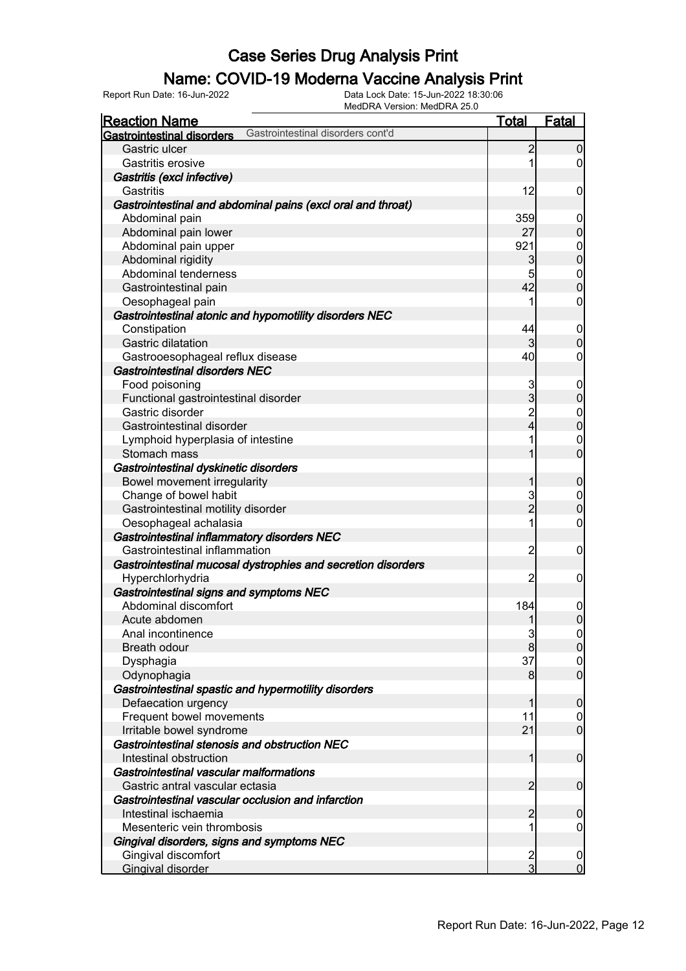### Name: COVID-19 Moderna Vaccine Analysis Print

| <b>Reaction Name</b>                                                   | <b>Total</b>            | <b>Fatal</b>                         |
|------------------------------------------------------------------------|-------------------------|--------------------------------------|
| Gastrointestinal disorders cont'd<br><b>Gastrointestinal disorders</b> |                         |                                      |
| Gastric ulcer                                                          | $\overline{c}$          | $\mathbf 0$                          |
| Gastritis erosive                                                      | 1                       | $\overline{0}$                       |
| Gastritis (excl infective)                                             |                         |                                      |
| Gastritis                                                              | 12                      | $\mathbf 0$                          |
| Gastrointestinal and abdominal pains (excl oral and throat)            |                         |                                      |
| Abdominal pain                                                         | 359                     | $\mathbf 0$                          |
| Abdominal pain lower                                                   | 27                      | $\mathbf 0$                          |
| Abdominal pain upper                                                   | 921                     |                                      |
| Abdominal rigidity                                                     | 3                       | $\begin{matrix} 0 \\ 0 \end{matrix}$ |
| Abdominal tenderness                                                   | 5                       |                                      |
| Gastrointestinal pain                                                  | 42                      | $\begin{matrix} 0 \\ 0 \end{matrix}$ |
| Oesophageal pain                                                       | 1                       | $\boldsymbol{0}$                     |
| Gastrointestinal atonic and hypomotility disorders NEC                 |                         |                                      |
| Constipation                                                           | 44                      | $\boldsymbol{0}$                     |
| Gastric dilatation                                                     | 3                       | $\boldsymbol{0}$                     |
| Gastrooesophageal reflux disease                                       | 40                      | $\boldsymbol{0}$                     |
| Gastrointestinal disorders NEC                                         |                         |                                      |
| Food poisoning                                                         | 3                       |                                      |
| Functional gastrointestinal disorder                                   | 3                       | $\boldsymbol{0}$<br>$\mathbf 0$      |
| Gastric disorder                                                       |                         |                                      |
| Gastrointestinal disorder                                              | $\overline{c}$<br>4     | $\begin{matrix} 0 \\ 0 \end{matrix}$ |
|                                                                        | 1                       |                                      |
| Lymphoid hyperplasia of intestine                                      |                         | $\begin{matrix} 0 \\ 0 \end{matrix}$ |
| Stomach mass                                                           | 1                       |                                      |
| Gastrointestinal dyskinetic disorders                                  |                         |                                      |
| Bowel movement irregularity                                            | 1                       | $\pmb{0}$                            |
| Change of bowel habit                                                  | 3                       | $\begin{matrix} 0 \\ 0 \end{matrix}$ |
| Gastrointestinal motility disorder                                     | $\overline{2}$          |                                      |
| Oesophageal achalasia                                                  | 1                       | $\mathbf 0$                          |
| Gastrointestinal inflammatory disorders NEC                            |                         |                                      |
| Gastrointestinal inflammation                                          | $\overline{c}$          | $\mathbf 0$                          |
| Gastrointestinal mucosal dystrophies and secretion disorders           |                         |                                      |
| Hyperchlorhydria                                                       | $\overline{2}$          | $\mathbf 0$                          |
| Gastrointestinal signs and symptoms NEC                                |                         |                                      |
| Abdominal discomfort                                                   | 184                     | $\mathbf{0}$                         |
| Acute abdomen                                                          | 1                       | $\overline{0}$                       |
| Anal incontinence                                                      | 3                       | 0                                    |
| Breath odour                                                           | 8                       | 0                                    |
| Dysphagia                                                              | 37                      | $\overline{0}$                       |
| Odynophagia                                                            | 8                       | $\overline{0}$                       |
| Gastrointestinal spastic and hypermotility disorders                   |                         |                                      |
| Defaecation urgency                                                    | 1                       | $\boldsymbol{0}$                     |
| Frequent bowel movements                                               | 11                      | $\boldsymbol{0}$                     |
| Irritable bowel syndrome                                               | 21                      | $\mathbf 0$                          |
| Gastrointestinal stenosis and obstruction NEC                          |                         |                                      |
| Intestinal obstruction                                                 | 1                       | $\boldsymbol{0}$                     |
| Gastrointestinal vascular malformations                                |                         |                                      |
| Gastric antral vascular ectasia                                        | $\overline{2}$          | $\mathbf 0$                          |
| Gastrointestinal vascular occlusion and infarction                     |                         |                                      |
| Intestinal ischaemia                                                   | $\overline{c}$          | $\mathbf 0$                          |
| Mesenteric vein thrombosis                                             | 1                       | $\mathbf 0$                          |
| Gingival disorders, signs and symptoms NEC                             |                         |                                      |
| Gingival discomfort                                                    | $\overline{\mathbf{c}}$ | $\mathbf 0$                          |
| <b>Gingival disorder</b>                                               | $\overline{3}$          | $\overline{0}$                       |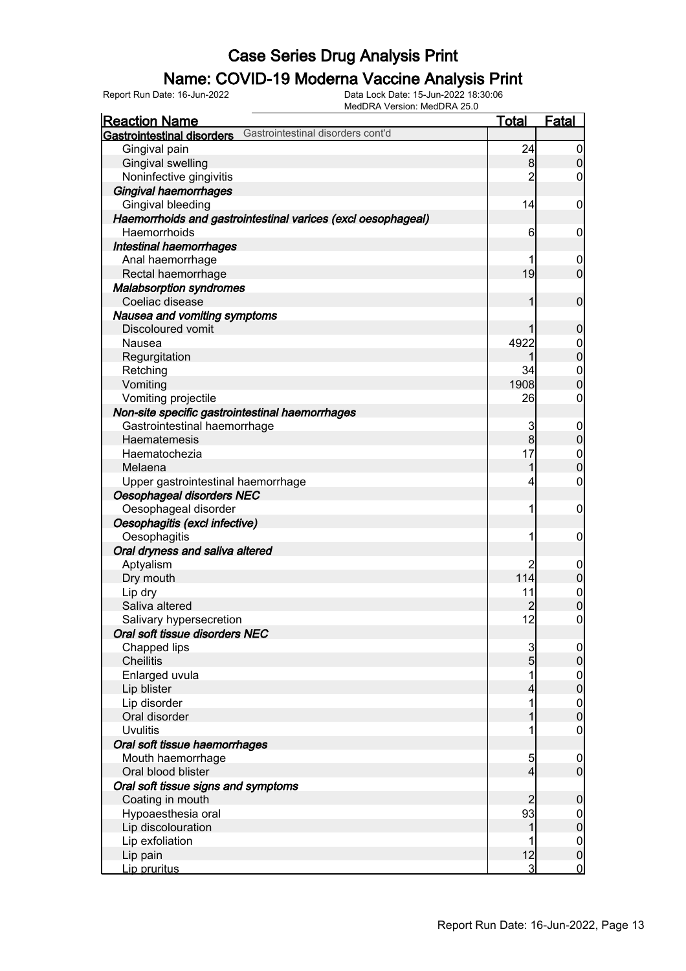### Name: COVID-19 Moderna Vaccine Analysis Print

Report Run Date: 16-Jun-2022 Data Lock Date: 15-Jun-2022 18:30:06

| MedDRA Version: MedDRA 25.0                                     |                |                                      |
|-----------------------------------------------------------------|----------------|--------------------------------------|
| <u>Reaction Name</u>                                            | <u>Total</u>   | Fatal                                |
| Gastrointestinal disorders cont'd<br>Gastrointestinal disorders |                |                                      |
| Gingival pain                                                   | 24             | $\overline{0}$                       |
| <b>Gingival swelling</b>                                        | 8              | $\mathbf 0$                          |
| Noninfective gingivitis                                         | 2              | $\boldsymbol{0}$                     |
| <b>Gingival haemorrhages</b>                                    |                |                                      |
| Gingival bleeding                                               | 14             | $\mathbf 0$                          |
| Haemorrhoids and gastrointestinal varices (excl oesophageal)    |                |                                      |
| Haemorrhoids                                                    | 6              | $\mathbf 0$                          |
| <b>Intestinal haemorrhages</b>                                  |                |                                      |
| Anal haemorrhage                                                | 1              | $\overline{0}$                       |
| Rectal haemorrhage                                              | 19             | $\mathbf 0$                          |
| <b>Malabsorption syndromes</b>                                  |                |                                      |
| Coeliac disease                                                 | 1              | $\mathbf 0$                          |
| Nausea and vomiting symptoms                                    |                |                                      |
| Discoloured vomit                                               |                | $\mathbf 0$                          |
| Nausea                                                          | 4922           | $0$<br>0                             |
| Regurgitation                                                   |                |                                      |
| Retching                                                        | 34             | $\boldsymbol{0}$                     |
| Vomiting                                                        | 1908           | $\overline{0}$                       |
| Vomiting projectile                                             | 26             | $\boldsymbol{0}$                     |
| Non-site specific gastrointestinal haemorrhages                 |                |                                      |
| Gastrointestinal haemorrhage                                    | 3              | $\overline{0}$                       |
| Haematemesis                                                    | 8              | $\mathbf 0$                          |
| Haematochezia                                                   | 17             | $\overline{0}$                       |
| Melaena                                                         | 1              | $\overline{0}$                       |
| Upper gastrointestinal haemorrhage                              | 4              | $\boldsymbol{0}$                     |
| Oesophageal disorders NEC                                       |                |                                      |
| Oesophageal disorder                                            | 1              | $\mathbf 0$                          |
| Oesophagitis (excl infective)                                   |                |                                      |
| Oesophagitis                                                    | 1              | $\mathbf 0$                          |
| Oral dryness and saliva altered                                 |                |                                      |
| Aptyalism                                                       | $\overline{c}$ | $\mathbf 0$                          |
| Dry mouth                                                       | 114            | $\mathbf 0$                          |
| Lip dry                                                         | 11             | $\begin{matrix} 0 \\ 0 \end{matrix}$ |
| Saliva altered                                                  | $\overline{c}$ |                                      |
| Salivary hypersecretion                                         | 12             | $\boldsymbol{0}$                     |
| Oral soft tissue disorders NEC                                  |                |                                      |
| Chapped lips                                                    | 3              | $\overline{0}$                       |
| <b>Cheilitis</b>                                                | $\overline{5}$ | $\overline{0}$                       |
| Enlarged uvula                                                  |                | $\overline{0}$                       |
| Lip blister                                                     | 4              | $\overline{0}$                       |
| Lip disorder                                                    |                | $\mathbf 0$                          |
| Oral disorder                                                   |                | $\mathbf 0$                          |
| <b>Uvulitis</b>                                                 |                | $\mathbf 0$                          |
| Oral soft tissue haemorrhages                                   |                |                                      |
| Mouth haemorrhage                                               | 5              | $\overline{0}$                       |
| Oral blood blister                                              | 4              | $\overline{0}$                       |
| Oral soft tissue signs and symptoms                             |                |                                      |
| Coating in mouth                                                | $\overline{2}$ | $\mathbf 0$                          |
| Hypoaesthesia oral                                              | 93             | $\overline{0}$                       |
| Lip discolouration                                              |                | $\mathbf 0$                          |
| Lip exfoliation                                                 |                | $\overline{0}$                       |
| Lip pain                                                        | 12             | $\mathbf 0$                          |
| Lip pruritus                                                    | 3              | $\overline{0}$                       |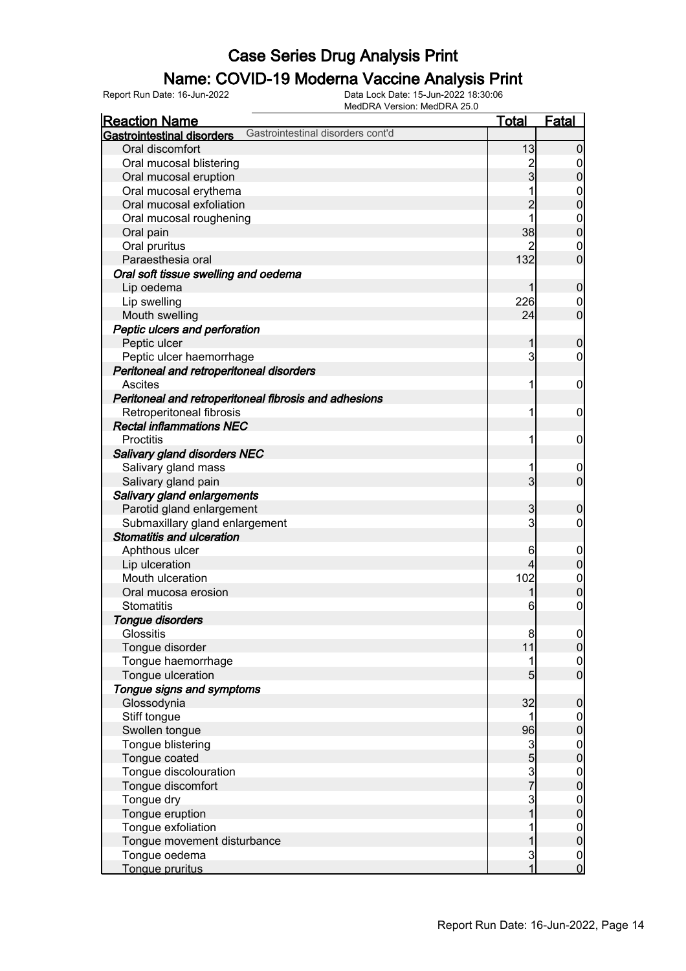### Name: COVID-19 Moderna Vaccine Analysis Print

Report Run Date: 16-Jun-2022 Data Lock Date: 15-Jun-2022 18:30:06

| <b>Reaction Name</b><br><u>Total</u>                                   |                 | Fatal                                |
|------------------------------------------------------------------------|-----------------|--------------------------------------|
|                                                                        |                 |                                      |
| Gastrointestinal disorders cont'd<br><b>Gastrointestinal disorders</b> |                 |                                      |
| Oral discomfort                                                        | 13              | $\mathbf 0$                          |
| Oral mucosal blistering                                                |                 | $\overline{0}$                       |
| Oral mucosal eruption                                                  | 2<br>3          | $\mathbf 0$                          |
| Oral mucosal erythema                                                  |                 | $\boldsymbol{0}$                     |
| Oral mucosal exfoliation                                               | $\overline{2}$  | $\overline{0}$                       |
| Oral mucosal roughening                                                | 1               | $\boldsymbol{0}$                     |
| Oral pain                                                              | 38              | $\overline{0}$                       |
| Oral pruritus                                                          | 2               | $\mathbf 0$                          |
| Paraesthesia oral                                                      | 132             | $\mathbf 0$                          |
| Oral soft tissue swelling and oedema                                   |                 |                                      |
| Lip oedema                                                             |                 | $\boldsymbol{0}$                     |
| Lip swelling                                                           | 226             | $\overline{0}$                       |
| Mouth swelling                                                         | 24              | $\mathbf 0$                          |
| Peptic ulcers and perforation                                          |                 |                                      |
| Peptic ulcer                                                           | 1               | $\boldsymbol{0}$                     |
| Peptic ulcer haemorrhage                                               | 3               | $\mathbf 0$                          |
|                                                                        |                 |                                      |
| Peritoneal and retroperitoneal disorders<br><b>Ascites</b>             |                 |                                      |
|                                                                        | 1               | $\mathbf 0$                          |
| Peritoneal and retroperitoneal fibrosis and adhesions                  |                 |                                      |
| Retroperitoneal fibrosis                                               | 1               | $\mathbf 0$                          |
| <b>Rectal inflammations NEC</b>                                        |                 |                                      |
| <b>Proctitis</b>                                                       | 1               | $\mathbf 0$                          |
| Salivary gland disorders NEC                                           |                 |                                      |
| Salivary gland mass                                                    | 1               | $\overline{0}$                       |
| Salivary gland pain                                                    | 3 <sup>1</sup>  | $\overline{0}$                       |
| Salivary gland enlargements                                            |                 |                                      |
| Parotid gland enlargement                                              | 3               | $\boldsymbol{0}$                     |
| Submaxillary gland enlargement                                         | 3               | $\mathbf 0$                          |
| <b>Stomatitis and ulceration</b>                                       |                 |                                      |
| Aphthous ulcer                                                         | 6               | $\mathbf 0$                          |
| Lip ulceration                                                         | 4               | $\boldsymbol{0}$                     |
| Mouth ulceration                                                       | 102             | $\boldsymbol{0}$                     |
| Oral mucosa erosion                                                    |                 | $\mathbf 0$                          |
| Stomatitis                                                             | 6               | $\mathbf 0$                          |
| <b>Tongue disorders</b>                                                |                 |                                      |
| Glossitis                                                              | 8               | 0                                    |
| Tongue disorder                                                        | 11              | 0                                    |
| Tongue haemorrhage                                                     |                 | $\overline{0}$                       |
| Tongue ulceration                                                      | $5\overline{)}$ | $\overline{0}$                       |
| Tongue signs and symptoms                                              |                 |                                      |
| Glossodynia                                                            | 32              | $\mathbf 0$                          |
| Stiff tongue                                                           |                 | $\mathbf 0$                          |
| Swollen tongue                                                         | 96              | $\pmb{0}$                            |
| Tongue blistering                                                      | $\mathbf{3}$    | $\overline{0}$                       |
| Tongue coated                                                          | 5               | $\mathbf 0$                          |
| Tongue discolouration                                                  |                 | $\boldsymbol{0}$                     |
| Tongue discomfort                                                      | $\frac{3}{7}$   | $\mathbf 0$                          |
| Tongue dry                                                             | 3               | $\boldsymbol{0}$                     |
| Tongue eruption                                                        | 1               | $\mathbf 0$                          |
| Tongue exfoliation                                                     |                 | $\overline{0}$                       |
| Tongue movement disturbance                                            |                 | $\mathbf 0$                          |
| Tongue oedema                                                          | 3               |                                      |
| Tongue pruritus                                                        | 1               | $\begin{matrix} 0 \\ 0 \end{matrix}$ |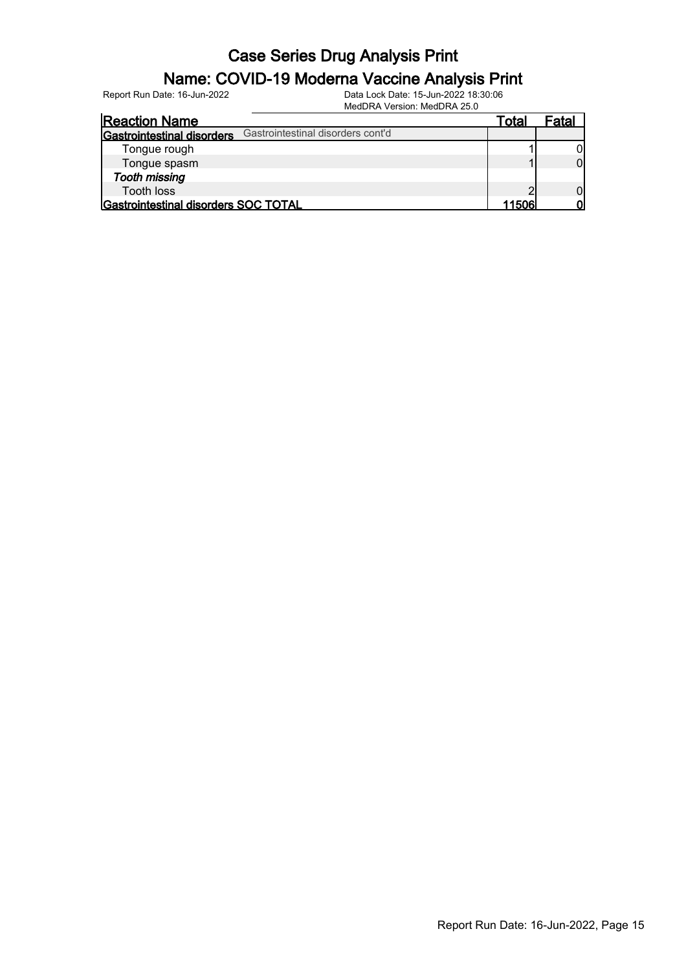#### Name: COVID-19 Moderna Vaccine Analysis Print

Report Run Date: 16-Jun-2022 Data Lock Date: 15-Jun-2022 18:30:06

MedDRA Version: MedDRA 25.0

| <b>Reaction Name</b>                                            | ™ota⊩  | Fatal |
|-----------------------------------------------------------------|--------|-------|
| Gastrointestinal disorders cont'd<br>Gastrointestinal disorders |        |       |
| Tongue rough                                                    |        |       |
| Tongue spasm                                                    |        |       |
| <b>Tooth missing</b>                                            |        |       |
| <b>Tooth loss</b>                                               |        |       |
| Gastrointestinal disorders SOC TOTAL                            | 115061 |       |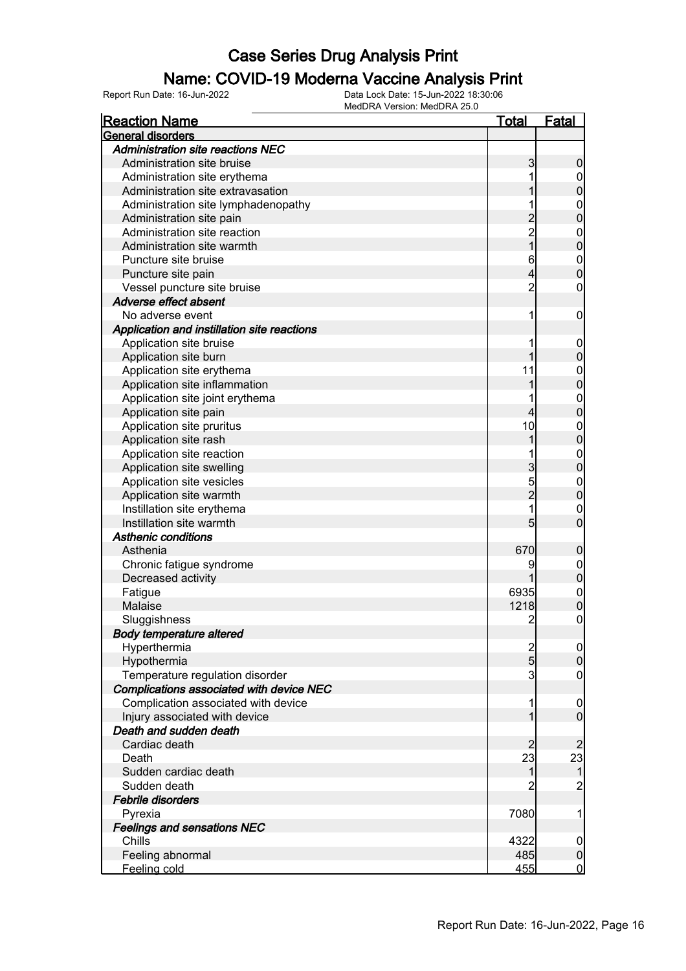#### Name: COVID-19 Moderna Vaccine Analysis Print

| <b>Reaction Name</b>                        | Total           | <u>Fatal</u>     |
|---------------------------------------------|-----------------|------------------|
| General disorders                           |                 |                  |
| <b>Administration site reactions NEC</b>    |                 |                  |
| Administration site bruise                  | 3               | 0                |
| Administration site erythema                | 1               | 0                |
| Administration site extravasation           |                 | $\mathbf 0$      |
| Administration site lymphadenopathy         |                 | $\mathbf 0$      |
| Administration site pain                    |                 | $\overline{0}$   |
| Administration site reaction                | $\overline{c}$  | $\mathbf{0}$     |
| Administration site warmth                  | $\overline{1}$  | $\overline{0}$   |
| Puncture site bruise                        | 6               | $\mathbf{0}$     |
| Puncture site pain                          | 4               | $\overline{0}$   |
| Vessel puncture site bruise                 | $\overline{2}$  | 0                |
| Adverse effect absent                       |                 |                  |
| No adverse event                            | 1               | $\mathbf 0$      |
| Application and instillation site reactions |                 |                  |
| Application site bruise                     | 1               | $\boldsymbol{0}$ |
| Application site burn                       |                 | $\mathbf 0$      |
| Application site erythema                   | 11              | $\mathbf{0}$     |
| Application site inflammation               |                 | $\overline{0}$   |
| Application site joint erythema             | 1               | $\mathbf{0}$     |
| Application site pain                       | 4               | $\overline{0}$   |
| Application site pruritus                   | 10              | $\mathbf{0}$     |
| Application site rash                       |                 | $\overline{0}$   |
| Application site reaction                   |                 | $\mathbf{0}$     |
| Application site swelling                   | 3               | $\overline{0}$   |
| Application site vesicles                   | 5               | $\mathbf{0}$     |
| Application site warmth                     | $\overline{2}$  | $\overline{0}$   |
| Instillation site erythema                  | 1               | $\mathbf{0}$     |
| Instillation site warmth                    | $5\overline{)}$ | $\overline{0}$   |
| <b>Asthenic conditions</b>                  |                 |                  |
| Asthenia                                    | 670             | $\boldsymbol{0}$ |
| Chronic fatigue syndrome                    | 9               | $\mathbf 0$      |
| Decreased activity                          |                 | $\mathbf 0$      |
| Fatigue                                     | 6935            | $\mathbf{0}$     |
| Malaise                                     | 1218            | $\overline{0}$   |
| Sluggishness                                | $\overline{2}$  | $\overline{0}$   |
| <b>Body temperature altered</b>             |                 |                  |
| Hyperthermia                                | $\frac{2}{5}$   | $\overline{0}$   |
| Hypothermia                                 |                 | $\overline{0}$   |
| Temperature regulation disorder             | 3               | $\mathbf 0$      |
| Complications associated with device NEC    |                 |                  |
| Complication associated with device         | 1               | $\boldsymbol{0}$ |
| Injury associated with device               | 1               | $\overline{0}$   |
| Death and sudden death                      |                 |                  |
| Cardiac death                               | $\overline{2}$  | $\overline{2}$   |
| Death                                       | 23              | 23               |
| Sudden cardiac death                        | 1               | $\mathbf 1$      |
| Sudden death                                | $\overline{2}$  | $\overline{c}$   |
| Febrile disorders                           |                 |                  |
| Pyrexia                                     | 7080            | 1                |
| <b>Feelings and sensations NEC</b>          |                 |                  |
| Chills                                      | 4322            | $\mathbf 0$      |
| Feeling abnormal                            | 485             | $\boldsymbol{0}$ |
| Feeling cold                                | 455             | $\overline{0}$   |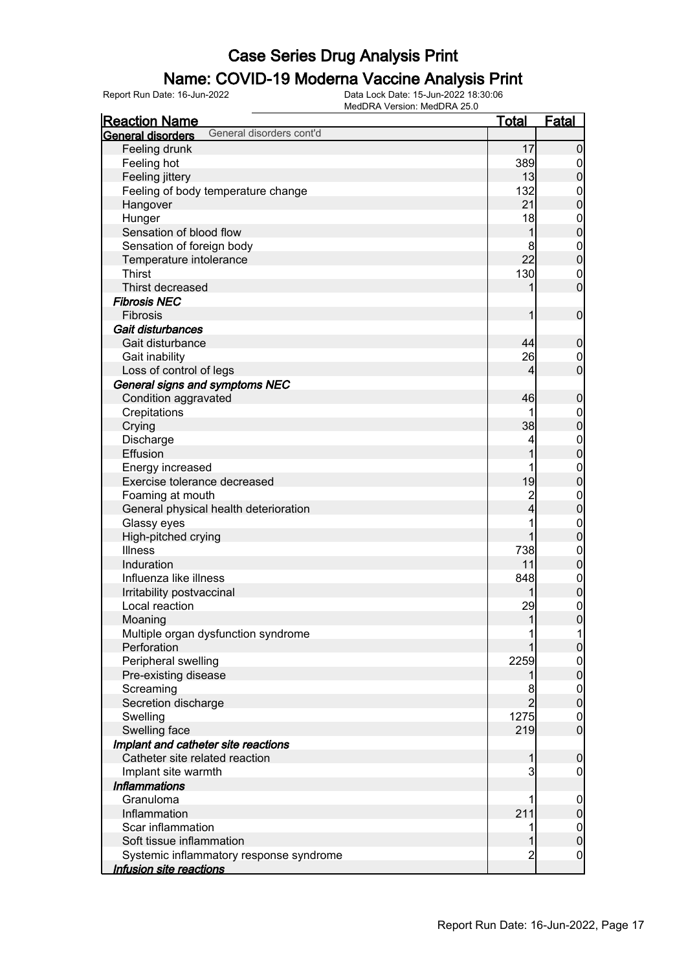### Name: COVID-19 Moderna Vaccine Analysis Print

| <b>Reaction Name</b>                          | <u>Total</u>   | <b>Fatal</b>                     |
|-----------------------------------------------|----------------|----------------------------------|
| General disorders cont'd<br>General disorders |                |                                  |
| Feeling drunk                                 | 17             | $\mathbf 0$                      |
| Feeling hot                                   | 389            | $\overline{0}$                   |
| Feeling jittery                               | 13             | $\mathbf 0$                      |
| Feeling of body temperature change            | 132            | $\boldsymbol{0}$                 |
| Hangover                                      | 21             | $\overline{0}$                   |
| Hunger                                        | 18             | $\boldsymbol{0}$                 |
| Sensation of blood flow                       | 1              | $\mathbf 0$                      |
| Sensation of foreign body                     | 8              | $\boldsymbol{0}$                 |
| Temperature intolerance                       | 22             | $\mathbf 0$                      |
| <b>Thirst</b>                                 | 130            | $\boldsymbol{0}$                 |
| Thirst decreased                              | 1              | $\overline{0}$                   |
| <b>Fibrosis NEC</b>                           |                |                                  |
| Fibrosis                                      | 1              | $\boldsymbol{0}$                 |
| Gait disturbances                             |                |                                  |
| Gait disturbance                              | 44             | $\boldsymbol{0}$                 |
| Gait inability                                | 26             |                                  |
| Loss of control of legs                       | 4              | $\overline{0}$<br>$\overline{0}$ |
|                                               |                |                                  |
| General signs and symptoms NEC                |                |                                  |
| Condition aggravated                          | 46<br>1        | $\boldsymbol{0}$                 |
| Crepitations                                  |                | $\boldsymbol{0}$                 |
| Crying                                        | 38             | $\mathbf 0$                      |
| Discharge                                     | 4              | $0$<br>0                         |
| Effusion                                      | 1              |                                  |
| Energy increased                              | 1              | $\mathbf{0}$                     |
| Exercise tolerance decreased                  | 19             | $\mathbf{0}$                     |
| Foaming at mouth                              | $\overline{c}$ | $0\atop 0$                       |
| General physical health deterioration         | $\overline{4}$ |                                  |
| Glassy eyes                                   | 1              | $\mathbf{0}$                     |
| High-pitched crying                           | 1              | $\mathbf 0$                      |
| <b>Illness</b>                                | 738            | $\boldsymbol{0}$                 |
| Induration                                    | 11             | $\mathbf 0$                      |
| Influenza like illness                        | 848            | $\boldsymbol{0}$                 |
| Irritability postvaccinal                     | 1              | $\mathbf 0$                      |
| Local reaction                                | 29             | $\begin{matrix}0\\0\end{matrix}$ |
| Moaning                                       | 1              |                                  |
| Multiple organ dysfunction syndrome           | 1              | 1                                |
| Perforation                                   |                | $\overline{0}$                   |
| Peripheral swelling                           | 2259           | $\boldsymbol{0}$                 |
| Pre-existing disease                          | 1              | $\overline{0}$                   |
| Screaming                                     | 8              | $\boldsymbol{0}$                 |
| Secretion discharge                           | $\overline{2}$ | $\mathbf 0$                      |
| Swelling                                      | 1275           | $\boldsymbol{0}$                 |
| Swelling face                                 | 219            | $\overline{0}$                   |
| Implant and catheter site reactions           |                |                                  |
| Catheter site related reaction                | 1              | $\mathbf 0$                      |
| Implant site warmth                           | 3              | $\mathbf 0$                      |
| <b>Inflammations</b>                          |                |                                  |
| Granuloma                                     | 1              | $\mathbf 0$                      |
| Inflammation                                  | 211            | $\pmb{0}$                        |
| Scar inflammation                             | 1              | $\boldsymbol{0}$                 |
| Soft tissue inflammation                      | 1              | $\pmb{0}$                        |
| Systemic inflammatory response syndrome       | $\overline{c}$ | $\overline{0}$                   |
| Infusion site reactions                       |                |                                  |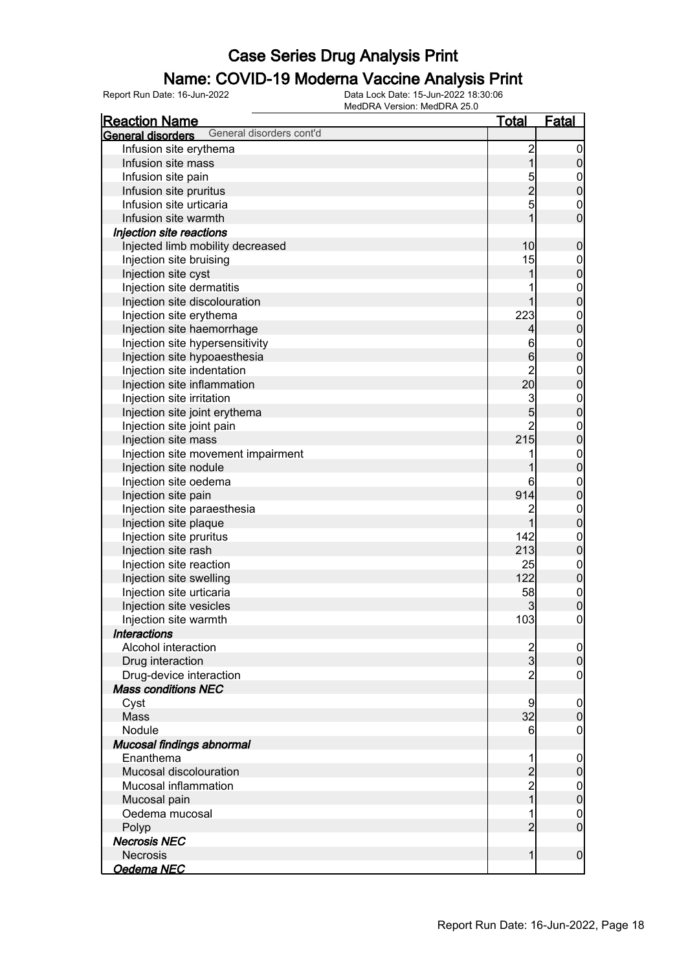#### Name: COVID-19 Moderna Vaccine Analysis Print

| <b>Reaction Name</b>                          | <u>Total</u>   | <b>Fatal</b>                       |
|-----------------------------------------------|----------------|------------------------------------|
| General disorders cont'd<br>General disorders |                |                                    |
| Infusion site erythema                        | $\overline{c}$ | $\overline{0}$                     |
| Infusion site mass                            | $\overline{1}$ | $\pmb{0}$                          |
| Infusion site pain                            |                | $\mathbf 0$                        |
| Infusion site pruritus                        | 5<br>2<br>5    | $\mathbf 0$                        |
| Infusion site urticaria                       |                | $\mathbf 0$                        |
| Infusion site warmth                          | 1              | $\overline{0}$                     |
| Injection site reactions                      |                |                                    |
| Injected limb mobility decreased              | 10             | $\boldsymbol{0}$                   |
| Injection site bruising                       | 15             | $\boldsymbol{0}$                   |
| Injection site cyst                           | 1              | $\mathbf 0$                        |
| Injection site dermatitis                     | 1              |                                    |
| Injection site discolouration                 | 1              | $0$<br>0                           |
| Injection site erythema                       | 223            |                                    |
| Injection site haemorrhage                    | 4              | $0$<br>0                           |
| Injection site hypersensitivity               | 6              |                                    |
| Injection site hypoaesthesia                  | $6\phantom{.}$ | $\boldsymbol{0}$<br>$\overline{0}$ |
|                                               |                |                                    |
| Injection site indentation                    | $\overline{2}$ | $\boldsymbol{0}$                   |
| Injection site inflammation                   | 20             | $\overline{0}$                     |
| Injection site irritation                     | 3              | $\boldsymbol{0}$                   |
| Injection site joint erythema                 | 5              | $\overline{0}$                     |
| Injection site joint pain                     | $\overline{2}$ | $\mathbf{0}$                       |
| Injection site mass                           | 215            | $\overline{0}$                     |
| Injection site movement impairment            | 1              | $\boldsymbol{0}$                   |
| Injection site nodule                         | 1              | $\overline{0}$                     |
| Injection site oedema                         | 6              | $\mathbf{0}$                       |
| Injection site pain                           | 914            | $\overline{0}$                     |
| Injection site paraesthesia                   | $\overline{c}$ | $\boldsymbol{0}$                   |
| Injection site plaque                         | $\overline{1}$ | $\overline{0}$                     |
| Injection site pruritus                       | 142            | $\mathbf{0}$                       |
| Injection site rash                           | 213            | $\mathbf 0$                        |
| Injection site reaction                       | 25             | $0$<br>0                           |
| Injection site swelling                       | 122            |                                    |
| Injection site urticaria                      | 58             | $0$<br>0                           |
| Injection site vesicles                       | 3              |                                    |
| Injection site warmth                         | 103            | $\mathbf 0$                        |
| <b>Interactions</b>                           |                |                                    |
| Alcohol interaction                           | $\frac{2}{3}$  | $\overline{0}$                     |
| Drug interaction                              |                | $\pmb{0}$                          |
| Drug-device interaction                       | $\overline{2}$ | $\mathbf 0$                        |
| <b>Mass conditions NEC</b>                    |                |                                    |
| Cyst                                          | 9              | $\boldsymbol{0}$                   |
| Mass                                          | 32             | $\boldsymbol{0}$                   |
| Nodule                                        | 6              | 0                                  |
| Mucosal findings abnormal                     |                |                                    |
| Enanthema                                     | 1              | $\mathbf 0$                        |
| Mucosal discolouration                        |                | $\pmb{0}$                          |
| Mucosal inflammation                          | $\frac{2}{2}$  | $\mathbf 0$                        |
| Mucosal pain                                  | $\overline{1}$ | $\mathbf 0$                        |
| Oedema mucosal                                | 1              | $\boldsymbol{0}$                   |
| Polyp                                         | $\overline{2}$ | $\overline{0}$                     |
| <b>Necrosis NEC</b>                           |                |                                    |
| <b>Necrosis</b>                               | $\mathbf{1}$   | $\mathbf 0$                        |
| Oedema NEC                                    |                |                                    |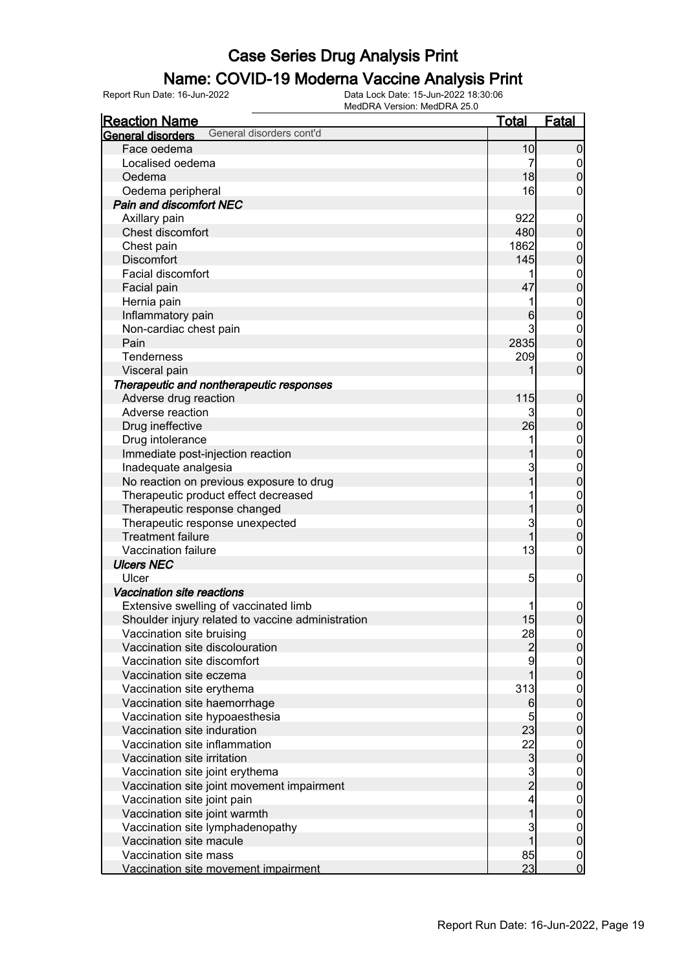### Name: COVID-19 Moderna Vaccine Analysis Print

| <b>Reaction Name</b>                                          | <u>Total</u>            | <b>Fatal</b>                         |
|---------------------------------------------------------------|-------------------------|--------------------------------------|
| General disorders cont'd<br><b>General disorders</b>          |                         |                                      |
| Face oedema                                                   | 10                      | $\overline{0}$                       |
| Localised oedema                                              | 7                       |                                      |
| Oedema                                                        | 18                      | $\begin{matrix} 0 \\ 0 \end{matrix}$ |
| Oedema peripheral                                             | 16                      | 0                                    |
| <b>Pain and discomfort NEC</b>                                |                         |                                      |
| Axillary pain                                                 | 922                     | $\boldsymbol{0}$                     |
| Chest discomfort                                              | 480                     | $\overline{0}$                       |
| Chest pain                                                    | 1862                    |                                      |
| <b>Discomfort</b>                                             | 145                     | 0<br>0                               |
| Facial discomfort                                             | 1                       |                                      |
| Facial pain                                                   | 47                      | $\begin{matrix} 0 \\ 0 \end{matrix}$ |
| Hernia pain                                                   | 1                       |                                      |
| Inflammatory pain                                             | 6                       | $0\atop 0$                           |
| Non-cardiac chest pain                                        | 3                       |                                      |
| Pain                                                          | 2835                    | $0\atop 0$                           |
| <b>Tenderness</b>                                             | 209                     |                                      |
| Visceral pain                                                 | 1                       | $\begin{matrix}0\\0\end{matrix}$     |
| Therapeutic and nontherapeutic responses                      |                         |                                      |
| Adverse drug reaction                                         | 115                     | $\mathbf 0$                          |
| Adverse reaction                                              | 3                       |                                      |
| Drug ineffective                                              | 26                      | 0<br>0                               |
| Drug intolerance                                              | 1                       |                                      |
| Immediate post-injection reaction                             |                         | $0\atop 0$                           |
| Inadequate analgesia                                          | 3                       |                                      |
| No reaction on previous exposure to drug                      | $\overline{1}$          | $\begin{matrix}0\\0\end{matrix}$     |
| Therapeutic product effect decreased                          | 1                       |                                      |
| Therapeutic response changed                                  | 1                       | $0\atop 0$                           |
| Therapeutic response unexpected                               | 3                       |                                      |
| <b>Treatment failure</b>                                      | $\overline{1}$          | $\begin{matrix}0\\0\end{matrix}$     |
| Vaccination failure                                           | 13                      | $\mathbf 0$                          |
| <b>Ulcers NEC</b>                                             |                         |                                      |
| Ulcer                                                         | 5                       | $\boldsymbol{0}$                     |
| Vaccination site reactions                                    |                         |                                      |
| Extensive swelling of vaccinated limb                         | 1                       |                                      |
|                                                               | 15                      | $\mathbf 0$<br>$\overline{0}$        |
| Shoulder injury related to vaccine administration             |                         |                                      |
| Vaccination site bruising<br>Vaccination site discolouration  | 28                      | $\Omega$<br>$\overline{0}$           |
| Vaccination site discomfort                                   | $\overline{c}$<br>9     |                                      |
| Vaccination site eczema                                       | 1                       | $\boldsymbol{0}$<br>$\overline{0}$   |
|                                                               | 313                     |                                      |
| Vaccination site erythema                                     |                         | $\boldsymbol{0}$<br>$\overline{0}$   |
| Vaccination site haemorrhage                                  | $6 \,$<br>5             |                                      |
| Vaccination site hypoaesthesia<br>Vaccination site induration | 23                      | $\boldsymbol{0}$                     |
| Vaccination site inflammation                                 | 22                      | $\overline{0}$                       |
|                                                               |                         | $\boldsymbol{0}$                     |
| Vaccination site irritation                                   |                         | $\overline{0}$                       |
| Vaccination site joint erythema                               | $\frac{3}{2}$           | $\boldsymbol{0}$                     |
| Vaccination site joint movement impairment                    |                         | $\overline{0}$                       |
| Vaccination site joint pain                                   | $\overline{\mathbf{4}}$ | $\boldsymbol{0}$                     |
| Vaccination site joint warmth                                 | $\overline{1}$          | $\pmb{0}$                            |
| Vaccination site lymphadenopathy                              | 3                       | $\boldsymbol{0}$                     |
| Vaccination site macule                                       | $\overline{1}$          | $\pmb{0}$                            |
| Vaccination site mass                                         | 85                      | $\boldsymbol{0}$                     |
| Vaccination site movement impairment                          | 23                      | $\overline{0}$                       |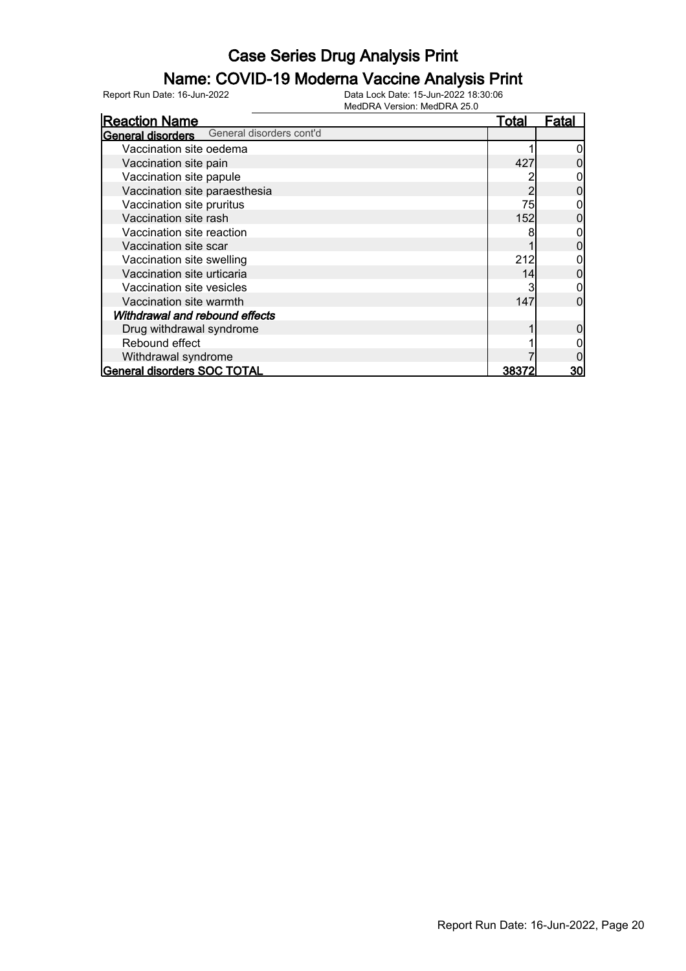#### Name: COVID-19 Moderna Vaccine Analysis Print

| <b>Reaction Name</b>                              | <b>Total</b> | <b>Fatal</b> |
|---------------------------------------------------|--------------|--------------|
| <b>General disorders</b> General disorders cont'd |              |              |
| Vaccination site oedema                           |              |              |
| Vaccination site pain                             | 427          |              |
| Vaccination site papule                           |              |              |
| Vaccination site paraesthesia                     |              |              |
| Vaccination site pruritus                         | 75           |              |
| Vaccination site rash                             | 152          |              |
| Vaccination site reaction                         | 8            |              |
| Vaccination site scar                             |              |              |
| Vaccination site swelling                         | 212          |              |
| Vaccination site urticaria                        | 14           |              |
| Vaccination site vesicles                         | 3            |              |
| Vaccination site warmth                           | 147          | ი            |
| Withdrawal and rebound effects                    |              |              |
| Drug withdrawal syndrome                          |              |              |
| Rebound effect                                    |              |              |
| Withdrawal syndrome                               |              |              |
| General disorders SOC TOTAL                       | 38372        | 30           |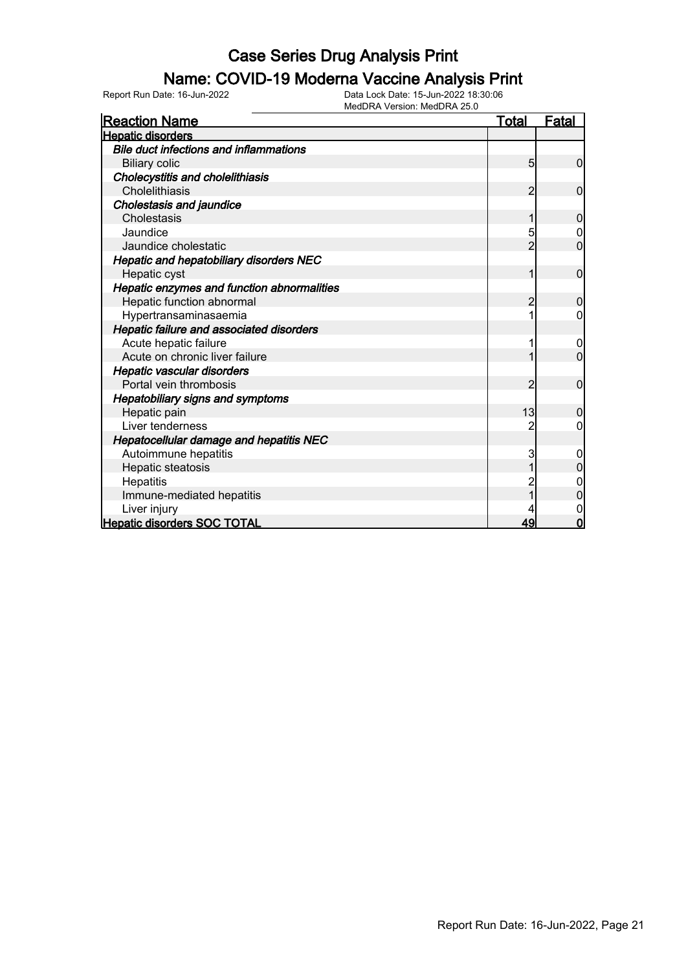#### Name: COVID-19 Moderna Vaccine Analysis Print

Report Run Date: 16-Jun-2022 Data Lock Date: 15-Jun-2022 18:30:06

MedDRA Version: MedDRA 25.0

| <u>Reaction Name</u>                           | <b>Total</b>   | <b>Fatal</b>     |
|------------------------------------------------|----------------|------------------|
| <b>Hepatic disorders</b>                       |                |                  |
| <b>Bile duct infections and inflammations</b>  |                |                  |
| <b>Biliary colic</b>                           | 5              | $\mathbf 0$      |
| Cholecystitis and cholelithiasis               |                |                  |
| Cholelithiasis                                 | 2              | 0                |
| <b>Cholestasis and jaundice</b>                |                |                  |
| Cholestasis                                    | 1              | $\mathbf{0}$     |
| Jaundice                                       | 5              | 0                |
| Jaundice cholestatic                           | $\overline{2}$ | $\overline{0}$   |
| <b>Hepatic and hepatobiliary disorders NEC</b> |                |                  |
| Hepatic cyst                                   | 1              | $\mathbf 0$      |
| Hepatic enzymes and function abnormalities     |                |                  |
| Hepatic function abnormal                      | $\overline{2}$ | $\mathbf 0$      |
| Hypertransaminasaemia                          |                | 0                |
| Hepatic failure and associated disorders       |                |                  |
| Acute hepatic failure                          |                | 0                |
| Acute on chronic liver failure                 |                | $\overline{0}$   |
| Hepatic vascular disorders                     |                |                  |
| Portal vein thrombosis                         | 2              | 0                |
| <b>Hepatobiliary signs and symptoms</b>        |                |                  |
| Hepatic pain                                   | 13             | 0                |
| Liver tenderness                               | 2              | 0                |
| <b>Hepatocellular damage and hepatitis NEC</b> |                |                  |
| Autoimmune hepatitis                           | 3              | $\boldsymbol{0}$ |
| Hepatic steatosis                              |                |                  |
| Hepatitis                                      |                | 0                |
| Immune-mediated hepatitis                      |                | $\overline{0}$   |
| Liver injury                                   |                | $\mathbf 0$      |
| <b>Hepatic disorders SOC TOTAL</b>             | 49             | $\Omega$         |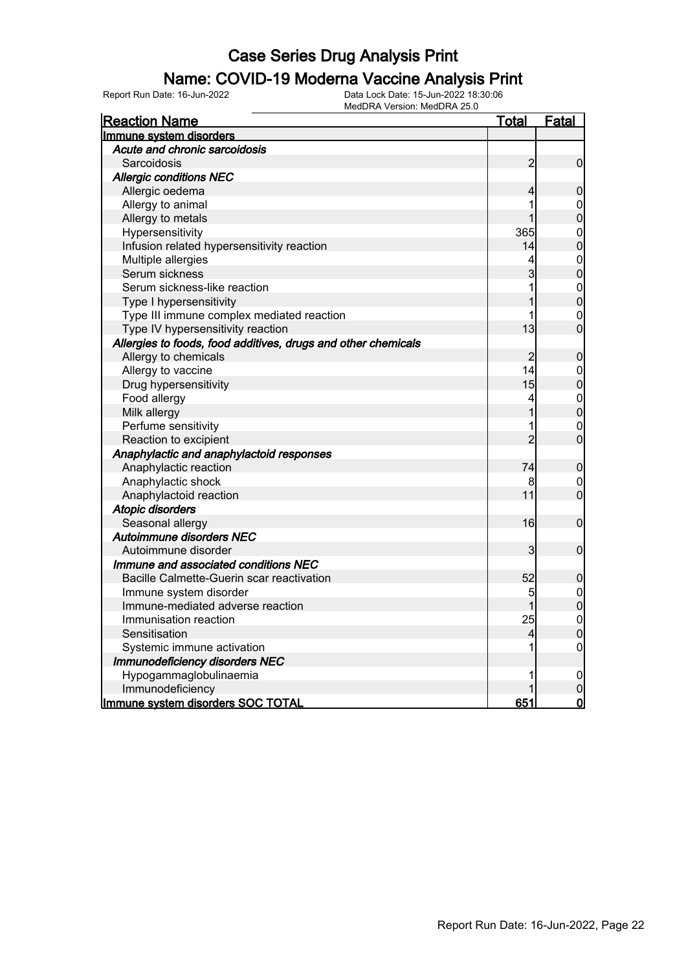#### Name: COVID-19 Moderna Vaccine Analysis Print

Report Run Date: 16-Jun-2022 Data Lock Date: 15-Jun-2022 18:30:06

| MedDRA Version: MedDRA 25.0                                   |                |                  |
|---------------------------------------------------------------|----------------|------------------|
| <b>Reaction Name</b>                                          | <u>Total</u>   | <b>Fatal</b>     |
| Immune system disorders                                       |                |                  |
| Acute and chronic sarcoidosis                                 |                |                  |
| Sarcoidosis                                                   | $\overline{2}$ | $\overline{0}$   |
| <b>Allergic conditions NEC</b>                                |                |                  |
| Allergic oedema                                               | 4              | $\mathbf 0$      |
| Allergy to animal                                             |                | $\overline{0}$   |
| Allergy to metals                                             |                | $\overline{0}$   |
| Hypersensitivity                                              | 365            | $\boldsymbol{0}$ |
| Infusion related hypersensitivity reaction                    | 14             | $\overline{0}$   |
| Multiple allergies                                            | 4              | $\boldsymbol{0}$ |
| Serum sickness                                                | 3              | $\overline{0}$   |
| Serum sickness-like reaction                                  |                | $\boldsymbol{0}$ |
| Type I hypersensitivity                                       |                | $\mathbf 0$      |
| Type III immune complex mediated reaction                     |                | $\overline{0}$   |
| Type IV hypersensitivity reaction                             | 13             | $\mathbf 0$      |
| Allergies to foods, food additives, drugs and other chemicals |                |                  |
| Allergy to chemicals                                          | $\overline{2}$ | $\mathbf 0$      |
| Allergy to vaccine                                            | 14             | $\mathbf 0$      |
| Drug hypersensitivity                                         | 15             | $\mathbf 0$      |
| Food allergy                                                  | 4              | $\boldsymbol{0}$ |
| Milk allergy                                                  |                | $\overline{0}$   |
| Perfume sensitivity                                           |                | $\mathbf 0$      |
| Reaction to excipient                                         | $\overline{2}$ | $\mathbf 0$      |
| Anaphylactic and anaphylactoid responses                      |                |                  |
| Anaphylactic reaction                                         | 74             | $\mathbf 0$      |
| Anaphylactic shock                                            | 8              | $\overline{0}$   |
| Anaphylactoid reaction                                        | 11             | $\mathbf 0$      |
| <b>Atopic disorders</b>                                       |                |                  |
| Seasonal allergy                                              | 16             | $\mathbf 0$      |
| Autoimmune disorders NEC                                      |                |                  |
| Autoimmune disorder                                           | 3              | $\mathbf 0$      |
| Immune and associated conditions NEC                          |                |                  |
| Bacille Calmette-Guerin scar reactivation                     | 52             | $\mathbf 0$      |
| Immune system disorder                                        | 5              | $\mathbf 0$      |
| Immune-mediated adverse reaction                              |                | $\mathbf 0$      |
| Immunisation reaction                                         | 25             | $\overline{0}$   |
| Sensitisation                                                 | 4              | 0                |
| Systemic immune activation                                    |                | 0                |
| <b>Immunodeficiency disorders NEC</b>                         |                |                  |
| Hypogammaglobulinaemia                                        |                | $\overline{0}$   |
| Immunodeficiency                                              |                | $\mathbf 0$      |
| Immune system disorders SOC TOTAL                             | 651            | <u>o</u>         |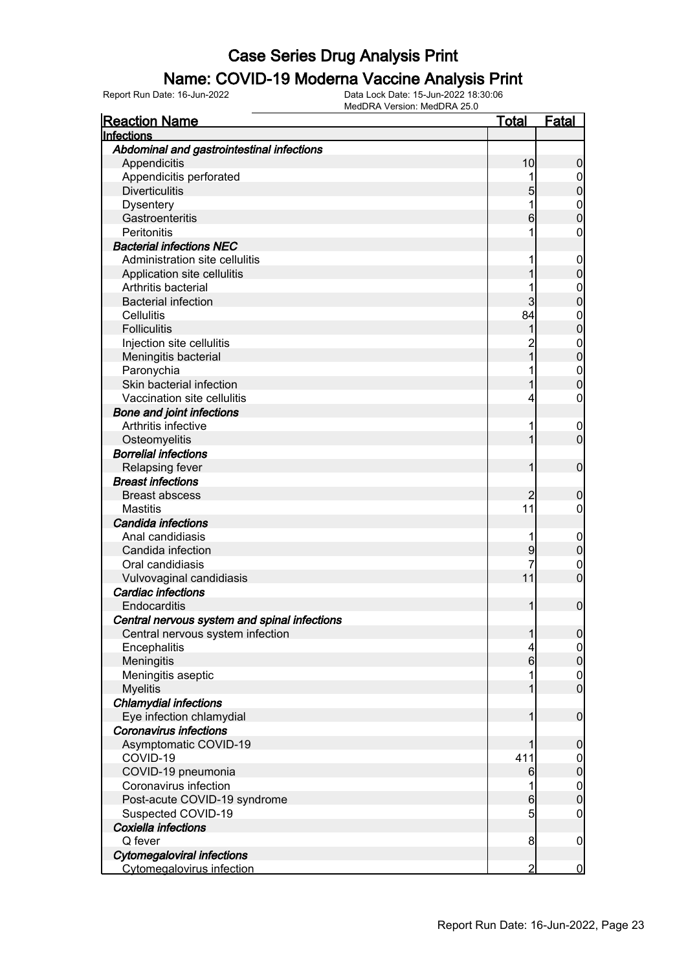#### Name: COVID-19 Moderna Vaccine Analysis Print

| <b>Reaction Name</b>                         | <u>Total</u>     | <b>Fatal</b>        |
|----------------------------------------------|------------------|---------------------|
| Infections                                   |                  |                     |
| Abdominal and gastrointestinal infections    |                  |                     |
| Appendicitis                                 | 10               | 0                   |
| Appendicitis perforated                      |                  | $\mathbf 0$         |
| <b>Diverticulitis</b>                        | 5                | 0                   |
| <b>Dysentery</b>                             |                  | $\mathbf{0}$        |
| Gastroenteritis                              | 6                | 0                   |
| Peritonitis                                  |                  | 0                   |
| <b>Bacterial infections NEC</b>              |                  |                     |
| Administration site cellulitis               |                  | $\mathbf 0$         |
| Application site cellulitis                  |                  | 0                   |
| Arthritis bacterial                          |                  | $\mathbf 0$         |
| <b>Bacterial infection</b>                   | 3                | 0                   |
| Cellulitis                                   | 84               | $\mathbf{0}$        |
| <b>Folliculitis</b>                          |                  | $\overline{0}$      |
| Injection site cellulitis                    |                  | $\mathbf{0}$        |
| Meningitis bacterial                         |                  | $\overline{0}$      |
| Paronychia                                   |                  | $\mathbf{0}$        |
| Skin bacterial infection                     |                  | $\overline{0}$      |
| Vaccination site cellulitis                  | 4                | 0                   |
| <b>Bone and joint infections</b>             |                  |                     |
| Arthritis infective                          | 1                | $\overline{0}$      |
| Osteomyelitis                                |                  | $\overline{0}$      |
| <b>Borrelial infections</b>                  |                  |                     |
| <b>Relapsing fever</b>                       |                  | $\mathbf 0$         |
| <b>Breast infections</b>                     |                  |                     |
| <b>Breast abscess</b>                        |                  | 0                   |
| <b>Mastitis</b>                              | 11               | 0                   |
| Candida infections                           |                  |                     |
| Anal candidiasis                             | 1                | $\mathbf 0$         |
| Candida infection                            | 9                | $\mathbf 0$         |
| Oral candidiasis                             | 7                | $\mathbf 0$         |
| Vulvovaginal candidiasis                     | 11               | $\overline{0}$      |
| Cardiac infections                           |                  |                     |
| Endocarditis                                 | 1                | $\boldsymbol{0}$    |
| Central nervous system and spinal infections |                  |                     |
| Central nervous system infection             | 1                | $\overline{0}$      |
| Encephalitis                                 | 4                | $\overline{0}$      |
| Meningitis                                   | $6 \overline{6}$ | $\mathsf{O}\xspace$ |
| Meningitis aseptic                           | 1                | $\mathbf 0$         |
| <b>Myelitis</b>                              | 1                | $\overline{0}$      |
| <b>Chlamydial infections</b>                 |                  |                     |
| Eye infection chlamydial                     | 1                | $\boldsymbol{0}$    |
| <b>Coronavirus infections</b>                |                  |                     |
| Asymptomatic COVID-19                        |                  | $\boldsymbol{0}$    |
| COVID-19                                     | 411              | $\mathbf 0$         |
| COVID-19 pneumonia                           | 6                | $\mathbf 0$         |
| Coronavirus infection                        | 1                | $\boldsymbol{0}$    |
| Post-acute COVID-19 syndrome                 | $6 \overline{}$  | $\overline{0}$      |
| Suspected COVID-19                           | $5\overline{)}$  | $\boldsymbol{0}$    |
| Coxiella infections                          |                  |                     |
| Q fever                                      | 8                | $\mathbf 0$         |
| <b>Cytomegaloviral infections</b>            |                  |                     |
| <b>Cytomegalovirus infection</b>             | $\overline{2}$   | $\overline{0}$      |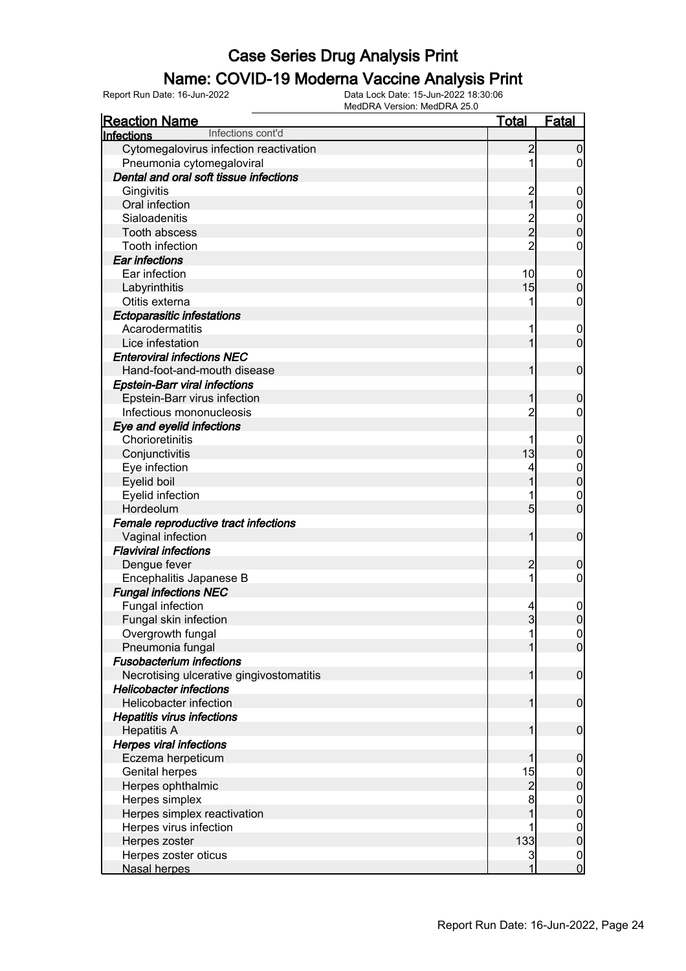#### Name: COVID-19 Moderna Vaccine Analysis Print

| <b>Reaction Name</b>                         | <b>Total</b>   | <b>Fatal</b>     |
|----------------------------------------------|----------------|------------------|
| Infections cont'd<br>Infections              |                |                  |
| Cytomegalovirus infection reactivation       | $\overline{c}$ | $\mathbf 0$      |
| Pneumonia cytomegaloviral                    |                | $\overline{0}$   |
| Dental and oral soft tissue infections       |                |                  |
| Gingivitis                                   |                | $\mathbf 0$      |
| Oral infection                               | 2<br>1         | $\boldsymbol{0}$ |
| Sialoadenitis                                |                | $\mathbf 0$      |
| <b>Tooth abscess</b>                         | 2<br>2         | $\boldsymbol{0}$ |
| Tooth infection                              | $\overline{2}$ | 0                |
| Ear infections                               |                |                  |
| Ear infection                                | 10             | $\mathbf 0$      |
| Labyrinthitis                                | 15             | $\boldsymbol{0}$ |
| Otitis externa                               |                | 0                |
| <b>Ectoparasitic infestations</b>            |                |                  |
| Acarodermatitis                              |                | $\overline{0}$   |
| Lice infestation                             |                | $\mathbf 0$      |
| <b>Enteroviral infections NEC</b>            |                |                  |
| Hand-foot-and-mouth disease                  | 1              | $\mathbf 0$      |
| <b>Epstein-Barr viral infections</b>         |                |                  |
| Epstein-Barr virus infection                 |                | $\boldsymbol{0}$ |
| Infectious mononucleosis                     | 2              | 0                |
|                                              |                |                  |
| Eye and eyelid infections<br>Chorioretinitis |                |                  |
|                                              | 13             | $\mathbf 0$      |
| Conjunctivitis                               |                | $\pmb{0}$        |
| Eye infection                                |                | 0                |
| Eyelid boil                                  |                | $\mathbf 0$      |
| Eyelid infection                             |                | 0                |
| Hordeolum                                    | 5              | $\overline{0}$   |
| Female reproductive tract infections         |                |                  |
| Vaginal infection                            | 1              | $\mathbf 0$      |
| <b>Flaviviral infections</b>                 |                |                  |
| Dengue fever                                 | $\overline{c}$ | $\boldsymbol{0}$ |
| Encephalitis Japanese B                      |                | 0                |
| <b>Fungal infections NEC</b>                 |                |                  |
| Fungal infection                             | 4              | $\mathbf 0$      |
| Fungal skin infection                        | $\overline{3}$ | $\mathbf 0$      |
| Overgrowth fungal                            | 1              | 0                |
| Pneumonia fungal                             |                | $\overline{0}$   |
| <b>Fusobacterium infections</b>              |                |                  |
| Necrotising ulcerative gingivostomatitis     | 1              | $\boldsymbol{0}$ |
| <b>Helicobacter infections</b>               |                |                  |
| Helicobacter infection                       | 1              | $\boldsymbol{0}$ |
| <b>Hepatitis virus infections</b>            |                |                  |
| <b>Hepatitis A</b>                           | 1              | $\boldsymbol{0}$ |
| <b>Herpes viral infections</b>               |                |                  |
| Eczema herpeticum                            | 1              | $\mathbf 0$      |
| Genital herpes                               | 15             | $\mathbf 0$      |
| Herpes ophthalmic                            | $\overline{c}$ | $\mathbf 0$      |
| Herpes simplex                               | 8              |                  |
| Herpes simplex reactivation                  |                | $0$<br>0         |
| Herpes virus infection                       |                | $\boldsymbol{0}$ |
| Herpes zoster                                | 133            | $\mathbf 0$      |
| Herpes zoster oticus                         | 3              | $\overline{0}$   |
| Nasal herpes                                 | 1              | $\mathbf 0$      |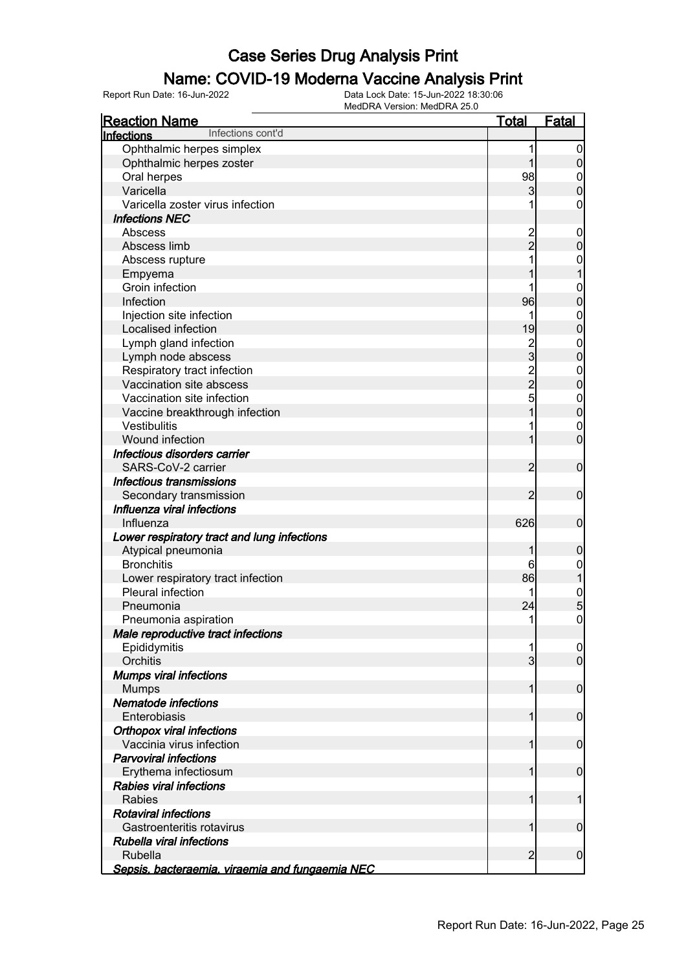#### Name: COVID-19 Moderna Vaccine Analysis Print

| <b>Reaction Name</b>                            | <b>Total</b>   | <b>Fatal</b>     |
|-------------------------------------------------|----------------|------------------|
| Infections cont'd<br>Infections                 |                |                  |
| Ophthalmic herpes simplex                       | 1              | $\boldsymbol{0}$ |
| Ophthalmic herpes zoster                        | 1              | $\boldsymbol{0}$ |
| Oral herpes                                     | 98             | $\mathbf 0$      |
| Varicella                                       | 3              | $\mathbf 0$      |
| Varicella zoster virus infection                |                | 0                |
| <b>Infections NEC</b>                           |                |                  |
| Abscess                                         |                | $\mathbf 0$      |
| Abscess limb                                    | 2<br>2         | $\mathbf 0$      |
| Abscess rupture                                 |                | $\mathbf 0$      |
| Empyema                                         |                | $\mathbf 1$      |
| Groin infection                                 |                | $\mathbf{0}$     |
| Infection                                       | 96             | $\mathbf 0$      |
| Injection site infection                        | 1              | $\mathbf{0}$     |
| Localised infection                             | 19             | $\mathbf 0$      |
| Lymph gland infection                           | $\frac{2}{3}$  | $\mathbf{0}$     |
| Lymph node abscess                              |                | $\mathbf 0$      |
| Respiratory tract infection                     |                | $\mathbf{0}$     |
| Vaccination site abscess                        | $\frac{2}{2}$  | $\mathbf 0$      |
| Vaccination site infection                      |                | $\mathbf{0}$     |
| Vaccine breakthrough infection                  |                | $\mathbf 0$      |
| Vestibulitis                                    |                | $\mathbf 0$      |
| Wound infection                                 | 1              | $\overline{0}$   |
| Infectious disorders carrier                    |                |                  |
| SARS-CoV-2 carrier                              | $\overline{c}$ | $\boldsymbol{0}$ |
| Infectious transmissions                        |                |                  |
| Secondary transmission                          | $\overline{2}$ | $\mathbf 0$      |
| Influenza viral infections                      |                |                  |
| Influenza                                       | 626            | $\boldsymbol{0}$ |
| Lower respiratory tract and lung infections     |                |                  |
| Atypical pneumonia                              | 1              | $\boldsymbol{0}$ |
| <b>Bronchitis</b>                               | 6              | $\mathbf 0$      |
| Lower respiratory tract infection               | 86             | $\mathbf{1}$     |
| Pleural infection                               | 1              | 0<br>5           |
| Pneumonia                                       | 24             |                  |
| Pneumonia aspiration                            | 1              | $\mathbf 0$      |
| Male reproductive tract infections              |                |                  |
| Epididymitis                                    | 1              | 0                |
| Orchitis                                        | $\overline{3}$ | $\overline{0}$   |
| <b>Mumps viral infections</b>                   |                |                  |
| <b>Mumps</b>                                    | 1              | $\mathbf 0$      |
| Nematode infections                             |                |                  |
| Enterobiasis                                    | 1              | $\mathbf 0$      |
| <b>Orthopox viral infections</b>                |                |                  |
| Vaccinia virus infection                        | 1              | $\mathbf 0$      |
| <b>Parvoviral infections</b>                    |                |                  |
| Erythema infectiosum                            | 1              | $\mathbf 0$      |
| <b>Rabies viral infections</b><br><b>Rabies</b> | 1              |                  |
| <b>Rotaviral infections</b>                     |                | 1                |
| Gastroenteritis rotavirus                       | 1              |                  |
| Rubella viral infections                        |                | 0                |
| <b>Rubella</b>                                  | $\overline{2}$ | $\mathbf 0$      |
| Sepsis, bacteraemia, viraemia and fungaemia NEC |                |                  |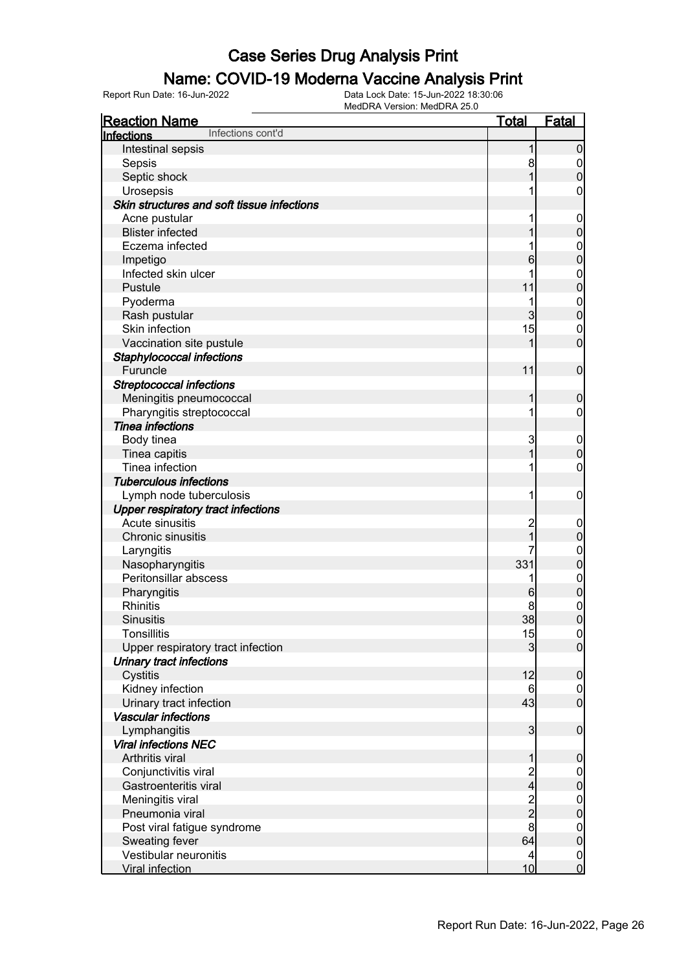#### Name: COVID-19 Moderna Vaccine Analysis Print

| <b>Reaction Name</b>                       | <u>Total</u>   | <b>Fatal</b>                     |
|--------------------------------------------|----------------|----------------------------------|
| Infections cont'd<br>Infections            |                |                                  |
| Intestinal sepsis                          | 1              | $\mathbf 0$                      |
| Sepsis                                     | 8              | $\overline{0}$                   |
| Septic shock                               | 1              | $\mathbf 0$                      |
| Urosepsis                                  |                | $\mathbf 0$                      |
| Skin structures and soft tissue infections |                |                                  |
| Acne pustular                              |                | $\mathbf 0$                      |
| <b>Blister infected</b>                    |                | $\mathbf 0$                      |
| Eczema infected                            |                | $\boldsymbol{0}$                 |
| Impetigo                                   | 6              | $\mathbf 0$                      |
| Infected skin ulcer                        |                | $\mathbf{0}$                     |
| Pustule                                    | 11             | $\mathbf 0$                      |
| Pyoderma                                   | 1              | $\mathbf{0}$                     |
| Rash pustular                              | 3              | $\mathbf 0$                      |
| Skin infection                             | 15             | $\mathbf 0$                      |
| Vaccination site pustule                   | 1              | $\overline{0}$                   |
| Staphylococcal infections                  |                |                                  |
| Furuncle                                   | 11             | $\boldsymbol{0}$                 |
| <b>Streptococcal infections</b>            |                |                                  |
| Meningitis pneumococcal                    | 1              | $\boldsymbol{0}$                 |
| Pharyngitis streptococcal                  | 1              | $\overline{0}$                   |
| <b>Tinea infections</b>                    |                |                                  |
| Body tinea                                 | 3              | $\mathbf 0$                      |
| Tinea capitis                              | 1              | $\mathbf 0$                      |
| Tinea infection                            |                | $\mathbf 0$                      |
| <b>Tuberculous infections</b>              |                |                                  |
| Lymph node tuberculosis                    | 1              | $\mathbf 0$                      |
| <b>Upper respiratory tract infections</b>  |                |                                  |
| Acute sinusitis                            | $\overline{c}$ | $\mathbf 0$                      |
| Chronic sinusitis                          | 1              | $\mathbf 0$                      |
| Laryngitis                                 |                | $\mathbf{0}$                     |
| Nasopharyngitis                            | 331            | $\mathbf 0$                      |
| Peritonsillar abscess                      | 1              | $\mathbf{0}$                     |
| Pharyngitis                                | 6              | $\mathbf{0}$                     |
| <b>Rhinitis</b>                            | 8              |                                  |
| <b>Sinusitis</b>                           | 38             | $\begin{matrix}0\\0\end{matrix}$ |
| <b>Tonsillitis</b>                         | 15             | 0                                |
| Upper respiratory tract infection          | 3              | $\overline{0}$                   |
| <b>Urinary tract infections</b>            |                |                                  |
| Cystitis                                   | 12             | $\boldsymbol{0}$                 |
| Kidney infection                           | 6              | $\overline{0}$                   |
| Urinary tract infection                    | 43             | $\mathbf 0$                      |
| <b>Vascular infections</b>                 |                |                                  |
| Lymphangitis                               | $\overline{3}$ | $\boldsymbol{0}$                 |
| <b>Viral infections NEC</b>                |                |                                  |
| Arthritis viral                            | 1              | $\boldsymbol{0}$                 |
| Conjunctivitis viral                       |                | $\overline{0}$                   |
| Gastroenteritis viral                      | $\frac{2}{4}$  | $\pmb{0}$                        |
| Meningitis viral                           |                | $\boldsymbol{0}$                 |
| Pneumonia viral                            | $\frac{2}{2}$  | $\mathbf 0$                      |
| Post viral fatigue syndrome                | 8              | $\boldsymbol{0}$                 |
| Sweating fever                             | 64             | $\mathbf 0$                      |
| Vestibular neuronitis                      | $\overline{4}$ | $\overline{0}$                   |
| <b>Viral infection</b>                     | 10             | $\mathbf 0$                      |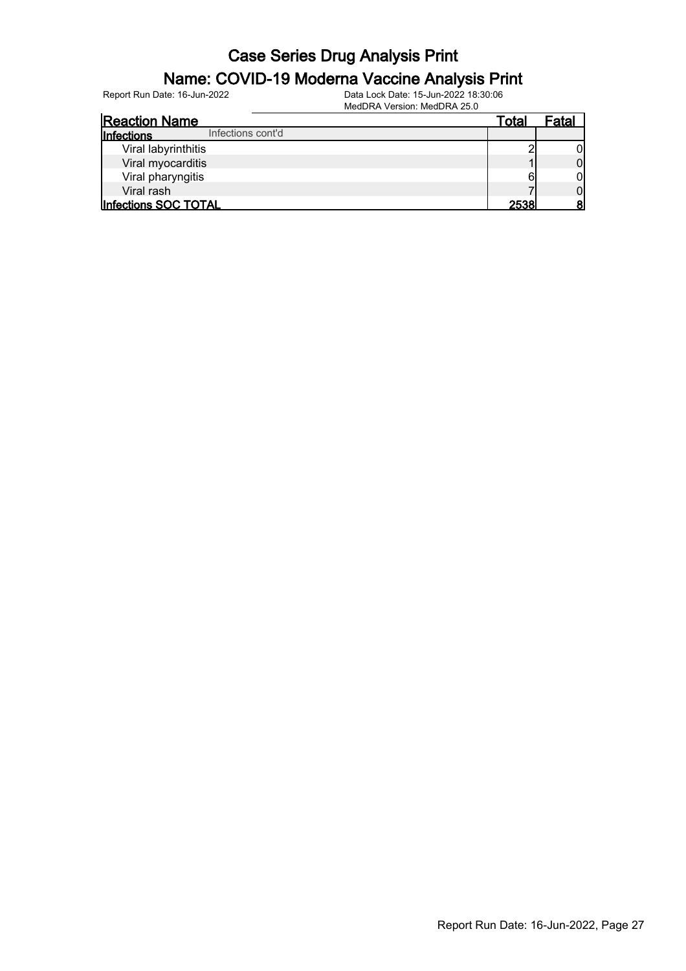#### Name: COVID-19 Moderna Vaccine Analysis Print

| <b>Reaction Name</b>                   | Total | Fatal |
|----------------------------------------|-------|-------|
| Infections cont'd<br><b>Infections</b> |       |       |
| Viral labyrinthitis                    |       |       |
| Viral myocarditis                      |       | 01    |
| Viral pharyngitis                      | 6     | ОI    |
| Viral rash                             |       |       |
| Infections SOC TOTAL                   | 2538  |       |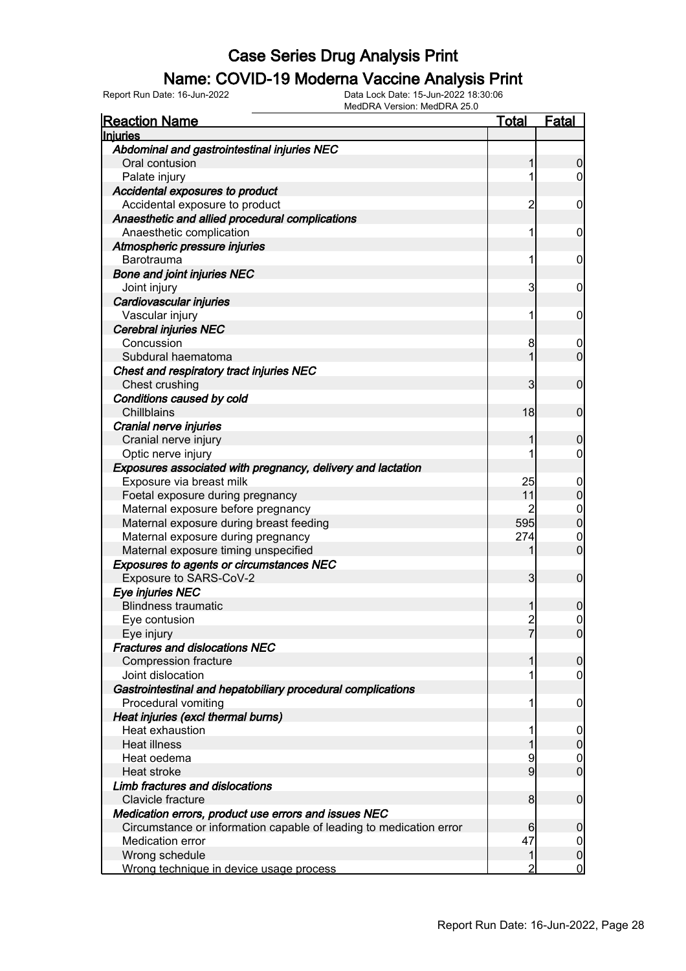#### Name: COVID-19 Moderna Vaccine Analysis Print

| <b>Reaction Name</b>                                               | Total          | Fatal            |
|--------------------------------------------------------------------|----------------|------------------|
| Injuries                                                           |                |                  |
| Abdominal and gastrointestinal injuries NEC                        |                |                  |
| Oral contusion                                                     |                | 0                |
| Palate injury                                                      | 1              | 0                |
| Accidental exposures to product                                    |                |                  |
| Accidental exposure to product                                     | $\overline{c}$ | 0                |
| Anaesthetic and allied procedural complications                    |                |                  |
| Anaesthetic complication                                           | 1              | 0                |
| Atmospheric pressure injuries                                      |                |                  |
| Barotrauma                                                         | 1              | 0                |
| <b>Bone and joint injuries NEC</b>                                 |                |                  |
| Joint injury                                                       | 3              | 0                |
| Cardiovascular injuries                                            |                |                  |
| Vascular injury                                                    | 1              | 0                |
| <b>Cerebral injuries NEC</b>                                       |                |                  |
| Concussion                                                         | 8              | $\boldsymbol{0}$ |
| Subdural haematoma                                                 |                | 0                |
| Chest and respiratory tract injuries NEC                           |                |                  |
| Chest crushing                                                     | 3              | $\mathbf 0$      |
| Conditions caused by cold                                          |                |                  |
| Chillblains                                                        | 18             | $\mathbf 0$      |
| Cranial nerve injuries                                             |                |                  |
| Cranial nerve injury                                               |                | 0                |
| Optic nerve injury                                                 | 1              | 0                |
| Exposures associated with pregnancy, delivery and lactation        |                |                  |
| Exposure via breast milk                                           | 25             | 0                |
| Foetal exposure during pregnancy                                   | 11             | 0                |
| Maternal exposure before pregnancy                                 | 2              | $\mathbf 0$      |
| Maternal exposure during breast feeding                            | 595            | $\overline{0}$   |
| Maternal exposure during pregnancy                                 | 274            | $\mathbf 0$      |
| Maternal exposure timing unspecified                               |                | $\overline{0}$   |
| <b>Exposures to agents or circumstances NEC</b>                    |                |                  |
| Exposure to SARS-CoV-2                                             | 3              | $\mathbf 0$      |
| Eye injuries NEC                                                   |                |                  |
| <b>Blindness traumatic</b>                                         |                | 0                |
| Eye contusion                                                      | $\overline{c}$ | $\mathbf{0}$     |
| Eye injury                                                         |                | $\Omega$         |
| <b>Fractures and dislocations NEC</b>                              |                |                  |
| <b>Compression fracture</b>                                        |                | 0                |
| Joint dislocation                                                  | 1              | 0                |
| Gastrointestinal and hepatobiliary procedural complications        |                |                  |
| Procedural vomiting                                                | 1              | 0                |
| Heat injuries (excl thermal burns)                                 |                |                  |
| Heat exhaustion                                                    |                | 0                |
| <b>Heat illness</b>                                                |                | 0                |
| Heat oedema                                                        | 9              | 0                |
| Heat stroke                                                        | 9              | $\mathbf 0$      |
| Limb fractures and dislocations                                    |                |                  |
| Clavicle fracture                                                  | 8              | 0                |
| Medication errors, product use errors and issues NEC               |                |                  |
| Circumstance or information capable of leading to medication error | 6              | 0                |
| <b>Medication error</b>                                            | 47             | 0                |
| Wrong schedule                                                     | 1              | 0                |
| Wrong technique in device usage process                            | 2              | 0                |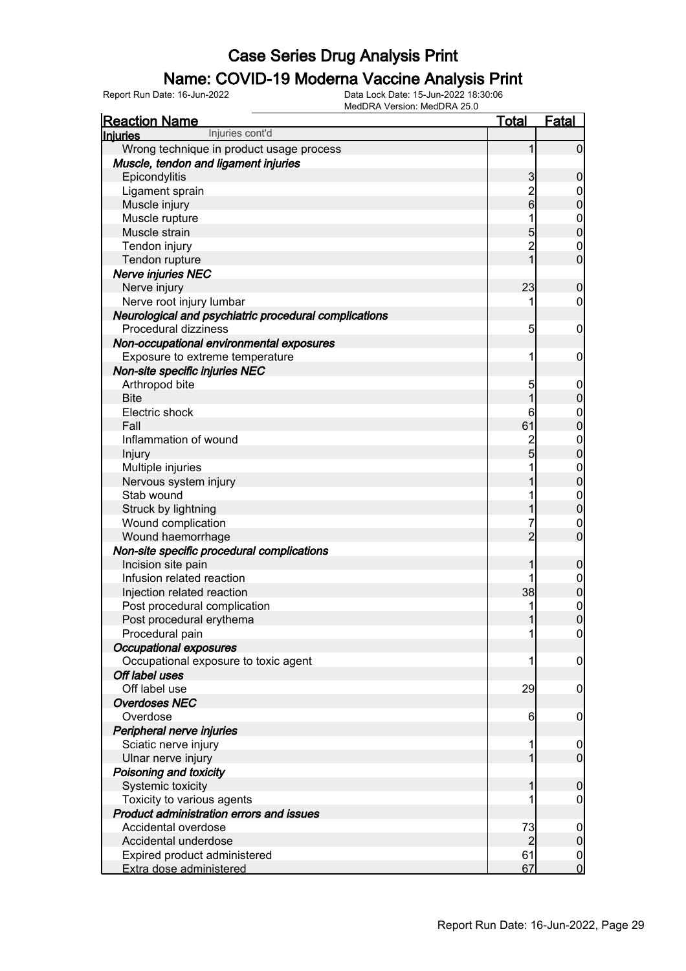#### Name: COVID-19 Moderna Vaccine Analysis Print

| <b>Reaction Name</b>                                  | <u>Total</u>   | <b>Fatal</b>                  |
|-------------------------------------------------------|----------------|-------------------------------|
| Injuries cont'd<br><b>Injuries</b>                    |                |                               |
| Wrong technique in product usage process              |                | $\mathbf 0$                   |
| Muscle, tendon and ligament injuries                  |                |                               |
| Epicondylitis                                         | 3              | 0                             |
| Ligament sprain                                       | $\overline{c}$ | $\mathbf 0$                   |
| Muscle injury                                         | 6              | 0                             |
| Muscle rupture                                        |                | $\mathbf 0$                   |
| Muscle strain                                         | 5              | $\mathbf{0}$                  |
| Tendon injury                                         | $\overline{2}$ | $\mathbf 0$                   |
| Tendon rupture                                        | 1              | $\overline{0}$                |
| Nerve injuries NEC                                    |                |                               |
| Nerve injury                                          | 23             | 0                             |
| Nerve root injury lumbar                              | 1              | 0                             |
| Neurological and psychiatric procedural complications |                |                               |
| Procedural dizziness                                  | 5              | $\mathbf 0$                   |
| Non-occupational environmental exposures              |                |                               |
| Exposure to extreme temperature                       | 1              | 0                             |
| Non-site specific injuries NEC                        |                |                               |
| Arthropod bite                                        | 5              | $\overline{0}$                |
| <b>Bite</b>                                           |                | 0                             |
| Electric shock                                        | 6              | $\mathbf 0$                   |
| Fall                                                  | 61             | $\mathbf{0}$                  |
| Inflammation of wound                                 | $\overline{c}$ | $\mathbf{0}$                  |
| Injury                                                | 5              | $\mathbf{0}$                  |
| Multiple injuries                                     |                | $\mathbf{0}$                  |
| Nervous system injury                                 |                | $\overline{0}$                |
| Stab wound                                            |                | $\mathbf 0$                   |
| Struck by lightning                                   |                | $\overline{0}$                |
| Wound complication                                    | 7              | $\mathbf 0$                   |
| Wound haemorrhage                                     | $\overline{2}$ | $\overline{0}$                |
| Non-site specific procedural complications            |                |                               |
| Incision site pain                                    |                | 0                             |
| Infusion related reaction                             |                | $\boldsymbol{0}$              |
| Injection related reaction                            | 38             | $\mathbf 0$                   |
| Post procedural complication                          | 1              | $\mathbf 0$                   |
| Post procedural erythema                              |                | $\overline{0}$                |
| Procedural pain                                       | 1              | $\overline{0}$                |
| <b>Occupational exposures</b>                         |                |                               |
| Occupational exposure to toxic agent                  | 1              | 0                             |
| Off label uses                                        |                |                               |
| Off label use                                         | 29             | 0                             |
| <b>Overdoses NEC</b><br>Overdose                      |                |                               |
|                                                       | 6              | 0                             |
| Peripheral nerve injuries                             |                |                               |
| Sciatic nerve injury                                  | 1              | $\mathbf 0$<br>$\overline{0}$ |
| Ulnar nerve injury                                    |                |                               |
| Poisoning and toxicity                                |                |                               |
| Systemic toxicity<br>Toxicity to various agents       |                | 0                             |
| Product administration errors and issues              |                | 0                             |
| Accidental overdose                                   | 73             |                               |
| Accidental underdose                                  | 2              | $\mathbf 0$<br>0              |
| Expired product administered                          | 61             | $\mathbf 0$                   |
| Extra dose administered                               | 67             | $\mathbf 0$                   |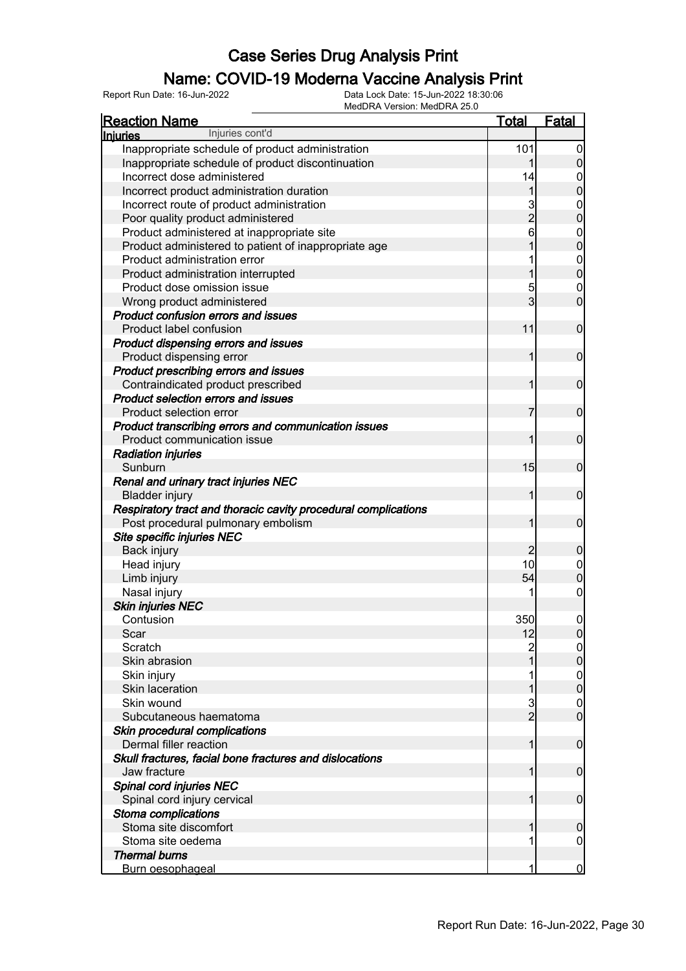#### Name: COVID-19 Moderna Vaccine Analysis Print

| Injuries cont'd<br>101<br>Inappropriate schedule of product administration<br>$\boldsymbol{0}$<br>$\boldsymbol{0}$<br>Inappropriate schedule of product discontinuation<br>1<br>Incorrect dose administered<br>14<br>$\boldsymbol{0}$<br>$\overline{0}$<br>1<br>Incorrect product administration duration<br>3<br>Incorrect route of product administration<br>$\mathbf{0}$<br>$\overline{c}$<br>$\mathbf 0$<br>Poor quality product administered<br>6<br>Product administered at inappropriate site<br>$\boldsymbol{0}$<br>$\overline{0}$<br>Product administered to patient of inappropriate age<br>Product administration error<br>$\boldsymbol{0}$<br>$\overline{0}$<br>1<br>Product administration interrupted<br>5<br>Product dose omission issue<br>$\mathbf 0$<br>3<br>$\mathbf 0$<br>Wrong product administered<br><b>Product confusion errors and issues</b><br>Product label confusion<br>11<br>$\mathbf 0$<br>Product dispensing errors and issues<br>$\mathbf 0$<br>Product dispensing error<br>1<br>Product prescribing errors and issues<br>Contraindicated product prescribed<br>$\mathbf 0$<br>1<br>Product selection errors and issues<br>Product selection error<br>$\mathbf 0$<br>7<br>Product transcribing errors and communication issues<br>Product communication issue<br>$\mathbf 0$<br>1<br><b>Radiation injuries</b><br>Sunburn<br>15<br>$\mathbf 0$<br>Renal and urinary tract injuries NEC<br>$\mathbf 0$<br><b>Bladder injury</b><br>1<br>Respiratory tract and thoracic cavity procedural complications<br>Post procedural pulmonary embolism<br>$\mathbf 0$<br>1<br>Site specific injuries NEC<br>Back injury<br>$\overline{c}$<br>$\boldsymbol{0}$<br>10<br>Head injury<br>$\mathbf 0$<br>$\mathbf 0$<br>Limb injury<br>54<br>Nasal injury<br>$\boldsymbol{0}$<br><b>Skin injuries NEC</b><br>350<br>Contusion<br>$\boldsymbol{0}$<br>Scar<br>12<br>$\overline{0}$<br>Scratch<br>2<br>0<br>$\pmb{0}$<br>Skin abrasion<br>$\boldsymbol{0}$<br>Skin injury<br>$\mathbf 0$<br><b>Skin laceration</b><br>Skin wound<br>3<br>$\mathbf 0$<br>$\overline{2}$<br>$\mathbf 0$<br>Subcutaneous haematoma<br>Skin procedural complications<br>Dermal filler reaction<br>$\mathbf 0$<br>1<br>Skull fractures, facial bone fractures and dislocations<br>Jaw fracture<br>$\mathbf 0$<br>1<br>Spinal cord injuries NEC<br>Spinal cord injury cervical<br>$\boldsymbol{0}$<br>1<br>Stoma complications<br>Stoma site discomfort<br>$\boldsymbol{0}$<br>Stoma site oedema<br>0<br><b>Thermal burns</b> | <b>Reaction Name</b> | <b>Total</b> | <b>Fatal</b>   |
|-------------------------------------------------------------------------------------------------------------------------------------------------------------------------------------------------------------------------------------------------------------------------------------------------------------------------------------------------------------------------------------------------------------------------------------------------------------------------------------------------------------------------------------------------------------------------------------------------------------------------------------------------------------------------------------------------------------------------------------------------------------------------------------------------------------------------------------------------------------------------------------------------------------------------------------------------------------------------------------------------------------------------------------------------------------------------------------------------------------------------------------------------------------------------------------------------------------------------------------------------------------------------------------------------------------------------------------------------------------------------------------------------------------------------------------------------------------------------------------------------------------------------------------------------------------------------------------------------------------------------------------------------------------------------------------------------------------------------------------------------------------------------------------------------------------------------------------------------------------------------------------------------------------------------------------------------------------------------------------------------------------------------------------------------------------------------------------------------------------------------------------------------------------------------------------------------------------------------------------------------------------------------------------------------------------------------------------------------------------------------------------------------------------------------------------------------------------------------------------------------------------------------|----------------------|--------------|----------------|
|                                                                                                                                                                                                                                                                                                                                                                                                                                                                                                                                                                                                                                                                                                                                                                                                                                                                                                                                                                                                                                                                                                                                                                                                                                                                                                                                                                                                                                                                                                                                                                                                                                                                                                                                                                                                                                                                                                                                                                                                                                                                                                                                                                                                                                                                                                                                                                                                                                                                                                                         | <b>Injuries</b>      |              |                |
|                                                                                                                                                                                                                                                                                                                                                                                                                                                                                                                                                                                                                                                                                                                                                                                                                                                                                                                                                                                                                                                                                                                                                                                                                                                                                                                                                                                                                                                                                                                                                                                                                                                                                                                                                                                                                                                                                                                                                                                                                                                                                                                                                                                                                                                                                                                                                                                                                                                                                                                         |                      |              |                |
|                                                                                                                                                                                                                                                                                                                                                                                                                                                                                                                                                                                                                                                                                                                                                                                                                                                                                                                                                                                                                                                                                                                                                                                                                                                                                                                                                                                                                                                                                                                                                                                                                                                                                                                                                                                                                                                                                                                                                                                                                                                                                                                                                                                                                                                                                                                                                                                                                                                                                                                         |                      |              |                |
|                                                                                                                                                                                                                                                                                                                                                                                                                                                                                                                                                                                                                                                                                                                                                                                                                                                                                                                                                                                                                                                                                                                                                                                                                                                                                                                                                                                                                                                                                                                                                                                                                                                                                                                                                                                                                                                                                                                                                                                                                                                                                                                                                                                                                                                                                                                                                                                                                                                                                                                         |                      |              |                |
|                                                                                                                                                                                                                                                                                                                                                                                                                                                                                                                                                                                                                                                                                                                                                                                                                                                                                                                                                                                                                                                                                                                                                                                                                                                                                                                                                                                                                                                                                                                                                                                                                                                                                                                                                                                                                                                                                                                                                                                                                                                                                                                                                                                                                                                                                                                                                                                                                                                                                                                         |                      |              |                |
|                                                                                                                                                                                                                                                                                                                                                                                                                                                                                                                                                                                                                                                                                                                                                                                                                                                                                                                                                                                                                                                                                                                                                                                                                                                                                                                                                                                                                                                                                                                                                                                                                                                                                                                                                                                                                                                                                                                                                                                                                                                                                                                                                                                                                                                                                                                                                                                                                                                                                                                         |                      |              |                |
|                                                                                                                                                                                                                                                                                                                                                                                                                                                                                                                                                                                                                                                                                                                                                                                                                                                                                                                                                                                                                                                                                                                                                                                                                                                                                                                                                                                                                                                                                                                                                                                                                                                                                                                                                                                                                                                                                                                                                                                                                                                                                                                                                                                                                                                                                                                                                                                                                                                                                                                         |                      |              |                |
|                                                                                                                                                                                                                                                                                                                                                                                                                                                                                                                                                                                                                                                                                                                                                                                                                                                                                                                                                                                                                                                                                                                                                                                                                                                                                                                                                                                                                                                                                                                                                                                                                                                                                                                                                                                                                                                                                                                                                                                                                                                                                                                                                                                                                                                                                                                                                                                                                                                                                                                         |                      |              |                |
|                                                                                                                                                                                                                                                                                                                                                                                                                                                                                                                                                                                                                                                                                                                                                                                                                                                                                                                                                                                                                                                                                                                                                                                                                                                                                                                                                                                                                                                                                                                                                                                                                                                                                                                                                                                                                                                                                                                                                                                                                                                                                                                                                                                                                                                                                                                                                                                                                                                                                                                         |                      |              |                |
|                                                                                                                                                                                                                                                                                                                                                                                                                                                                                                                                                                                                                                                                                                                                                                                                                                                                                                                                                                                                                                                                                                                                                                                                                                                                                                                                                                                                                                                                                                                                                                                                                                                                                                                                                                                                                                                                                                                                                                                                                                                                                                                                                                                                                                                                                                                                                                                                                                                                                                                         |                      |              |                |
|                                                                                                                                                                                                                                                                                                                                                                                                                                                                                                                                                                                                                                                                                                                                                                                                                                                                                                                                                                                                                                                                                                                                                                                                                                                                                                                                                                                                                                                                                                                                                                                                                                                                                                                                                                                                                                                                                                                                                                                                                                                                                                                                                                                                                                                                                                                                                                                                                                                                                                                         |                      |              |                |
|                                                                                                                                                                                                                                                                                                                                                                                                                                                                                                                                                                                                                                                                                                                                                                                                                                                                                                                                                                                                                                                                                                                                                                                                                                                                                                                                                                                                                                                                                                                                                                                                                                                                                                                                                                                                                                                                                                                                                                                                                                                                                                                                                                                                                                                                                                                                                                                                                                                                                                                         |                      |              |                |
|                                                                                                                                                                                                                                                                                                                                                                                                                                                                                                                                                                                                                                                                                                                                                                                                                                                                                                                                                                                                                                                                                                                                                                                                                                                                                                                                                                                                                                                                                                                                                                                                                                                                                                                                                                                                                                                                                                                                                                                                                                                                                                                                                                                                                                                                                                                                                                                                                                                                                                                         |                      |              |                |
|                                                                                                                                                                                                                                                                                                                                                                                                                                                                                                                                                                                                                                                                                                                                                                                                                                                                                                                                                                                                                                                                                                                                                                                                                                                                                                                                                                                                                                                                                                                                                                                                                                                                                                                                                                                                                                                                                                                                                                                                                                                                                                                                                                                                                                                                                                                                                                                                                                                                                                                         |                      |              |                |
|                                                                                                                                                                                                                                                                                                                                                                                                                                                                                                                                                                                                                                                                                                                                                                                                                                                                                                                                                                                                                                                                                                                                                                                                                                                                                                                                                                                                                                                                                                                                                                                                                                                                                                                                                                                                                                                                                                                                                                                                                                                                                                                                                                                                                                                                                                                                                                                                                                                                                                                         |                      |              |                |
|                                                                                                                                                                                                                                                                                                                                                                                                                                                                                                                                                                                                                                                                                                                                                                                                                                                                                                                                                                                                                                                                                                                                                                                                                                                                                                                                                                                                                                                                                                                                                                                                                                                                                                                                                                                                                                                                                                                                                                                                                                                                                                                                                                                                                                                                                                                                                                                                                                                                                                                         |                      |              |                |
|                                                                                                                                                                                                                                                                                                                                                                                                                                                                                                                                                                                                                                                                                                                                                                                                                                                                                                                                                                                                                                                                                                                                                                                                                                                                                                                                                                                                                                                                                                                                                                                                                                                                                                                                                                                                                                                                                                                                                                                                                                                                                                                                                                                                                                                                                                                                                                                                                                                                                                                         |                      |              |                |
|                                                                                                                                                                                                                                                                                                                                                                                                                                                                                                                                                                                                                                                                                                                                                                                                                                                                                                                                                                                                                                                                                                                                                                                                                                                                                                                                                                                                                                                                                                                                                                                                                                                                                                                                                                                                                                                                                                                                                                                                                                                                                                                                                                                                                                                                                                                                                                                                                                                                                                                         |                      |              |                |
|                                                                                                                                                                                                                                                                                                                                                                                                                                                                                                                                                                                                                                                                                                                                                                                                                                                                                                                                                                                                                                                                                                                                                                                                                                                                                                                                                                                                                                                                                                                                                                                                                                                                                                                                                                                                                                                                                                                                                                                                                                                                                                                                                                                                                                                                                                                                                                                                                                                                                                                         |                      |              |                |
|                                                                                                                                                                                                                                                                                                                                                                                                                                                                                                                                                                                                                                                                                                                                                                                                                                                                                                                                                                                                                                                                                                                                                                                                                                                                                                                                                                                                                                                                                                                                                                                                                                                                                                                                                                                                                                                                                                                                                                                                                                                                                                                                                                                                                                                                                                                                                                                                                                                                                                                         |                      |              |                |
|                                                                                                                                                                                                                                                                                                                                                                                                                                                                                                                                                                                                                                                                                                                                                                                                                                                                                                                                                                                                                                                                                                                                                                                                                                                                                                                                                                                                                                                                                                                                                                                                                                                                                                                                                                                                                                                                                                                                                                                                                                                                                                                                                                                                                                                                                                                                                                                                                                                                                                                         |                      |              |                |
|                                                                                                                                                                                                                                                                                                                                                                                                                                                                                                                                                                                                                                                                                                                                                                                                                                                                                                                                                                                                                                                                                                                                                                                                                                                                                                                                                                                                                                                                                                                                                                                                                                                                                                                                                                                                                                                                                                                                                                                                                                                                                                                                                                                                                                                                                                                                                                                                                                                                                                                         |                      |              |                |
|                                                                                                                                                                                                                                                                                                                                                                                                                                                                                                                                                                                                                                                                                                                                                                                                                                                                                                                                                                                                                                                                                                                                                                                                                                                                                                                                                                                                                                                                                                                                                                                                                                                                                                                                                                                                                                                                                                                                                                                                                                                                                                                                                                                                                                                                                                                                                                                                                                                                                                                         |                      |              |                |
|                                                                                                                                                                                                                                                                                                                                                                                                                                                                                                                                                                                                                                                                                                                                                                                                                                                                                                                                                                                                                                                                                                                                                                                                                                                                                                                                                                                                                                                                                                                                                                                                                                                                                                                                                                                                                                                                                                                                                                                                                                                                                                                                                                                                                                                                                                                                                                                                                                                                                                                         |                      |              |                |
|                                                                                                                                                                                                                                                                                                                                                                                                                                                                                                                                                                                                                                                                                                                                                                                                                                                                                                                                                                                                                                                                                                                                                                                                                                                                                                                                                                                                                                                                                                                                                                                                                                                                                                                                                                                                                                                                                                                                                                                                                                                                                                                                                                                                                                                                                                                                                                                                                                                                                                                         |                      |              |                |
|                                                                                                                                                                                                                                                                                                                                                                                                                                                                                                                                                                                                                                                                                                                                                                                                                                                                                                                                                                                                                                                                                                                                                                                                                                                                                                                                                                                                                                                                                                                                                                                                                                                                                                                                                                                                                                                                                                                                                                                                                                                                                                                                                                                                                                                                                                                                                                                                                                                                                                                         |                      |              |                |
|                                                                                                                                                                                                                                                                                                                                                                                                                                                                                                                                                                                                                                                                                                                                                                                                                                                                                                                                                                                                                                                                                                                                                                                                                                                                                                                                                                                                                                                                                                                                                                                                                                                                                                                                                                                                                                                                                                                                                                                                                                                                                                                                                                                                                                                                                                                                                                                                                                                                                                                         |                      |              |                |
|                                                                                                                                                                                                                                                                                                                                                                                                                                                                                                                                                                                                                                                                                                                                                                                                                                                                                                                                                                                                                                                                                                                                                                                                                                                                                                                                                                                                                                                                                                                                                                                                                                                                                                                                                                                                                                                                                                                                                                                                                                                                                                                                                                                                                                                                                                                                                                                                                                                                                                                         |                      |              |                |
|                                                                                                                                                                                                                                                                                                                                                                                                                                                                                                                                                                                                                                                                                                                                                                                                                                                                                                                                                                                                                                                                                                                                                                                                                                                                                                                                                                                                                                                                                                                                                                                                                                                                                                                                                                                                                                                                                                                                                                                                                                                                                                                                                                                                                                                                                                                                                                                                                                                                                                                         |                      |              |                |
|                                                                                                                                                                                                                                                                                                                                                                                                                                                                                                                                                                                                                                                                                                                                                                                                                                                                                                                                                                                                                                                                                                                                                                                                                                                                                                                                                                                                                                                                                                                                                                                                                                                                                                                                                                                                                                                                                                                                                                                                                                                                                                                                                                                                                                                                                                                                                                                                                                                                                                                         |                      |              |                |
|                                                                                                                                                                                                                                                                                                                                                                                                                                                                                                                                                                                                                                                                                                                                                                                                                                                                                                                                                                                                                                                                                                                                                                                                                                                                                                                                                                                                                                                                                                                                                                                                                                                                                                                                                                                                                                                                                                                                                                                                                                                                                                                                                                                                                                                                                                                                                                                                                                                                                                                         |                      |              |                |
|                                                                                                                                                                                                                                                                                                                                                                                                                                                                                                                                                                                                                                                                                                                                                                                                                                                                                                                                                                                                                                                                                                                                                                                                                                                                                                                                                                                                                                                                                                                                                                                                                                                                                                                                                                                                                                                                                                                                                                                                                                                                                                                                                                                                                                                                                                                                                                                                                                                                                                                         |                      |              |                |
|                                                                                                                                                                                                                                                                                                                                                                                                                                                                                                                                                                                                                                                                                                                                                                                                                                                                                                                                                                                                                                                                                                                                                                                                                                                                                                                                                                                                                                                                                                                                                                                                                                                                                                                                                                                                                                                                                                                                                                                                                                                                                                                                                                                                                                                                                                                                                                                                                                                                                                                         |                      |              |                |
|                                                                                                                                                                                                                                                                                                                                                                                                                                                                                                                                                                                                                                                                                                                                                                                                                                                                                                                                                                                                                                                                                                                                                                                                                                                                                                                                                                                                                                                                                                                                                                                                                                                                                                                                                                                                                                                                                                                                                                                                                                                                                                                                                                                                                                                                                                                                                                                                                                                                                                                         |                      |              |                |
|                                                                                                                                                                                                                                                                                                                                                                                                                                                                                                                                                                                                                                                                                                                                                                                                                                                                                                                                                                                                                                                                                                                                                                                                                                                                                                                                                                                                                                                                                                                                                                                                                                                                                                                                                                                                                                                                                                                                                                                                                                                                                                                                                                                                                                                                                                                                                                                                                                                                                                                         |                      |              |                |
|                                                                                                                                                                                                                                                                                                                                                                                                                                                                                                                                                                                                                                                                                                                                                                                                                                                                                                                                                                                                                                                                                                                                                                                                                                                                                                                                                                                                                                                                                                                                                                                                                                                                                                                                                                                                                                                                                                                                                                                                                                                                                                                                                                                                                                                                                                                                                                                                                                                                                                                         |                      |              |                |
|                                                                                                                                                                                                                                                                                                                                                                                                                                                                                                                                                                                                                                                                                                                                                                                                                                                                                                                                                                                                                                                                                                                                                                                                                                                                                                                                                                                                                                                                                                                                                                                                                                                                                                                                                                                                                                                                                                                                                                                                                                                                                                                                                                                                                                                                                                                                                                                                                                                                                                                         |                      |              |                |
|                                                                                                                                                                                                                                                                                                                                                                                                                                                                                                                                                                                                                                                                                                                                                                                                                                                                                                                                                                                                                                                                                                                                                                                                                                                                                                                                                                                                                                                                                                                                                                                                                                                                                                                                                                                                                                                                                                                                                                                                                                                                                                                                                                                                                                                                                                                                                                                                                                                                                                                         |                      |              |                |
|                                                                                                                                                                                                                                                                                                                                                                                                                                                                                                                                                                                                                                                                                                                                                                                                                                                                                                                                                                                                                                                                                                                                                                                                                                                                                                                                                                                                                                                                                                                                                                                                                                                                                                                                                                                                                                                                                                                                                                                                                                                                                                                                                                                                                                                                                                                                                                                                                                                                                                                         |                      |              |                |
|                                                                                                                                                                                                                                                                                                                                                                                                                                                                                                                                                                                                                                                                                                                                                                                                                                                                                                                                                                                                                                                                                                                                                                                                                                                                                                                                                                                                                                                                                                                                                                                                                                                                                                                                                                                                                                                                                                                                                                                                                                                                                                                                                                                                                                                                                                                                                                                                                                                                                                                         |                      |              |                |
|                                                                                                                                                                                                                                                                                                                                                                                                                                                                                                                                                                                                                                                                                                                                                                                                                                                                                                                                                                                                                                                                                                                                                                                                                                                                                                                                                                                                                                                                                                                                                                                                                                                                                                                                                                                                                                                                                                                                                                                                                                                                                                                                                                                                                                                                                                                                                                                                                                                                                                                         |                      |              |                |
|                                                                                                                                                                                                                                                                                                                                                                                                                                                                                                                                                                                                                                                                                                                                                                                                                                                                                                                                                                                                                                                                                                                                                                                                                                                                                                                                                                                                                                                                                                                                                                                                                                                                                                                                                                                                                                                                                                                                                                                                                                                                                                                                                                                                                                                                                                                                                                                                                                                                                                                         |                      |              |                |
|                                                                                                                                                                                                                                                                                                                                                                                                                                                                                                                                                                                                                                                                                                                                                                                                                                                                                                                                                                                                                                                                                                                                                                                                                                                                                                                                                                                                                                                                                                                                                                                                                                                                                                                                                                                                                                                                                                                                                                                                                                                                                                                                                                                                                                                                                                                                                                                                                                                                                                                         |                      |              |                |
|                                                                                                                                                                                                                                                                                                                                                                                                                                                                                                                                                                                                                                                                                                                                                                                                                                                                                                                                                                                                                                                                                                                                                                                                                                                                                                                                                                                                                                                                                                                                                                                                                                                                                                                                                                                                                                                                                                                                                                                                                                                                                                                                                                                                                                                                                                                                                                                                                                                                                                                         |                      |              |                |
|                                                                                                                                                                                                                                                                                                                                                                                                                                                                                                                                                                                                                                                                                                                                                                                                                                                                                                                                                                                                                                                                                                                                                                                                                                                                                                                                                                                                                                                                                                                                                                                                                                                                                                                                                                                                                                                                                                                                                                                                                                                                                                                                                                                                                                                                                                                                                                                                                                                                                                                         |                      |              |                |
|                                                                                                                                                                                                                                                                                                                                                                                                                                                                                                                                                                                                                                                                                                                                                                                                                                                                                                                                                                                                                                                                                                                                                                                                                                                                                                                                                                                                                                                                                                                                                                                                                                                                                                                                                                                                                                                                                                                                                                                                                                                                                                                                                                                                                                                                                                                                                                                                                                                                                                                         |                      |              |                |
|                                                                                                                                                                                                                                                                                                                                                                                                                                                                                                                                                                                                                                                                                                                                                                                                                                                                                                                                                                                                                                                                                                                                                                                                                                                                                                                                                                                                                                                                                                                                                                                                                                                                                                                                                                                                                                                                                                                                                                                                                                                                                                                                                                                                                                                                                                                                                                                                                                                                                                                         |                      |              |                |
|                                                                                                                                                                                                                                                                                                                                                                                                                                                                                                                                                                                                                                                                                                                                                                                                                                                                                                                                                                                                                                                                                                                                                                                                                                                                                                                                                                                                                                                                                                                                                                                                                                                                                                                                                                                                                                                                                                                                                                                                                                                                                                                                                                                                                                                                                                                                                                                                                                                                                                                         |                      |              |                |
|                                                                                                                                                                                                                                                                                                                                                                                                                                                                                                                                                                                                                                                                                                                                                                                                                                                                                                                                                                                                                                                                                                                                                                                                                                                                                                                                                                                                                                                                                                                                                                                                                                                                                                                                                                                                                                                                                                                                                                                                                                                                                                                                                                                                                                                                                                                                                                                                                                                                                                                         |                      |              |                |
|                                                                                                                                                                                                                                                                                                                                                                                                                                                                                                                                                                                                                                                                                                                                                                                                                                                                                                                                                                                                                                                                                                                                                                                                                                                                                                                                                                                                                                                                                                                                                                                                                                                                                                                                                                                                                                                                                                                                                                                                                                                                                                                                                                                                                                                                                                                                                                                                                                                                                                                         |                      |              |                |
|                                                                                                                                                                                                                                                                                                                                                                                                                                                                                                                                                                                                                                                                                                                                                                                                                                                                                                                                                                                                                                                                                                                                                                                                                                                                                                                                                                                                                                                                                                                                                                                                                                                                                                                                                                                                                                                                                                                                                                                                                                                                                                                                                                                                                                                                                                                                                                                                                                                                                                                         |                      |              |                |
|                                                                                                                                                                                                                                                                                                                                                                                                                                                                                                                                                                                                                                                                                                                                                                                                                                                                                                                                                                                                                                                                                                                                                                                                                                                                                                                                                                                                                                                                                                                                                                                                                                                                                                                                                                                                                                                                                                                                                                                                                                                                                                                                                                                                                                                                                                                                                                                                                                                                                                                         |                      |              |                |
|                                                                                                                                                                                                                                                                                                                                                                                                                                                                                                                                                                                                                                                                                                                                                                                                                                                                                                                                                                                                                                                                                                                                                                                                                                                                                                                                                                                                                                                                                                                                                                                                                                                                                                                                                                                                                                                                                                                                                                                                                                                                                                                                                                                                                                                                                                                                                                                                                                                                                                                         | Burn oesophageal     | 1            | $\overline{0}$ |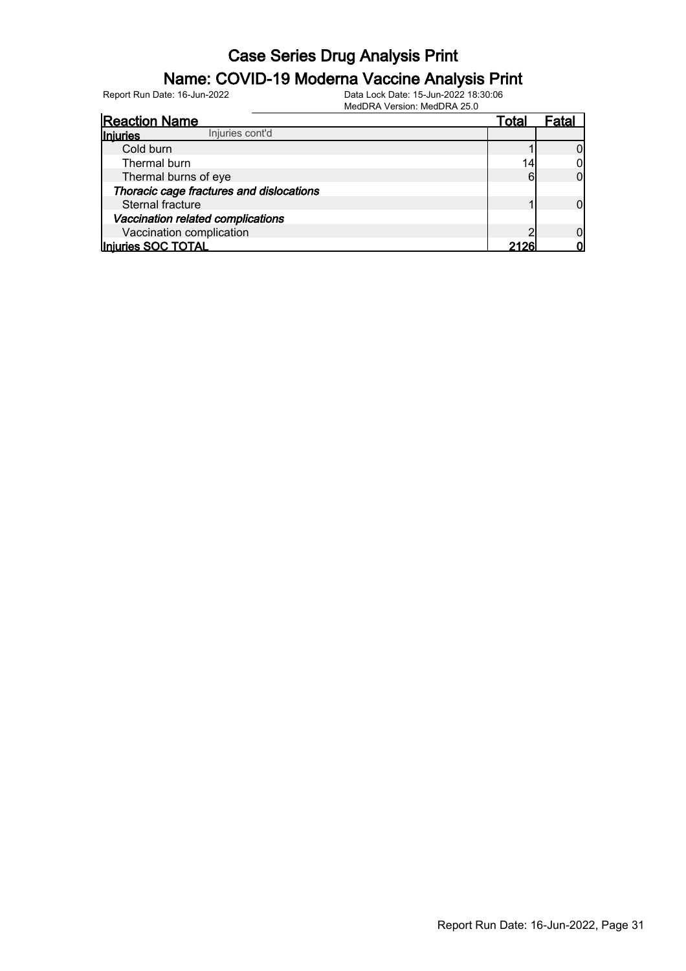### Name: COVID-19 Moderna Vaccine Analysis Print

Report Run Date: 16-Jun-2022 Data Lock Date: 15-Jun-2022 18:30:06

MedDRA Version: MedDRA 25.0

| <b>Reaction Name</b>                     | Total | ⊦atai |
|------------------------------------------|-------|-------|
| Injuries cont'd<br><b>Injuries</b>       |       |       |
| Cold burn                                |       |       |
| Thermal burn                             |       |       |
| Thermal burns of eye                     |       |       |
| Thoracic cage fractures and dislocations |       |       |
| Sternal fracture                         |       |       |
| Vaccination related complications        |       |       |
| Vaccination complication                 |       |       |
| Injuries SOC TOTAL                       | 2126' |       |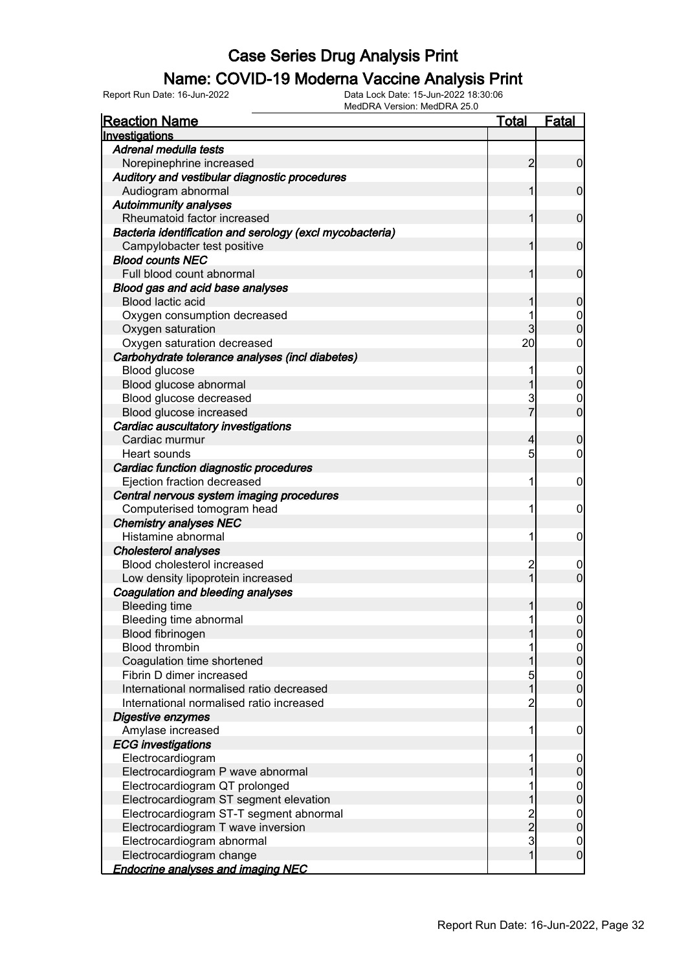#### Name: COVID-19 Moderna Vaccine Analysis Print

| <b>Reaction Name</b>                                     | <u>Total</u>   | <u>Fatal</u>                         |
|----------------------------------------------------------|----------------|--------------------------------------|
| Investigations                                           |                |                                      |
| Adrenal medulla tests                                    |                |                                      |
| Norepinephrine increased                                 | $\overline{2}$ | $\overline{0}$                       |
| Auditory and vestibular diagnostic procedures            |                |                                      |
| Audiogram abnormal                                       | 1              | $\mathbf 0$                          |
| <b>Autoimmunity analyses</b>                             |                |                                      |
| Rheumatoid factor increased                              | 1              | $\mathbf 0$                          |
| Bacteria identification and serology (excl mycobacteria) |                |                                      |
| Campylobacter test positive                              | 1              | $\mathbf 0$                          |
| <b>Blood counts NEC</b>                                  |                |                                      |
| Full blood count abnormal                                | 1              | $\mathbf 0$                          |
| Blood gas and acid base analyses                         |                |                                      |
| Blood lactic acid                                        | 1              | $\boldsymbol{0}$                     |
| Oxygen consumption decreased                             | 1              | 0                                    |
| Oxygen saturation                                        | 3              | $\overline{0}$                       |
| Oxygen saturation decreased                              | 20             | 0                                    |
| Carbohydrate tolerance analyses (incl diabetes)          |                |                                      |
| Blood glucose                                            | 1              | $\mathbf 0$                          |
| Blood glucose abnormal                                   | 1              | $\mathbf 0$                          |
| Blood glucose decreased                                  | 3              | $\mathbf 0$                          |
| Blood glucose increased                                  |                | $\overline{0}$                       |
| Cardiac auscultatory investigations                      |                |                                      |
| Cardiac murmur                                           | 4              |                                      |
| Heart sounds                                             | 5              | 0<br>0                               |
|                                                          |                |                                      |
| Cardiac function diagnostic procedures                   |                |                                      |
| Ejection fraction decreased                              | 1              | 0                                    |
| Central nervous system imaging procedures                |                |                                      |
| Computerised tomogram head                               | 1              | 0                                    |
| <b>Chemistry analyses NEC</b>                            |                |                                      |
| Histamine abnormal                                       | 1              | 0                                    |
| <b>Cholesterol analyses</b>                              |                |                                      |
| Blood cholesterol increased                              | 2              | 0                                    |
| Low density lipoprotein increased                        | $\overline{1}$ | $\overline{0}$                       |
| Coagulation and bleeding analyses                        |                |                                      |
| <b>Bleeding time</b>                                     | 1              | 0                                    |
| Bleeding time abnormal                                   | 1              | 0                                    |
| Blood fibrinogen                                         |                | 0                                    |
| <b>Blood thrombin</b>                                    | 1              | $\overline{0}$                       |
| Coagulation time shortened                               | 1              | $\mathbf 0$                          |
| Fibrin D dimer increased                                 | 5              | $\begin{matrix} 0 \\ 0 \end{matrix}$ |
| International normalised ratio decreased                 | $\overline{1}$ |                                      |
| International normalised ratio increased                 | $\overline{2}$ | $\overline{0}$                       |
| Digestive enzymes                                        |                |                                      |
| Amylase increased                                        | 1              | $\mathbf 0$                          |
| <b>ECG</b> investigations                                |                |                                      |
| Electrocardiogram                                        | 1              | $\mathbf 0$                          |
| Electrocardiogram P wave abnormal                        | 1              | $\mathbf 0$                          |
| Electrocardiogram QT prolonged                           | 1              | $\boldsymbol{0}$                     |
| Electrocardiogram ST segment elevation                   | 1              | $\overline{0}$                       |
| Electrocardiogram ST-T segment abnormal                  |                | $\boldsymbol{0}$                     |
| Electrocardiogram T wave inversion                       | $\frac{2}{3}$  | $\overline{0}$                       |
| Electrocardiogram abnormal                               |                | $\mathbf{0}$                         |
| Electrocardiogram change                                 | $\mathbf{1}$   | $\mathbf 0$                          |
| <b>Endocrine analyses and imaging NEC</b>                |                |                                      |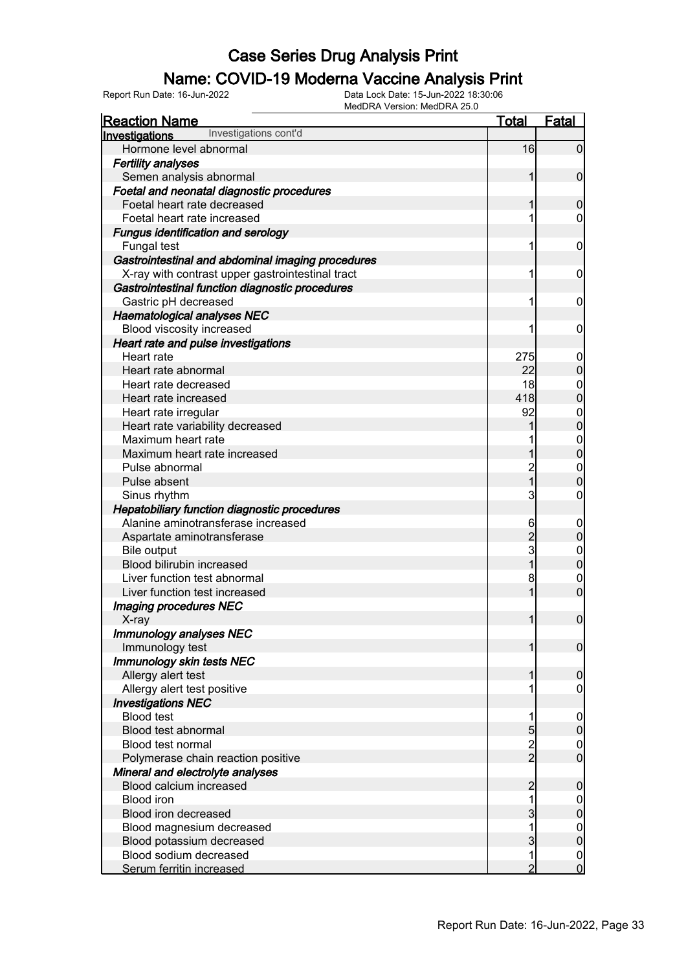#### Name: COVID-19 Moderna Vaccine Analysis Print

| <u>Reaction Name</u>                                | <b>Total</b>   | <b>Fatal</b>                     |
|-----------------------------------------------------|----------------|----------------------------------|
| Investigations cont'd<br>Investigations             |                |                                  |
| Hormone level abnormal                              | 16             | $\mathbf 0$                      |
| <b>Fertility analyses</b>                           |                |                                  |
| Semen analysis abnormal                             | 1              | $\mathbf 0$                      |
| Foetal and neonatal diagnostic procedures           |                |                                  |
| Foetal heart rate decreased                         | 1              | $\mathbf 0$                      |
| Foetal heart rate increased                         | 1              | 0                                |
| <b>Fungus identification and serology</b>           |                |                                  |
| Fungal test                                         | 1              | $\mathbf 0$                      |
| Gastrointestinal and abdominal imaging procedures   |                |                                  |
| X-ray with contrast upper gastrointestinal tract    | 1              | $\mathbf 0$                      |
| Gastrointestinal function diagnostic procedures     |                |                                  |
| Gastric pH decreased                                | 1              | $\mathbf 0$                      |
| <b>Haematological analyses NEC</b>                  |                |                                  |
| Blood viscosity increased                           | 1              | 0                                |
| Heart rate and pulse investigations                 |                |                                  |
| Heart rate                                          | 275            | $\mathbf 0$                      |
| Heart rate abnormal                                 | 22             | $\boldsymbol{0}$                 |
| Heart rate decreased                                | 18             | $\mathbf{0}$                     |
| Heart rate increased                                | 418            | $\overline{0}$                   |
| Heart rate irregular                                | 92             |                                  |
| Heart rate variability decreased                    |                | $\begin{matrix}0\\0\end{matrix}$ |
| Maximum heart rate                                  |                |                                  |
| Maximum heart rate increased                        |                | $\begin{matrix}0\\0\end{matrix}$ |
| Pulse abnormal                                      | 2              | $\mathbf{0}$                     |
| Pulse absent                                        | $\overline{1}$ | $\overline{0}$                   |
| Sinus rhythm                                        | 3              | 0                                |
| <b>Hepatobiliary function diagnostic procedures</b> |                |                                  |
| Alanine aminotransferase increased                  | 6              | $\boldsymbol{0}$                 |
| Aspartate aminotransferase                          | $\overline{c}$ | $\boldsymbol{0}$                 |
| <b>Bile output</b>                                  | 3              | $\mathbf{0}$                     |
| Blood bilirubin increased                           | 1              | $\overline{0}$                   |
| Liver function test abnormal                        | 8              | $\mathbf{0}$                     |
| Liver function test increased                       | 1              | $\overline{0}$                   |
| <b>Imaging procedures NEC</b>                       |                |                                  |
| X-ray                                               | $\mathbf{1}$   | $\boldsymbol{0}$                 |
| Immunology analyses NEC                             |                |                                  |
| Immunology test                                     | 1              | $\overline{0}$                   |
| Immunology skin tests NEC                           |                |                                  |
| Allergy alert test                                  | 1              | $\boldsymbol{0}$                 |
| Allergy alert test positive                         |                | 0                                |
| <b>Investigations NEC</b>                           |                |                                  |
| <b>Blood test</b>                                   | 1              | $\mathbf 0$                      |
| Blood test abnormal                                 | $\overline{5}$ | $\pmb{0}$                        |
| <b>Blood test normal</b>                            |                | $\mathbf 0$                      |
| Polymerase chain reaction positive                  | $\frac{2}{2}$  | $\overline{0}$                   |
| Mineral and electrolyte analyses                    |                |                                  |
| Blood calcium increased                             | $\overline{2}$ | $\pmb{0}$                        |
| <b>Blood iron</b>                                   | 1              | $\boldsymbol{0}$                 |
| Blood iron decreased                                | 3              | $\overline{0}$                   |
| Blood magnesium decreased                           | 1              | $\mathbf{0}$                     |
| Blood potassium decreased                           | 3              | $\overline{0}$                   |
| Blood sodium decreased                              | 1              | $\mathbf 0$                      |
| Serum ferritin increased                            | $\overline{2}$ | $\overline{0}$                   |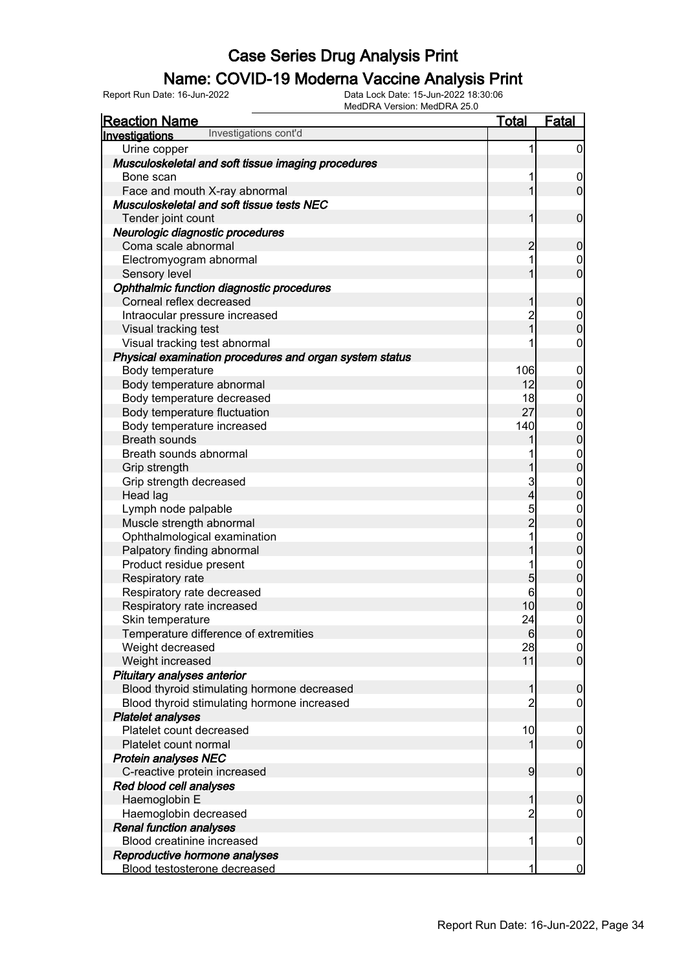#### Name: COVID-19 Moderna Vaccine Analysis Print

| Urine copper<br>1<br>Musculoskeletal and soft tissue imaging procedures<br>1<br>Bone scan<br>1<br>Face and mouth X-ray abnormal<br>Musculoskeletal and soft tissue tests NEC<br>Tender joint count<br>1<br>Neurologic diagnostic procedures<br>Coma scale abnormal<br>$\overline{c}$<br>1<br>Electromyogram abnormal<br>$\boldsymbol{0}$<br>$\overline{0}$<br>1<br>Sensory level<br>Ophthalmic function diagnostic procedures<br>Corneal reflex decreased<br>$\boldsymbol{0}$<br>1<br>2<br>1<br>Intraocular pressure increased<br>$0$<br>0<br>Visual tracking test<br>$\mathbf 0$<br>Visual tracking test abnormal<br>1<br>Physical examination procedures and organ system status<br>Body temperature<br>106<br>$\boldsymbol{0}$<br>$\mathbf 0$<br>12<br>Body temperature abnormal<br>18<br>Body temperature decreased<br>$0\atop 0$<br>27<br>Body temperature fluctuation<br>140<br>$0\atop 0$<br>Body temperature increased<br><b>Breath sounds</b><br>1<br>$0\atop 0$<br>Breath sounds abnormal<br>1<br>1<br>Grip strength<br>3<br>$0\atop 0$<br>Grip strength decreased<br>$\overline{\mathbf{4}}$<br>Head lag<br>5<br>2<br>$\begin{matrix}0\\0\end{matrix}$<br>Lymph node palpable<br>Muscle strength abnormal<br>1<br>$\begin{matrix}0\\0\end{matrix}$<br>Ophthalmological examination<br>1<br>Palpatory finding abnormal<br>$0$<br>0<br>Product residue present<br>1<br>5<br>Respiratory rate<br>6<br>$0\atop 0$<br>Respiratory rate decreased<br>10<br>Respiratory rate increased<br>$\mathbf 0$<br>Skin temperature<br>24<br>Temperature difference of extremities<br>$6 \,$<br> 0 <br>28<br>Weight decreased<br>$\overline{0}$<br>$\overline{0}$<br>11<br>Weight increased<br>Pituitary analyses anterior<br>Blood thyroid stimulating hormone decreased<br>$\pmb{0}$<br>1<br>$\overline{c}$<br>Blood thyroid stimulating hormone increased<br>$\mathbf 0$<br><b>Platelet analyses</b><br>Platelet count decreased<br>10<br>$\mathbf 0$<br>$\overline{0}$<br>Platelet count normal<br>1<br><b>Protein analyses NEC</b><br>C-reactive protein increased<br>$\overline{9}$<br>$\boldsymbol{0}$<br>Red blood cell analyses<br>Haemoglobin E<br>1<br>$\boldsymbol{0}$<br>Haemoglobin decreased<br>$\overline{c}$<br>0<br><b>Renal function analyses</b><br>Blood creatinine increased<br>1<br>$\mathbf 0$<br>Reproductive hormone analyses<br>Blood testosterone decreased<br>1 | <b>Reaction Name</b>                           | <u>Total</u> | <b>Fatal</b>     |
|----------------------------------------------------------------------------------------------------------------------------------------------------------------------------------------------------------------------------------------------------------------------------------------------------------------------------------------------------------------------------------------------------------------------------------------------------------------------------------------------------------------------------------------------------------------------------------------------------------------------------------------------------------------------------------------------------------------------------------------------------------------------------------------------------------------------------------------------------------------------------------------------------------------------------------------------------------------------------------------------------------------------------------------------------------------------------------------------------------------------------------------------------------------------------------------------------------------------------------------------------------------------------------------------------------------------------------------------------------------------------------------------------------------------------------------------------------------------------------------------------------------------------------------------------------------------------------------------------------------------------------------------------------------------------------------------------------------------------------------------------------------------------------------------------------------------------------------------------------------------------------------------------------------------------------------------------------------------------------------------------------------------------------------------------------------------------------------------------------------------------------------------------------------------------------------------------------------------------------------------------------------------------------------------------------------------------------------------------------------------------------------|------------------------------------------------|--------------|------------------|
|                                                                                                                                                                                                                                                                                                                                                                                                                                                                                                                                                                                                                                                                                                                                                                                                                                                                                                                                                                                                                                                                                                                                                                                                                                                                                                                                                                                                                                                                                                                                                                                                                                                                                                                                                                                                                                                                                                                                                                                                                                                                                                                                                                                                                                                                                                                                                                                        | Investigations cont'd<br><b>Investigations</b> |              |                  |
|                                                                                                                                                                                                                                                                                                                                                                                                                                                                                                                                                                                                                                                                                                                                                                                                                                                                                                                                                                                                                                                                                                                                                                                                                                                                                                                                                                                                                                                                                                                                                                                                                                                                                                                                                                                                                                                                                                                                                                                                                                                                                                                                                                                                                                                                                                                                                                                        |                                                |              | $\overline{0}$   |
|                                                                                                                                                                                                                                                                                                                                                                                                                                                                                                                                                                                                                                                                                                                                                                                                                                                                                                                                                                                                                                                                                                                                                                                                                                                                                                                                                                                                                                                                                                                                                                                                                                                                                                                                                                                                                                                                                                                                                                                                                                                                                                                                                                                                                                                                                                                                                                                        |                                                |              |                  |
|                                                                                                                                                                                                                                                                                                                                                                                                                                                                                                                                                                                                                                                                                                                                                                                                                                                                                                                                                                                                                                                                                                                                                                                                                                                                                                                                                                                                                                                                                                                                                                                                                                                                                                                                                                                                                                                                                                                                                                                                                                                                                                                                                                                                                                                                                                                                                                                        |                                                |              | $\mathbf 0$      |
|                                                                                                                                                                                                                                                                                                                                                                                                                                                                                                                                                                                                                                                                                                                                                                                                                                                                                                                                                                                                                                                                                                                                                                                                                                                                                                                                                                                                                                                                                                                                                                                                                                                                                                                                                                                                                                                                                                                                                                                                                                                                                                                                                                                                                                                                                                                                                                                        |                                                |              | $\overline{0}$   |
|                                                                                                                                                                                                                                                                                                                                                                                                                                                                                                                                                                                                                                                                                                                                                                                                                                                                                                                                                                                                                                                                                                                                                                                                                                                                                                                                                                                                                                                                                                                                                                                                                                                                                                                                                                                                                                                                                                                                                                                                                                                                                                                                                                                                                                                                                                                                                                                        |                                                |              |                  |
|                                                                                                                                                                                                                                                                                                                                                                                                                                                                                                                                                                                                                                                                                                                                                                                                                                                                                                                                                                                                                                                                                                                                                                                                                                                                                                                                                                                                                                                                                                                                                                                                                                                                                                                                                                                                                                                                                                                                                                                                                                                                                                                                                                                                                                                                                                                                                                                        |                                                |              | $\boldsymbol{0}$ |
|                                                                                                                                                                                                                                                                                                                                                                                                                                                                                                                                                                                                                                                                                                                                                                                                                                                                                                                                                                                                                                                                                                                                                                                                                                                                                                                                                                                                                                                                                                                                                                                                                                                                                                                                                                                                                                                                                                                                                                                                                                                                                                                                                                                                                                                                                                                                                                                        |                                                |              |                  |
|                                                                                                                                                                                                                                                                                                                                                                                                                                                                                                                                                                                                                                                                                                                                                                                                                                                                                                                                                                                                                                                                                                                                                                                                                                                                                                                                                                                                                                                                                                                                                                                                                                                                                                                                                                                                                                                                                                                                                                                                                                                                                                                                                                                                                                                                                                                                                                                        |                                                |              | $\pmb{0}$        |
|                                                                                                                                                                                                                                                                                                                                                                                                                                                                                                                                                                                                                                                                                                                                                                                                                                                                                                                                                                                                                                                                                                                                                                                                                                                                                                                                                                                                                                                                                                                                                                                                                                                                                                                                                                                                                                                                                                                                                                                                                                                                                                                                                                                                                                                                                                                                                                                        |                                                |              |                  |
|                                                                                                                                                                                                                                                                                                                                                                                                                                                                                                                                                                                                                                                                                                                                                                                                                                                                                                                                                                                                                                                                                                                                                                                                                                                                                                                                                                                                                                                                                                                                                                                                                                                                                                                                                                                                                                                                                                                                                                                                                                                                                                                                                                                                                                                                                                                                                                                        |                                                |              |                  |
|                                                                                                                                                                                                                                                                                                                                                                                                                                                                                                                                                                                                                                                                                                                                                                                                                                                                                                                                                                                                                                                                                                                                                                                                                                                                                                                                                                                                                                                                                                                                                                                                                                                                                                                                                                                                                                                                                                                                                                                                                                                                                                                                                                                                                                                                                                                                                                                        |                                                |              |                  |
|                                                                                                                                                                                                                                                                                                                                                                                                                                                                                                                                                                                                                                                                                                                                                                                                                                                                                                                                                                                                                                                                                                                                                                                                                                                                                                                                                                                                                                                                                                                                                                                                                                                                                                                                                                                                                                                                                                                                                                                                                                                                                                                                                                                                                                                                                                                                                                                        |                                                |              |                  |
|                                                                                                                                                                                                                                                                                                                                                                                                                                                                                                                                                                                                                                                                                                                                                                                                                                                                                                                                                                                                                                                                                                                                                                                                                                                                                                                                                                                                                                                                                                                                                                                                                                                                                                                                                                                                                                                                                                                                                                                                                                                                                                                                                                                                                                                                                                                                                                                        |                                                |              |                  |
|                                                                                                                                                                                                                                                                                                                                                                                                                                                                                                                                                                                                                                                                                                                                                                                                                                                                                                                                                                                                                                                                                                                                                                                                                                                                                                                                                                                                                                                                                                                                                                                                                                                                                                                                                                                                                                                                                                                                                                                                                                                                                                                                                                                                                                                                                                                                                                                        |                                                |              |                  |
|                                                                                                                                                                                                                                                                                                                                                                                                                                                                                                                                                                                                                                                                                                                                                                                                                                                                                                                                                                                                                                                                                                                                                                                                                                                                                                                                                                                                                                                                                                                                                                                                                                                                                                                                                                                                                                                                                                                                                                                                                                                                                                                                                                                                                                                                                                                                                                                        |                                                |              |                  |
|                                                                                                                                                                                                                                                                                                                                                                                                                                                                                                                                                                                                                                                                                                                                                                                                                                                                                                                                                                                                                                                                                                                                                                                                                                                                                                                                                                                                                                                                                                                                                                                                                                                                                                                                                                                                                                                                                                                                                                                                                                                                                                                                                                                                                                                                                                                                                                                        |                                                |              |                  |
|                                                                                                                                                                                                                                                                                                                                                                                                                                                                                                                                                                                                                                                                                                                                                                                                                                                                                                                                                                                                                                                                                                                                                                                                                                                                                                                                                                                                                                                                                                                                                                                                                                                                                                                                                                                                                                                                                                                                                                                                                                                                                                                                                                                                                                                                                                                                                                                        |                                                |              |                  |
|                                                                                                                                                                                                                                                                                                                                                                                                                                                                                                                                                                                                                                                                                                                                                                                                                                                                                                                                                                                                                                                                                                                                                                                                                                                                                                                                                                                                                                                                                                                                                                                                                                                                                                                                                                                                                                                                                                                                                                                                                                                                                                                                                                                                                                                                                                                                                                                        |                                                |              |                  |
|                                                                                                                                                                                                                                                                                                                                                                                                                                                                                                                                                                                                                                                                                                                                                                                                                                                                                                                                                                                                                                                                                                                                                                                                                                                                                                                                                                                                                                                                                                                                                                                                                                                                                                                                                                                                                                                                                                                                                                                                                                                                                                                                                                                                                                                                                                                                                                                        |                                                |              |                  |
|                                                                                                                                                                                                                                                                                                                                                                                                                                                                                                                                                                                                                                                                                                                                                                                                                                                                                                                                                                                                                                                                                                                                                                                                                                                                                                                                                                                                                                                                                                                                                                                                                                                                                                                                                                                                                                                                                                                                                                                                                                                                                                                                                                                                                                                                                                                                                                                        |                                                |              |                  |
|                                                                                                                                                                                                                                                                                                                                                                                                                                                                                                                                                                                                                                                                                                                                                                                                                                                                                                                                                                                                                                                                                                                                                                                                                                                                                                                                                                                                                                                                                                                                                                                                                                                                                                                                                                                                                                                                                                                                                                                                                                                                                                                                                                                                                                                                                                                                                                                        |                                                |              |                  |
|                                                                                                                                                                                                                                                                                                                                                                                                                                                                                                                                                                                                                                                                                                                                                                                                                                                                                                                                                                                                                                                                                                                                                                                                                                                                                                                                                                                                                                                                                                                                                                                                                                                                                                                                                                                                                                                                                                                                                                                                                                                                                                                                                                                                                                                                                                                                                                                        |                                                |              |                  |
|                                                                                                                                                                                                                                                                                                                                                                                                                                                                                                                                                                                                                                                                                                                                                                                                                                                                                                                                                                                                                                                                                                                                                                                                                                                                                                                                                                                                                                                                                                                                                                                                                                                                                                                                                                                                                                                                                                                                                                                                                                                                                                                                                                                                                                                                                                                                                                                        |                                                |              |                  |
|                                                                                                                                                                                                                                                                                                                                                                                                                                                                                                                                                                                                                                                                                                                                                                                                                                                                                                                                                                                                                                                                                                                                                                                                                                                                                                                                                                                                                                                                                                                                                                                                                                                                                                                                                                                                                                                                                                                                                                                                                                                                                                                                                                                                                                                                                                                                                                                        |                                                |              |                  |
|                                                                                                                                                                                                                                                                                                                                                                                                                                                                                                                                                                                                                                                                                                                                                                                                                                                                                                                                                                                                                                                                                                                                                                                                                                                                                                                                                                                                                                                                                                                                                                                                                                                                                                                                                                                                                                                                                                                                                                                                                                                                                                                                                                                                                                                                                                                                                                                        |                                                |              |                  |
|                                                                                                                                                                                                                                                                                                                                                                                                                                                                                                                                                                                                                                                                                                                                                                                                                                                                                                                                                                                                                                                                                                                                                                                                                                                                                                                                                                                                                                                                                                                                                                                                                                                                                                                                                                                                                                                                                                                                                                                                                                                                                                                                                                                                                                                                                                                                                                                        |                                                |              |                  |
|                                                                                                                                                                                                                                                                                                                                                                                                                                                                                                                                                                                                                                                                                                                                                                                                                                                                                                                                                                                                                                                                                                                                                                                                                                                                                                                                                                                                                                                                                                                                                                                                                                                                                                                                                                                                                                                                                                                                                                                                                                                                                                                                                                                                                                                                                                                                                                                        |                                                |              |                  |
|                                                                                                                                                                                                                                                                                                                                                                                                                                                                                                                                                                                                                                                                                                                                                                                                                                                                                                                                                                                                                                                                                                                                                                                                                                                                                                                                                                                                                                                                                                                                                                                                                                                                                                                                                                                                                                                                                                                                                                                                                                                                                                                                                                                                                                                                                                                                                                                        |                                                |              |                  |
|                                                                                                                                                                                                                                                                                                                                                                                                                                                                                                                                                                                                                                                                                                                                                                                                                                                                                                                                                                                                                                                                                                                                                                                                                                                                                                                                                                                                                                                                                                                                                                                                                                                                                                                                                                                                                                                                                                                                                                                                                                                                                                                                                                                                                                                                                                                                                                                        |                                                |              |                  |
|                                                                                                                                                                                                                                                                                                                                                                                                                                                                                                                                                                                                                                                                                                                                                                                                                                                                                                                                                                                                                                                                                                                                                                                                                                                                                                                                                                                                                                                                                                                                                                                                                                                                                                                                                                                                                                                                                                                                                                                                                                                                                                                                                                                                                                                                                                                                                                                        |                                                |              |                  |
|                                                                                                                                                                                                                                                                                                                                                                                                                                                                                                                                                                                                                                                                                                                                                                                                                                                                                                                                                                                                                                                                                                                                                                                                                                                                                                                                                                                                                                                                                                                                                                                                                                                                                                                                                                                                                                                                                                                                                                                                                                                                                                                                                                                                                                                                                                                                                                                        |                                                |              |                  |
|                                                                                                                                                                                                                                                                                                                                                                                                                                                                                                                                                                                                                                                                                                                                                                                                                                                                                                                                                                                                                                                                                                                                                                                                                                                                                                                                                                                                                                                                                                                                                                                                                                                                                                                                                                                                                                                                                                                                                                                                                                                                                                                                                                                                                                                                                                                                                                                        |                                                |              |                  |
|                                                                                                                                                                                                                                                                                                                                                                                                                                                                                                                                                                                                                                                                                                                                                                                                                                                                                                                                                                                                                                                                                                                                                                                                                                                                                                                                                                                                                                                                                                                                                                                                                                                                                                                                                                                                                                                                                                                                                                                                                                                                                                                                                                                                                                                                                                                                                                                        |                                                |              |                  |
|                                                                                                                                                                                                                                                                                                                                                                                                                                                                                                                                                                                                                                                                                                                                                                                                                                                                                                                                                                                                                                                                                                                                                                                                                                                                                                                                                                                                                                                                                                                                                                                                                                                                                                                                                                                                                                                                                                                                                                                                                                                                                                                                                                                                                                                                                                                                                                                        |                                                |              |                  |
|                                                                                                                                                                                                                                                                                                                                                                                                                                                                                                                                                                                                                                                                                                                                                                                                                                                                                                                                                                                                                                                                                                                                                                                                                                                                                                                                                                                                                                                                                                                                                                                                                                                                                                                                                                                                                                                                                                                                                                                                                                                                                                                                                                                                                                                                                                                                                                                        |                                                |              |                  |
|                                                                                                                                                                                                                                                                                                                                                                                                                                                                                                                                                                                                                                                                                                                                                                                                                                                                                                                                                                                                                                                                                                                                                                                                                                                                                                                                                                                                                                                                                                                                                                                                                                                                                                                                                                                                                                                                                                                                                                                                                                                                                                                                                                                                                                                                                                                                                                                        |                                                |              |                  |
|                                                                                                                                                                                                                                                                                                                                                                                                                                                                                                                                                                                                                                                                                                                                                                                                                                                                                                                                                                                                                                                                                                                                                                                                                                                                                                                                                                                                                                                                                                                                                                                                                                                                                                                                                                                                                                                                                                                                                                                                                                                                                                                                                                                                                                                                                                                                                                                        |                                                |              |                  |
|                                                                                                                                                                                                                                                                                                                                                                                                                                                                                                                                                                                                                                                                                                                                                                                                                                                                                                                                                                                                                                                                                                                                                                                                                                                                                                                                                                                                                                                                                                                                                                                                                                                                                                                                                                                                                                                                                                                                                                                                                                                                                                                                                                                                                                                                                                                                                                                        |                                                |              |                  |
|                                                                                                                                                                                                                                                                                                                                                                                                                                                                                                                                                                                                                                                                                                                                                                                                                                                                                                                                                                                                                                                                                                                                                                                                                                                                                                                                                                                                                                                                                                                                                                                                                                                                                                                                                                                                                                                                                                                                                                                                                                                                                                                                                                                                                                                                                                                                                                                        |                                                |              |                  |
|                                                                                                                                                                                                                                                                                                                                                                                                                                                                                                                                                                                                                                                                                                                                                                                                                                                                                                                                                                                                                                                                                                                                                                                                                                                                                                                                                                                                                                                                                                                                                                                                                                                                                                                                                                                                                                                                                                                                                                                                                                                                                                                                                                                                                                                                                                                                                                                        |                                                |              |                  |
|                                                                                                                                                                                                                                                                                                                                                                                                                                                                                                                                                                                                                                                                                                                                                                                                                                                                                                                                                                                                                                                                                                                                                                                                                                                                                                                                                                                                                                                                                                                                                                                                                                                                                                                                                                                                                                                                                                                                                                                                                                                                                                                                                                                                                                                                                                                                                                                        |                                                |              |                  |
|                                                                                                                                                                                                                                                                                                                                                                                                                                                                                                                                                                                                                                                                                                                                                                                                                                                                                                                                                                                                                                                                                                                                                                                                                                                                                                                                                                                                                                                                                                                                                                                                                                                                                                                                                                                                                                                                                                                                                                                                                                                                                                                                                                                                                                                                                                                                                                                        |                                                |              |                  |
|                                                                                                                                                                                                                                                                                                                                                                                                                                                                                                                                                                                                                                                                                                                                                                                                                                                                                                                                                                                                                                                                                                                                                                                                                                                                                                                                                                                                                                                                                                                                                                                                                                                                                                                                                                                                                                                                                                                                                                                                                                                                                                                                                                                                                                                                                                                                                                                        |                                                |              |                  |
|                                                                                                                                                                                                                                                                                                                                                                                                                                                                                                                                                                                                                                                                                                                                                                                                                                                                                                                                                                                                                                                                                                                                                                                                                                                                                                                                                                                                                                                                                                                                                                                                                                                                                                                                                                                                                                                                                                                                                                                                                                                                                                                                                                                                                                                                                                                                                                                        |                                                |              |                  |
|                                                                                                                                                                                                                                                                                                                                                                                                                                                                                                                                                                                                                                                                                                                                                                                                                                                                                                                                                                                                                                                                                                                                                                                                                                                                                                                                                                                                                                                                                                                                                                                                                                                                                                                                                                                                                                                                                                                                                                                                                                                                                                                                                                                                                                                                                                                                                                                        |                                                |              |                  |
|                                                                                                                                                                                                                                                                                                                                                                                                                                                                                                                                                                                                                                                                                                                                                                                                                                                                                                                                                                                                                                                                                                                                                                                                                                                                                                                                                                                                                                                                                                                                                                                                                                                                                                                                                                                                                                                                                                                                                                                                                                                                                                                                                                                                                                                                                                                                                                                        |                                                |              |                  |
|                                                                                                                                                                                                                                                                                                                                                                                                                                                                                                                                                                                                                                                                                                                                                                                                                                                                                                                                                                                                                                                                                                                                                                                                                                                                                                                                                                                                                                                                                                                                                                                                                                                                                                                                                                                                                                                                                                                                                                                                                                                                                                                                                                                                                                                                                                                                                                                        |                                                |              |                  |
|                                                                                                                                                                                                                                                                                                                                                                                                                                                                                                                                                                                                                                                                                                                                                                                                                                                                                                                                                                                                                                                                                                                                                                                                                                                                                                                                                                                                                                                                                                                                                                                                                                                                                                                                                                                                                                                                                                                                                                                                                                                                                                                                                                                                                                                                                                                                                                                        |                                                |              |                  |
|                                                                                                                                                                                                                                                                                                                                                                                                                                                                                                                                                                                                                                                                                                                                                                                                                                                                                                                                                                                                                                                                                                                                                                                                                                                                                                                                                                                                                                                                                                                                                                                                                                                                                                                                                                                                                                                                                                                                                                                                                                                                                                                                                                                                                                                                                                                                                                                        |                                                |              |                  |
|                                                                                                                                                                                                                                                                                                                                                                                                                                                                                                                                                                                                                                                                                                                                                                                                                                                                                                                                                                                                                                                                                                                                                                                                                                                                                                                                                                                                                                                                                                                                                                                                                                                                                                                                                                                                                                                                                                                                                                                                                                                                                                                                                                                                                                                                                                                                                                                        |                                                |              |                  |
|                                                                                                                                                                                                                                                                                                                                                                                                                                                                                                                                                                                                                                                                                                                                                                                                                                                                                                                                                                                                                                                                                                                                                                                                                                                                                                                                                                                                                                                                                                                                                                                                                                                                                                                                                                                                                                                                                                                                                                                                                                                                                                                                                                                                                                                                                                                                                                                        |                                                |              |                  |
|                                                                                                                                                                                                                                                                                                                                                                                                                                                                                                                                                                                                                                                                                                                                                                                                                                                                                                                                                                                                                                                                                                                                                                                                                                                                                                                                                                                                                                                                                                                                                                                                                                                                                                                                                                                                                                                                                                                                                                                                                                                                                                                                                                                                                                                                                                                                                                                        |                                                |              | $\bf{0}$         |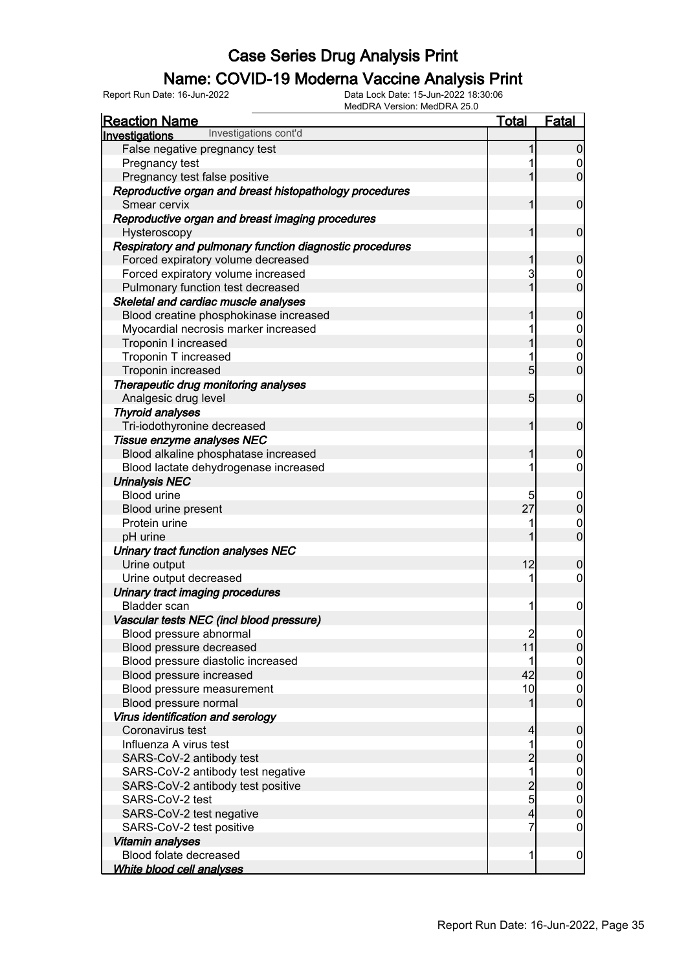#### Name: COVID-19 Moderna Vaccine Analysis Print

| <u>Reaction Name</u>                                     | <b>Total</b>                           | <b>Fatal</b>                         |
|----------------------------------------------------------|----------------------------------------|--------------------------------------|
| Investigations cont'd<br>Investigations                  |                                        |                                      |
| False negative pregnancy test                            | 1                                      | $\overline{0}$                       |
| Pregnancy test                                           |                                        | $\begin{matrix} 0 \\ 0 \end{matrix}$ |
| Pregnancy test false positive                            | 1                                      |                                      |
| Reproductive organ and breast histopathology procedures  |                                        |                                      |
| Smear cervix                                             | 1                                      | $\mathbf 0$                          |
| Reproductive organ and breast imaging procedures         |                                        |                                      |
| Hysteroscopy                                             | 1                                      | $\mathbf 0$                          |
| Respiratory and pulmonary function diagnostic procedures |                                        |                                      |
| Forced expiratory volume decreased                       | 1                                      | $\pmb{0}$                            |
| Forced expiratory volume increased                       | 3                                      | $\begin{matrix} 0 \\ 0 \end{matrix}$ |
| Pulmonary function test decreased                        | 1                                      |                                      |
| Skeletal and cardiac muscle analyses                     |                                        |                                      |
| Blood creatine phosphokinase increased                   | 1                                      | $\pmb{0}$                            |
| Myocardial necrosis marker increased                     | 1                                      | $\begin{matrix}0\\0\end{matrix}$     |
| Troponin I increased                                     | 1                                      |                                      |
| Troponin T increased                                     | 1                                      | $\begin{matrix} 0 \\ 0 \end{matrix}$ |
| Troponin increased                                       | 5                                      |                                      |
| Therapeutic drug monitoring analyses                     |                                        |                                      |
| Analgesic drug level                                     | 5                                      | $\boldsymbol{0}$                     |
| <b>Thyroid analyses</b>                                  |                                        |                                      |
| Tri-iodothyronine decreased                              | 1                                      | $\mathbf 0$                          |
| Tissue enzyme analyses NEC                               |                                        |                                      |
| Blood alkaline phosphatase increased                     | 1                                      | $\mathbf 0$                          |
| Blood lactate dehydrogenase increased                    | 1                                      | $\boldsymbol{0}$                     |
| <b>Urinalysis NEC</b>                                    |                                        |                                      |
| <b>Blood urine</b>                                       | 5                                      | $0\atop 0$                           |
| Blood urine present                                      | 27                                     |                                      |
| Protein urine                                            | 1                                      | $\begin{matrix} 0 \\ 0 \end{matrix}$ |
| pH urine                                                 | 1                                      |                                      |
| Urinary tract function analyses NEC                      |                                        |                                      |
| Urine output                                             | 12                                     | $\mathbf 0$                          |
| Urine output decreased                                   | 1                                      | $\boldsymbol{0}$                     |
| Urinary tract imaging procedures                         |                                        |                                      |
| <b>Bladder</b> scan                                      | 1                                      | $\pmb{0}$                            |
| Vascular tests NEC (incl blood pressure)                 |                                        |                                      |
| Blood pressure abnormal                                  | $\begin{array}{c} 2 \\ 11 \end{array}$ | 이                                    |
| Blood pressure decreased                                 |                                        | $\overline{0}$                       |
| Blood pressure diastolic increased                       | 1                                      | $\begin{matrix} 0 \\ 0 \end{matrix}$ |
| Blood pressure increased                                 | 42                                     |                                      |
| Blood pressure measurement                               | 10                                     | $\begin{matrix} 0 \\ 0 \end{matrix}$ |
| Blood pressure normal                                    | 1                                      |                                      |
| Virus identification and serology                        |                                        |                                      |
| Coronavirus test                                         | 4                                      | $\boldsymbol{0}$                     |
| Influenza A virus test                                   | 1                                      | $\boldsymbol{0}$                     |
| SARS-CoV-2 antibody test                                 | $\overline{c}$                         | $\mathbf 0$                          |
| SARS-CoV-2 antibody test negative                        | $\overline{1}$                         | $\begin{matrix}0\\0\end{matrix}$     |
| SARS-CoV-2 antibody test positive                        | $\frac{2}{5}$                          |                                      |
| SARS-CoV-2 test                                          |                                        | $\begin{matrix} 0 \\ 0 \end{matrix}$ |
| SARS-CoV-2 test negative                                 | 4                                      |                                      |
| SARS-CoV-2 test positive                                 | 7                                      | $\mathbf 0$                          |
| Vitamin analyses                                         |                                        |                                      |
| Blood folate decreased                                   | 1                                      | $\mathbf 0$                          |
| White blood cell analyses                                |                                        |                                      |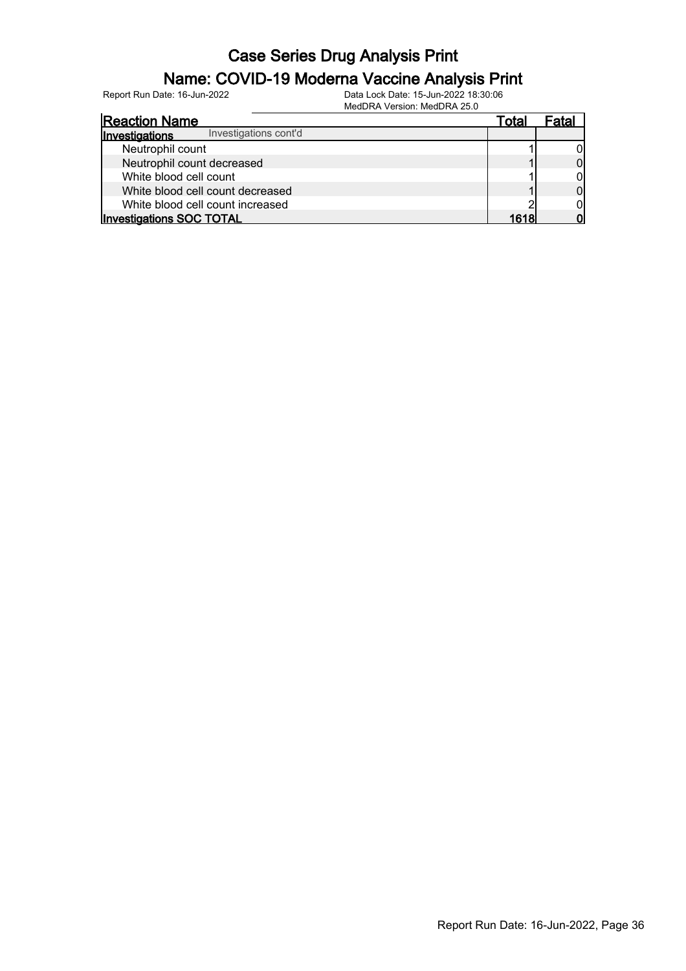#### Name: COVID-19 Moderna Vaccine Analysis Print

| <b>Reaction Name</b>                    | Tota. |  |
|-----------------------------------------|-------|--|
| Investigations cont'd<br>Investigations |       |  |
| Neutrophil count                        |       |  |
| Neutrophil count decreased              |       |  |
| White blood cell count                  |       |  |
| White blood cell count decreased        |       |  |
| White blood cell count increased        |       |  |
| <b>Investigations SOC TOTAL</b>         | 1618  |  |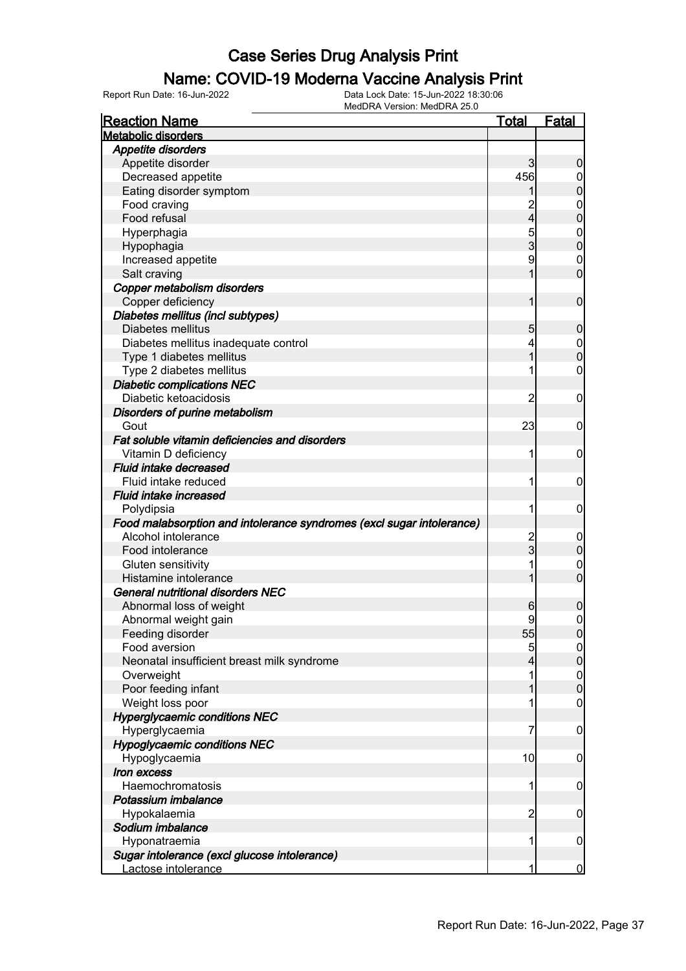### Name: COVID-19 Moderna Vaccine Analysis Print

| <b>Reaction Name</b>                                                  | <b>Total</b>            | <b>Fatal</b>     |
|-----------------------------------------------------------------------|-------------------------|------------------|
| <b>Metabolic disorders</b>                                            |                         |                  |
| Appetite disorders                                                    |                         |                  |
| Appetite disorder                                                     | 3                       | $\boldsymbol{0}$ |
| Decreased appetite                                                    | 456                     | 0                |
| Eating disorder symptom                                               |                         | $\pmb{0}$        |
| Food craving                                                          |                         | $\mathbf 0$      |
| Food refusal                                                          | $\overline{\mathbf{4}}$ | $\mathbf 0$      |
| Hyperphagia                                                           | 5                       | $\boldsymbol{0}$ |
| Hypophagia                                                            | 3                       | $\mathbf 0$      |
| Increased appetite                                                    | 9                       | $\mathbf 0$      |
| Salt craving                                                          | 1                       | $\mathbf 0$      |
| Copper metabolism disorders                                           |                         |                  |
| Copper deficiency                                                     | 1                       | $\mathbf 0$      |
| Diabetes mellitus (incl subtypes)                                     |                         |                  |
| Diabetes mellitus                                                     | 5                       | $\boldsymbol{0}$ |
| Diabetes mellitus inadequate control                                  | 4                       | $\mathbf 0$      |
| Type 1 diabetes mellitus                                              | 1                       | $\mathbf 0$      |
| Type 2 diabetes mellitus                                              |                         | $\mathbf 0$      |
| <b>Diabetic complications NEC</b>                                     |                         |                  |
| Diabetic ketoacidosis                                                 | $\overline{2}$          | $\mathbf 0$      |
|                                                                       |                         |                  |
| Disorders of purine metabolism                                        | 23                      |                  |
| Gout                                                                  |                         | $\mathbf 0$      |
| Fat soluble vitamin deficiencies and disorders                        |                         |                  |
| Vitamin D deficiency                                                  | 1                       | $\mathbf 0$      |
| <b>Fluid intake decreased</b>                                         |                         |                  |
| Fluid intake reduced                                                  | 1                       | $\mathbf 0$      |
| <b>Fluid intake increased</b>                                         |                         |                  |
| Polydipsia                                                            | 1                       | $\mathbf 0$      |
| Food malabsorption and intolerance syndromes (excl sugar intolerance) |                         |                  |
| Alcohol intolerance                                                   | $\overline{c}$          | $\mathbf 0$      |
| Food intolerance                                                      | $\overline{3}$          | $\pmb{0}$        |
| Gluten sensitivity                                                    | 1                       | $\mathbf 0$      |
| Histamine intolerance                                                 | 1                       | $\mathbf 0$      |
| General nutritional disorders NEC                                     |                         |                  |
| Abnormal loss of weight                                               | 6                       | 0                |
| Abnormal weight gain                                                  | 9                       | $\mathbf 0$      |
| Feeding disorder                                                      | 55                      | $\overline{0}$   |
| Food aversion                                                         | 5                       | $\overline{0}$   |
| Neonatal insufficient breast milk syndrome                            |                         | $\pmb{0}$        |
| Overweight                                                            |                         | $\mathbf 0$      |
| Poor feeding infant                                                   |                         | $\mathbf 0$      |
| Weight loss poor                                                      |                         | $\boldsymbol{0}$ |
| <b>Hyperglycaemic conditions NEC</b>                                  |                         |                  |
| Hyperglycaemia                                                        | 7                       | $\mathbf 0$      |
| <b>Hypoglycaemic conditions NEC</b>                                   |                         |                  |
| Hypoglycaemia                                                         | 10                      | $\mathbf 0$      |
| Iron excess                                                           |                         |                  |
| Haemochromatosis                                                      | 1                       | $\mathbf 0$      |
| Potassium imbalance                                                   |                         |                  |
| Hypokalaemia                                                          | $\overline{2}$          | $\mathbf 0$      |
| Sodium imbalance                                                      |                         |                  |
| Hyponatraemia                                                         | 1                       | $\mathbf 0$      |
| Sugar intolerance (excl glucose intolerance)                          |                         |                  |
| Lactose intolerance                                                   | 1                       | $\bf{0}$         |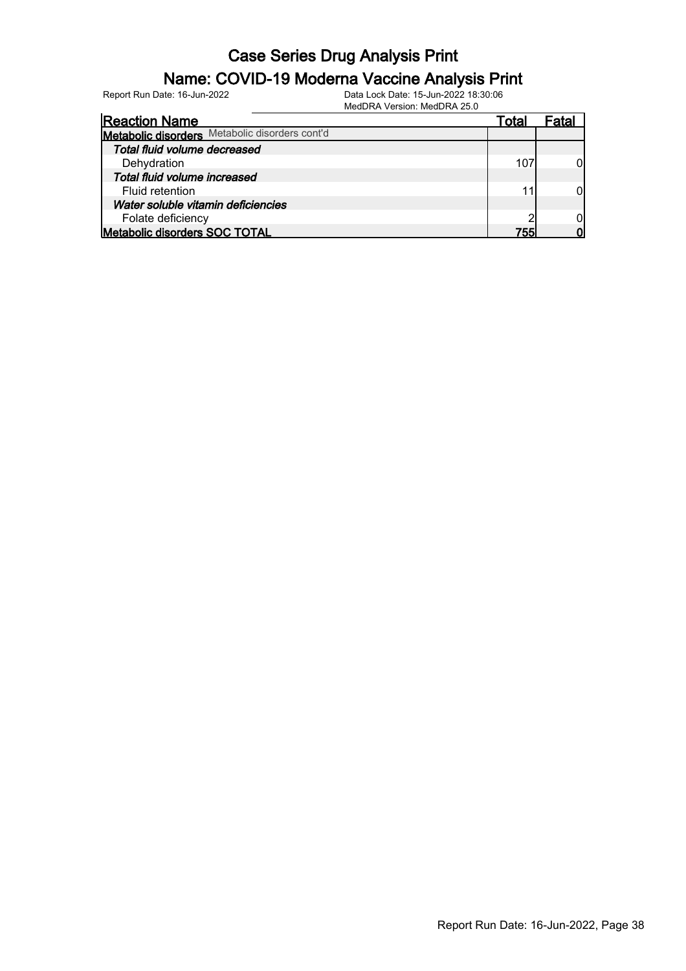#### Name: COVID-19 Moderna Vaccine Analysis Print

| Total |             |
|-------|-------------|
|       |             |
|       |             |
|       |             |
|       |             |
|       |             |
|       |             |
|       |             |
|       |             |
|       |             |
|       | 107<br>7551 |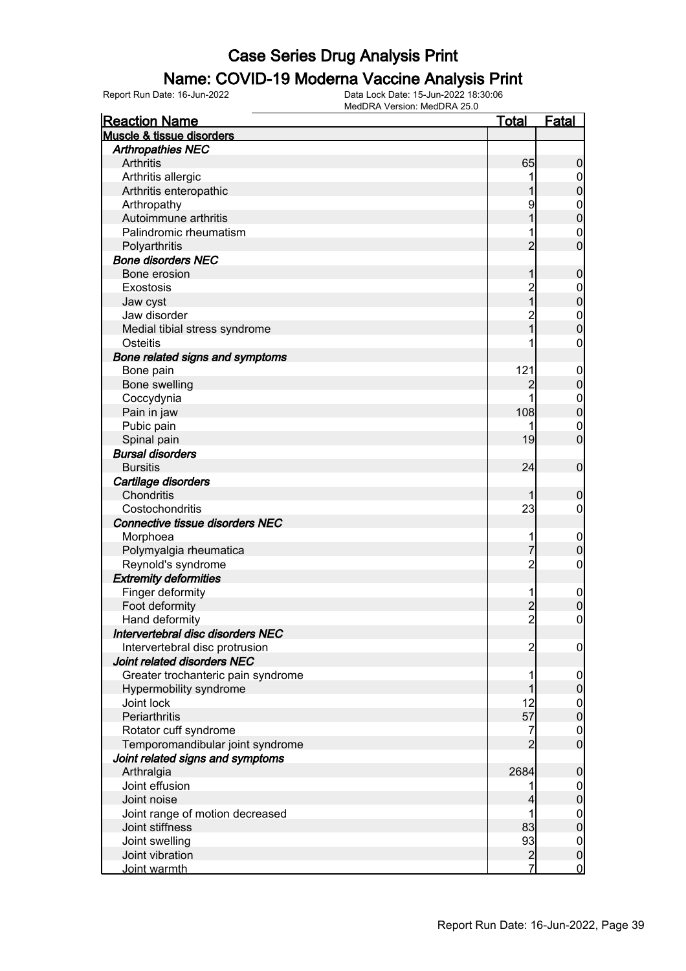#### Name: COVID-19 Moderna Vaccine Analysis Print

Report Run Date: 16-Jun-2022 Data Lock Date: 15-Jun-2022 18:30:06

MedDRA Version: MedDRA 25.0

| <b>Reaction Name</b>                                | <u>Total</u>   | <b>Fatal</b>               |
|-----------------------------------------------------|----------------|----------------------------|
| Muscle & tissue disorders                           |                |                            |
| <b>Arthropathies NEC</b>                            |                |                            |
| Arthritis                                           | 65             | $\boldsymbol{0}$           |
| Arthritis allergic                                  |                | $\overline{0}$             |
| Arthritis enteropathic                              |                | $\pmb{0}$                  |
| Arthropathy                                         | 9              | $\boldsymbol{0}$           |
| Autoimmune arthritis                                |                | $\mathbf 0$                |
| Palindromic rheumatism                              |                | $\mathbf 0$                |
| Polyarthritis                                       | $\overline{2}$ | $\overline{0}$             |
| <b>Bone disorders NEC</b>                           |                |                            |
| Bone erosion                                        | 1              | $\mathbf 0$                |
| Exostosis                                           | $\overline{c}$ | $\boldsymbol{0}$           |
| Jaw cyst                                            | $\overline{1}$ | $\mathbf 0$                |
| Jaw disorder                                        | $\overline{c}$ | $\boldsymbol{0}$           |
| Medial tibial stress syndrome                       | $\overline{1}$ | $\overline{0}$             |
| Osteitis                                            |                | $\mathbf 0$                |
| Bone related signs and symptoms                     |                |                            |
| Bone pain                                           | 121            | $\mathbf 0$                |
| Bone swelling                                       | $\overline{c}$ | $\pmb{0}$                  |
| Coccydynia                                          |                | $\boldsymbol{0}$           |
| Pain in jaw                                         | 108            | $\mathbf 0$                |
| Pubic pain                                          |                | $\mathbf 0$                |
| Spinal pain                                         | 19             | $\overline{0}$             |
| <b>Bursal disorders</b>                             |                |                            |
| <b>Bursitis</b>                                     | 24             | $\boldsymbol{0}$           |
| Cartilage disorders                                 |                |                            |
| Chondritis                                          |                | $\boldsymbol{0}$           |
| Costochondritis                                     | 23             | $\mathbf 0$                |
| Connective tissue disorders NEC                     |                |                            |
| Morphoea                                            |                |                            |
| Polymyalgia rheumatica                              | $\overline{7}$ | $\mathbf 0$<br>$\mathbf 0$ |
| Reynold's syndrome                                  | $\overline{2}$ | $\boldsymbol{0}$           |
| <b>Extremity deformities</b>                        |                |                            |
|                                                     | 1              |                            |
| Finger deformity<br>Foot deformity                  |                | $\mathbf 0$                |
|                                                     | $\frac{2}{2}$  | $\pmb{0}$<br>$\mathbf 0$   |
| Hand deformity<br>Intervertebral disc disorders NEC |                |                            |
|                                                     |                |                            |
| Intervertebral disc protrusion                      | $\overline{c}$ | $\overline{0}$             |
| Joint related disorders NEC                         |                |                            |
| Greater trochanteric pain syndrome                  |                | $\mathbf 0$                |
| Hypermobility syndrome                              |                | $\pmb{0}$                  |
| Joint lock<br>Periarthritis                         | 12             | $\boldsymbol{0}$           |
|                                                     | 57             | $\mathbf 0$                |
| Rotator cuff syndrome                               | 7              | $\overline{0}$             |
| Temporomandibular joint syndrome                    | $\overline{2}$ | $\boldsymbol{0}$           |
| Joint related signs and symptoms                    |                |                            |
| Arthralgia                                          | 2684           | $\mathbf 0$                |
| Joint effusion                                      |                | $\overline{0}$             |
| Joint noise                                         |                | $\pmb{0}$                  |
| Joint range of motion decreased                     | 1              | $\boldsymbol{0}$           |
| Joint stiffness                                     | 83             | $\pmb{0}$                  |
| Joint swelling                                      | 93             | $\boldsymbol{0}$           |
| Joint vibration                                     | $rac{2}{7}$    | $\pmb{0}$                  |
| Joint warmth                                        |                | $\overline{0}$             |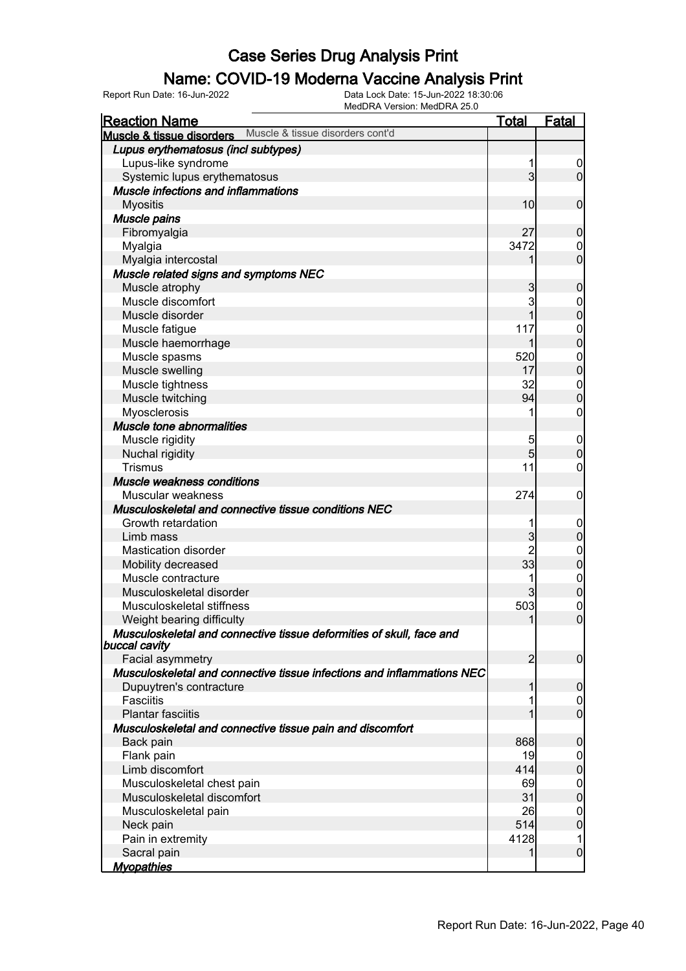#### Name: COVID-19 Moderna Vaccine Analysis Print

| <b>Reaction Name</b>                                                                  | <b>Total</b>    | <b>Fatal</b>     |
|---------------------------------------------------------------------------------------|-----------------|------------------|
| Muscle & tissue disorders cont'd<br><b>Muscle &amp; tissue disorders</b>              |                 |                  |
| Lupus erythematosus (incl subtypes)                                                   |                 |                  |
| Lupus-like syndrome                                                                   | 1               | $\overline{0}$   |
| Systemic lupus erythematosus                                                          | $\mathbf{3}$    | $\overline{0}$   |
| Muscle infections and inflammations                                                   |                 |                  |
| <b>Myositis</b>                                                                       | 10 <sub>l</sub> | $\mathbf 0$      |
| Muscle pains                                                                          |                 |                  |
| Fibromyalgia                                                                          | 27              | $\mathbf 0$      |
| Myalgia                                                                               | 3472            | $\mathbf 0$      |
| Myalgia intercostal                                                                   | 1               | $\overline{0}$   |
| Muscle related signs and symptoms NEC                                                 |                 |                  |
| Muscle atrophy                                                                        | 3               | $\mathbf 0$      |
| Muscle discomfort                                                                     | 3               | $\mathbf{0}$     |
| Muscle disorder                                                                       | 1               | $\overline{0}$   |
| Muscle fatigue                                                                        | 117             | $\mathbf{0}$     |
| Muscle haemorrhage                                                                    | 1               | $\mathbf 0$      |
| Muscle spasms                                                                         | 520             | $\boldsymbol{0}$ |
| Muscle swelling                                                                       | 17              | $\mathbf 0$      |
| Muscle tightness                                                                      | 32              | $\mathbf{0}$     |
| Muscle twitching                                                                      | 94              | $\overline{0}$   |
| Myosclerosis                                                                          | 1               | $\boldsymbol{0}$ |
| Muscle tone abnormalities                                                             |                 |                  |
| Muscle rigidity                                                                       | 5               | $\mathbf 0$      |
| Nuchal rigidity                                                                       | $5\overline{)}$ | $\mathbf 0$      |
| <b>Trismus</b>                                                                        | 11              | $\mathbf 0$      |
| Muscle weakness conditions                                                            |                 |                  |
| Muscular weakness                                                                     | 274             | $\mathbf 0$      |
| Musculoskeletal and connective tissue conditions NEC                                  |                 |                  |
| Growth retardation                                                                    | 1               | $\mathbf 0$      |
| Limb mass                                                                             | $\mathbf{3}$    | $\mathbf 0$      |
| <b>Mastication disorder</b>                                                           | $\overline{2}$  | $\mathbf{0}$     |
| Mobility decreased                                                                    | 33              | $\overline{0}$   |
| Muscle contracture                                                                    | 1               | $\mathbf{0}$     |
| Musculoskeletal disorder                                                              | 3               | $\mathbf 0$      |
| Musculoskeletal stiffness                                                             | 503             | $\mathbf{0}$     |
| Weight bearing difficulty                                                             | 1               | $\overline{0}$   |
| Musculoskeletal and connective tissue deformities of skull, face and<br>buccal cavity |                 |                  |
| Facial asymmetry                                                                      | $\overline{2}$  | $\boldsymbol{0}$ |
| Musculoskeletal and connective tissue infections and inflammations NEC                |                 |                  |
| Dupuytren's contracture                                                               | 1               | $\overline{0}$   |
| <b>Fasciitis</b>                                                                      | 1               | $\mathbf 0$      |
| <b>Plantar fasciitis</b>                                                              |                 | $\overline{0}$   |
| Musculoskeletal and connective tissue pain and discomfort                             |                 |                  |
| Back pain                                                                             | 868             | 0                |
| Flank pain                                                                            | 19              | 0                |
| Limb discomfort                                                                       | 414             | $\mathbf 0$      |
| Musculoskeletal chest pain                                                            | 69              | $\boldsymbol{0}$ |
| Musculoskeletal discomfort                                                            | 31              | $\mathbf 0$      |
| Musculoskeletal pain                                                                  | 26              | 0                |
| Neck pain                                                                             | 514             | $\overline{0}$   |
| Pain in extremity                                                                     | 4128            | 1                |
| Sacral pain                                                                           | 1               | $\mathbf 0$      |
| <b>Myopathies</b>                                                                     |                 |                  |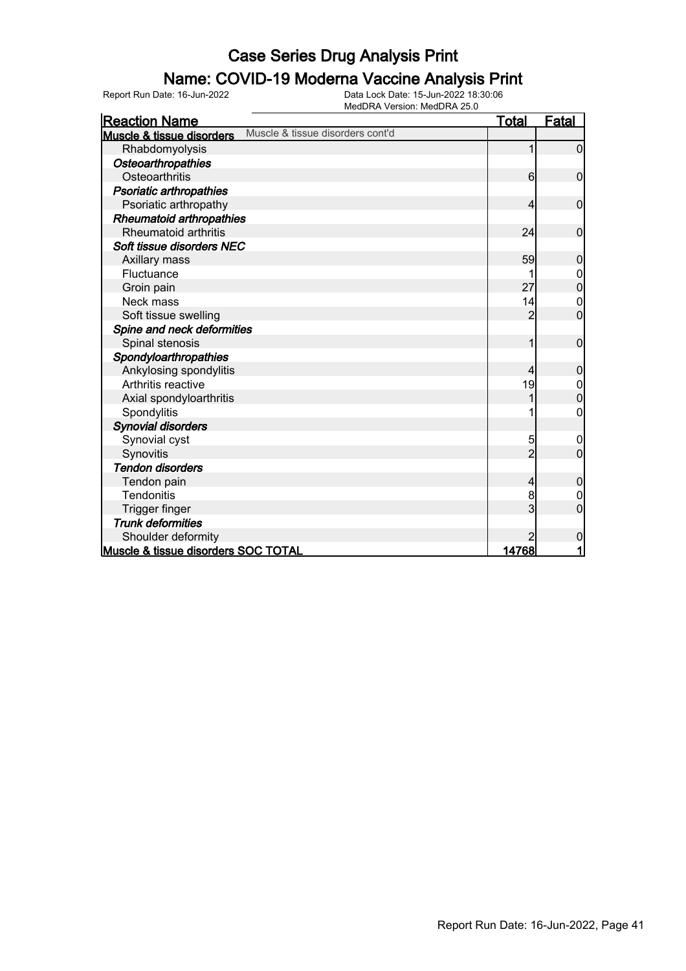#### Name: COVID-19 Moderna Vaccine Analysis Print

| <b>Reaction Name</b>                                          | <u>Total</u>    | <u>Fatal</u>   |
|---------------------------------------------------------------|-----------------|----------------|
| Muscle & tissue disorders cont'd<br>Muscle & tissue disorders |                 |                |
| Rhabdomyolysis                                                | 1               | 0              |
| <b>Osteoarthropathies</b>                                     |                 |                |
| Osteoarthritis                                                | $6 \overline{}$ | $\mathbf 0$    |
| Psoriatic arthropathies                                       |                 |                |
| Psoriatic arthropathy                                         | 4               | $\mathbf 0$    |
| <b>Rheumatoid arthropathies</b>                               |                 |                |
| Rheumatoid arthritis                                          | 24              | $\mathbf 0$    |
| Soft tissue disorders NEC                                     |                 |                |
| Axillary mass                                                 | 59              | $\mathbf 0$    |
| Fluctuance                                                    |                 | 0              |
| Groin pain                                                    | 27              | $\overline{0}$ |
| Neck mass                                                     | 14              | $\mathbf 0$    |
| Soft tissue swelling                                          | $\overline{2}$  | $\overline{0}$ |
| Spine and neck deformities                                    |                 |                |
| Spinal stenosis                                               | 1               | $\mathbf 0$    |
| Spondyloarthropathies                                         |                 |                |
| Ankylosing spondylitis                                        | 4               | 0              |
| Arthritis reactive                                            | 19              | $\mathbf 0$    |
| Axial spondyloarthritis                                       |                 | $\overline{0}$ |
| Spondylitis                                                   |                 | 0              |
| <b>Synovial disorders</b>                                     |                 |                |
| Synovial cyst                                                 | 5               | 0              |
| Synovitis                                                     | $\overline{2}$  | 0              |
| <b>Tendon disorders</b>                                       |                 |                |
| Tendon pain                                                   | 4               | $\mathbf 0$    |
| <b>Tendonitis</b>                                             | 8               | 0              |
| Trigger finger                                                | 3               | $\mathbf 0$    |
| <b>Trunk deformities</b>                                      |                 |                |
| Shoulder deformity                                            | $\overline{2}$  | 0              |
| Muscle & tissue disorders SOC TOTAL                           | <u>14768 </u>   | 1              |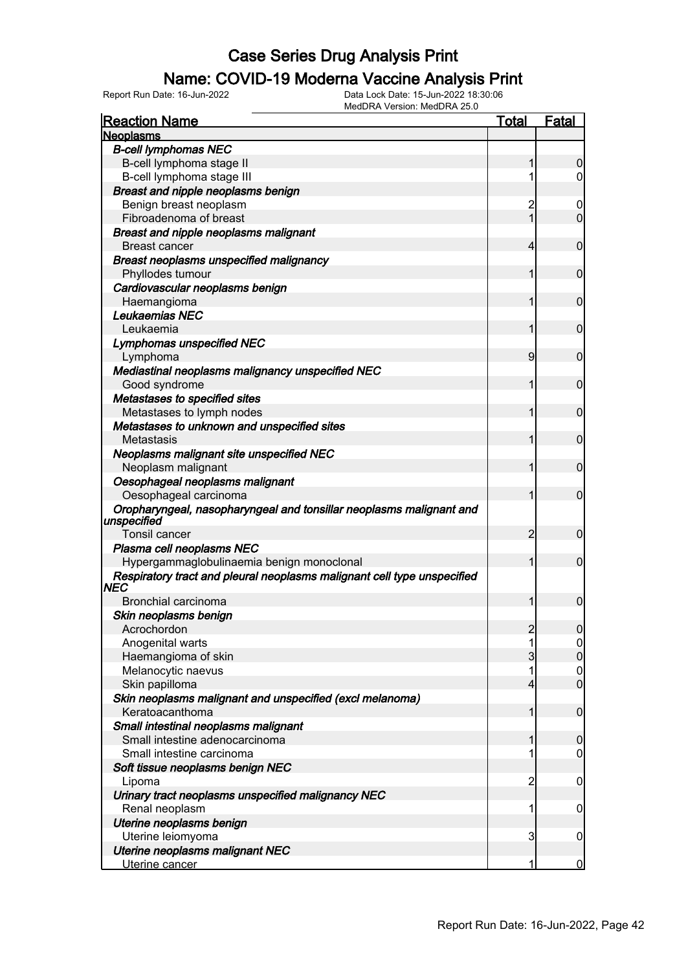### Name: COVID-19 Moderna Vaccine Analysis Print

| <u>Reaction Name</u>                                                               | <u>Total</u>   | <b>Fatal</b>   |
|------------------------------------------------------------------------------------|----------------|----------------|
| <b>Neoplasms</b>                                                                   |                |                |
| <b>B-cell lymphomas NEC</b>                                                        |                |                |
| B-cell lymphoma stage II                                                           | 1              | 0              |
| B-cell lymphoma stage III                                                          | 1              | $\overline{0}$ |
| Breast and nipple neoplasms benign                                                 |                |                |
| Benign breast neoplasm                                                             | $\overline{c}$ | 0              |
| Fibroadenoma of breast                                                             | 1              | $\overline{0}$ |
| <b>Breast and nipple neoplasms malignant</b>                                       |                |                |
| Breast cancer                                                                      | 4              | $\mathbf 0$    |
| Breast neoplasms unspecified malignancy                                            |                |                |
| Phyllodes tumour                                                                   | 1              | $\mathbf 0$    |
| Cardiovascular neoplasms benign                                                    |                |                |
| Haemangioma                                                                        | 1              | $\mathbf 0$    |
| Leukaemias NEC                                                                     |                |                |
| Leukaemia                                                                          | 1              | $\mathbf 0$    |
| Lymphomas unspecified NEC                                                          |                |                |
| Lymphoma                                                                           | 9              | $\mathbf 0$    |
| Mediastinal neoplasms malignancy unspecified NEC                                   |                |                |
| Good syndrome                                                                      | 1              | $\mathbf 0$    |
| Metastases to specified sites                                                      |                |                |
| Metastases to lymph nodes                                                          | 1              | $\mathbf 0$    |
| Metastases to unknown and unspecified sites                                        |                |                |
| Metastasis                                                                         | 1              | $\mathbf 0$    |
| Neoplasms malignant site unspecified NEC                                           |                |                |
| Neoplasm malignant                                                                 | 1              | $\mathbf 0$    |
| Oesophageal neoplasms malignant                                                    |                |                |
| Oesophageal carcinoma                                                              | 1              | $\mathbf 0$    |
| Oropharyngeal, nasopharyngeal and tonsillar neoplasms malignant and<br>unspecified |                |                |
| Tonsil cancer                                                                      | 2              | $\mathbf 0$    |
| Plasma cell neoplasms NEC                                                          |                |                |
| Hypergammaglobulinaemia benign monoclonal                                          |                | $\mathbf 0$    |
| Respiratory tract and pleural neoplasms malignant cell type unspecified            |                |                |
| NEC                                                                                |                |                |
| <b>Bronchial carcinoma</b>                                                         | 1              | $\overline{0}$ |
| Skin neoplasms benign                                                              |                |                |
| Acrochordon                                                                        |                |                |
| Anogenital warts                                                                   | 1              | $\overline{0}$ |
| Haemangioma of skin                                                                | $\overline{3}$ | $\overline{0}$ |
| Melanocytic naevus                                                                 |                | 0              |
| Skin papilloma                                                                     | 4              | $\mathbf 0$    |
| Skin neoplasms malignant and unspecified (excl melanoma)                           |                |                |
| Keratoacanthoma                                                                    | 1              | $\overline{0}$ |
| Small intestinal neoplasms malignant                                               |                |                |
| Small intestine adenocarcinoma                                                     | 1              | $\mathbf 0$    |
| Small intestine carcinoma                                                          |                | 0              |
| Soft tissue neoplasms benign NEC                                                   |                |                |
| Lipoma                                                                             | 2              | $\mathbf 0$    |
| Urinary tract neoplasms unspecified malignancy NEC                                 |                |                |
| Renal neoplasm                                                                     | 1              | $\mathbf 0$    |
| Uterine neoplasms benign                                                           |                |                |
| Uterine leiomyoma                                                                  | 3              | $\mathbf 0$    |
| Uterine neoplasms malignant NEC                                                    |                |                |
| Uterine cancer                                                                     |                | $\overline{0}$ |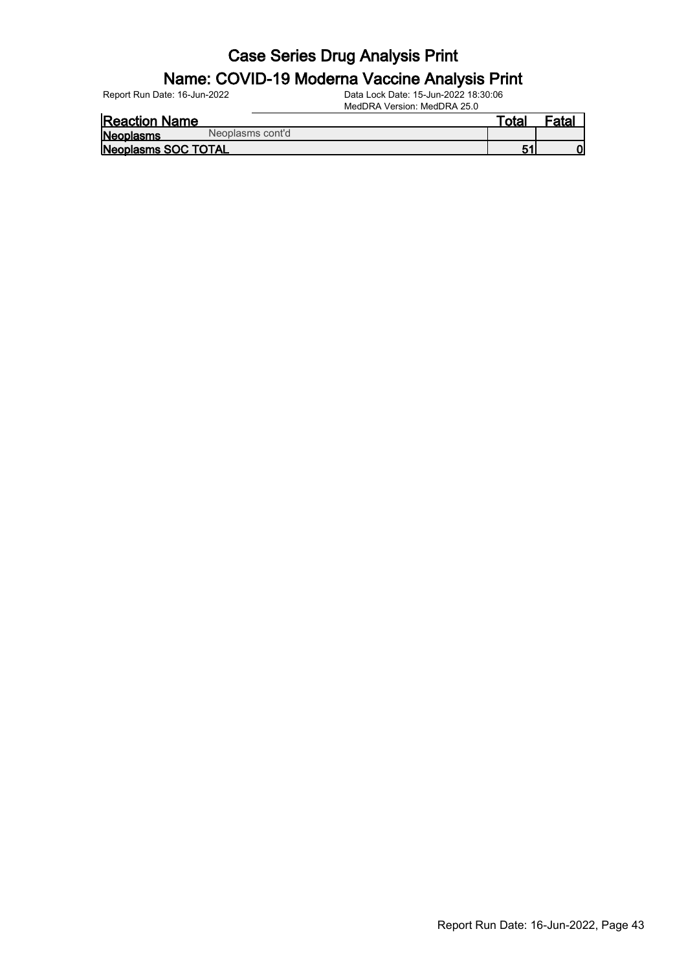#### Name: COVID-19 Moderna Vaccine Analysis Print

Report Run Date: 16-Jun-2022 Data Lock Date: 15-Jun-2022 18:30:06

| <b>Reaction Name</b>          | ⊤otaı | Fatal |
|-------------------------------|-------|-------|
| Neoplasms cont'd<br>Neoplasms |       |       |
| Neoplasms SOC TOTAL           |       |       |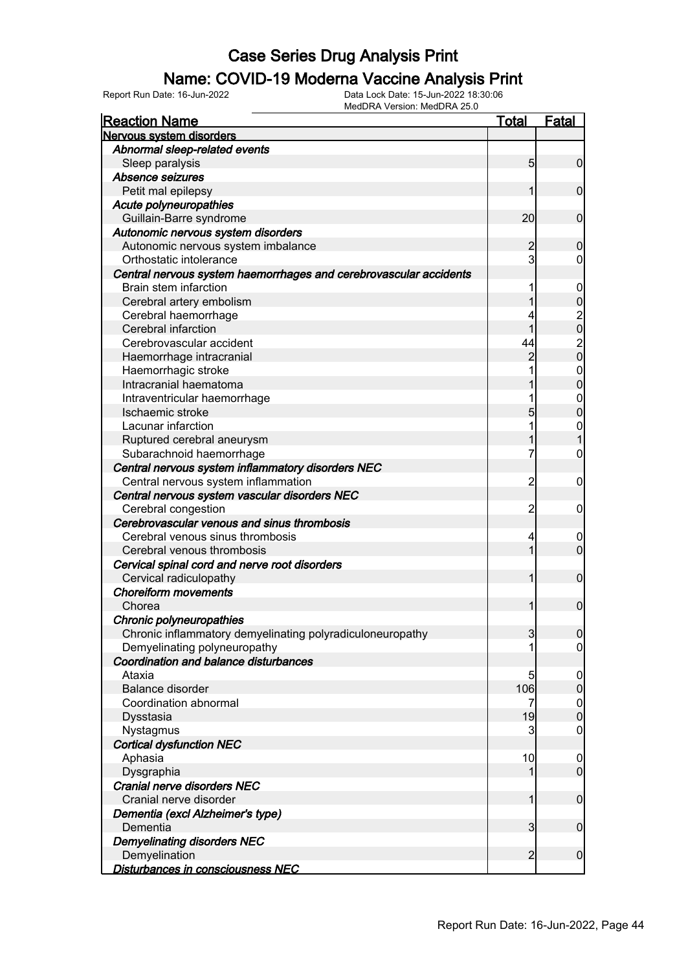#### Name: COVID-19 Moderna Vaccine Analysis Print

| <b>Reaction Name</b>                                              | <u>Total</u>   | <b>Fatal</b>                     |
|-------------------------------------------------------------------|----------------|----------------------------------|
| Nervous system disorders                                          |                |                                  |
| Abnormal sleep-related events                                     |                |                                  |
| Sleep paralysis                                                   | 5 <sub>5</sub> | $\mathbf 0$                      |
| Absence seizures                                                  |                |                                  |
| Petit mal epilepsy                                                | 1              | $\mathbf 0$                      |
| Acute polyneuropathies                                            |                |                                  |
| Guillain-Barre syndrome                                           | 20             | $\mathbf 0$                      |
| Autonomic nervous system disorders                                |                |                                  |
| Autonomic nervous system imbalance                                | $\overline{c}$ | $\boldsymbol{0}$                 |
| Orthostatic intolerance                                           | $\overline{3}$ | 0                                |
| Central nervous system haemorrhages and cerebrovascular accidents |                |                                  |
| Brain stem infarction                                             |                | $\mathbf 0$                      |
| Cerebral artery embolism                                          |                |                                  |
| Cerebral haemorrhage                                              |                | 00000                            |
| Cerebral infarction                                               | 1              |                                  |
| Cerebrovascular accident                                          | 44             |                                  |
| Haemorrhage intracranial                                          | $\overline{c}$ |                                  |
| Haemorrhagic stroke                                               |                |                                  |
| Intracranial haematoma                                            |                | $\begin{matrix}0\\0\end{matrix}$ |
| Intraventricular haemorrhage                                      |                | $\mathbf{0}$                     |
| Ischaemic stroke                                                  | 5              | $\overline{0}$                   |
| Lacunar infarction                                                | 1              | $\mathbf{0}$                     |
| Ruptured cerebral aneurysm                                        |                | $\mathbf{1}$                     |
| Subarachnoid haemorrhage                                          | 7              | $\boldsymbol{0}$                 |
| Central nervous system inflammatory disorders NEC                 |                |                                  |
| Central nervous system inflammation                               | $\overline{2}$ | $\mathbf 0$                      |
| Central nervous system vascular disorders NEC                     |                |                                  |
| Cerebral congestion                                               | $\overline{2}$ | $\mathbf 0$                      |
| Cerebrovascular venous and sinus thrombosis                       |                |                                  |
| Cerebral venous sinus thrombosis                                  | 4              | 0                                |
| Cerebral venous thrombosis                                        | 1              | $\mathbf 0$                      |
| Cervical spinal cord and nerve root disorders                     |                |                                  |
| Cervical radiculopathy                                            | 1              | $\boldsymbol{0}$                 |
| <b>Choreiform movements</b>                                       |                |                                  |
| Chorea                                                            | 1              | $\mathbf 0$                      |
| Chronic polyneuropathies                                          |                |                                  |
| Chronic inflammatory demyelinating polyradiculoneuropathy         | 3              | 0                                |
| Demyelinating polyneuropathy                                      |                | $\overline{0}$                   |
| Coordination and balance disturbances                             |                |                                  |
| Ataxia                                                            | 5              | $\boldsymbol{0}$                 |
| <b>Balance disorder</b>                                           | 106            | $\pmb{0}$                        |
| Coordination abnormal                                             | 7              | $\mathbf 0$                      |
| Dysstasia                                                         | 19             | $\pmb{0}$                        |
| Nystagmus                                                         | 3              | $\boldsymbol{0}$                 |
| <b>Cortical dysfunction NEC</b>                                   |                |                                  |
| Aphasia                                                           | 10             | $\boldsymbol{0}$                 |
| Dysgraphia                                                        | 1              | $\overline{0}$                   |
| Cranial nerve disorders NEC                                       |                |                                  |
| Cranial nerve disorder                                            | 1              | $\boldsymbol{0}$                 |
| Dementia (excl Alzheimer's type)                                  |                |                                  |
| Dementia                                                          | $\overline{3}$ | $\boldsymbol{0}$                 |
| <b>Demyelinating disorders NEC</b>                                |                |                                  |
| Demyelination                                                     | $\overline{2}$ | $\boldsymbol{0}$                 |
| Disturbances in consciousness NEC                                 |                |                                  |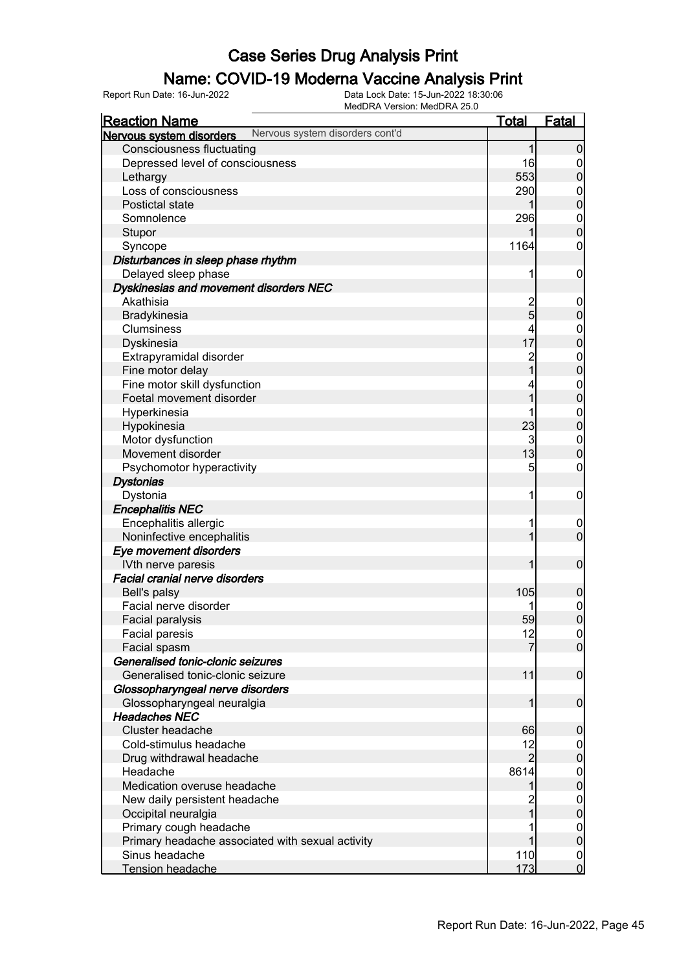### Name: COVID-19 Moderna Vaccine Analysis Print

Report Run Date: 16-Jun-2022 Data Lock Date: 15-Jun-2022 18:30:06

|                                                  | MedDRA Version: MedDRA 25.0     |                         |                  |
|--------------------------------------------------|---------------------------------|-------------------------|------------------|
| <u>Reaction Name</u>                             |                                 | <u>Total</u>            | <b>Fatal</b>     |
| Nervous system disorders                         | Nervous system disorders cont'd |                         |                  |
| <b>Consciousness fluctuating</b>                 |                                 | 1                       | $\overline{0}$   |
| Depressed level of consciousness                 |                                 | 16                      | $\mathbf 0$      |
| Lethargy                                         |                                 | 553                     | $\overline{0}$   |
| Loss of consciousness                            |                                 | 290                     | $0\atop 0$       |
| Postictal state                                  |                                 | 1                       |                  |
| Somnolence                                       |                                 | 296                     | $0$<br>0         |
| Stupor                                           |                                 |                         |                  |
| Syncope                                          |                                 | 1164                    | $\boldsymbol{0}$ |
| Disturbances in sleep phase rhythm               |                                 |                         |                  |
| Delayed sleep phase                              |                                 | 1                       | $\mathbf 0$      |
| Dyskinesias and movement disorders NEC           |                                 |                         |                  |
| Akathisia                                        |                                 | 2<br>5                  | $\mathbf 0$      |
| Bradykinesia                                     |                                 |                         | $\pmb{0}$        |
| Clumsiness                                       |                                 | 4                       |                  |
| Dyskinesia                                       |                                 | 17                      | $0\atop 0$       |
| Extrapyramidal disorder                          |                                 | $\overline{\mathbf{c}}$ |                  |
| Fine motor delay                                 |                                 | $\overline{1}$          | $0\atop 0$       |
| Fine motor skill dysfunction                     |                                 | 4                       |                  |
| Foetal movement disorder                         |                                 | 1                       | $0\atop 0$       |
| Hyperkinesia                                     |                                 | 1                       |                  |
| Hypokinesia                                      |                                 | 23                      | $0$<br>0         |
| Motor dysfunction                                |                                 | 3                       | $\boldsymbol{0}$ |
| Movement disorder                                |                                 | 13                      | $\overline{0}$   |
| Psychomotor hyperactivity                        |                                 | 5                       | $\boldsymbol{0}$ |
| <b>Dystonias</b>                                 |                                 |                         |                  |
| Dystonia                                         |                                 | 1                       | $\mathbf 0$      |
| <b>Encephalitis NEC</b>                          |                                 |                         |                  |
| Encephalitis allergic                            |                                 | 1                       | $\mathbf 0$      |
| Noninfective encephalitis                        |                                 | 1                       | $\overline{0}$   |
| Eye movement disorders                           |                                 |                         |                  |
| IVth nerve paresis                               |                                 | 1                       | $\boldsymbol{0}$ |
| <b>Facial cranial nerve disorders</b>            |                                 |                         |                  |
| Bell's palsy                                     |                                 | 105                     | $\mathbf 0$      |
| Facial nerve disorder                            |                                 | 1                       | $\mathbf 0$      |
| Facial paralysis                                 |                                 | 59                      | $\overline{0}$   |
| Facial paresis                                   |                                 | 12                      | 0                |
| Facial spasm                                     |                                 | $\overline{7}$          | $\overline{0}$   |
| Generalised tonic-clonic seizures                |                                 |                         |                  |
| Generalised tonic-clonic seizure                 |                                 | 11                      | $\overline{0}$   |
| Glossopharyngeal nerve disorders                 |                                 |                         |                  |
| Glossopharyngeal neuralgia                       |                                 | 1                       | $\overline{0}$   |
| <b>Headaches NEC</b>                             |                                 |                         |                  |
| Cluster headache                                 |                                 | 66                      | $\mathbf 0$      |
| Cold-stimulus headache                           |                                 | 12                      | $\overline{0}$   |
| Drug withdrawal headache                         |                                 | $\overline{2}$          | $\overline{0}$   |
| Headache                                         |                                 | 8614                    | $\overline{0}$   |
| Medication overuse headache                      |                                 | 1                       | $\mathbf 0$      |
| New daily persistent headache                    |                                 | $\overline{c}$          | $\mathbf 0$      |
| Occipital neuralgia                              |                                 | 1                       | $\mathbf 0$      |
| Primary cough headache                           |                                 |                         | $\boldsymbol{0}$ |
| Primary headache associated with sexual activity |                                 | 1                       | $\overline{0}$   |
| Sinus headache                                   |                                 | 110                     | $\overline{0}$   |
| Tension headache                                 |                                 | 173                     | $\overline{0}$   |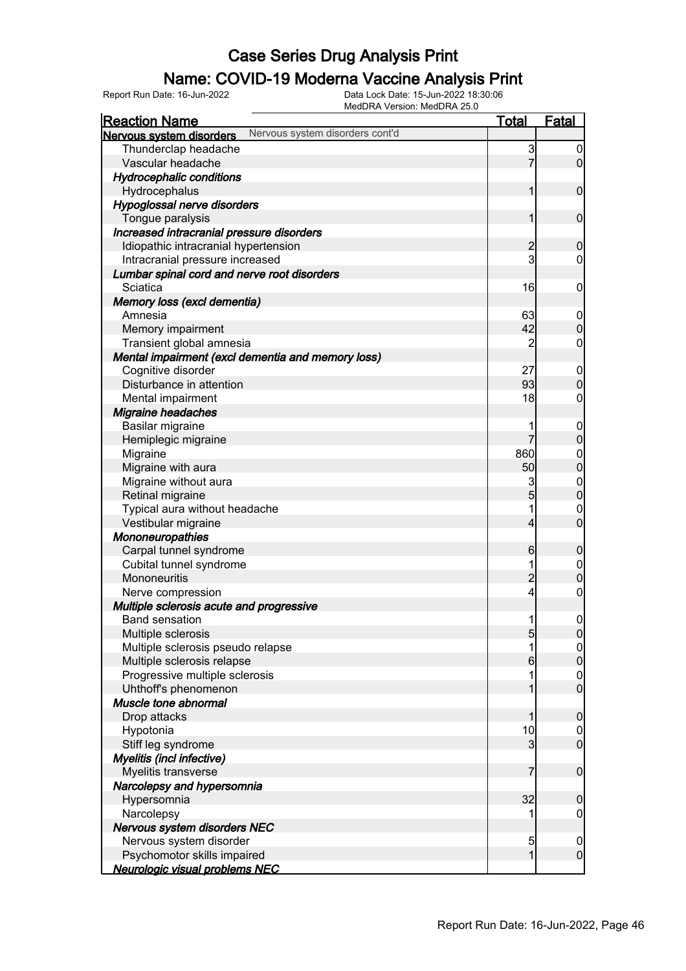### Name: COVID-19 Moderna Vaccine Analysis Print

| <u>Reaction Name</u>                                        | <u>Total</u>   | <b>Fatal</b>                         |
|-------------------------------------------------------------|----------------|--------------------------------------|
| Nervous system disorders cont'd<br>Nervous system disorders |                |                                      |
| Thunderclap headache                                        | 3              | $\overline{0}$                       |
| Vascular headache                                           | $\overline{7}$ | $\overline{0}$                       |
| <b>Hydrocephalic conditions</b>                             |                |                                      |
| Hydrocephalus                                               | 1              | $\boldsymbol{0}$                     |
| Hypoglossal nerve disorders                                 |                |                                      |
| Tongue paralysis                                            | 1              | $\boldsymbol{0}$                     |
| Increased intracranial pressure disorders                   |                |                                      |
| Idiopathic intracranial hypertension                        | $\overline{c}$ | $\mathbf 0$                          |
| Intracranial pressure increased                             | 3              | $\mathbf 0$                          |
| Lumbar spinal cord and nerve root disorders                 |                |                                      |
| Sciatica                                                    | 16             | $\boldsymbol{0}$                     |
| Memory loss (excl dementia)                                 |                |                                      |
| Amnesia                                                     | 63             | $\boldsymbol{0}$                     |
| Memory impairment                                           | 42             | $\boldsymbol{0}$                     |
| Transient global amnesia                                    | $\overline{2}$ | $\boldsymbol{0}$                     |
| Mental impairment (excl dementia and memory loss)           |                |                                      |
| Cognitive disorder                                          | 27             | $\boldsymbol{0}$                     |
| Disturbance in attention                                    | 93             | $\mathbf 0$                          |
| Mental impairment                                           | 18             | $\mathsf{O}\xspace$                  |
| <b>Migraine headaches</b>                                   |                |                                      |
| Basilar migraine                                            | 1              | $\boldsymbol{0}$                     |
| Hemiplegic migraine                                         | 7              | $\mathbf 0$                          |
| Migraine                                                    | 860            |                                      |
| Migraine with aura                                          | 50             | $0$<br>0                             |
| Migraine without aura                                       | 3              |                                      |
| Retinal migraine                                            | 5              | $0\atop 0$                           |
| Typical aura without headache                               | 1              | $\mathbf{0}$                         |
| Vestibular migraine                                         | $\overline{4}$ | $\overline{0}$                       |
| <b>Mononeuropathies</b>                                     |                |                                      |
| Carpal tunnel syndrome                                      | 6              | $\boldsymbol{0}$                     |
| Cubital tunnel syndrome                                     | 1              |                                      |
| Mononeuritis                                                | $\overline{c}$ | $\boldsymbol{0}$<br>$\overline{0}$   |
| Nerve compression                                           | $\overline{4}$ | $\mathbf 0$                          |
| Multiple sclerosis acute and progressive                    |                |                                      |
| <b>Band sensation</b>                                       | 1              | $\boldsymbol{0}$                     |
| Multiple sclerosis                                          | 5              |                                      |
| Multiple sclerosis pseudo relapse                           | 1              | 0                                    |
| Multiple sclerosis relapse                                  | 6              | 이<br>$\pmb{0}$                       |
| Progressive multiple sclerosis                              | 1              |                                      |
| Uhthoff's phenomenon                                        | 1              | $\boldsymbol{0}$<br>$\overline{0}$   |
| Muscle tone abnormal                                        |                |                                      |
| Drop attacks                                                | 1              | $\boldsymbol{0}$                     |
| Hypotonia                                                   | 10             |                                      |
| Stiff leg syndrome                                          | 3              | $\overline{0}$<br>$\overline{0}$     |
|                                                             |                |                                      |
| Myelitis (incl infective)<br>Myelitis transverse            | $\overline{7}$ | $\boldsymbol{0}$                     |
|                                                             |                |                                      |
| Narcolepsy and hypersomnia<br>Hypersomnia                   | 32             |                                      |
|                                                             |                | $\mathbf 0$                          |
| Narcolepsy                                                  |                | 0                                    |
| Nervous system disorders NEC<br>Nervous system disorder     |                |                                      |
|                                                             | 5<br>1         | $\boldsymbol{0}$<br>$\boldsymbol{0}$ |
| Psychomotor skills impaired                                 |                |                                      |
| Neurologic visual problems NEC                              |                |                                      |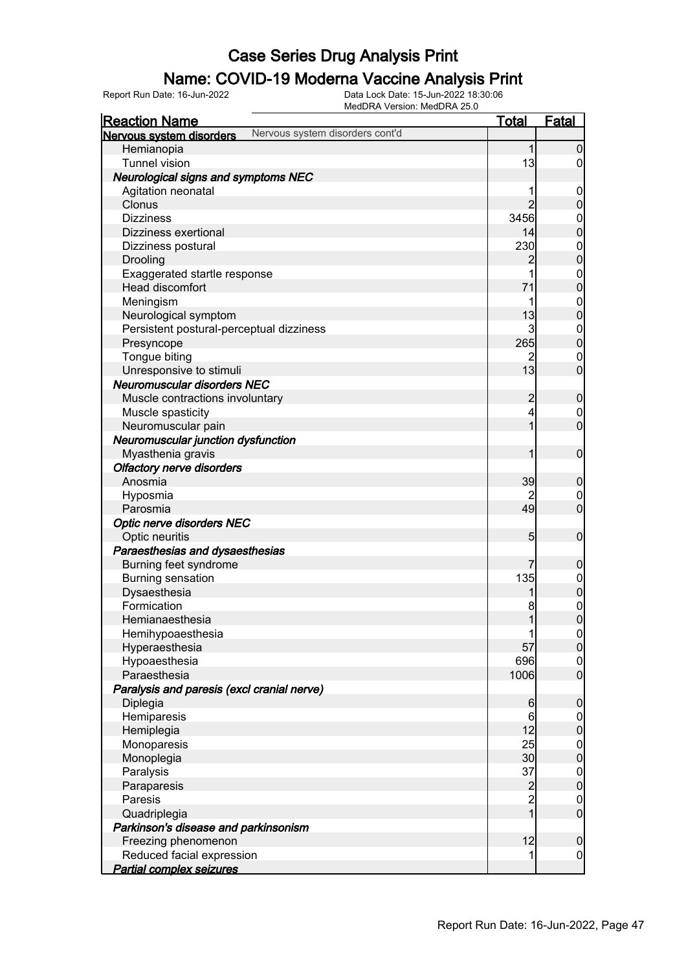#### Name: COVID-19 Moderna Vaccine Analysis Print

Report Run Date: 16-Jun-2022 Data Lock Date: 15-Jun-2022 18:30:06

MedDRA Version: MedDRA 25.0

| <b>Reaction Name</b>                       |                                 | <b>Total</b>    | <b>Fatal</b>                     |
|--------------------------------------------|---------------------------------|-----------------|----------------------------------|
| Nervous system disorders                   | Nervous system disorders cont'd |                 |                                  |
| Hemianopia                                 |                                 | 1               | $\boldsymbol{0}$                 |
| <b>Tunnel vision</b>                       |                                 | 13              | $\overline{0}$                   |
| <b>Neurological signs and symptoms NEC</b> |                                 |                 |                                  |
| Agitation neonatal                         |                                 |                 | $\mathbf 0$                      |
| Clonus                                     |                                 | $\overline{2}$  | $\mathbf 0$                      |
| <b>Dizziness</b>                           |                                 | 3456            |                                  |
| Dizziness exertional                       |                                 | 14              | 0<br>0                           |
| Dizziness postural                         |                                 | 230             |                                  |
| Drooling                                   |                                 | 2               | $0\atop 0$                       |
| Exaggerated startle response               |                                 | 1               |                                  |
| Head discomfort                            |                                 | 71              | $0\atop 0$                       |
|                                            |                                 | 1               |                                  |
| Meningism                                  |                                 |                 | $\mathbf{0}$<br>$\mathbf{0}$     |
| Neurological symptom                       |                                 | 13<br>3         |                                  |
| Persistent postural-perceptual dizziness   |                                 |                 | $\mathbf{0}$                     |
| Presyncope                                 |                                 | 265             | $\overline{0}$                   |
| Tongue biting                              |                                 | 2               | $\mathbf 0$                      |
| Unresponsive to stimuli                    |                                 | 13              | $\overline{0}$                   |
| <b>Neuromuscular disorders NEC</b>         |                                 |                 |                                  |
| Muscle contractions involuntary            |                                 | $\overline{c}$  | $\boldsymbol{0}$                 |
| Muscle spasticity                          |                                 | 4               | $\boldsymbol{0}$                 |
| Neuromuscular pain                         |                                 | $\overline{1}$  | $\overline{0}$                   |
| Neuromuscular junction dysfunction         |                                 |                 |                                  |
| Myasthenia gravis                          |                                 | 1               | $\boldsymbol{0}$                 |
| <b>Olfactory nerve disorders</b>           |                                 |                 |                                  |
| Anosmia                                    |                                 | 39              | $\boldsymbol{0}$                 |
| Hyposmia                                   |                                 | 2               | $\mathbf 0$                      |
| Parosmia                                   |                                 | 49              | $\overline{0}$                   |
| Optic nerve disorders NEC                  |                                 |                 |                                  |
| Optic neuritis                             |                                 | 5               | $\boldsymbol{0}$                 |
| Paraesthesias and dysaesthesias            |                                 |                 |                                  |
| Burning feet syndrome                      |                                 | 7               | $\boldsymbol{0}$                 |
| <b>Burning sensation</b>                   |                                 | 135             | $0\atop 0$                       |
| Dysaesthesia                               |                                 | 1               |                                  |
| Formication                                |                                 | 8               | $\begin{matrix}0\\0\end{matrix}$ |
| Hemianaesthesia                            |                                 | 1               |                                  |
| Hemihypoaesthesia                          |                                 | 1               | 0                                |
| Hyperaesthesia                             |                                 | 57              | 0                                |
| Hypoaesthesia                              |                                 | 696             | $\boldsymbol{0}$                 |
| Paraesthesia                               |                                 | 1006            | $\overline{0}$                   |
| Paralysis and paresis (excl cranial nerve) |                                 |                 |                                  |
| Diplegia                                   |                                 | $6 \overline{}$ | $\boldsymbol{0}$                 |
| Hemiparesis                                |                                 | 6               | $\overline{0}$                   |
| Hemiplegia                                 |                                 | 12              | $\mathbf 0$                      |
| Monoparesis                                |                                 | 25              |                                  |
| Monoplegia                                 |                                 | 30              | $0\atop 0$                       |
| Paralysis                                  |                                 | 37              |                                  |
| Paraparesis                                |                                 |                 | $0$<br>0                         |
| Paresis                                    |                                 | $\frac{2}{2}$   | $\boldsymbol{0}$                 |
| Quadriplegia                               |                                 | $\overline{1}$  | $\overline{0}$                   |
| Parkinson's disease and parkinsonism       |                                 |                 |                                  |
| Freezing phenomenon                        |                                 | 12              | $\pmb{0}$                        |
| Reduced facial expression                  |                                 | 1               | $\mathbf 0$                      |
| <b>Partial complex seizures</b>            |                                 |                 |                                  |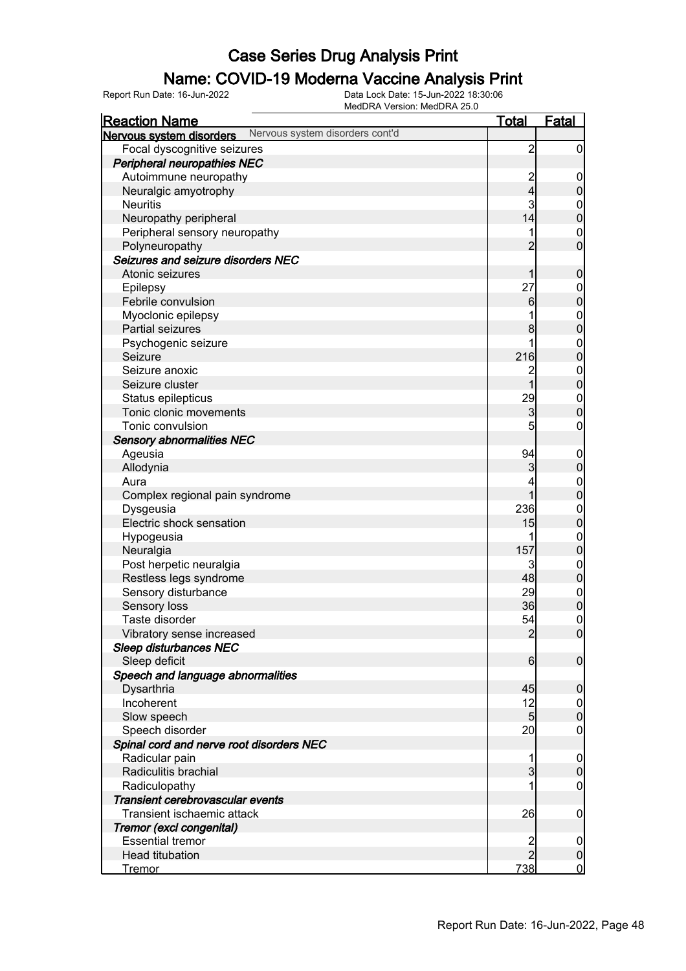### Name: COVID-19 Moderna Vaccine Analysis Print

| <b>Reaction Name</b>                     |                                 | <b>Total</b>   | <b>Fatal</b>     |
|------------------------------------------|---------------------------------|----------------|------------------|
| Nervous system disorders                 | Nervous system disorders cont'd |                |                  |
| Focal dyscognitive seizures              |                                 | $\overline{c}$ | $\boldsymbol{0}$ |
| <b>Peripheral neuropathies NEC</b>       |                                 |                |                  |
| Autoimmune neuropathy                    |                                 |                | $\mathbf 0$      |
| Neuralgic amyotrophy                     |                                 | $\frac{2}{4}$  | $\boldsymbol{0}$ |
| <b>Neuritis</b>                          |                                 | 3              | $\mathbf 0$      |
| Neuropathy peripheral                    |                                 | 14             | $\mathbf 0$      |
| Peripheral sensory neuropathy            |                                 |                | $\mathbf 0$      |
| Polyneuropathy                           |                                 | $\overline{2}$ | $\mathbf 0$      |
| Seizures and seizure disorders NEC       |                                 |                |                  |
| Atonic seizures                          |                                 | 1              | $\mathbf 0$      |
| Epilepsy                                 |                                 | 27             | $\mathbf 0$      |
| Febrile convulsion                       |                                 | 6              | $\mathbf 0$      |
| Myoclonic epilepsy                       |                                 |                | $\boldsymbol{0}$ |
| Partial seizures                         |                                 | 8              | $\mathbf 0$      |
| Psychogenic seizure                      |                                 | 1              | $\boldsymbol{0}$ |
| Seizure                                  |                                 | 216            | $\mathbf 0$      |
| Seizure anoxic                           |                                 | $\overline{c}$ | $\boldsymbol{0}$ |
| Seizure cluster                          |                                 | $\mathbf{1}$   | $\mathbf 0$      |
| Status epilepticus                       |                                 | 29             | $\boldsymbol{0}$ |
| Tonic clonic movements                   |                                 | 3              | $\mathbf 0$      |
| Tonic convulsion                         |                                 | 5              | $\boldsymbol{0}$ |
| <b>Sensory abnormalities NEC</b>         |                                 |                |                  |
| Ageusia                                  |                                 | 94             | $\mathbf 0$      |
| Allodynia                                |                                 | 3              | $\mathbf 0$      |
| Aura                                     |                                 | 4              | $\boldsymbol{0}$ |
| Complex regional pain syndrome           |                                 | $\mathbf{1}$   | $\mathbf 0$      |
| Dysgeusia                                |                                 | 236            | $\boldsymbol{0}$ |
| Electric shock sensation                 |                                 | 15             | $\mathbf 0$      |
| Hypogeusia                               |                                 |                | $\boldsymbol{0}$ |
| Neuralgia                                |                                 | 157            | $\mathbf 0$      |
| Post herpetic neuralgia                  |                                 | 3              | $\boldsymbol{0}$ |
| Restless legs syndrome                   |                                 | 48             | $\pmb{0}$        |
| Sensory disturbance                      |                                 | 29             | $\boldsymbol{0}$ |
| Sensory loss                             |                                 | 36             | $\mathbf 0$      |
| Taste disorder                           |                                 | 54             | $\pmb{0}$        |
| Vibratory sense increased                |                                 | $\overline{2}$ | $\overline{0}$   |
| <b>Sleep disturbances NEC</b>            |                                 |                |                  |
| Sleep deficit                            |                                 | 6              | $\boldsymbol{0}$ |
| Speech and language abnormalities        |                                 |                |                  |
| Dysarthria                               |                                 | 45             | $\mathbf 0$      |
| Incoherent                               |                                 | 12             | $\overline{0}$   |
| Slow speech                              |                                 | 5 <sub>5</sub> | $\pmb{0}$        |
| Speech disorder                          |                                 | 20             | $\mathbf 0$      |
| Spinal cord and nerve root disorders NEC |                                 |                |                  |
| Radicular pain                           |                                 |                | $\overline{0}$   |
| Radiculitis brachial                     |                                 | $\overline{3}$ | $\mathbf 0$      |
| Radiculopathy                            |                                 |                | $\boldsymbol{0}$ |
| Transient cerebrovascular events         |                                 |                |                  |
| Transient ischaemic attack               |                                 | 26             | $\mathbf 0$      |
| Tremor (excl congenital)                 |                                 |                |                  |
| <b>Essential tremor</b>                  |                                 | $\frac{2}{2}$  | $\mathbf 0$      |
| <b>Head titubation</b>                   |                                 |                | $\boldsymbol{0}$ |
| <b>Tremor</b>                            |                                 | 738            | $\overline{0}$   |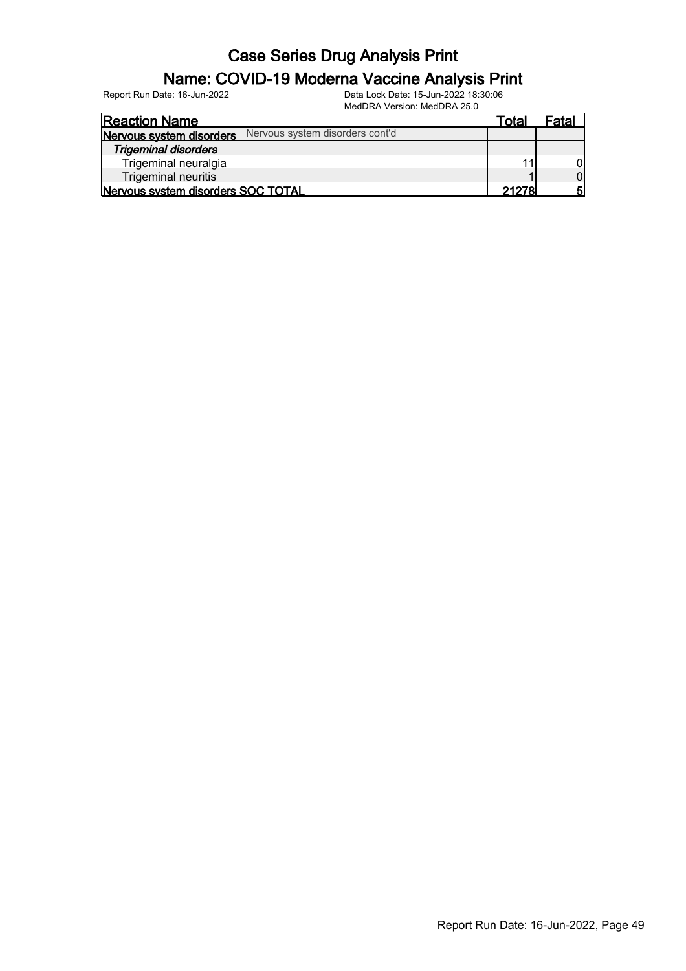#### Name: COVID-19 Moderna Vaccine Analysis Print

Report Run Date: 16-Jun-2022 Data Lock Date: 15-Jun-2022 18:30:06

|                                    | MedDRA Version: MedDRA 25.0     |       |       |
|------------------------------------|---------------------------------|-------|-------|
| <b>Reaction Name</b>               |                                 | Total | Fatal |
| Nervous system disorders           | Nervous system disorders cont'd |       |       |
| <b>Trigeminal disorders</b>        |                                 |       |       |
| Trigeminal neuralgia               |                                 |       |       |
| Trigeminal neuritis                |                                 |       | ΩI    |
| Nervous system disorders SOC TOTAL |                                 | 21278 |       |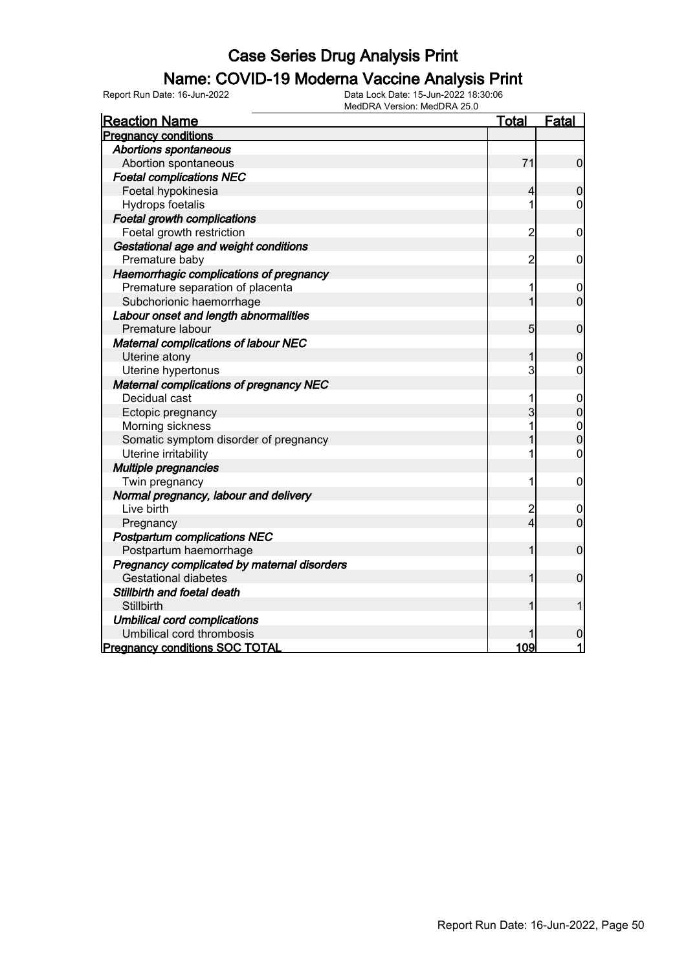### Name: COVID-19 Moderna Vaccine Analysis Print

Report Run Date: 16-Jun-2022 Data Lock Date: 15-Jun-2022 18:30:06

| MedDRA Version: MedDRA 25.0                    |  |                |                |
|------------------------------------------------|--|----------------|----------------|
| <b>Reaction Name</b>                           |  | Total          | <b>Fatal</b>   |
| <b>Pregnancy conditions</b>                    |  |                |                |
| <b>Abortions spontaneous</b>                   |  |                |                |
| Abortion spontaneous                           |  | 71             | $\mathbf 0$    |
| <b>Foetal complications NEC</b>                |  |                |                |
| Foetal hypokinesia                             |  | 4              | $\overline{0}$ |
| Hydrops foetalis                               |  | 1              | 0              |
| <b>Foetal growth complications</b>             |  |                |                |
| Foetal growth restriction                      |  | $\overline{2}$ | $\mathbf 0$    |
| Gestational age and weight conditions          |  |                |                |
| Premature baby                                 |  | 2              | 0              |
| Haemorrhagic complications of pregnancy        |  |                |                |
| Premature separation of placenta               |  | 1              | $\mathbf 0$    |
| Subchorionic haemorrhage                       |  | 1              | $\overline{0}$ |
| Labour onset and length abnormalities          |  |                |                |
| Premature labour                               |  | $\overline{5}$ | $\mathbf 0$    |
| Maternal complications of labour NEC           |  |                |                |
| Uterine atony                                  |  | 1              | 0              |
| Uterine hypertonus                             |  | 3              | 0              |
| <b>Maternal complications of pregnancy NEC</b> |  |                |                |
| Decidual cast                                  |  | 1              | $\mathbf 0$    |
| Ectopic pregnancy                              |  | $\overline{3}$ | $\overline{0}$ |
| Morning sickness                               |  | 1              | $\mathbf 0$    |
| Somatic symptom disorder of pregnancy          |  | 1              | $\overline{0}$ |
| Uterine irritability                           |  | 1              | $\mathbf 0$    |
| Multiple pregnancies                           |  |                |                |
| Twin pregnancy                                 |  | 1              | $\mathbf 0$    |
| Normal pregnancy, labour and delivery          |  |                |                |
| Live birth                                     |  | $\overline{c}$ | $\mathbf 0$    |
| Pregnancy                                      |  | $\overline{4}$ | $\overline{0}$ |
| <b>Postpartum complications NEC</b>            |  |                |                |
| Postpartum haemorrhage                         |  | 1              | $\mathbf 0$    |
| Pregnancy complicated by maternal disorders    |  |                |                |
| <b>Gestational diabetes</b>                    |  | 1              | $\mathbf 0$    |
| Stillbirth and foetal death                    |  |                |                |
| Stillbirth                                     |  | 1              | 1              |
| <b>Umbilical cord complications</b>            |  |                |                |
| Umbilical cord thrombosis                      |  |                | $\mathbf 0$    |
| <b>Pregnancy conditions SOC TOTAL</b>          |  | 109            | $\mathbf{1}$   |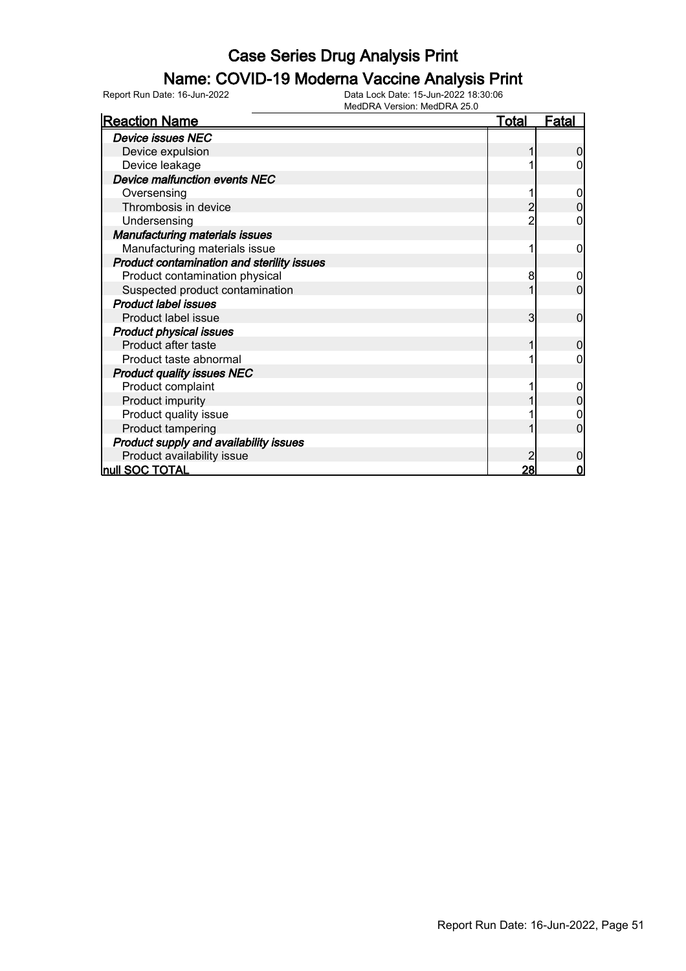#### Name: COVID-19 Moderna Vaccine Analysis Print

| <b>Reaction Name</b>                       | <b>Total</b> | <b>Fatal</b> |
|--------------------------------------------|--------------|--------------|
| <b>Device issues NEC</b>                   |              |              |
| Device expulsion                           |              | 0            |
| Device leakage                             |              |              |
| Device malfunction events NEC              |              |              |
| Oversensing                                |              | 0            |
| Thrombosis in device                       |              |              |
| Undersensing                               |              |              |
| <b>Manufacturing materials issues</b>      |              |              |
| Manufacturing materials issue              |              | 0            |
| Product contamination and sterility issues |              |              |
| Product contamination physical             | 8            | 0            |
| Suspected product contamination            |              | 0            |
| <b>Product label issues</b>                |              |              |
| Product label issue                        | 3            | 0            |
| <b>Product physical issues</b>             |              |              |
| Product after taste                        |              | 0            |
| Product taste abnormal                     |              |              |
| <b>Product quality issues NEC</b>          |              |              |
| Product complaint                          |              |              |
| Product impurity                           |              | 0            |
| Product quality issue                      |              |              |
| Product tampering                          |              | ი            |
| Product supply and availability issues     |              |              |
| Product availability issue                 |              | 0            |
| null SOC TOTAL                             | 28           | $\mathbf 0$  |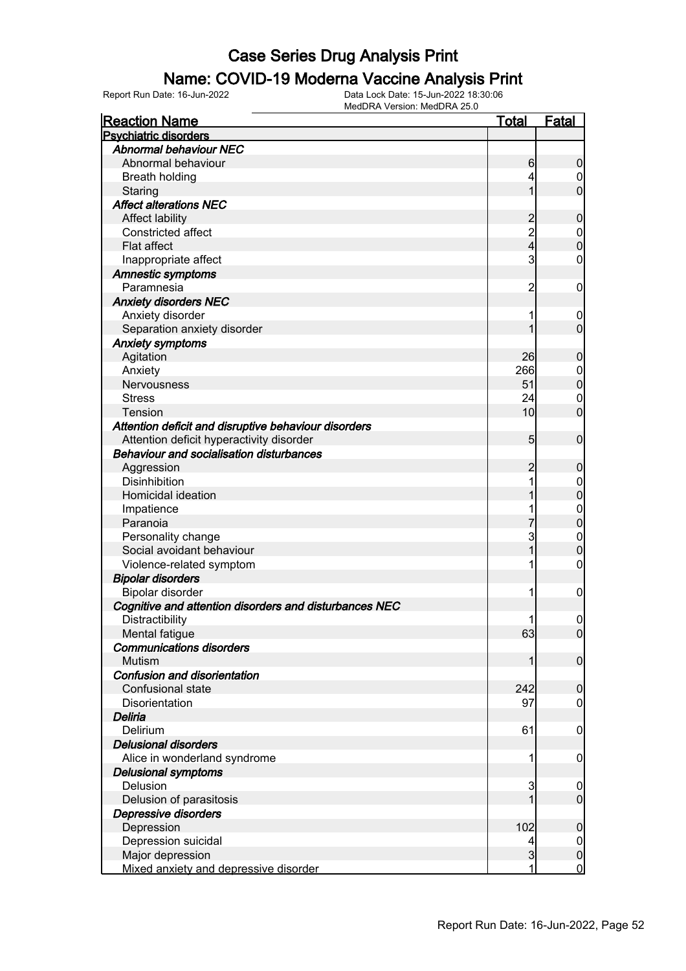#### Name: COVID-19 Moderna Vaccine Analysis Print

| <b>Reaction Name</b>                                   | <u>Total</u>    | <b>Fatal</b>     |
|--------------------------------------------------------|-----------------|------------------|
| <b>Psychiatric disorders</b>                           |                 |                  |
| <b>Abnormal behaviour NEC</b>                          |                 |                  |
| Abnormal behaviour                                     | 6               | 0                |
| <b>Breath holding</b>                                  | 4               | 0                |
| Staring                                                | 1               | $\overline{0}$   |
| <b>Affect alterations NEC</b>                          |                 |                  |
| <b>Affect lability</b>                                 | $\overline{c}$  | 0                |
| Constricted affect                                     | $\overline{c}$  | $\mathbf 0$      |
| <b>Flat affect</b>                                     | 4               | $\overline{0}$   |
| Inappropriate affect                                   | 3               | 0                |
| <b>Amnestic symptoms</b>                               |                 |                  |
| Paramnesia                                             | 2               | $\mathbf 0$      |
| <b>Anxiety disorders NEC</b>                           |                 |                  |
| Anxiety disorder                                       | 1               | $\overline{0}$   |
| Separation anxiety disorder                            |                 | $\overline{0}$   |
| <b>Anxiety symptoms</b>                                |                 |                  |
| Agitation                                              | 26              | 0                |
| Anxiety                                                | 266             | $\boldsymbol{0}$ |
| Nervousness                                            | 51              | $\overline{0}$   |
| <b>Stress</b>                                          | 24              | $\boldsymbol{0}$ |
| Tension                                                | 10              | $\overline{0}$   |
| Attention deficit and disruptive behaviour disorders   |                 |                  |
| Attention deficit hyperactivity disorder               | $5\overline{)}$ | $\mathbf 0$      |
| <b>Behaviour and socialisation disturbances</b>        |                 |                  |
| Aggression                                             | 2               | 0                |
| <b>Disinhibition</b>                                   | 1               | 0                |
| Homicidal ideation                                     |                 | $\mathbf{0}$     |
| Impatience                                             |                 | $\mathbf 0$      |
| Paranoia                                               | 7               | $\overline{0}$   |
| Personality change                                     | 3               | $\mathbf{0}$     |
| Social avoidant behaviour                              | 1               | $\overline{0}$   |
| Violence-related symptom                               | 1               | 0                |
| <b>Bipolar disorders</b>                               |                 |                  |
| Bipolar disorder                                       | 1               | $\mathbf 0$      |
| Cognitive and attention disorders and disturbances NEC |                 |                  |
| Distractibility                                        | 1               | $\mathbf 0$      |
| Mental fatigue                                         | 63              | 0                |
| <b>Communications disorders</b>                        |                 |                  |
| <b>Mutism</b>                                          | 1               | $\mathbf 0$      |
| Confusion and disorientation                           |                 |                  |
| Confusional state                                      | 242             | $\mathbf 0$      |
| Disorientation                                         | 97              | 0                |
| Deliria                                                |                 |                  |
| Delirium                                               | 61              | $\mathbf 0$      |
| <b>Delusional disorders</b>                            |                 |                  |
| Alice in wonderland syndrome                           | 1               | 0                |
| <b>Delusional symptoms</b>                             |                 |                  |
| Delusion                                               | 3               | $\mathbf 0$      |
| Delusion of parasitosis                                | 1               | $\mathbf 0$      |
| Depressive disorders                                   |                 |                  |
| Depression                                             | 102             | $\boldsymbol{0}$ |
| Depression suicidal                                    | 4               | $\overline{0}$   |
| Major depression                                       | $\mathbf{3}$    | $\pmb{0}$        |
| Mixed anxiety and depressive disorder                  | 1               | $\mathbf 0$      |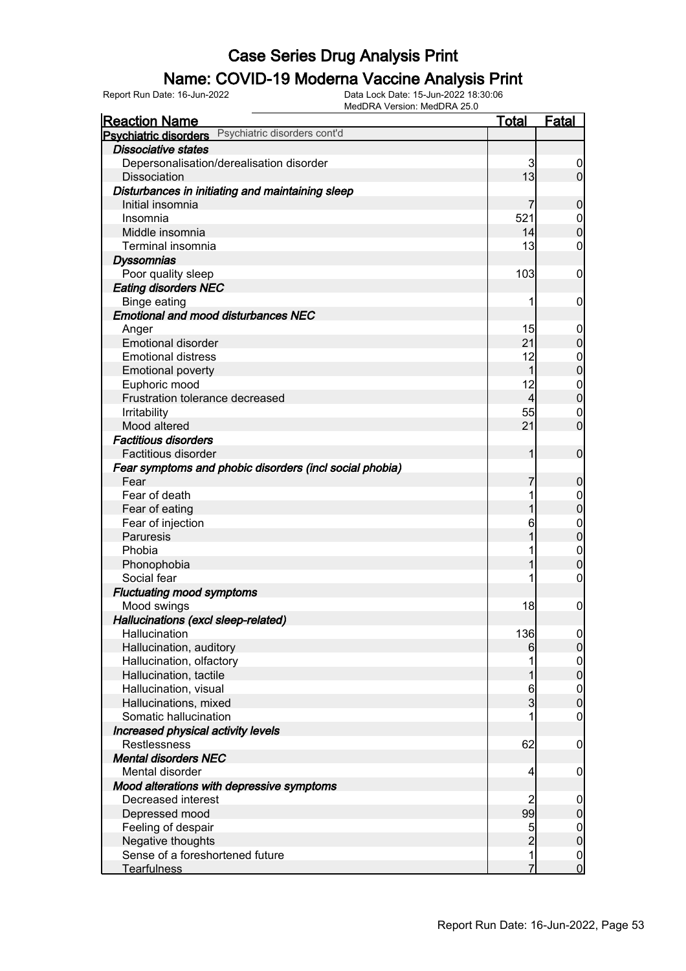# **Name: COVID-19 Moderna Vaccine Analysis Print**<br>
Report Run Date: 16-Jun-2022<br>
Data Lock Date: 15-Jun-2022 18:30:06

Report Run Date: 16-Jun-2022 Data Lock Date: 15-Jun-2022 18:30:06

MedDRA Version: MedDRA 25.0 Reaction Name Total Fatal Psychiatric disorders Psychiatric disorders cont'd Dissociative states Depersonalisation/derealisation disorder 3 0<br>Dissociation 13 0<br>0 0 Dissociation Disturbances in initiating and maintaining sleep Initial insomnia 7 0 Insomnia 521 0 Middle insomnia 14 0<br>Terminal insomnia 15 0<br>13 0 Terminal insomnia 13 **Dyssomnias**  Poor quality sleep 103 0 Eating disorders NEC Binge eating the control of the control of the control of the control of the control of the control of the control of the control of the control of the control of the control of the control of the control of the control of Emotional and mood disturbances NEC Anger 15 0 and 20 0 and 20 0 and 20 0 and 20 0 and 20 0  $\sim$  15 0 0  $\sim$ Emotional disorder 21 0<br>
Emotional distress 21 0<br>
21 0 Emotional distress and the control of the control of the control of the control of the control of the control of the control of the control of the control of the control of the control of the control of the control of the Emotional poverty 1 0<br>
Euphoric mood 12 0<br>
0 Euphoric mood 12 0 Frustration tolerance decreased  $\begin{array}{ccc} 4 & 0 \\ 0 & 55 & 0 \end{array}$  Irritability 55 0 Mood altered  $21 \t 0$  Factitious disorders Factitious disorder  $\begin{bmatrix} 1 & 0 \\ 0 & 1 \end{bmatrix}$  Fear symptoms and phobic disorders (incl social phobia) Fear 7 0 Fear of death in the set of the set of the set of the set of the set of the set of the set of the set of the set of the set of the set of the set of the set of the set of the set of the set of the set of the set of the set Fear of eating 1 0<br>
Fear of injection 1 0<br>
1 0<br>
0 0 Fear of injection and the control of the control of the control of the control of the control of the control of the control of the control of the control of the control of the control of the control of the control of the c Paruresis 1 0 Phobia 1 0 Phonophobia 1 0<br>Social fear 1 0 Social fear 1 0 Fluctuating mood symptoms Mood swings  $\begin{array}{ccc} 18 & 0 \\ 0 & 0 \end{array}$  Hallucinations (excl sleep-related) Hallucination **136** 0 Hallucination, auditory 6 0 Hallucination, olfactory **1** 0<br>
Hallucination, tactile **1** 0 Hallucination, tactile 1 0<br>Hallucination, visual 1 0<br>Hallucination, visual 1 0 Hallucination, visual 6 0 Hallucinations, mixed 3 0 Somatic hallucination and the set of the set of the set of the set of the set of the set of the set of the set of the set of the set of the set of the set of the set of the set of the set of the set of the set of the set o Increased physical activity levels Restlessness 62 0 Mental disorders NEC Mental disorder and the set of the set of the set of the set of the set of the set of the set of the set of the set of the set of the set of the set of the set of the set of the set of the set of the set of the set of the Mood alterations with depressive symptoms Decreased interest and the control of the control of the control of the control of the control of the control of the control of the control of the control of the control of the control of the control of the control of the Depressed mood and the set of the set of the set of the set of the set of the set of the set of the set of the set of the set of the set of the set of the set of the set of the set of the set of the set of the set of the s Feeling of despair 5 0 Negative thoughts **2** 0 Sense of a foreshortened future 1 0 Tearfulness and the control of the control of the control of the control of the control of the control of the control of the control of the control of the control of the control of the control of the control of the control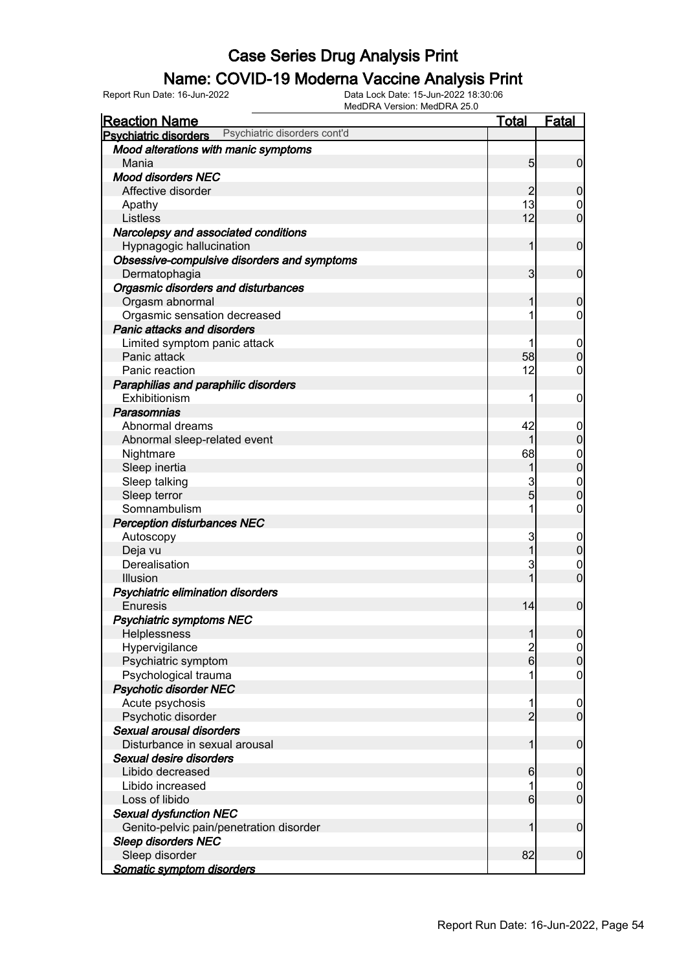#### Name: COVID-19 Moderna Vaccine Analysis Print

| <b>Reaction Name</b>                                         | <u>Total</u>   | <b>Fatal</b>                     |
|--------------------------------------------------------------|----------------|----------------------------------|
| Psychiatric disorders cont'd<br><b>Psychiatric disorders</b> |                |                                  |
| Mood alterations with manic symptoms                         |                |                                  |
| Mania                                                        | 5              | $\mathbf 0$                      |
| <b>Mood disorders NEC</b>                                    |                |                                  |
| Affective disorder                                           | 2              | $\mathbf 0$                      |
| Apathy                                                       | 13             | $\mathbf 0$                      |
| Listless                                                     | 12             | $\overline{0}$                   |
| Narcolepsy and associated conditions                         |                |                                  |
| Hypnagogic hallucination                                     | 1              | $\mathbf 0$                      |
| Obsessive-compulsive disorders and symptoms                  |                |                                  |
| Dermatophagia                                                | 3              | $\mathbf 0$                      |
| Orgasmic disorders and disturbances                          |                |                                  |
| Orgasm abnormal                                              | 1              | $\mathbf 0$                      |
| Orgasmic sensation decreased                                 | 1              | $\mathbf 0$                      |
| <b>Panic attacks and disorders</b>                           |                |                                  |
| Limited symptom panic attack                                 |                | $\mathbf 0$                      |
| Panic attack                                                 | 58             | $\overline{0}$                   |
| Panic reaction                                               | 12             | 0                                |
| Paraphilias and paraphilic disorders                         |                |                                  |
| Exhibitionism                                                | 1              | 0                                |
| Parasomnias                                                  |                |                                  |
|                                                              |                |                                  |
| Abnormal dreams                                              | 42             | $\boldsymbol{0}$                 |
| Abnormal sleep-related event                                 | 1              | $\mathbf 0$                      |
| Nightmare                                                    | 68             | $\begin{matrix}0\\0\end{matrix}$ |
| Sleep inertia                                                | 1              |                                  |
| Sleep talking                                                | 3              | $\mathbf{0}$                     |
| Sleep terror                                                 | $\overline{5}$ | $\overline{0}$                   |
| Somnambulism                                                 | 1              | $\mathbf 0$                      |
| <b>Perception disturbances NEC</b>                           |                |                                  |
| Autoscopy                                                    | 3              | $\mathbf 0$                      |
| Deja vu                                                      | 1              | $\boldsymbol{0}$                 |
| Derealisation                                                | 3              | $\mathbf 0$                      |
| Illusion                                                     | $\overline{1}$ | $\overline{0}$                   |
| Psychiatric elimination disorders                            |                |                                  |
| <b>Enuresis</b>                                              | 14             | $\mathbf 0$                      |
| <b>Psychiatric symptoms NEC</b>                              |                |                                  |
| Helplessness                                                 | $\mathbf{1}$   | $\overline{0}$                   |
| Hypervigilance                                               | $\frac{2}{6}$  | $\overline{0}$                   |
| Psychiatric symptom                                          |                | $\boldsymbol{0}$                 |
| Psychological trauma                                         | 1              | $\mathbf 0$                      |
| <b>Psychotic disorder NEC</b>                                |                |                                  |
| Acute psychosis                                              | 1              | $\boldsymbol{0}$                 |
| Psychotic disorder                                           | $\overline{2}$ | $\overline{0}$                   |
| Sexual arousal disorders                                     |                |                                  |
| Disturbance in sexual arousal                                | $\mathbf{1}$   | $\mathbf 0$                      |
| Sexual desire disorders                                      |                |                                  |
| Libido decreased                                             | 6              | $\mathbf 0$                      |
| Libido increased                                             | 1              | $\mathbf 0$                      |
| Loss of libido                                               | $6 \mid$       | $\mathbf 0$                      |
| <b>Sexual dysfunction NEC</b>                                |                |                                  |
| Genito-pelvic pain/penetration disorder                      | 1              | $\boldsymbol{0}$                 |
| <b>Sleep disorders NEC</b>                                   |                |                                  |
| Sleep disorder                                               | 82             | $\boldsymbol{0}$                 |
|                                                              |                |                                  |
| Somatic symptom disorders                                    |                |                                  |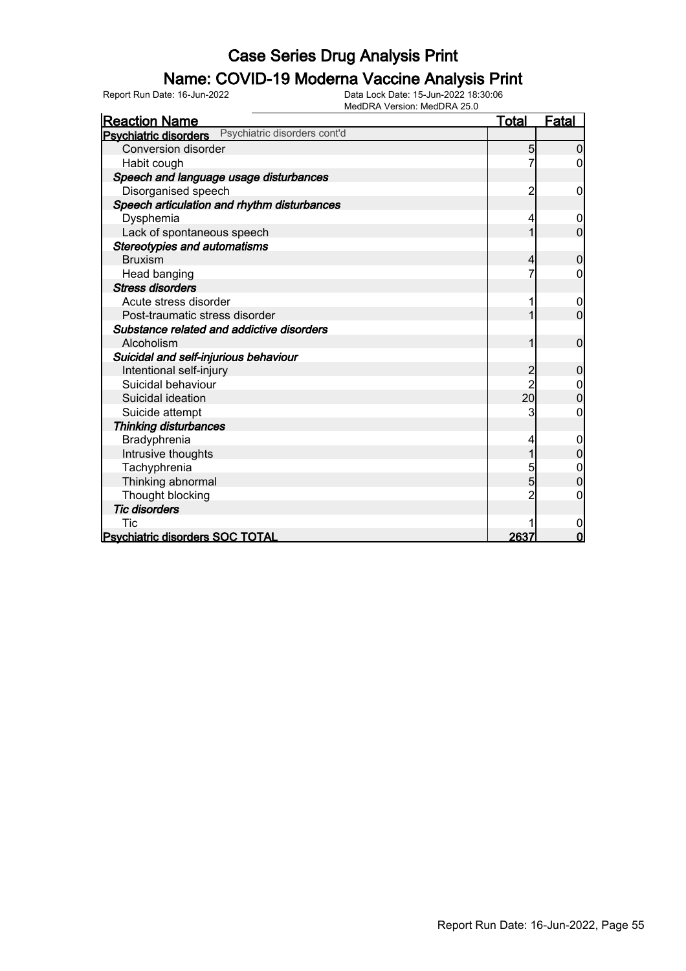# **Name: COVID-19 Moderna Vaccine Analysis Print**<br>
Report Run Date: 16-Jun-2022<br>
Data Lock Date: 15-Jun-2022 18:30:06

Report Run Date: 16-Jun-2022 Data Lock Date: 15-Jun-2022 18:30:06

MedDRA Version: MedDRA 25.0 Reaction Name Total Fatal Psychiatric disorders Psychiatric disorders cont'd Conversion disorder 5 0 Habit cough Speech and language usage disturbances Disorganised speech 2 0 Speech articulation and rhythm disturbances Dysphemia 4 0 Lack of spontaneous speech 1 0 Stereotypies and automatisms Bruxism 4 0 Head banging  $\begin{array}{ccc} 1 & 0 \\ 0 & 0 \end{array}$  Stress disorders Acute stress disorder 1 0<br>Post-traumatic stress disorder 1 0<br>Dost-traumatic stress disorder 1 0 Post-traumatic stress disorder 1 0 Substance related and addictive disorders Alcoholism 1 0 Suicidal and self-injurious behaviour Intentional self-injury and the contract of the contract of the contract of the contract of the contract of the contract of the contract of the contract of the contract of the contract of the contract of the contract of th Suicidal behaviour  $\begin{array}{|c|c|c|c|c|c|}\n\hline\n\text{Suicidal declaration} & 2 & 0 \\
\hline\n\end{array}$ Suicidal ideation and the suicidal ideation and the suicide afternoon and the suicide afternoon and the suicide afternoon and the suicide afternoon and the suicide afternoon and the suicide afternoon and the suicide aftern Suicide attempt Thinking disturbances Bradyphrenia 1 0<br>Intrusive thoughts 1 0<br>Intrusive thoughts 1 0 Intrusive thoughts 1 0<br>Tachvohrenia 1 0<br>Tachvohrenia 1 0 Tachyphrenia 5 0 Thinking abnormal Thought blocking and the contract of the contract of the contract of the contract of the contract of the contract of the contract of the contract of the contract of the contract of the contract of the contract of the contr Tic disorders Tic the contract of the contract of  $\mathbb{R}^n$  of  $\mathbb{R}^n$  of  $\mathbb{R}^n$  of  $\mathbb{R}^n$  of  $\mathbb{R}^n$ Psychiatric disorders SOC TOTAL 2637 0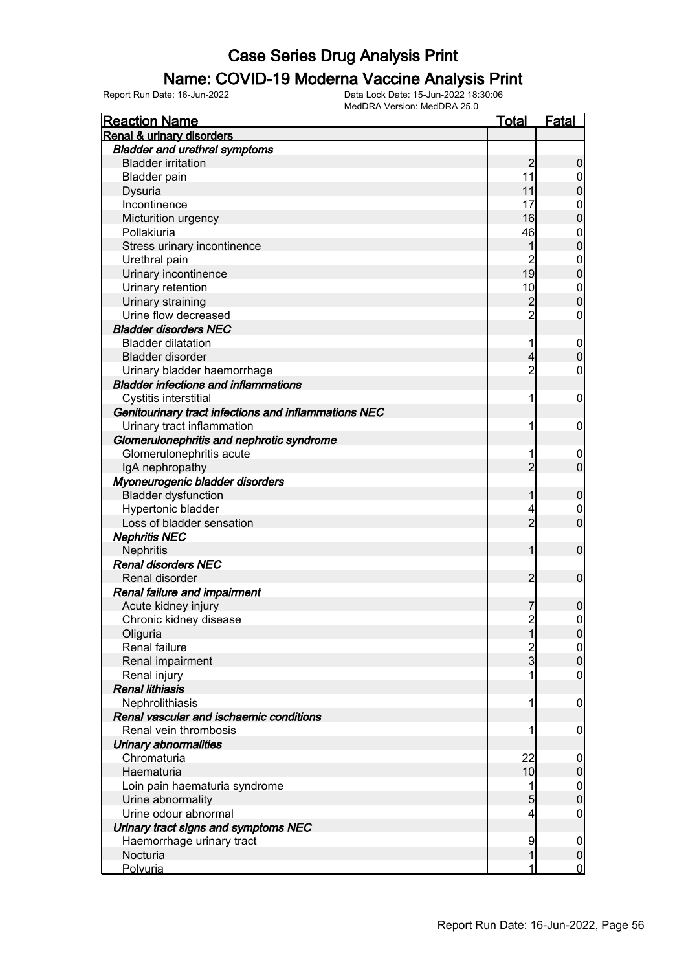#### Name: COVID-19 Moderna Vaccine Analysis Print

| <b>Reaction Name</b>                                 | <u>Total</u>   | <b>Fatal</b>                     |
|------------------------------------------------------|----------------|----------------------------------|
| Renal & urinary disorders                            |                |                                  |
| <b>Bladder and urethral symptoms</b>                 |                |                                  |
| <b>Bladder irritation</b>                            | $\overline{2}$ | $\boldsymbol{0}$                 |
| <b>Bladder pain</b>                                  | 11             | $\mathbf 0$                      |
| Dysuria                                              | 11             | $\mathbf 0$                      |
| Incontinence                                         | 17             | $\mathbf{0}$                     |
| Micturition urgency                                  | 16             | $\overline{0}$                   |
| Pollakiuria                                          | 46             |                                  |
| Stress urinary incontinence                          | 1              | $\begin{matrix}0\\0\end{matrix}$ |
| Urethral pain                                        | $\overline{2}$ |                                  |
| Urinary incontinence                                 | 19             | $\begin{matrix}0\\0\end{matrix}$ |
| Urinary retention                                    | 10             |                                  |
| Urinary straining                                    | $\overline{c}$ | $\begin{matrix}0\\0\end{matrix}$ |
| Urine flow decreased                                 | $\overline{2}$ | $\mathbf 0$                      |
| <b>Bladder disorders NEC</b>                         |                |                                  |
| <b>Bladder dilatation</b>                            | 1              | $\boldsymbol{0}$                 |
| Bladder disorder                                     | 4              | $\mathbf 0$                      |
| Urinary bladder haemorrhage                          | $\overline{2}$ | $\mathbf 0$                      |
| <b>Bladder infections and inflammations</b>          |                |                                  |
| Cystitis interstitial                                | 1              | $\boldsymbol{0}$                 |
| Genitourinary tract infections and inflammations NEC |                |                                  |
| Urinary tract inflammation                           | 1              | $\mathbf 0$                      |
| Glomerulonephritis and nephrotic syndrome            |                |                                  |
| Glomerulonephritis acute                             | 1              | $\boldsymbol{0}$                 |
| IgA nephropathy                                      | $\overline{2}$ | $\mathbf 0$                      |
| Myoneurogenic bladder disorders                      |                |                                  |
| <b>Bladder dysfunction</b>                           | 1              | $\mathbf 0$                      |
| Hypertonic bladder                                   | 4              | $\mathbf{0}$                     |
| Loss of bladder sensation                            | $\overline{2}$ | $\overline{0}$                   |
| <b>Nephritis NEC</b>                                 |                |                                  |
| Nephritis                                            | 1              | $\mathbf 0$                      |
| <b>Renal disorders NEC</b>                           |                |                                  |
| Renal disorder                                       | $\overline{c}$ | $\mathbf 0$                      |
| Renal failure and impairment                         |                |                                  |
| Acute kidney injury                                  |                | $\mathbf 0$                      |
| Chronic kidney disease                               | $\overline{2}$ | $\mathbf 0$                      |
| Oliguria                                             | 1              |                                  |
| Renal failure                                        | $\overline{c}$ | 0 <br>$\overline{0}$             |
| Renal impairment                                     | $\overline{3}$ | $\boldsymbol{0}$                 |
| Renal injury                                         |                | $\mathbf 0$                      |
| <b>Renal lithiasis</b>                               |                |                                  |
| Nephrolithiasis                                      | 1              |                                  |
| Renal vascular and ischaemic conditions              |                | $\mathbf 0$                      |
| Renal vein thrombosis                                | 1              |                                  |
|                                                      |                | $\mathbf 0$                      |
| Urinary abnormalities<br>Chromaturia                 |                |                                  |
|                                                      | 22             | $\mathbf 0$                      |
| Haematuria                                           | 10             | $\pmb{0}$                        |
| Loin pain haematuria syndrome                        | 1              | $\mathbf{0}$                     |
| Urine abnormality                                    | 5              | $\mathbf 0$                      |
| Urine odour abnormal                                 | 4              | $\boldsymbol{0}$                 |
| Urinary tract signs and symptoms NEC                 |                |                                  |
| Haemorrhage urinary tract                            | 9              | 0                                |
| Nocturia                                             | $\mathbf{1}$   | $\boldsymbol{0}$                 |
| Polyuria                                             | 1              | $\overline{0}$                   |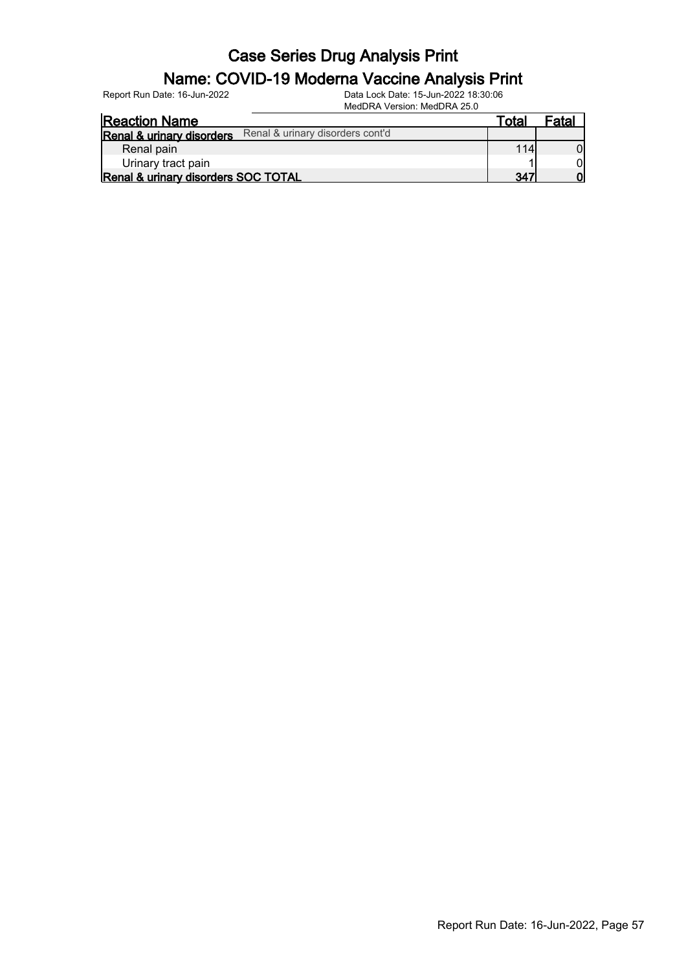#### Name: COVID-19 Moderna Vaccine Analysis Print

Report Run Date: 16-Jun-2022 Data Lock Date: 15-Jun-2022 18:30:06

MedDRA Version: MedDRA 25.0

| <b>Reaction Name</b>                                          | Totar | Fatal |
|---------------------------------------------------------------|-------|-------|
| Renal & urinary disorders cont'd<br>Renal & urinary disorders |       |       |
| Renal pain                                                    | 114   |       |
| Urinary tract pain                                            |       |       |
| Renal & urinary disorders SOC TOTAL                           | 347   |       |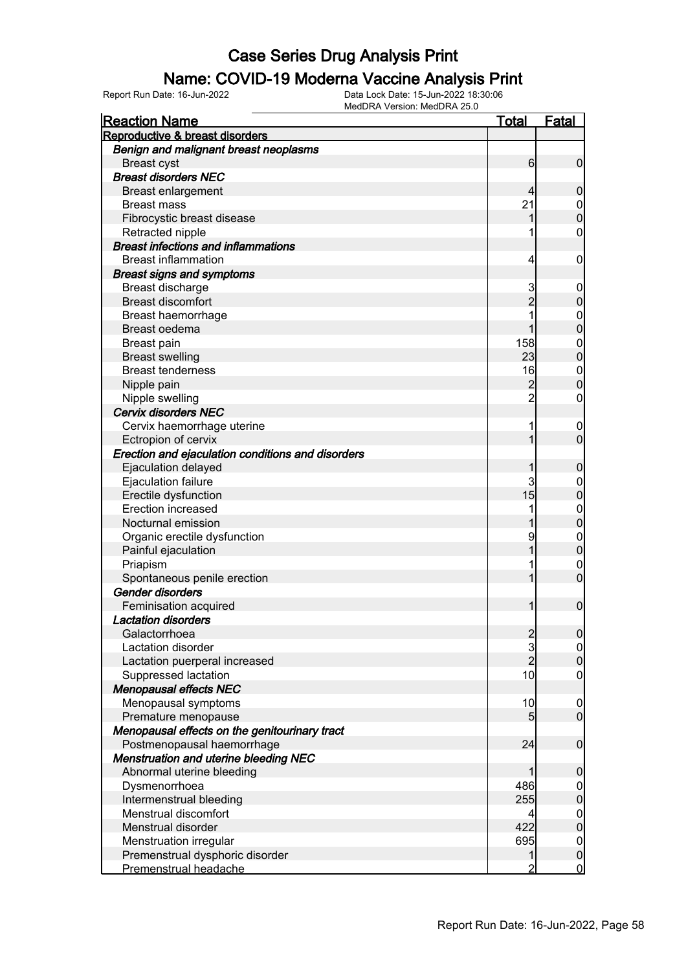#### Name: COVID-19 Moderna Vaccine Analysis Print

| <b>Reaction Name</b>                              | <u>Total</u>                               | <b>Fatal</b>                     |
|---------------------------------------------------|--------------------------------------------|----------------------------------|
| Reproductive & breast disorders                   |                                            |                                  |
| Benign and malignant breast neoplasms             |                                            |                                  |
| <b>Breast cyst</b>                                | 6                                          | $\overline{0}$                   |
| <b>Breast disorders NEC</b>                       |                                            |                                  |
| <b>Breast enlargement</b>                         | 4                                          | $\mathbf 0$                      |
| <b>Breast mass</b>                                | 21                                         |                                  |
| Fibrocystic breast disease                        | 1                                          | $0\atop 0$                       |
| Retracted nipple                                  | 1                                          | 0                                |
| <b>Breast infections and inflammations</b>        |                                            |                                  |
| <b>Breast inflammation</b>                        | 4                                          | $\boldsymbol{0}$                 |
| <b>Breast signs and symptoms</b>                  |                                            |                                  |
| Breast discharge                                  | 3                                          | $\mathbf 0$                      |
| <b>Breast discomfort</b>                          | $\overline{2}$                             | $\mathbf 0$                      |
| Breast haemorrhage                                | 1                                          |                                  |
| Breast oedema                                     | 1                                          | $0\atop 0$                       |
| Breast pain                                       | 158                                        |                                  |
| <b>Breast swelling</b>                            | 23                                         | $\begin{matrix}0\\0\end{matrix}$ |
| <b>Breast tenderness</b>                          | 16                                         |                                  |
| Nipple pain                                       | $\overline{c}$                             | $\begin{matrix}0\\0\end{matrix}$ |
| Nipple swelling                                   | $\overline{2}$                             | $\mathbf 0$                      |
| <b>Cervix disorders NEC</b>                       |                                            |                                  |
| Cervix haemorrhage uterine                        | 1                                          | $\boldsymbol{0}$                 |
| Ectropion of cervix                               | 1                                          | $\overline{0}$                   |
| Erection and ejaculation conditions and disorders |                                            |                                  |
| Ejaculation delayed                               | 1                                          | $\mathbf 0$                      |
| Ejaculation failure                               | 3                                          | $\mathbf{0}$                     |
| Erectile dysfunction                              | 15                                         | $\mathbf 0$                      |
| <b>Erection increased</b>                         | 1                                          |                                  |
| Nocturnal emission                                | 1                                          | $0\atop 0$                       |
| Organic erectile dysfunction                      | 9                                          |                                  |
| Painful ejaculation                               | 1                                          | $\begin{matrix}0\\0\end{matrix}$ |
| Priapism                                          | 1                                          | $\mathbf{0}$                     |
| Spontaneous penile erection                       | $\overline{1}$                             | $\overline{0}$                   |
| Gender disorders                                  |                                            |                                  |
| Feminisation acquired                             | 1                                          | $\mathbf 0$                      |
| <b>Lactation disorders</b>                        |                                            |                                  |
| Galactorrhoea                                     |                                            | 0                                |
| Lactation disorder                                | $\begin{array}{c} 2 \\ 3 \\ 2 \end{array}$ | $\overline{0}$                   |
| Lactation puerperal increased                     |                                            | $\overline{0}$                   |
| Suppressed lactation                              | 10                                         | $\boldsymbol{0}$                 |
| <b>Menopausal effects NEC</b>                     |                                            |                                  |
| Menopausal symptoms                               | 10                                         | $\boldsymbol{0}$                 |
| Premature menopause                               | $\overline{5}$                             | $\overline{0}$                   |
| Menopausal effects on the genitourinary tract     |                                            |                                  |
| Postmenopausal haemorrhage                        | 24                                         | $\boldsymbol{0}$                 |
| <b>Menstruation and uterine bleeding NEC</b>      |                                            |                                  |
| Abnormal uterine bleeding                         | 1                                          | $\mathbf 0$                      |
| Dysmenorrhoea                                     | 486                                        | $\boldsymbol{0}$                 |
| Intermenstrual bleeding                           | 255                                        | $\overline{0}$                   |
| Menstrual discomfort                              | 4                                          | $\boldsymbol{0}$                 |
| Menstrual disorder                                | 422                                        | $\overline{0}$                   |
| Menstruation irregular                            | 695                                        | $\mathbf{0}$                     |
| Premenstrual dysphoric disorder                   | 1                                          | $\pmb{0}$                        |
| Premenstrual headache                             | $\overline{2}$                             | $\overline{0}$                   |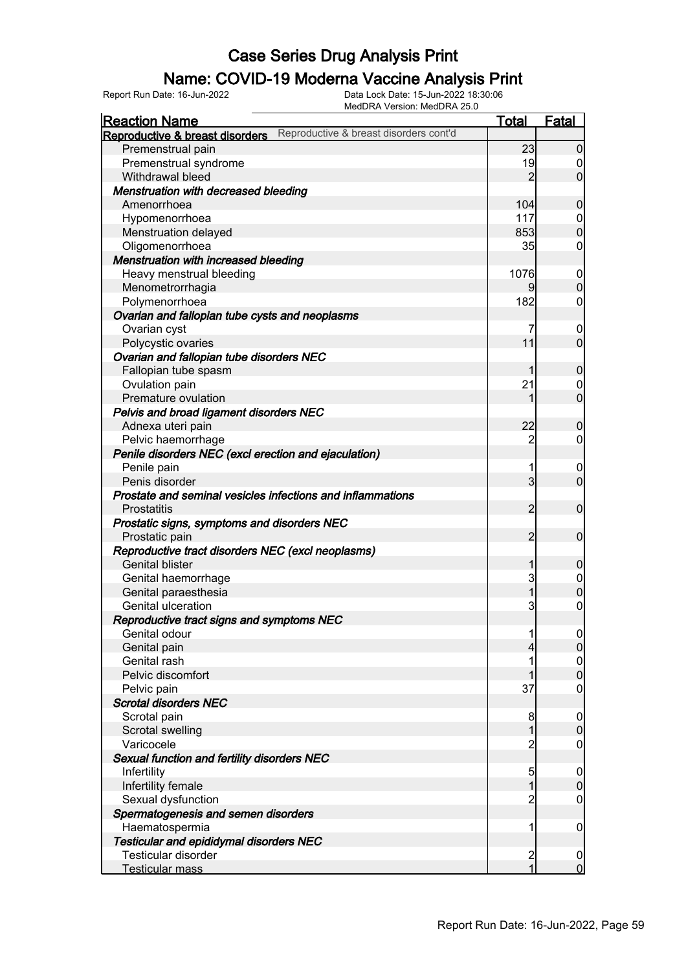#### Name: COVID-19 Moderna Vaccine Analysis Print

Report Run Date: 16-Jun-2022 Data Lock Date: 15-Jun-2022 18:30:06

| MedDRA Version: MedDRA 25.0                                               |                         |                                  |
|---------------------------------------------------------------------------|-------------------------|----------------------------------|
| <b>Reaction Name</b>                                                      | <b>Total</b>            | Fatal                            |
| Reproductive & breast disorders cont'd<br>Reproductive & breast disorders |                         |                                  |
| Premenstrual pain                                                         | 23                      | 0                                |
| Premenstrual syndrome                                                     | 19                      | $\boldsymbol{0}$                 |
| Withdrawal bleed                                                          | $\overline{2}$          | $\overline{0}$                   |
| Menstruation with decreased bleeding                                      |                         |                                  |
| Amenorrhoea                                                               | 104                     | $\mathbf 0$                      |
| Hypomenorrhoea                                                            | 117                     | $\overline{0}$                   |
| Menstruation delayed                                                      | 853                     | $\boldsymbol{0}$                 |
| Oligomenorrhoea                                                           | 35                      | $\mathbf 0$                      |
| Menstruation with increased bleeding                                      |                         |                                  |
| Heavy menstrual bleeding                                                  | 1076                    | $\overline{0}$                   |
| Menometrorrhagia                                                          | 9                       | $\mathbf 0$                      |
| Polymenorrhoea                                                            | 182                     | $\mathbf 0$                      |
| Ovarian and fallopian tube cysts and neoplasms                            |                         |                                  |
| Ovarian cyst                                                              | 7                       | $\overline{0}$                   |
| Polycystic ovaries                                                        | 11                      | $\overline{0}$                   |
| Ovarian and fallopian tube disorders NEC                                  |                         |                                  |
| Fallopian tube spasm                                                      | 1                       | $\mathbf 0$                      |
| Ovulation pain                                                            | 21                      | $\overline{0}$                   |
| Premature ovulation                                                       | 1                       | $\overline{0}$                   |
| Pelvis and broad ligament disorders NEC                                   |                         |                                  |
| Adnexa uteri pain                                                         | 22                      | $\mathbf 0$                      |
| Pelvic haemorrhage                                                        | $\overline{c}$          | $\mathbf 0$                      |
| Penile disorders NEC (excl erection and ejaculation)                      |                         |                                  |
|                                                                           | 1                       |                                  |
| Penile pain<br>Penis disorder                                             | 3                       | $\overline{0}$<br>$\overline{0}$ |
| Prostate and seminal vesicles infections and inflammations                |                         |                                  |
| Prostatitis                                                               | $\overline{2}$          | $\overline{0}$                   |
|                                                                           |                         |                                  |
| Prostatic signs, symptoms and disorders NEC                               | $\overline{2}$          | $\overline{0}$                   |
| Prostatic pain                                                            |                         |                                  |
| Reproductive tract disorders NEC (excl neoplasms)                         |                         |                                  |
| <b>Genital blister</b>                                                    | 1                       | $\mathbf 0$                      |
| Genital haemorrhage                                                       | 3                       | $\overline{0}$                   |
| Genital paraesthesia                                                      | $\mathbf 1$             | 0                                |
| Genital ulceration                                                        | 3                       | $\boldsymbol{0}$                 |
| Reproductive tract signs and symptoms NEC                                 |                         |                                  |
| Genital odour                                                             | 1                       | 0                                |
| Genital pain                                                              | 4                       | 0                                |
| Genital rash                                                              |                         | $\overline{0}$                   |
| Pelvic discomfort                                                         |                         | $\overline{0}$                   |
| Pelvic pain                                                               | 37                      | $\overline{0}$                   |
| <b>Scrotal disorders NEC</b>                                              |                         |                                  |
| Scrotal pain                                                              | 8                       | $\overline{0}$                   |
| Scrotal swelling                                                          | 1                       | $\overline{0}$                   |
| Varicocele                                                                | $\overline{c}$          | $\overline{0}$                   |
| Sexual function and fertility disorders NEC                               |                         |                                  |
| Infertility                                                               | 5                       | $\overline{0}$                   |
| Infertility female                                                        | 1                       | $\overline{0}$                   |
| Sexual dysfunction                                                        | $\overline{c}$          | $\overline{0}$                   |
| Spermatogenesis and semen disorders                                       |                         |                                  |
| Haematospermia                                                            | 1                       | $\boldsymbol{0}$                 |
| <b>Testicular and epididymal disorders NEC</b>                            |                         |                                  |
| Testicular disorder                                                       | $\overline{\mathbf{c}}$ | $\overline{0}$                   |
| Testicular mass                                                           | $\mathbf{1}$            | $\mathbf 0$                      |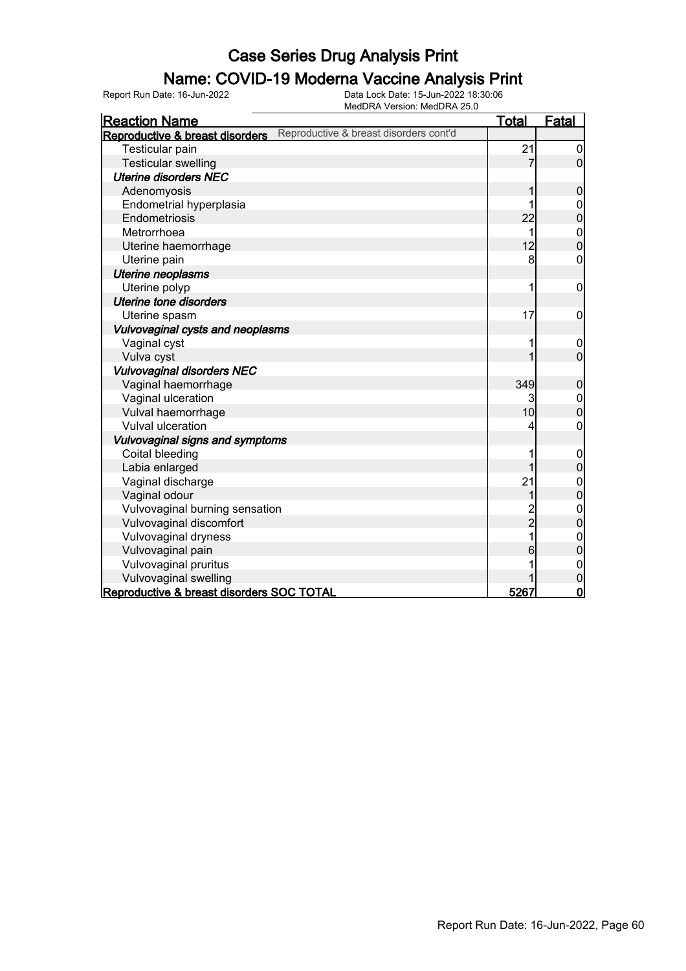#### Name: COVID-19 Moderna Vaccine Analysis Print

| <b>Reaction Name</b>                                                      | <u>Total</u> | <b>Fatal</b>     |
|---------------------------------------------------------------------------|--------------|------------------|
| Reproductive & breast disorders cont'd<br>Reproductive & breast disorders |              |                  |
| Testicular pain                                                           | 21           | 0                |
| <b>Testicular swelling</b>                                                | 7            | $\overline{0}$   |
| <b>Uterine disorders NEC</b>                                              |              |                  |
| Adenomyosis                                                               |              | 0                |
| Endometrial hyperplasia                                                   |              | 0                |
| Endometriosis                                                             | 22           | 0                |
| Metrorrhoea                                                               | 1            | $\mathbf{0}$     |
| Uterine haemorrhage                                                       | 12           | $\overline{0}$   |
| Uterine pain                                                              | 8            | 0                |
| Uterine neoplasms                                                         |              |                  |
| Uterine polyp                                                             | 1            | $\mathbf 0$      |
| Uterine tone disorders                                                    |              |                  |
| Uterine spasm                                                             | 17           | 0                |
| Vulvovaginal cysts and neoplasms                                          |              |                  |
| Vaginal cyst                                                              | 1            | $\mathbf 0$      |
| Vulva cyst                                                                | 1            | $\overline{0}$   |
| <b>Vulvovaginal disorders NEC</b>                                         |              |                  |
| Vaginal haemorrhage                                                       | 349          | $\pmb{0}$        |
| Vaginal ulceration                                                        | 3            | $\mathbf 0$      |
| Vulval haemorrhage                                                        | 10           | $\overline{0}$   |
| <b>Vulval ulceration</b>                                                  | 4            | 0                |
| <b>Vulvovaginal signs and symptoms</b>                                    |              |                  |
| Coital bleeding                                                           | 1            | $\boldsymbol{0}$ |
| Labia enlarged                                                            | 1            | $\mathbf 0$      |
| Vaginal discharge                                                         | 21           | $0$<br>0         |
| Vaginal odour                                                             | 1            |                  |
| Vulvovaginal burning sensation                                            | 2<br>2       | $\mathbf{0}$     |
| Vulvovaginal discomfort                                                   |              | $\overline{0}$   |
| Vulvovaginal dryness                                                      | 1            | $\mathbf{0}$     |
| Vulvovaginal pain                                                         | 6            | 0                |
| Vulvovaginal pruritus                                                     |              | $\mathbf{0}$     |
| Vulvovaginal swelling                                                     |              | 0                |
| Reproductive & breast disorders SOC TOTAL                                 | 5267         | $\overline{0}$   |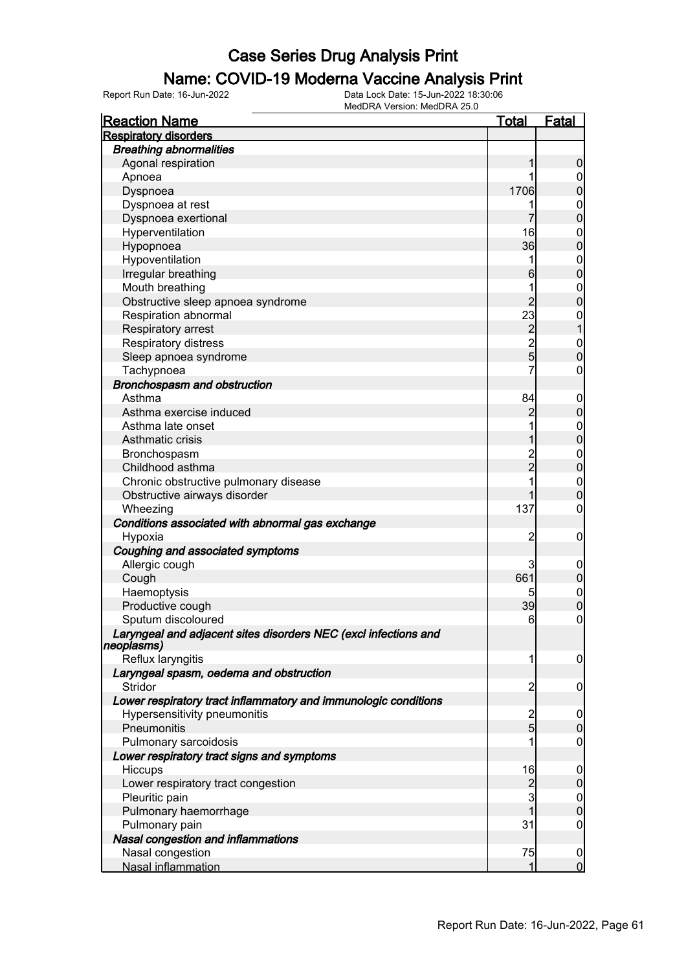#### Name: COVID-19 Moderna Vaccine Analysis Print

| <b>Reaction Name</b>                                                           | Total                   | <b>Fatal</b>      |
|--------------------------------------------------------------------------------|-------------------------|-------------------|
| <b>Respiratory disorders</b>                                                   |                         |                   |
| <b>Breathing abnormalities</b>                                                 |                         |                   |
| Agonal respiration                                                             |                         | 0                 |
| Apnoea                                                                         |                         | 0                 |
| Dyspnoea                                                                       | 1706                    | 0                 |
| Dyspnoea at rest                                                               |                         | $\mathbf 0$       |
| Dyspnoea exertional                                                            |                         | 0                 |
| Hyperventilation                                                               | 16                      | $\mathbf{0}$      |
| Hypopnoea                                                                      | 36                      | O                 |
| Hypoventilation                                                                | 1                       | $\mathbf{0}$      |
| Irregular breathing                                                            | 6                       | O                 |
| Mouth breathing                                                                | 1                       | $\mathbf 0$       |
| Obstructive sleep apnoea syndrome                                              | $\overline{2}$          | O                 |
| Respiration abnormal                                                           | 23                      | $\mathbf 0$       |
| Respiratory arrest                                                             | $\overline{c}$          |                   |
| Respiratory distress                                                           | $\overline{2}$          | $\mathbf{0}$      |
| Sleep apnoea syndrome                                                          | $\overline{5}$          | $\overline{0}$    |
| Tachypnoea                                                                     | $\overline{7}$          | 0                 |
| Bronchospasm and obstruction                                                   |                         |                   |
| Asthma                                                                         | 84                      | $\overline{0}$    |
| Asthma exercise induced                                                        | 2                       | 0                 |
| Asthma late onset                                                              | 1                       | $\mathbf{0}$      |
| Asthmatic crisis                                                               |                         | 0                 |
| Bronchospasm                                                                   | $\overline{c}$          | $\mathbf{0}$      |
| Childhood asthma                                                               | $\overline{2}$          | $\overline{0}$    |
| Chronic obstructive pulmonary disease                                          |                         | $\mathbf{0}$      |
| Obstructive airways disorder                                                   |                         | O                 |
| Wheezing                                                                       | 137                     | 0                 |
| Conditions associated with abnormal gas exchange                               |                         |                   |
| Hypoxia                                                                        | 2                       | 0                 |
| Coughing and associated symptoms                                               |                         |                   |
| Allergic cough                                                                 | 3                       | 0                 |
| Cough                                                                          | 661                     | $\mathbf{0}$      |
| Haemoptysis                                                                    | 5                       | $\mathbf{0}$<br>0 |
| Productive cough<br>Sputum discoloured                                         | 39<br>6                 | 0                 |
|                                                                                |                         |                   |
| Laryngeal and adjacent sites disorders NEC (excl infections and<br> neoplasms) |                         |                   |
| Reflux laryngitis                                                              | 1                       | $\overline{0}$    |
| Laryngeal spasm, oedema and obstruction                                        |                         |                   |
| Stridor                                                                        | $\overline{2}$          | $\boldsymbol{0}$  |
| Lower respiratory tract inflammatory and immunologic conditions                |                         |                   |
| Hypersensitivity pneumonitis                                                   | $\overline{\mathbf{c}}$ | $\boldsymbol{0}$  |
| Pneumonitis                                                                    | $\overline{5}$          | $\overline{0}$    |
| Pulmonary sarcoidosis                                                          |                         | 0                 |
| Lower respiratory tract signs and symptoms                                     |                         |                   |
| Hiccups                                                                        | 16                      | $\boldsymbol{0}$  |
| Lower respiratory tract congestion                                             | $\overline{c}$          | $\mathbf 0$       |
| Pleuritic pain                                                                 | 3                       | $\overline{0}$    |
| Pulmonary haemorrhage                                                          |                         | $\overline{0}$    |
| Pulmonary pain                                                                 | 31                      | $\mathbf 0$       |
| Nasal congestion and inflammations                                             |                         |                   |
| Nasal congestion                                                               | 75                      | $\overline{0}$    |
| Nasal inflammation                                                             | 1                       | $\overline{0}$    |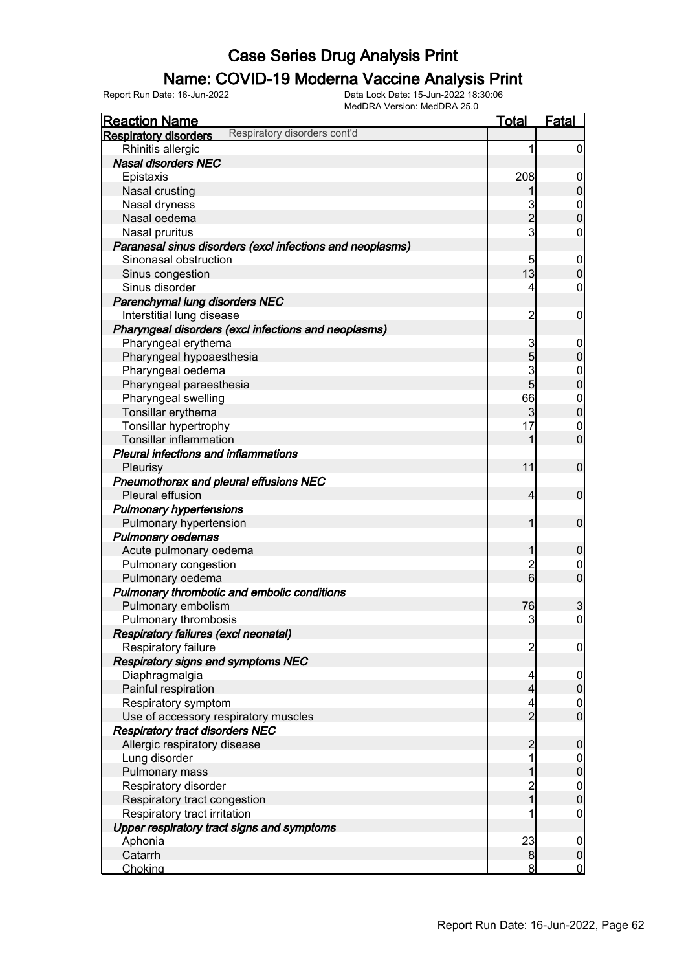### Name: COVID-19 Moderna Vaccine Analysis Print

| <b>Reaction Name</b>                                         | <b>Total</b>            | <b>Fatal</b>                         |
|--------------------------------------------------------------|-------------------------|--------------------------------------|
| Respiratory disorders cont'd<br><b>Respiratory disorders</b> |                         |                                      |
| Rhinitis allergic                                            | 1                       | $\overline{0}$                       |
| <b>Nasal disorders NEC</b>                                   |                         |                                      |
| Epistaxis                                                    | 208                     | $\mathbf 0$                          |
| Nasal crusting                                               |                         | $\pmb{0}$                            |
| Nasal dryness                                                | 3                       |                                      |
| Nasal oedema                                                 | $\overline{c}$          | $\begin{matrix} 0 \\ 0 \end{matrix}$ |
| Nasal pruritus                                               | $\mathbf{3}$            | $\pmb{0}$                            |
| Paranasal sinus disorders (excl infections and neoplasms)    |                         |                                      |
| Sinonasal obstruction                                        | 5                       | $\boldsymbol{0}$                     |
| Sinus congestion                                             | 13                      | $\mathbf 0$                          |
| Sinus disorder                                               | 4                       | $\mathbf 0$                          |
| Parenchymal lung disorders NEC                               |                         |                                      |
| Interstitial lung disease                                    | $\overline{2}$          | $\mathbf 0$                          |
| Pharyngeal disorders (excl infections and neoplasms)         |                         |                                      |
| Pharyngeal erythema                                          | 3                       | $\mathbf 0$                          |
| Pharyngeal hypoaesthesia                                     | 5                       | $\pmb{0}$                            |
| Pharyngeal oedema                                            | 3                       | $\mathbf{0}$                         |
| Pharyngeal paraesthesia                                      | 5                       | $\overline{0}$                       |
| Pharyngeal swelling                                          | 66                      | $\overline{0}$                       |
| Tonsillar erythema                                           | 3                       | $\overline{0}$                       |
| Tonsillar hypertrophy                                        | 17                      | $\mathbf 0$                          |
| <b>Tonsillar inflammation</b>                                | 1                       | $\overline{0}$                       |
| <b>Pleural infections and inflammations</b>                  |                         |                                      |
| Pleurisy                                                     | 11                      | $\mathbf 0$                          |
| Pneumothorax and pleural effusions NEC                       |                         |                                      |
| Pleural effusion                                             | $\overline{4}$          | $\mathbf 0$                          |
| <b>Pulmonary hypertensions</b>                               |                         |                                      |
| Pulmonary hypertension                                       | 1                       | $\mathbf 0$                          |
| <b>Pulmonary oedemas</b>                                     |                         |                                      |
| Acute pulmonary oedema                                       | 1                       | $\mathbf 0$                          |
| Pulmonary congestion                                         | $\overline{c}$          | $\mathbf 0$                          |
| Pulmonary oedema                                             | $\overline{6}$          | $\overline{0}$                       |
| Pulmonary thrombotic and embolic conditions                  |                         |                                      |
| Pulmonary embolism                                           | 76                      | 3                                    |
| Pulmonary thrombosis                                         | 3                       | $\boldsymbol{0}$                     |
| Respiratory failures (excl neonatal)                         |                         |                                      |
| Respiratory failure                                          | $\overline{\mathbf{c}}$ | $\overline{0}$                       |
| <b>Respiratory signs and symptoms NEC</b>                    |                         |                                      |
| Diaphragmalgia                                               | 4                       | $\overline{0}$                       |
| Painful respiration                                          | $\overline{4}$          | $\mathbf 0$                          |
| Respiratory symptom                                          | 4                       |                                      |
| Use of accessory respiratory muscles                         | $\overline{2}$          | $\begin{matrix} 0 \\ 0 \end{matrix}$ |
| <b>Respiratory tract disorders NEC</b>                       |                         |                                      |
| Allergic respiratory disease                                 | $\overline{c}$          | $\mathbf 0$                          |
| Lung disorder                                                | 1                       | $\boldsymbol{0}$                     |
| Pulmonary mass                                               | 1                       | $\mathbf 0$                          |
| Respiratory disorder                                         |                         |                                      |
| Respiratory tract congestion                                 | $\frac{2}{1}$           | $0\atop 0$                           |
| Respiratory tract irritation                                 |                         | $\mathbf 0$                          |
| Upper respiratory tract signs and symptoms                   |                         |                                      |
| Aphonia                                                      | 23                      | $\boldsymbol{0}$                     |
| Catarrh                                                      | $\bf{8}$                | $\pmb{0}$                            |
| Choking                                                      | 8                       | $\overline{0}$                       |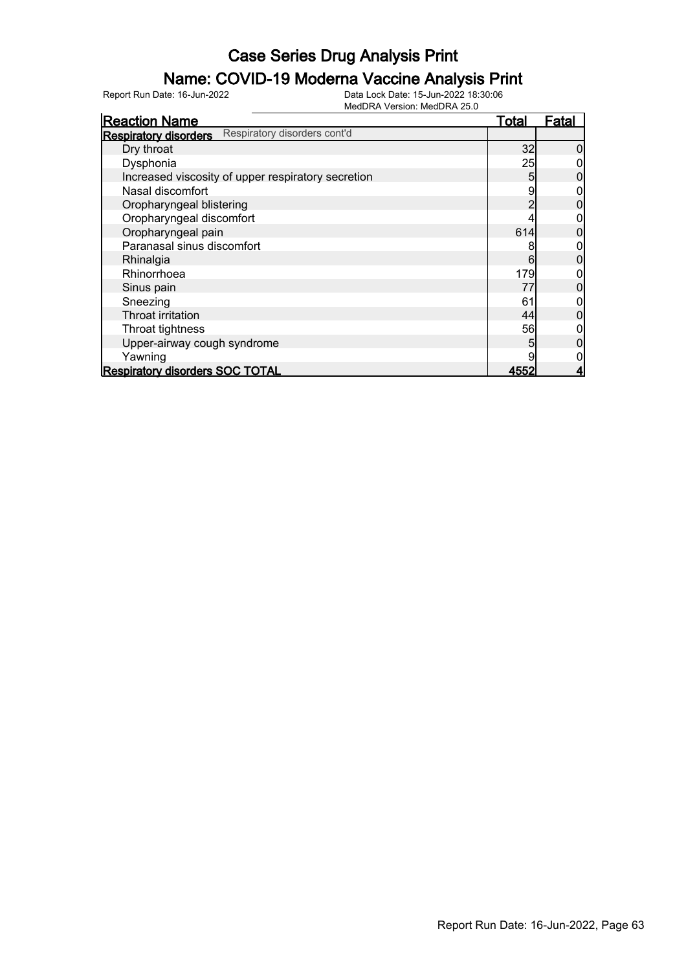### Name: COVID-19 Moderna Vaccine Analysis Print

| <b>Reaction Name</b>                                         | <b>Total</b> | <b>Fatal</b> |
|--------------------------------------------------------------|--------------|--------------|
| Respiratory disorders cont'd<br><b>Respiratory disorders</b> |              |              |
| Dry throat                                                   | 32           |              |
| Dysphonia                                                    | 25           |              |
| Increased viscosity of upper respiratory secretion           | 5            |              |
| Nasal discomfort                                             | 9            |              |
| Oropharyngeal blistering                                     |              |              |
| Oropharyngeal discomfort                                     |              |              |
| Oropharyngeal pain                                           | 614          |              |
| Paranasal sinus discomfort                                   | 8            |              |
| Rhinalgia                                                    | 6            |              |
| Rhinorrhoea                                                  | 179          |              |
| Sinus pain                                                   | 77           | 0            |
| Sneezing                                                     | 61           |              |
| Throat irritation                                            | 44           |              |
| Throat tightness                                             | 56           |              |
| Upper-airway cough syndrome                                  | 5            |              |
| Yawning                                                      |              |              |
| <b>Respiratory disorders SOC TOTAL</b>                       | 4552         |              |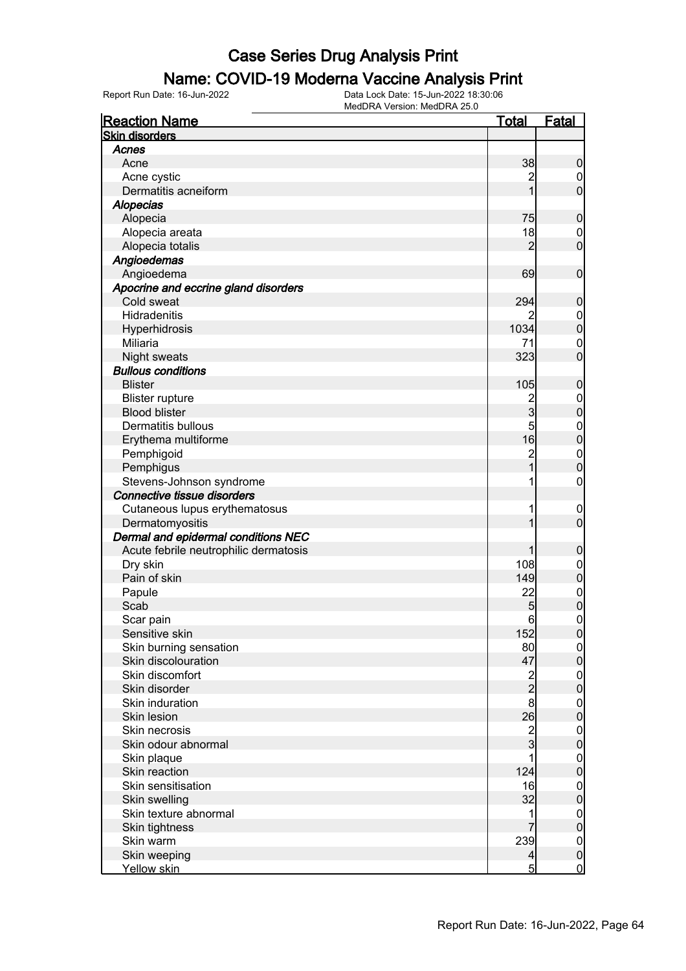#### Name: COVID-19 Moderna Vaccine Analysis Print

Report Run Date: 16-Jun-2022 Data Lock Date: 15-Jun-2022 18:30:06

MedDRA Version: MedDRA 25.0

| <b>Reaction Name</b>                          | <u>Total</u>   | Fatal                            |
|-----------------------------------------------|----------------|----------------------------------|
| <b>Skin disorders</b>                         |                |                                  |
| Acnes                                         |                |                                  |
| Acne                                          | 38             | 0                                |
| Acne cystic                                   | 2              | $\boldsymbol{0}$                 |
| Dermatitis acneiform                          |                | $\overline{0}$                   |
| <b>Alopecias</b>                              |                |                                  |
| Alopecia                                      | 75             | 0                                |
| Alopecia areata                               | 18             | $\mathbf 0$                      |
| Alopecia totalis                              | 2              | $\overline{0}$                   |
| Angioedemas                                   |                |                                  |
| Angioedema                                    | 69             | $\mathbf 0$                      |
| Apocrine and eccrine gland disorders          |                |                                  |
| Cold sweat                                    | 294            | 0                                |
| Hidradenitis                                  | 2              | $\boldsymbol{0}$                 |
| Hyperhidrosis                                 | 1034           | $\overline{0}$                   |
| Miliaria                                      | 71             | $\mathbf{0}$                     |
| <b>Night sweats</b>                           | 323            | O                                |
| <b>Bullous conditions</b>                     |                |                                  |
| <b>Blister</b>                                | 105            | 0                                |
| <b>Blister rupture</b>                        | $\overline{2}$ | $\mathbf 0$                      |
| <b>Blood blister</b>                          | 3              | 0                                |
| <b>Dermatitis bullous</b>                     | 5              |                                  |
| Erythema multiforme                           | 16             | $\begin{matrix}0\\0\end{matrix}$ |
| Pemphigoid                                    | $\overline{c}$ |                                  |
| Pemphigus                                     |                | $\begin{matrix}0\\0\end{matrix}$ |
| Stevens-Johnson syndrome                      | 1              | 0                                |
| Connective tissue disorders                   |                |                                  |
| Cutaneous lupus erythematosus                 | 1              | $\overline{0}$                   |
| Dermatomyositis                               |                | 0                                |
| Dermal and epidermal conditions NEC           |                |                                  |
| Acute febrile neutrophilic dermatosis         |                | 0                                |
| Dry skin                                      | 108            |                                  |
| Pain of skin                                  | 149            | $\mathbf 0$<br>$\overline{0}$    |
|                                               | 22             |                                  |
| Papule<br>Scab                                |                | $\begin{matrix}0\\0\end{matrix}$ |
|                                               | 5              |                                  |
| Scar pain                                     | 6              | 0                                |
| Sensitive skin                                | 152            | $\boldsymbol{0}$                 |
| Skin burning sensation<br>Skin discolouration | 80             | $\mathbf 0$                      |
|                                               | 47             | 0                                |
| Skin discomfort                               | $\frac{2}{2}$  | $\mathbf 0$                      |
| Skin disorder                                 |                | 0                                |
| Skin induration                               | 8              | $\mathbf 0$                      |
| Skin lesion                                   | 26             | 0                                |
| Skin necrosis                                 | $\overline{c}$ | $\mathbf 0$                      |
| Skin odour abnormal                           | 3              | 0                                |
| Skin plaque                                   |                | $\mathbf 0$                      |
| Skin reaction                                 | 124            | 0                                |
| Skin sensitisation                            | 16             | $\boldsymbol{0}$                 |
| Skin swelling                                 | 32             | 0                                |
| Skin texture abnormal                         | 1              | $\boldsymbol{0}$                 |
| Skin tightness                                |                | 0                                |
| Skin warm                                     | 239            | $\mathbf 0$                      |
| Skin weeping                                  | $\overline{4}$ | $\mathbf 0$                      |
| Yellow skin                                   | $5\overline{}$ | $\overline{0}$                   |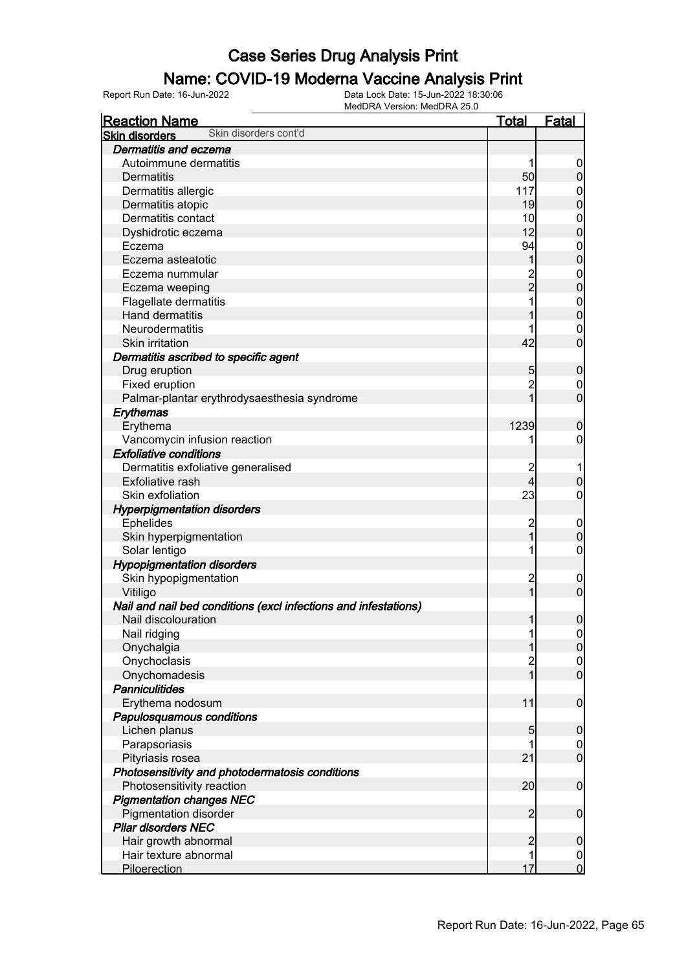#### Name: COVID-19 Moderna Vaccine Analysis Print

| <b>Skin disorders</b><br>Dermatitis and eczema<br>Autoimmune dermatitis<br>0<br>50<br>$\overline{0}$<br><b>Dermatitis</b><br>117<br>Dermatitis allergic<br>$\overline{0}$<br>$\mathbf 0$<br>19<br>Dermatitis atopic<br>Dermatitis contact<br>10<br>$\mathbf{0}$<br>12<br>$\mathbf 0$<br>Dyshidrotic eczema<br>94<br>Eczema<br>$\mathbf{0}$<br>$\mathbf 0$<br>Eczema asteatotic<br>1<br>2<br>2<br>Eczema nummular<br>$\mathbf 0$<br>Eczema weeping<br>Flagellate dermatitis<br>$\mathbf 0$<br>Hand dermatitis<br>Neurodermatitis<br>$\mathbf 0$<br>$\overline{0}$<br>42<br>Skin irritation<br>Dermatitis ascribed to specific agent<br>Drug eruption<br>5<br>$\boldsymbol{0}$<br>$\overline{2}$<br>Fixed eruption<br>$\mathbf 0$<br>$\overline{0}$<br>1<br>Palmar-plantar erythrodysaesthesia syndrome<br>Erythemas<br>Erythema<br>1239<br>$\boldsymbol{0}$<br>Vancomycin infusion reaction<br>$\mathbf 0$<br>1<br><b>Exfoliative conditions</b><br>Dermatitis exfoliative generalised<br>$\overline{c}$<br>1<br>4<br>Exfoliative rash<br>$\pmb{0}$<br>23<br>Skin exfoliation<br>$\mathbf 0$<br><b>Hyperpigmentation disorders</b><br>$\overline{c}$<br><b>Ephelides</b><br>$\mathbf 0$<br>$\overline{1}$<br>$\pmb{0}$<br>Skin hyperpigmentation<br>Solar lentigo<br>1<br>$\boldsymbol{0}$<br><b>Hypopigmentation disorders</b><br>$\overline{c}$<br>Skin hypopigmentation<br>$\mathbf 0$<br>$\mathbf{1}$<br>$\mathbf 0$<br>Vitiligo<br>Nail and nail bed conditions (excl infections and infestations)<br>$\boldsymbol{0}$<br>1<br>Nail discolouration<br>Nail ridging<br>1<br>$\Omega$<br> 0 <br>Onychalgia<br>1<br>Onychoclasis<br>$\overline{c}$<br>$\begin{matrix} 0 \\ 0 \end{matrix}$<br>$\overline{1}$<br>Onychomadesis<br><b>Panniculitides</b><br>11<br>$\boldsymbol{0}$<br>Erythema nodosum<br>Papulosquamous conditions<br>Lichen planus<br>5<br>$\mathbf 0$<br>Parapsoriasis<br>$\overline{0}$<br>$\mathbf{0}$<br>Pityriasis rosea<br>21<br>Photosensitivity and photodermatosis conditions<br>Photosensitivity reaction<br>20<br>$\boldsymbol{0}$<br><b>Pigmentation changes NEC</b><br>$\overline{2}$<br><b>Pigmentation disorder</b><br>$\boldsymbol{0}$<br><b>Pilar disorders NEC</b><br>$\overline{c}$<br>Hair growth abnormal<br>$\boldsymbol{0}$<br>Hair texture abnormal<br>1<br>$\overline{0}$ | <b>Reaction Name</b>  | <b>Total</b> | <b>Fatal</b>   |
|---------------------------------------------------------------------------------------------------------------------------------------------------------------------------------------------------------------------------------------------------------------------------------------------------------------------------------------------------------------------------------------------------------------------------------------------------------------------------------------------------------------------------------------------------------------------------------------------------------------------------------------------------------------------------------------------------------------------------------------------------------------------------------------------------------------------------------------------------------------------------------------------------------------------------------------------------------------------------------------------------------------------------------------------------------------------------------------------------------------------------------------------------------------------------------------------------------------------------------------------------------------------------------------------------------------------------------------------------------------------------------------------------------------------------------------------------------------------------------------------------------------------------------------------------------------------------------------------------------------------------------------------------------------------------------------------------------------------------------------------------------------------------------------------------------------------------------------------------------------------------------------------------------------------------------------------------------------------------------------------------------------------------------------------------------------------------------------------------------------------------------------------------------------------------------------------------------------------------------------------------------------------------------------------------------------------|-----------------------|--------------|----------------|
|                                                                                                                                                                                                                                                                                                                                                                                                                                                                                                                                                                                                                                                                                                                                                                                                                                                                                                                                                                                                                                                                                                                                                                                                                                                                                                                                                                                                                                                                                                                                                                                                                                                                                                                                                                                                                                                                                                                                                                                                                                                                                                                                                                                                                                                                                                                     | Skin disorders cont'd |              |                |
|                                                                                                                                                                                                                                                                                                                                                                                                                                                                                                                                                                                                                                                                                                                                                                                                                                                                                                                                                                                                                                                                                                                                                                                                                                                                                                                                                                                                                                                                                                                                                                                                                                                                                                                                                                                                                                                                                                                                                                                                                                                                                                                                                                                                                                                                                                                     |                       |              |                |
| $\overline{0}$<br>$\overline{0}$                                                                                                                                                                                                                                                                                                                                                                                                                                                                                                                                                                                                                                                                                                                                                                                                                                                                                                                                                                                                                                                                                                                                                                                                                                                                                                                                                                                                                                                                                                                                                                                                                                                                                                                                                                                                                                                                                                                                                                                                                                                                                                                                                                                                                                                                                    |                       |              |                |
|                                                                                                                                                                                                                                                                                                                                                                                                                                                                                                                                                                                                                                                                                                                                                                                                                                                                                                                                                                                                                                                                                                                                                                                                                                                                                                                                                                                                                                                                                                                                                                                                                                                                                                                                                                                                                                                                                                                                                                                                                                                                                                                                                                                                                                                                                                                     |                       |              |                |
|                                                                                                                                                                                                                                                                                                                                                                                                                                                                                                                                                                                                                                                                                                                                                                                                                                                                                                                                                                                                                                                                                                                                                                                                                                                                                                                                                                                                                                                                                                                                                                                                                                                                                                                                                                                                                                                                                                                                                                                                                                                                                                                                                                                                                                                                                                                     |                       |              |                |
|                                                                                                                                                                                                                                                                                                                                                                                                                                                                                                                                                                                                                                                                                                                                                                                                                                                                                                                                                                                                                                                                                                                                                                                                                                                                                                                                                                                                                                                                                                                                                                                                                                                                                                                                                                                                                                                                                                                                                                                                                                                                                                                                                                                                                                                                                                                     |                       |              |                |
|                                                                                                                                                                                                                                                                                                                                                                                                                                                                                                                                                                                                                                                                                                                                                                                                                                                                                                                                                                                                                                                                                                                                                                                                                                                                                                                                                                                                                                                                                                                                                                                                                                                                                                                                                                                                                                                                                                                                                                                                                                                                                                                                                                                                                                                                                                                     |                       |              |                |
|                                                                                                                                                                                                                                                                                                                                                                                                                                                                                                                                                                                                                                                                                                                                                                                                                                                                                                                                                                                                                                                                                                                                                                                                                                                                                                                                                                                                                                                                                                                                                                                                                                                                                                                                                                                                                                                                                                                                                                                                                                                                                                                                                                                                                                                                                                                     |                       |              |                |
|                                                                                                                                                                                                                                                                                                                                                                                                                                                                                                                                                                                                                                                                                                                                                                                                                                                                                                                                                                                                                                                                                                                                                                                                                                                                                                                                                                                                                                                                                                                                                                                                                                                                                                                                                                                                                                                                                                                                                                                                                                                                                                                                                                                                                                                                                                                     |                       |              |                |
|                                                                                                                                                                                                                                                                                                                                                                                                                                                                                                                                                                                                                                                                                                                                                                                                                                                                                                                                                                                                                                                                                                                                                                                                                                                                                                                                                                                                                                                                                                                                                                                                                                                                                                                                                                                                                                                                                                                                                                                                                                                                                                                                                                                                                                                                                                                     |                       |              |                |
|                                                                                                                                                                                                                                                                                                                                                                                                                                                                                                                                                                                                                                                                                                                                                                                                                                                                                                                                                                                                                                                                                                                                                                                                                                                                                                                                                                                                                                                                                                                                                                                                                                                                                                                                                                                                                                                                                                                                                                                                                                                                                                                                                                                                                                                                                                                     |                       |              |                |
|                                                                                                                                                                                                                                                                                                                                                                                                                                                                                                                                                                                                                                                                                                                                                                                                                                                                                                                                                                                                                                                                                                                                                                                                                                                                                                                                                                                                                                                                                                                                                                                                                                                                                                                                                                                                                                                                                                                                                                                                                                                                                                                                                                                                                                                                                                                     |                       |              |                |
|                                                                                                                                                                                                                                                                                                                                                                                                                                                                                                                                                                                                                                                                                                                                                                                                                                                                                                                                                                                                                                                                                                                                                                                                                                                                                                                                                                                                                                                                                                                                                                                                                                                                                                                                                                                                                                                                                                                                                                                                                                                                                                                                                                                                                                                                                                                     |                       |              |                |
|                                                                                                                                                                                                                                                                                                                                                                                                                                                                                                                                                                                                                                                                                                                                                                                                                                                                                                                                                                                                                                                                                                                                                                                                                                                                                                                                                                                                                                                                                                                                                                                                                                                                                                                                                                                                                                                                                                                                                                                                                                                                                                                                                                                                                                                                                                                     |                       |              |                |
|                                                                                                                                                                                                                                                                                                                                                                                                                                                                                                                                                                                                                                                                                                                                                                                                                                                                                                                                                                                                                                                                                                                                                                                                                                                                                                                                                                                                                                                                                                                                                                                                                                                                                                                                                                                                                                                                                                                                                                                                                                                                                                                                                                                                                                                                                                                     |                       |              |                |
|                                                                                                                                                                                                                                                                                                                                                                                                                                                                                                                                                                                                                                                                                                                                                                                                                                                                                                                                                                                                                                                                                                                                                                                                                                                                                                                                                                                                                                                                                                                                                                                                                                                                                                                                                                                                                                                                                                                                                                                                                                                                                                                                                                                                                                                                                                                     |                       |              |                |
|                                                                                                                                                                                                                                                                                                                                                                                                                                                                                                                                                                                                                                                                                                                                                                                                                                                                                                                                                                                                                                                                                                                                                                                                                                                                                                                                                                                                                                                                                                                                                                                                                                                                                                                                                                                                                                                                                                                                                                                                                                                                                                                                                                                                                                                                                                                     |                       |              |                |
|                                                                                                                                                                                                                                                                                                                                                                                                                                                                                                                                                                                                                                                                                                                                                                                                                                                                                                                                                                                                                                                                                                                                                                                                                                                                                                                                                                                                                                                                                                                                                                                                                                                                                                                                                                                                                                                                                                                                                                                                                                                                                                                                                                                                                                                                                                                     |                       |              |                |
|                                                                                                                                                                                                                                                                                                                                                                                                                                                                                                                                                                                                                                                                                                                                                                                                                                                                                                                                                                                                                                                                                                                                                                                                                                                                                                                                                                                                                                                                                                                                                                                                                                                                                                                                                                                                                                                                                                                                                                                                                                                                                                                                                                                                                                                                                                                     |                       |              |                |
|                                                                                                                                                                                                                                                                                                                                                                                                                                                                                                                                                                                                                                                                                                                                                                                                                                                                                                                                                                                                                                                                                                                                                                                                                                                                                                                                                                                                                                                                                                                                                                                                                                                                                                                                                                                                                                                                                                                                                                                                                                                                                                                                                                                                                                                                                                                     |                       |              |                |
|                                                                                                                                                                                                                                                                                                                                                                                                                                                                                                                                                                                                                                                                                                                                                                                                                                                                                                                                                                                                                                                                                                                                                                                                                                                                                                                                                                                                                                                                                                                                                                                                                                                                                                                                                                                                                                                                                                                                                                                                                                                                                                                                                                                                                                                                                                                     |                       |              |                |
|                                                                                                                                                                                                                                                                                                                                                                                                                                                                                                                                                                                                                                                                                                                                                                                                                                                                                                                                                                                                                                                                                                                                                                                                                                                                                                                                                                                                                                                                                                                                                                                                                                                                                                                                                                                                                                                                                                                                                                                                                                                                                                                                                                                                                                                                                                                     |                       |              |                |
|                                                                                                                                                                                                                                                                                                                                                                                                                                                                                                                                                                                                                                                                                                                                                                                                                                                                                                                                                                                                                                                                                                                                                                                                                                                                                                                                                                                                                                                                                                                                                                                                                                                                                                                                                                                                                                                                                                                                                                                                                                                                                                                                                                                                                                                                                                                     |                       |              |                |
|                                                                                                                                                                                                                                                                                                                                                                                                                                                                                                                                                                                                                                                                                                                                                                                                                                                                                                                                                                                                                                                                                                                                                                                                                                                                                                                                                                                                                                                                                                                                                                                                                                                                                                                                                                                                                                                                                                                                                                                                                                                                                                                                                                                                                                                                                                                     |                       |              |                |
|                                                                                                                                                                                                                                                                                                                                                                                                                                                                                                                                                                                                                                                                                                                                                                                                                                                                                                                                                                                                                                                                                                                                                                                                                                                                                                                                                                                                                                                                                                                                                                                                                                                                                                                                                                                                                                                                                                                                                                                                                                                                                                                                                                                                                                                                                                                     |                       |              |                |
|                                                                                                                                                                                                                                                                                                                                                                                                                                                                                                                                                                                                                                                                                                                                                                                                                                                                                                                                                                                                                                                                                                                                                                                                                                                                                                                                                                                                                                                                                                                                                                                                                                                                                                                                                                                                                                                                                                                                                                                                                                                                                                                                                                                                                                                                                                                     |                       |              |                |
|                                                                                                                                                                                                                                                                                                                                                                                                                                                                                                                                                                                                                                                                                                                                                                                                                                                                                                                                                                                                                                                                                                                                                                                                                                                                                                                                                                                                                                                                                                                                                                                                                                                                                                                                                                                                                                                                                                                                                                                                                                                                                                                                                                                                                                                                                                                     |                       |              |                |
|                                                                                                                                                                                                                                                                                                                                                                                                                                                                                                                                                                                                                                                                                                                                                                                                                                                                                                                                                                                                                                                                                                                                                                                                                                                                                                                                                                                                                                                                                                                                                                                                                                                                                                                                                                                                                                                                                                                                                                                                                                                                                                                                                                                                                                                                                                                     |                       |              |                |
|                                                                                                                                                                                                                                                                                                                                                                                                                                                                                                                                                                                                                                                                                                                                                                                                                                                                                                                                                                                                                                                                                                                                                                                                                                                                                                                                                                                                                                                                                                                                                                                                                                                                                                                                                                                                                                                                                                                                                                                                                                                                                                                                                                                                                                                                                                                     |                       |              |                |
|                                                                                                                                                                                                                                                                                                                                                                                                                                                                                                                                                                                                                                                                                                                                                                                                                                                                                                                                                                                                                                                                                                                                                                                                                                                                                                                                                                                                                                                                                                                                                                                                                                                                                                                                                                                                                                                                                                                                                                                                                                                                                                                                                                                                                                                                                                                     |                       |              |                |
|                                                                                                                                                                                                                                                                                                                                                                                                                                                                                                                                                                                                                                                                                                                                                                                                                                                                                                                                                                                                                                                                                                                                                                                                                                                                                                                                                                                                                                                                                                                                                                                                                                                                                                                                                                                                                                                                                                                                                                                                                                                                                                                                                                                                                                                                                                                     |                       |              |                |
|                                                                                                                                                                                                                                                                                                                                                                                                                                                                                                                                                                                                                                                                                                                                                                                                                                                                                                                                                                                                                                                                                                                                                                                                                                                                                                                                                                                                                                                                                                                                                                                                                                                                                                                                                                                                                                                                                                                                                                                                                                                                                                                                                                                                                                                                                                                     |                       |              |                |
|                                                                                                                                                                                                                                                                                                                                                                                                                                                                                                                                                                                                                                                                                                                                                                                                                                                                                                                                                                                                                                                                                                                                                                                                                                                                                                                                                                                                                                                                                                                                                                                                                                                                                                                                                                                                                                                                                                                                                                                                                                                                                                                                                                                                                                                                                                                     |                       |              |                |
|                                                                                                                                                                                                                                                                                                                                                                                                                                                                                                                                                                                                                                                                                                                                                                                                                                                                                                                                                                                                                                                                                                                                                                                                                                                                                                                                                                                                                                                                                                                                                                                                                                                                                                                                                                                                                                                                                                                                                                                                                                                                                                                                                                                                                                                                                                                     |                       |              |                |
|                                                                                                                                                                                                                                                                                                                                                                                                                                                                                                                                                                                                                                                                                                                                                                                                                                                                                                                                                                                                                                                                                                                                                                                                                                                                                                                                                                                                                                                                                                                                                                                                                                                                                                                                                                                                                                                                                                                                                                                                                                                                                                                                                                                                                                                                                                                     |                       |              |                |
|                                                                                                                                                                                                                                                                                                                                                                                                                                                                                                                                                                                                                                                                                                                                                                                                                                                                                                                                                                                                                                                                                                                                                                                                                                                                                                                                                                                                                                                                                                                                                                                                                                                                                                                                                                                                                                                                                                                                                                                                                                                                                                                                                                                                                                                                                                                     |                       |              |                |
|                                                                                                                                                                                                                                                                                                                                                                                                                                                                                                                                                                                                                                                                                                                                                                                                                                                                                                                                                                                                                                                                                                                                                                                                                                                                                                                                                                                                                                                                                                                                                                                                                                                                                                                                                                                                                                                                                                                                                                                                                                                                                                                                                                                                                                                                                                                     |                       |              |                |
|                                                                                                                                                                                                                                                                                                                                                                                                                                                                                                                                                                                                                                                                                                                                                                                                                                                                                                                                                                                                                                                                                                                                                                                                                                                                                                                                                                                                                                                                                                                                                                                                                                                                                                                                                                                                                                                                                                                                                                                                                                                                                                                                                                                                                                                                                                                     |                       |              |                |
|                                                                                                                                                                                                                                                                                                                                                                                                                                                                                                                                                                                                                                                                                                                                                                                                                                                                                                                                                                                                                                                                                                                                                                                                                                                                                                                                                                                                                                                                                                                                                                                                                                                                                                                                                                                                                                                                                                                                                                                                                                                                                                                                                                                                                                                                                                                     |                       |              |                |
|                                                                                                                                                                                                                                                                                                                                                                                                                                                                                                                                                                                                                                                                                                                                                                                                                                                                                                                                                                                                                                                                                                                                                                                                                                                                                                                                                                                                                                                                                                                                                                                                                                                                                                                                                                                                                                                                                                                                                                                                                                                                                                                                                                                                                                                                                                                     |                       |              |                |
|                                                                                                                                                                                                                                                                                                                                                                                                                                                                                                                                                                                                                                                                                                                                                                                                                                                                                                                                                                                                                                                                                                                                                                                                                                                                                                                                                                                                                                                                                                                                                                                                                                                                                                                                                                                                                                                                                                                                                                                                                                                                                                                                                                                                                                                                                                                     |                       |              |                |
|                                                                                                                                                                                                                                                                                                                                                                                                                                                                                                                                                                                                                                                                                                                                                                                                                                                                                                                                                                                                                                                                                                                                                                                                                                                                                                                                                                                                                                                                                                                                                                                                                                                                                                                                                                                                                                                                                                                                                                                                                                                                                                                                                                                                                                                                                                                     |                       |              |                |
|                                                                                                                                                                                                                                                                                                                                                                                                                                                                                                                                                                                                                                                                                                                                                                                                                                                                                                                                                                                                                                                                                                                                                                                                                                                                                                                                                                                                                                                                                                                                                                                                                                                                                                                                                                                                                                                                                                                                                                                                                                                                                                                                                                                                                                                                                                                     |                       |              |                |
|                                                                                                                                                                                                                                                                                                                                                                                                                                                                                                                                                                                                                                                                                                                                                                                                                                                                                                                                                                                                                                                                                                                                                                                                                                                                                                                                                                                                                                                                                                                                                                                                                                                                                                                                                                                                                                                                                                                                                                                                                                                                                                                                                                                                                                                                                                                     |                       |              |                |
|                                                                                                                                                                                                                                                                                                                                                                                                                                                                                                                                                                                                                                                                                                                                                                                                                                                                                                                                                                                                                                                                                                                                                                                                                                                                                                                                                                                                                                                                                                                                                                                                                                                                                                                                                                                                                                                                                                                                                                                                                                                                                                                                                                                                                                                                                                                     |                       |              |                |
|                                                                                                                                                                                                                                                                                                                                                                                                                                                                                                                                                                                                                                                                                                                                                                                                                                                                                                                                                                                                                                                                                                                                                                                                                                                                                                                                                                                                                                                                                                                                                                                                                                                                                                                                                                                                                                                                                                                                                                                                                                                                                                                                                                                                                                                                                                                     |                       |              |                |
|                                                                                                                                                                                                                                                                                                                                                                                                                                                                                                                                                                                                                                                                                                                                                                                                                                                                                                                                                                                                                                                                                                                                                                                                                                                                                                                                                                                                                                                                                                                                                                                                                                                                                                                                                                                                                                                                                                                                                                                                                                                                                                                                                                                                                                                                                                                     |                       |              |                |
|                                                                                                                                                                                                                                                                                                                                                                                                                                                                                                                                                                                                                                                                                                                                                                                                                                                                                                                                                                                                                                                                                                                                                                                                                                                                                                                                                                                                                                                                                                                                                                                                                                                                                                                                                                                                                                                                                                                                                                                                                                                                                                                                                                                                                                                                                                                     |                       |              |                |
|                                                                                                                                                                                                                                                                                                                                                                                                                                                                                                                                                                                                                                                                                                                                                                                                                                                                                                                                                                                                                                                                                                                                                                                                                                                                                                                                                                                                                                                                                                                                                                                                                                                                                                                                                                                                                                                                                                                                                                                                                                                                                                                                                                                                                                                                                                                     |                       |              |                |
|                                                                                                                                                                                                                                                                                                                                                                                                                                                                                                                                                                                                                                                                                                                                                                                                                                                                                                                                                                                                                                                                                                                                                                                                                                                                                                                                                                                                                                                                                                                                                                                                                                                                                                                                                                                                                                                                                                                                                                                                                                                                                                                                                                                                                                                                                                                     |                       |              |                |
|                                                                                                                                                                                                                                                                                                                                                                                                                                                                                                                                                                                                                                                                                                                                                                                                                                                                                                                                                                                                                                                                                                                                                                                                                                                                                                                                                                                                                                                                                                                                                                                                                                                                                                                                                                                                                                                                                                                                                                                                                                                                                                                                                                                                                                                                                                                     |                       |              |                |
|                                                                                                                                                                                                                                                                                                                                                                                                                                                                                                                                                                                                                                                                                                                                                                                                                                                                                                                                                                                                                                                                                                                                                                                                                                                                                                                                                                                                                                                                                                                                                                                                                                                                                                                                                                                                                                                                                                                                                                                                                                                                                                                                                                                                                                                                                                                     |                       |              |                |
|                                                                                                                                                                                                                                                                                                                                                                                                                                                                                                                                                                                                                                                                                                                                                                                                                                                                                                                                                                                                                                                                                                                                                                                                                                                                                                                                                                                                                                                                                                                                                                                                                                                                                                                                                                                                                                                                                                                                                                                                                                                                                                                                                                                                                                                                                                                     | Piloerection          | 17           | $\overline{0}$ |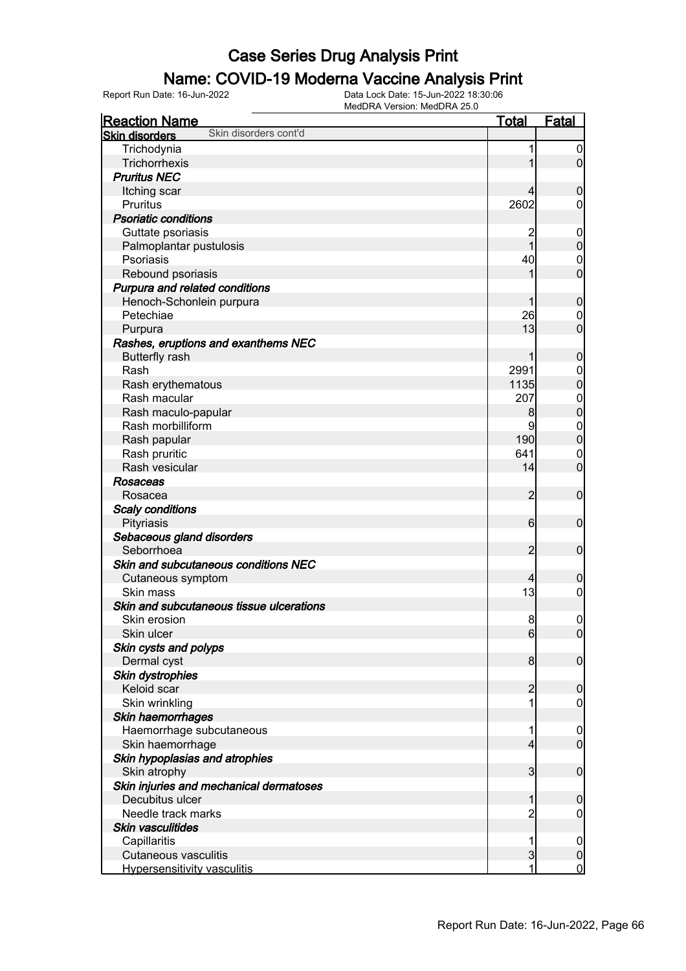#### Name: COVID-19 Moderna Vaccine Analysis Print

| <b>Reaction Name</b>                           | <b>Total</b>    | <b>Fatal</b>     |
|------------------------------------------------|-----------------|------------------|
| Skin disorders cont'd<br><b>Skin disorders</b> |                 |                  |
| Trichodynia                                    | 1               | $\boldsymbol{0}$ |
| Trichorrhexis                                  | 1               | $\overline{0}$   |
| <b>Pruritus NEC</b>                            |                 |                  |
| Itching scar                                   | 4               | $\mathbf 0$      |
| Pruritus                                       | 2602            | $\overline{0}$   |
| <b>Psoriatic conditions</b>                    |                 |                  |
| Guttate psoriasis                              | 2               | $\mathbf 0$      |
| Palmoplantar pustulosis                        | 1               | $\mathbf 0$      |
| Psoriasis                                      | 40              | $\mathbf 0$      |
| Rebound psoriasis                              | 1               | $\overline{0}$   |
| Purpura and related conditions                 |                 |                  |
| Henoch-Schonlein purpura                       | 1               | $\mathbf 0$      |
| Petechiae                                      | 26              | $\mathbf 0$      |
| Purpura                                        | 13              | $\overline{0}$   |
| Rashes, eruptions and exanthems NEC            |                 |                  |
| <b>Butterfly rash</b>                          | 1               | $\mathbf 0$      |
| Rash                                           | 2991            | $\mathbf 0$      |
| Rash erythematous                              | 1135            | $\overline{0}$   |
| Rash macular                                   | 207             | $\mathbf{0}$     |
| Rash maculo-papular                            | 8               | $\mathbf 0$      |
| Rash morbilliform                              | 9               | $\mathbf{0}$     |
| Rash papular                                   | 190             | $\mathbf 0$      |
| Rash pruritic                                  | 641             | $\mathbf 0$      |
| Rash vesicular                                 | 14              | $\mathbf 0$      |
| Rosaceas                                       |                 |                  |
| Rosacea                                        | $\overline{2}$  | $\boldsymbol{0}$ |
| <b>Scaly conditions</b>                        |                 |                  |
| Pityriasis                                     | $6 \overline{}$ | $\mathbf 0$      |
| Sebaceous gland disorders                      |                 |                  |
| Seborrhoea                                     | $\overline{c}$  | $\mathbf 0$      |
| Skin and subcutaneous conditions NEC           |                 |                  |
| Cutaneous symptom                              | 4               | $\mathbf 0$      |
| Skin mass                                      | 13              | $\mathbf 0$      |
| Skin and subcutaneous tissue ulcerations       |                 |                  |
| Skin erosion                                   | 8               | $\mathbf 0$      |
| Skin ulcer                                     | $6 \mid$        | 0                |
| Skin cysts and polyps                          |                 |                  |
| Dermal cyst                                    | 8 <sup>1</sup>  | $\mathbf 0$      |
| Skin dystrophies                               |                 |                  |
| Keloid scar                                    | $\overline{c}$  | $\mathbf 0$      |
| Skin wrinkling                                 | 1               | $\mathbf 0$      |
| Skin haemorrhages                              |                 |                  |
| Haemorrhage subcutaneous                       | 1               | $\mathbf 0$      |
| Skin haemorrhage                               | $\overline{4}$  | $\overline{0}$   |
| Skin hypoplasias and atrophies                 |                 |                  |
| Skin atrophy                                   | 3               | $\boldsymbol{0}$ |
| Skin injuries and mechanical dermatoses        |                 |                  |
| Decubitus ulcer                                | 1               | $\mathbf 0$      |
| Needle track marks                             | $\overline{c}$  | $\boldsymbol{0}$ |
| Skin vasculitides                              |                 |                  |
| Capillaritis                                   | 1               | $\mathbf 0$      |
| <b>Cutaneous vasculitis</b>                    | $\overline{3}$  | $\pmb{0}$        |
| <b>Hypersensitivity vasculitis</b>             | 1               | $\overline{0}$   |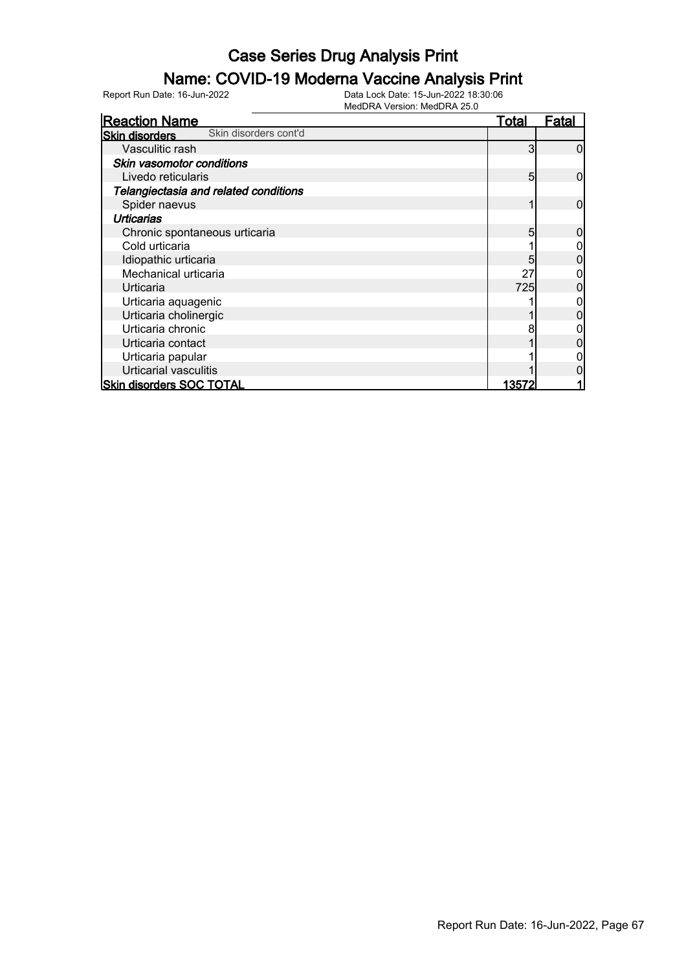#### Name: COVID-19 Moderna Vaccine Analysis Print

| <b>Reaction Name</b>                           | <b>Total</b> | Fatal |
|------------------------------------------------|--------------|-------|
| Skin disorders cont'd<br><b>Skin disorders</b> |              |       |
| Vasculitic rash                                | 3            |       |
| Skin vasomotor conditions                      |              |       |
| Livedo reticularis                             | 5            | 0     |
| Telangiectasia and related conditions          |              |       |
| Spider naevus                                  |              | 0     |
| <b>Urticarias</b>                              |              |       |
| Chronic spontaneous urticaria                  | 5            |       |
| Cold urticaria                                 |              |       |
| Idiopathic urticaria                           | 5            |       |
| Mechanical urticaria                           | 27           |       |
| Urticaria                                      | <b>725</b>   |       |
| Urticaria aquagenic                            |              |       |
| Urticaria cholinergic                          |              |       |
| Urticaria chronic                              |              |       |
| Urticaria contact                              |              |       |
| Urticaria papular                              |              |       |
| Urticarial vasculitis                          |              |       |
| <b>Skin disorders SOC TOTAL</b>                | 13572        |       |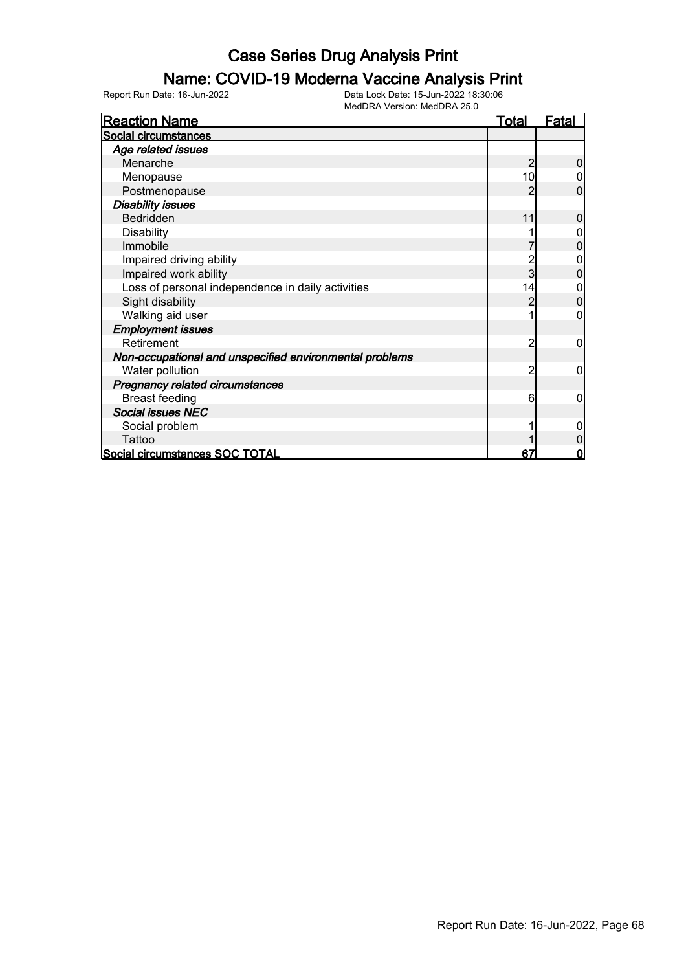### Name: COVID-19 Moderna Vaccine Analysis Print

Report Run Date: 16-Jun-2022 Data Lock Date: 15-Jun-2022 18:30:06

MedDRA Version: MedDRA 25.0

| <b>Reaction Name</b>                                    | <u>Total</u> | Fatal |
|---------------------------------------------------------|--------------|-------|
| Social circumstances                                    |              |       |
| Age related issues                                      |              |       |
| Menarche                                                | 2            |       |
| Menopause                                               | 10           |       |
| Postmenopause                                           |              | 0     |
| <b>Disability issues</b>                                |              |       |
| <b>Bedridden</b>                                        | 11           | 0     |
| <b>Disability</b>                                       |              |       |
| Immobile                                                |              | 0     |
| Impaired driving ability                                |              | 0     |
| Impaired work ability                                   | 3            | 0     |
| Loss of personal independence in daily activities       | 14           | 0     |
| Sight disability                                        |              | 0     |
| Walking aid user                                        |              | 0     |
| <b>Employment issues</b>                                |              |       |
| Retirement                                              | 2            | 0     |
| Non-occupational and unspecified environmental problems |              |       |
| Water pollution                                         | 2            | 0     |
| <b>Pregnancy related circumstances</b>                  |              |       |
| <b>Breast feeding</b>                                   | 6            | 0     |
| <b>Social issues NEC</b>                                |              |       |
| Social problem                                          |              |       |
| Tattoo                                                  |              |       |
| Social circumstances SOC TOTAL                          | 67           | 0     |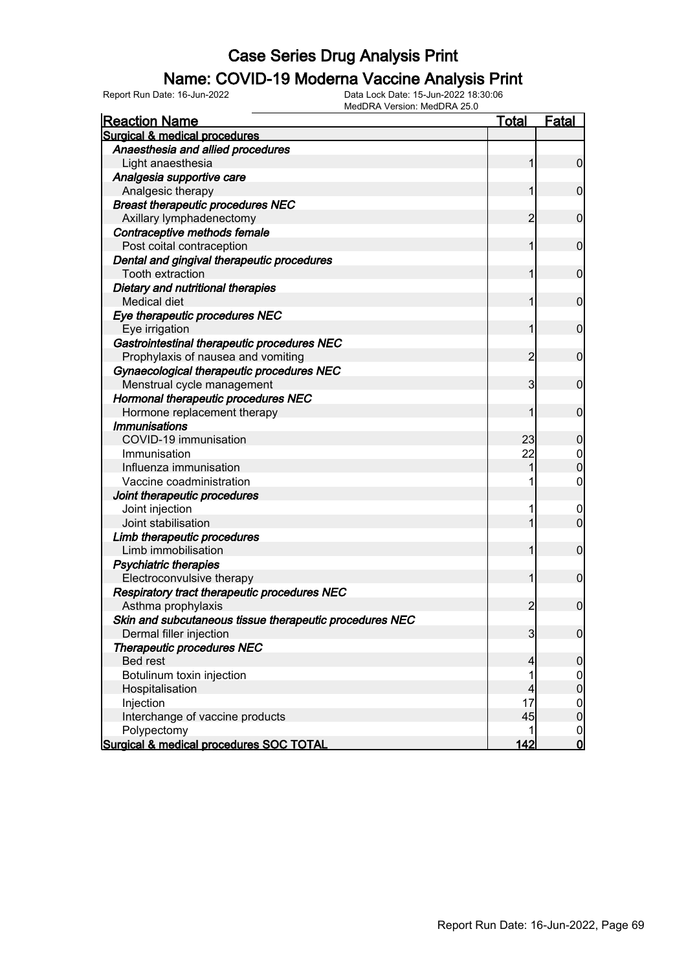#### Name: COVID-19 Moderna Vaccine Analysis Print

Report Run Date: 16-Jun-2022 Data Lock Date: 15-Jun-2022 18:30:06

| MedDRA Version: MedDRA 25.0                             |                |                  |
|---------------------------------------------------------|----------------|------------------|
| <b>Reaction Name</b>                                    | <u>Total</u>   | <b>Fatal</b>     |
| Surgical & medical procedures                           |                |                  |
| Anaesthesia and allied procedures                       |                |                  |
| Light anaesthesia                                       | 1              | $\overline{0}$   |
| Analgesia supportive care                               |                |                  |
| Analgesic therapy                                       |                | $\mathbf 0$      |
| <b>Breast therapeutic procedures NEC</b>                |                |                  |
| Axillary lymphadenectomy                                | 2              | $\mathbf 0$      |
| Contraceptive methods female                            |                |                  |
| Post coital contraception                               | 1              | $\mathbf 0$      |
| Dental and gingival therapeutic procedures              |                |                  |
| Tooth extraction                                        | 1              | $\mathbf 0$      |
| Dietary and nutritional therapies                       |                |                  |
| Medical diet                                            |                | $\mathbf 0$      |
| Eye therapeutic procedures NEC                          |                |                  |
| Eye irrigation                                          | 1              | $\mathbf 0$      |
| Gastrointestinal therapeutic procedures NEC             |                |                  |
| Prophylaxis of nausea and vomiting                      | $\overline{2}$ | $\mathbf 0$      |
| Gynaecological therapeutic procedures NEC               |                |                  |
| Menstrual cycle management                              | 3              | $\mathbf 0$      |
| Hormonal therapeutic procedures NEC                     |                |                  |
| Hormone replacement therapy                             |                | $\mathbf 0$      |
| <b>Immunisations</b>                                    |                |                  |
| COVID-19 immunisation                                   | 23             | $\mathbf 0$      |
| Immunisation                                            | 22             | $\overline{0}$   |
| Influenza immunisation                                  |                | $\boldsymbol{0}$ |
| Vaccine coadministration                                |                | $\boldsymbol{0}$ |
| Joint therapeutic procedures                            |                |                  |
| Joint injection                                         |                | $\overline{0}$   |
| Joint stabilisation                                     |                | $\mathbf 0$      |
| Limb therapeutic procedures                             |                |                  |
| Limb immobilisation                                     |                | $\mathbf 0$      |
| Psychiatric therapies                                   |                |                  |
| Electroconvulsive therapy                               |                | $\mathbf 0$      |
| Respiratory tract therapeutic procedures NEC            |                |                  |
| Asthma prophylaxis                                      | $\overline{2}$ | $\boldsymbol{0}$ |
| Skin and subcutaneous tissue therapeutic procedures NEC |                |                  |
| Dermal filler injection                                 | $\overline{3}$ | $\overline{0}$   |
| Therapeutic procedures NEC                              |                |                  |
| <b>Bed rest</b>                                         | 4              | $\mathbf 0$      |
| Botulinum toxin injection                               |                | $\overline{0}$   |
| Hospitalisation                                         | 4              | $\pmb{0}$        |
| Injection                                               | 17             | $\overline{0}$   |
| Interchange of vaccine products                         | 45             | $\pmb{0}$        |
| Polypectomy                                             |                | $\boldsymbol{0}$ |
| Surgical & medical procedures SOC TOTAL                 | 142            | $\overline{0}$   |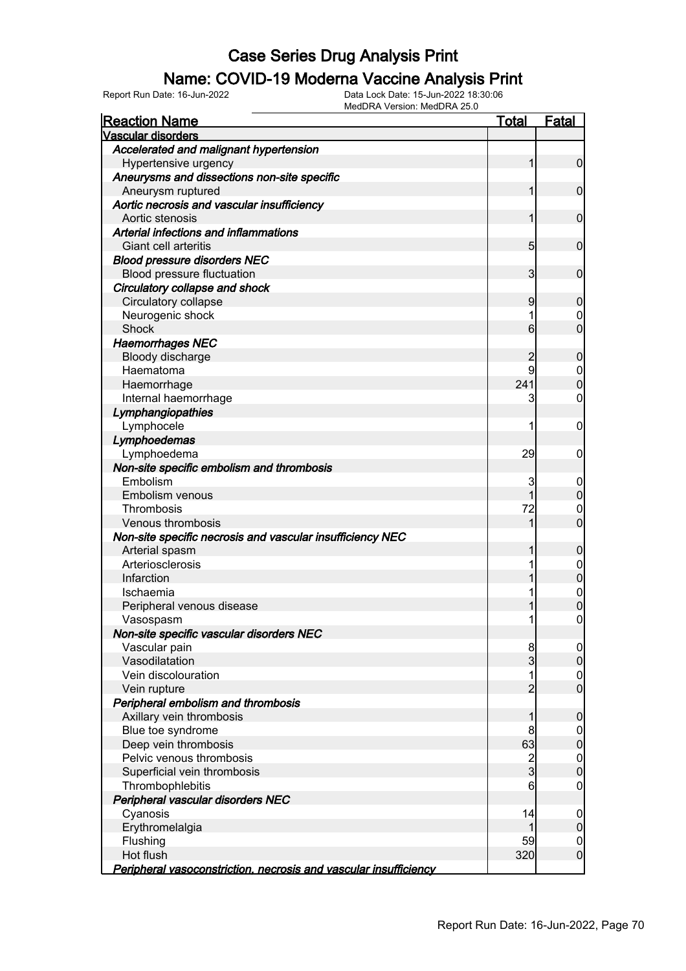# **Name: COVID-19 Moderna Vaccine Analysis Print**<br>Data Lock Date: 15-Jun-2022 18:30:06

| Report Run Date: 16-Jun-2022 | Data Lock Date: 15-Jun-2022 18:30:06 |
|------------------------------|--------------------------------------|
|                              |                                      |

MedDRA Version: MedDRA 25.0

| <b>Reaction Name</b>                                             | Total                   | <b>Fatal</b>     |
|------------------------------------------------------------------|-------------------------|------------------|
| Vascular disorders                                               |                         |                  |
| Accelerated and malignant hypertension                           |                         |                  |
| Hypertensive urgency                                             | 1                       | 0                |
| Aneurysms and dissections non-site specific                      |                         |                  |
| Aneurysm ruptured                                                | 1                       | $\mathbf 0$      |
| Aortic necrosis and vascular insufficiency                       |                         |                  |
| Aortic stenosis                                                  | 1                       | $\mathbf 0$      |
| Arterial infections and inflammations                            |                         |                  |
| <b>Giant cell arteritis</b>                                      | 5                       | 0                |
| <b>Blood pressure disorders NEC</b>                              |                         |                  |
| Blood pressure fluctuation                                       | 3                       | 0                |
| Circulatory collapse and shock                                   |                         |                  |
| Circulatory collapse                                             | 9                       | 0                |
| Neurogenic shock                                                 | 1                       | 0                |
| Shock                                                            | 6                       | 0                |
| <b>Haemorrhages NEC</b>                                          |                         |                  |
| Bloody discharge                                                 | 2                       | 0                |
| Haematoma                                                        | 9                       | 0                |
| Haemorrhage                                                      | 241                     | $\Omega$         |
| Internal haemorrhage                                             | 3                       | 0                |
| Lymphangiopathies                                                |                         |                  |
| Lymphocele                                                       | 1                       | 0                |
| Lymphoedemas                                                     |                         |                  |
| Lymphoedema                                                      | 29                      | 0                |
| Non-site specific embolism and thrombosis                        |                         |                  |
| Embolism                                                         | 3                       | 0                |
| Embolism venous                                                  |                         | 0                |
| Thrombosis                                                       | 72                      | 0                |
| Venous thrombosis                                                |                         | O                |
| Non-site specific necrosis and vascular insufficiency NEC        |                         |                  |
| Arterial spasm                                                   |                         | 0                |
| Arteriosclerosis                                                 |                         | 0                |
| Infarction                                                       |                         | 0                |
| Ischaemia                                                        |                         | $\mathbf 0$      |
| Peripheral venous disease                                        |                         | 0                |
| Vasospasm                                                        | 1                       | 0                |
| Non-site specific vascular disorders NEC                         |                         |                  |
| Vascular pain                                                    | 8                       | $\overline{0}$   |
| Vasodilatation                                                   | 3                       | $\overline{0}$   |
| Vein discolouration                                              | 1                       | 0                |
| Vein rupture                                                     | $\overline{2}$          | $\overline{0}$   |
| Peripheral embolism and thrombosis                               |                         |                  |
| Axillary vein thrombosis                                         |                         | 0                |
| Blue toe syndrome                                                | 8                       | 0                |
| Deep vein thrombosis                                             | 63                      | $\mathbf 0$      |
| Pelvic venous thrombosis                                         | $\overline{\mathbf{c}}$ | $\mathbf 0$      |
| Superficial vein thrombosis                                      | $\overline{3}$          | $\overline{0}$   |
| Thrombophlebitis                                                 | 6                       | 0                |
| Peripheral vascular disorders NEC                                |                         |                  |
| Cyanosis                                                         | 14                      | $\boldsymbol{0}$ |
| Erythromelalgia                                                  | 1                       | $\mathbf 0$      |
| Flushing                                                         | 59                      | $\mathbf 0$      |
| Hot flush                                                        | 320                     | $\mathbf 0$      |
| Peripheral vasoconstriction, necrosis and vascular insufficiency |                         |                  |